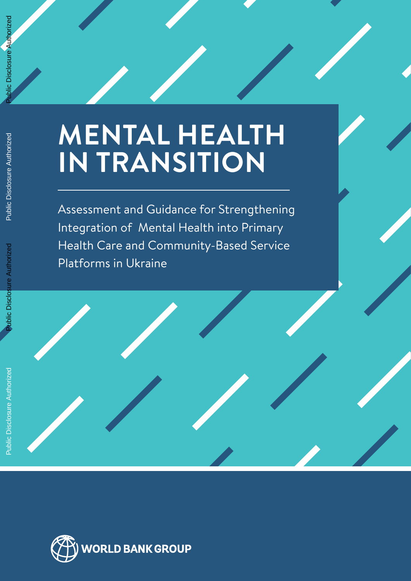# **MENTAL HEALTH IN TRANSITION**

Assessment and Guidance for Strengthening Integration of Mental Health into Primary Health Care and Community-Based Service Platforms in Ukraine



Public Disclosure Authorized

ublic Disclosure Authorized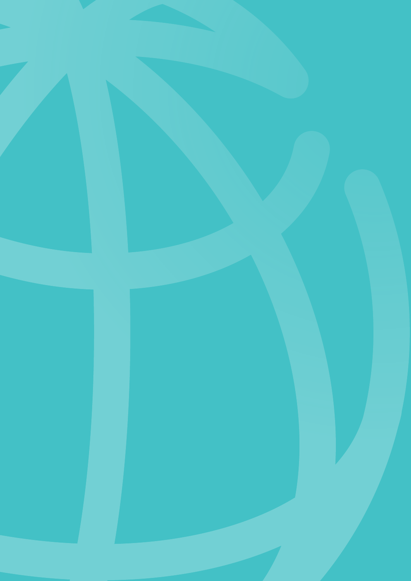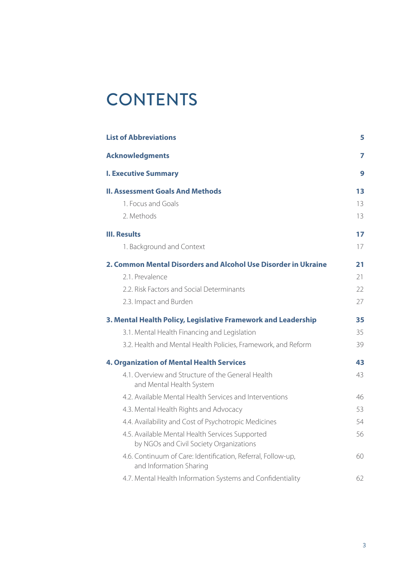## **CONTENTS**

| <b>List of Abbreviations</b>                                                               | 5  |
|--------------------------------------------------------------------------------------------|----|
| <b>Acknowledgments</b>                                                                     | 7  |
| <b>I. Executive Summary</b>                                                                | 9  |
| <b>II. Assessment Goals And Methods</b>                                                    | 13 |
| 1. Focus and Goals                                                                         | 13 |
| 2. Methods                                                                                 | 13 |
| <b>III. Results</b>                                                                        | 17 |
| 1. Background and Context                                                                  | 17 |
| 2. Common Mental Disorders and Alcohol Use Disorder in Ukraine                             | 21 |
| 2.1. Prevalence                                                                            | 21 |
| 2.2. Risk Factors and Social Determinants                                                  | 22 |
| 2.3. Impact and Burden                                                                     | 27 |
| 3. Mental Health Policy, Legislative Framework and Leadership                              | 35 |
| 3.1. Mental Health Financing and Legislation                                               | 35 |
| 3.2. Health and Mental Health Policies, Framework, and Reform                              | 39 |
| <b>4. Organization of Mental Health Services</b>                                           | 43 |
| 4.1. Overview and Structure of the General Health<br>and Mental Health System              | 43 |
| 4.2. Available Mental Health Services and Interventions                                    | 46 |
| 4.3. Mental Health Rights and Advocacy                                                     | 53 |
| 4.4. Availability and Cost of Psychotropic Medicines                                       | 54 |
| 4.5. Available Mental Health Services Supported<br>by NGOs and Civil Society Organizations | 56 |
| 4.6. Continuum of Care: Identification, Referral, Follow-up,<br>and Information Sharing    | 60 |
| 4.7. Mental Health Information Systems and Confidentiality                                 | 62 |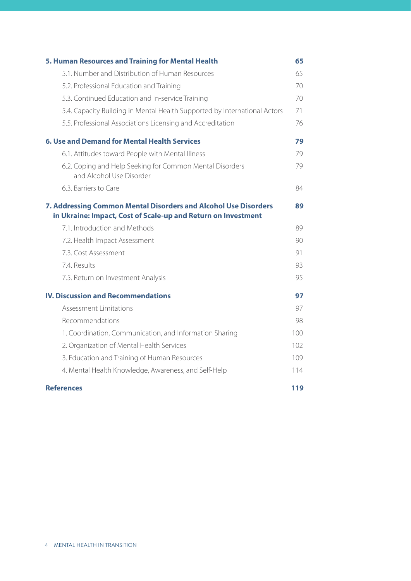| 5. Human Resources and Training for Mental Health                                                                                | 65  |
|----------------------------------------------------------------------------------------------------------------------------------|-----|
| 5.1. Number and Distribution of Human Resources                                                                                  | 65  |
| 5.2. Professional Education and Training                                                                                         | 70  |
| 5.3. Continued Education and In-service Training                                                                                 | 70  |
| 5.4. Capacity Building in Mental Health Supported by International Actors                                                        | 71  |
| 5.5. Professional Associations Licensing and Accreditation                                                                       | 76  |
| 6. Use and Demand for Mental Health Services                                                                                     | 79  |
| 6.1. Attitudes toward People with Mental Illness                                                                                 | 79  |
| 6.2. Coping and Help Seeking for Common Mental Disorders<br>and Alcohol Use Disorder                                             | 79  |
| 6.3. Barriers to Care                                                                                                            | 84  |
| 7. Addressing Common Mental Disorders and Alcohol Use Disorders<br>in Ukraine: Impact, Cost of Scale-up and Return on Investment | 89  |
| 7.1. Introduction and Methods                                                                                                    | 89  |
| 7.2. Health Impact Assessment                                                                                                    | 90  |
| 7.3. Cost Assessment                                                                                                             | 91  |
| 7.4. Results                                                                                                                     | 93  |
| 7.5. Return on Investment Analysis                                                                                               | 95  |
| <b>IV. Discussion and Recommendations</b>                                                                                        | 97  |
| Assessment Limitations                                                                                                           | 97  |
| Recommendations                                                                                                                  | 98  |
| 1. Coordination, Communication, and Information Sharing                                                                          | 100 |
| 2. Organization of Mental Health Services                                                                                        | 102 |
| 3. Education and Training of Human Resources                                                                                     | 109 |
| 4. Mental Health Knowledge, Awareness, and Self-Help                                                                             | 114 |
| <b>References</b>                                                                                                                | 119 |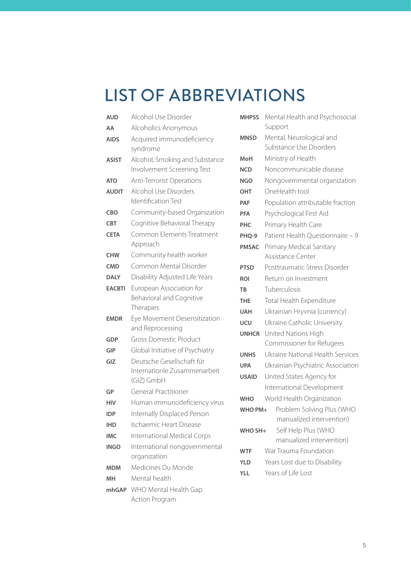## <span id="page-4-0"></span>LIST OF ABBREVIATIONS

| <b>AUD</b>    | Alcohol Use Disorder                                      |
|---------------|-----------------------------------------------------------|
| AA            | Alcoholics Anonymous                                      |
| <b>AIDS</b>   | Acquired immunodeficiency                                 |
|               | syndrome                                                  |
| <b>ASIST</b>  | Alcohol, Smoking and Substance                            |
|               | Involvement Screening Test                                |
| <b>ATO</b>    | Anti-Terrorist Operations                                 |
| <b>AUDIT</b>  | Alcohol Use Disorders                                     |
|               | <b>Identification Test</b>                                |
| CBO           | Community-based Organization                              |
| <b>CBT</b>    | Cognitive Behavioral Therapy                              |
| <b>CETA</b>   | Common Elements Treatment                                 |
|               | Approach                                                  |
| <b>CHW</b>    | Community health worker                                   |
| <b>CMD</b>    | Common Mental Disorder                                    |
| <b>DALY</b>   | Disability Adjusted Life Years                            |
| <b>EACBTI</b> | European Association for                                  |
|               | Behavioral and Cognitive                                  |
|               | Therapies                                                 |
| <b>EMDR</b>   | Eye Movement Desensitization                              |
|               | and Reprocessing                                          |
| <b>GDP</b>    | <b>Gross Domestic Product</b>                             |
| GIP           | Global Initiative of Psychiatry                           |
| GIZ           | Deutsche Gesellschaft für<br>Internationle Zusammenarbeit |
|               | (GIZ) GmbH                                                |
| GP            | <b>General Practitioner</b>                               |
| HIV           | Human immunodeficiency virus                              |
| idp           | Internally Displaced Person                               |
| IHD           | Ischaemic Heart Disease                                   |
| <b>IMC</b>    | <b>International Medical Corps</b>                        |
| <b>INGO</b>   | International nongovernmental                             |
|               | organization                                              |
| <b>MDM</b>    | Medicines Du Monde                                        |
| мн            | Mental health                                             |
|               | mhGAP WHO Mental Health Gap                               |

Action Program

|              | Support                           |
|--------------|-----------------------------------|
| <b>MNSD</b>  | Mental, Neurological and          |
|              | Substance Use Disorders           |
| MoH          | Ministry of Health                |
| <b>NCD</b>   | Noncommunicable disease           |
| <b>NGO</b>   | Nongovernmental organization      |
| <b>OHT</b>   | OneHealth tool                    |
| <b>PAF</b>   | Population attributable fraction  |
| <b>PFA</b>   | Psychological First Aid           |
| <b>PHC</b>   | Primary Health Care               |
| PHQ-9        | Patient Health Questionnaire - 9  |
| <b>PMSAC</b> | Primary Medical Sanitary          |
|              | Assistance Center                 |
| <b>PTSD</b>  | Posttraumatic Stress Disorder     |
| <b>ROI</b>   | Return on Investment              |
| TB           | Tuberculosis                      |
| THE          | Total Health Expenditure          |
| <b>UAH</b>   | Ukrainian Hryvnia (currency)      |
| UCU          | Ukraine Catholic University       |
| <b>UNHCR</b> | United Nations High               |
|              | Commissioner for Refugees         |
| <b>UNHS</b>  | Ukraine National Health Services  |
| <b>UPA</b>   | Ukrainian Psychiatric Association |
| <b>USAID</b> | United States Agency for          |
|              | International Development         |
| <b>WHO</b>   | World Health Organization         |
| WHO PM+      | Problem Solving Plus (WHO         |
|              | manualized intervention)          |
| WHO SH+      | Self Help Plus (WHO               |
|              | manualized intervention)          |
| <b>WTF</b>   | War Trauma Foundation             |
| <b>YLD</b>   | Years Lost due to Disability      |
| YLL          | Years of Life Lost                |

**MHPSS** Mental Health and Psychosocial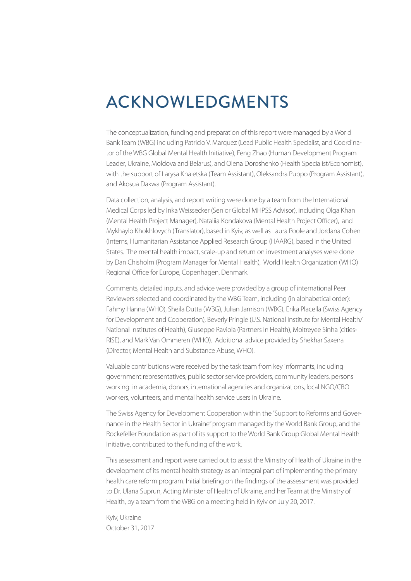## <span id="page-6-0"></span>ACKNOWLEDGMENTS

The conceptualization, funding and preparation of this report were managed by a World Bank Team (WBG) including Patricio V. Marquez (Lead Public Health Specialist, and Coordinator of the WBG Global Mental Health Initiative), Feng Zhao (Human Development Program Leader, Ukraine, Moldova and Belarus), and Olena Doroshenko (Health Specialist/Economist), with the support of Larysa Khaletska (Team Assistant), Oleksandra Puppo (Program Assistant), and Akosua Dakwa (Program Assistant).

Data collection, analysis, and report writing were done by a team from the International Medical Corps led by Inka Weissecker (Senior Global MHPSS Advisor), including Olga Khan (Mental Health Project Manager), Nataliia Kondakova (Mental Health Project Officer), and Mykhaylo Khokhlovych (Translator), based in Kyiv, as well as Laura Poole and Jordana Cohen (Interns, Humanitarian Assistance Applied Research Group (HAARG), based in the United States. The mental health impact, scale-up and return on investment analyses were done by Dan Chisholm (Program Manager for Mental Health), World Health Organization (WHO) Regional Office for Europe, Copenhagen, Denmark.

Comments, detailed inputs, and advice were provided by a group of international Peer Reviewers selected and coordinated by the WBG Team, including (in alphabetical order): Fahmy Hanna (WHO), Sheila Dutta (WBG), Julian Jamison (WBG), Erika Placella (Swiss Agency for Development and Cooperation), Beverly Pringle (U.S. National Institute for Mental Health/ National Institutes of Health), Giuseppe Raviola (Partners In Health), Moitreyee Sinha (cities-RISE), and Mark Van Ommeren (WHO). Additional advice provided by Shekhar Saxena (Director, Mental Health and Substance Abuse, WHO).

Valuable contributions were received by the task team from key informants, including government representatives, public sector service providers, community leaders, persons working in academia, donors, international agencies and organizations, local NGO/CBO workers, volunteers, and mental health service users in Ukraine.

The Swiss Agency for Development Cooperation within the "Support to Reforms and Governance in the Health Sector in Ukraine" program managed by the World Bank Group, and the Rockefeller Foundation as part of its support to the World Bank Group Global Mental Health Initiative, contributed to the funding of the work.

This assessment and report were carried out to assist the Ministry of Health of Ukraine in the development of its mental health strategy as an integral part of implementing the primary health care reform program. Initial briefing on the findings of the assessment was provided to Dr. Ulana Suprun, Acting Minister of Health of Ukraine, and her Team at the Ministry of Health, by a team from the WBG on a meeting held in Kyiv on July 20, 2017.

Kyiv, Ukraine October 31, 2017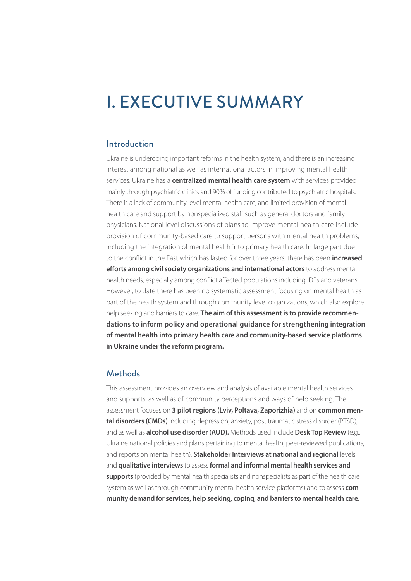## <span id="page-8-0"></span>I. EXECUTIVE SUMMARY

### Introduction

Ukraine is undergoing important reforms in the health system, and there is an increasing interest among national as well as international actors in improving mental health services. Ukraine has a **centralized mental health care system** with services provided mainly through psychiatric clinics and 90% of funding contributed to psychiatric hospitals. There is a lack of community level mental health care, and limited provision of mental health care and support by nonspecialized staff such as general doctors and family physicians. National level discussions of plans to improve mental health care include provision of community-based care to support persons with mental health problems, including the integration of mental health into primary health care. In large part due to the conflict in the East which has lasted for over three years, there has been **increased efforts among civil society organizations and international actors** to address mental health needs, especially among conflict affected populations including IDPs and veterans. However, to date there has been no systematic assessment focusing on mental health as part of the health system and through community level organizations, which also explore help seeking and barriers to care. **The aim of this assessment is to provide recommendations to inform policy and operational guidance for strengthening integration of mental health into primary health care and community-based service platforms in Ukraine under the reform program.**

### Methods

This assessment provides an overview and analysis of available mental health services and supports, as well as of community perceptions and ways of help seeking. The assessment focuses on **3 pilot regions (Lviv, Poltava, Zaporizhia)** and on **common mental disorders (CMDs)** including depression, anxiety, post traumatic stress disorder (PTSD), and as well as **alcohol use disorder (AUD).** Methods used include **Desk Top Review** (e.g., Ukraine national policies and plans pertaining to mental health, peer-reviewed publications, and reports on mental health), **Stakeholder Interviews at national and regional** levels, and **qualitative interviews** to assess **formal and informal mental health services and supports** (provided by mental health specialists and nonspecialists as part of the health care system as well as through community mental health service platforms) and to assess **community demand for services, help seeking, coping, and barriers to mental health care.**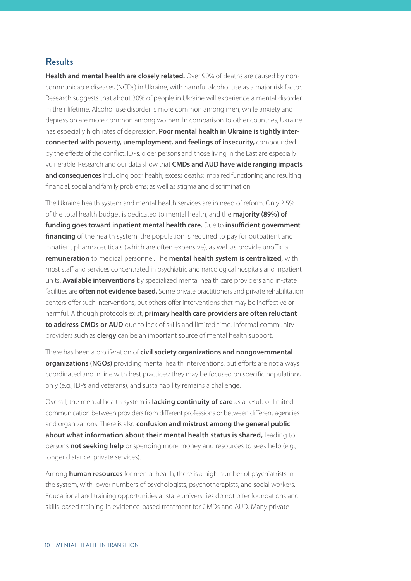## Results

**Health and mental health are closely related.** Over 90% of deaths are caused by noncommunicable diseases (NCDs) in Ukraine, with harmful alcohol use as a major risk factor. Research suggests that about 30% of people in Ukraine will experience a mental disorder in their lifetime. Alcohol use disorder is more common among men, while anxiety and depression are more common among women. In comparison to other countries, Ukraine has especially high rates of depression. **Poor mental health in Ukraine is tightly interconnected with poverty, unemployment, and feelings of insecurity,** compounded by the effects of the conflict. IDPs, older persons and those living in the East are especially vulnerable. Research and our data show that **CMDs and AUD have wide ranging impacts**  and consequences including poor health; excess deaths; impaired functioning and resulting financial, social and family problems; as well as stigma and discrimination.

The Ukraine health system and mental health services are in need of reform. Only 2.5% of the total health budget is dedicated to mental health, and the **majority (89%) of funding goes toward inpatient mental health care.** Due to **insufficient government financing** of the health system, the population is required to pay for outpatient and inpatient pharmaceuticals (which are often expensive), as well as provide unofficial **remuneration** to medical personnel. The **mental health system is centralized,** with most staff and services concentrated in psychiatric and narcological hospitals and inpatient units. **Available interventions** by specialized mental health care providers and in-state facilities are **often not evidence based.** Some private practitioners and private rehabilitation centers offer such interventions, but others offer interventions that may be ineffective or harmful. Although protocols exist, **primary health care providers are often reluctant to address CMDs or AUD** due to lack of skills and limited time. Informal community providers such as **clergy** can be an important source of mental health support.

There has been a proliferation of **civil society organizations and nongovernmental organizations (NGOs)** providing mental health interventions, but efforts are not always coordinated and in line with best practices; they may be focused on specific populations only (e.g., IDPs and veterans), and sustainability remains a challenge.

Overall, the mental health system is **lacking continuity of care** as a result of limited communication between providers from different professions or between different agencies and organizations. There is also **confusion and mistrust among the general public about what information about their mental health status is shared,** leading to persons **not seeking help** or spending more money and resources to seek help (e.g., longer distance, private services).

Among **human resources** for mental health, there is a high number of psychiatrists in the system, with lower numbers of psychologists, psychotherapists, and social workers. Educational and training opportunities at state universities do not offer foundations and skills-based training in evidence-based treatment for CMDs and AUD. Many private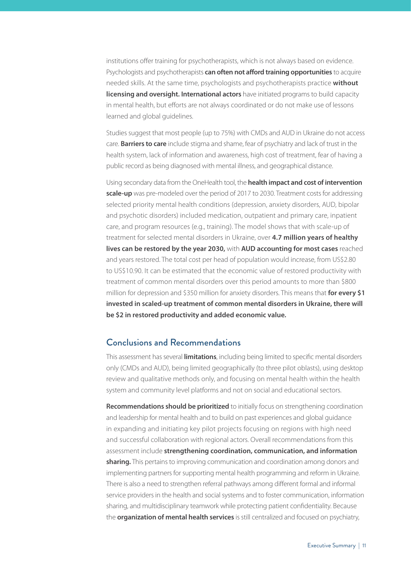institutions offer training for psychotherapists, which is not always based on evidence. Psychologists and psychotherapists **can often not afford training opportunities** to acquire needed skills. At the same time, psychologists and psychotherapists practice **without licensing and oversight. International actors** have initiated programs to build capacity in mental health, but efforts are not always coordinated or do not make use of lessons learned and global guidelines.

Studies suggest that most people (up to 75%) with CMDs and AUD in Ukraine do not access care. **Barriers to care** include stigma and shame, fear of psychiatry and lack of trust in the health system, lack of information and awareness, high cost of treatment, fear of having a public record as being diagnosed with mental illness, and geographical distance.

Using secondary data from the OneHealth tool, the **health impact and cost of intervention scale-up** was pre-modeled over the period of 2017 to 2030. Treatment costs for addressing selected priority mental health conditions (depression, anxiety disorders, AUD, bipolar and psychotic disorders) included medication, outpatient and primary care, inpatient care, and program resources (e.g., training). The model shows that with scale-up of treatment for selected mental disorders in Ukraine, over **4.7 million years of healthy lives can be restored by the year 2030,** with **AUD accounting for most cases** reached and years restored. The total cost per head of population would increase, from US\$2.80 to US\$10.90. It can be estimated that the economic value of restored productivity with treatment of common mental disorders over this period amounts to more than \$800 million for depression and \$350 million for anxiety disorders. This means that **for every \$1 invested in scaled-up treatment of common mental disorders in Ukraine, there will be \$2 in restored productivity and added economic value.**

## Conclusions and Recommendations

This assessment has several **limitations**, including being limited to specific mental disorders only (CMDs and AUD), being limited geographically (to three pilot oblasts), using desktop review and qualitative methods only, and focusing on mental health within the health system and community level platforms and not on social and educational sectors.

**Recommendations should be prioritized** to initially focus on strengthening coordination and leadership for mental health and to build on past experiences and global guidance in expanding and initiating key pilot projects focusing on regions with high need and successful collaboration with regional actors. Overall recommendations from this assessment include **strengthening coordination, communication, and information sharing.** This pertains to improving communication and coordination among donors and implementing partners for supporting mental health programming and reform in Ukraine. There is also a need to strengthen referral pathways among different formal and informal service providers in the health and social systems and to foster communication, information sharing, and multidisciplinary teamwork while protecting patient confidentiality. Because the **organization of mental health services** is still centralized and focused on psychiatry,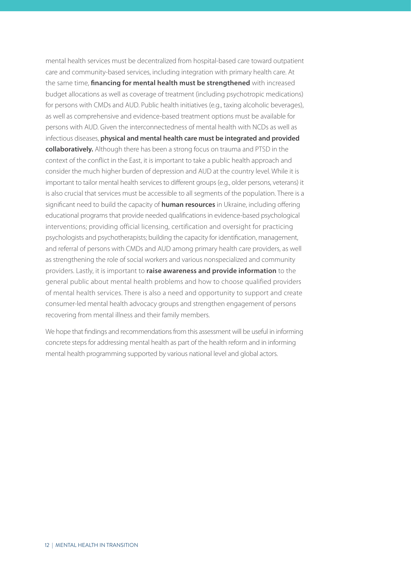mental health services must be decentralized from hospital-based care toward outpatient care and community-based services, including integration with primary health care. At the same time, **financing for mental health must be strengthened** with increased budget allocations as well as coverage of treatment (including psychotropic medications) for persons with CMDs and AUD. Public health initiatives (e.g., taxing alcoholic beverages), as well as comprehensive and evidence-based treatment options must be available for persons with AUD. Given the interconnectedness of mental health with NCDs as well as infectious diseases, **physical and mental health care must be integrated and provided collaboratively.** Although there has been a strong focus on trauma and PTSD in the context of the conflict in the East, it is important to take a public health approach and consider the much higher burden of depression and AUD at the country level. While it is important to tailor mental health services to different groups (e.g., older persons, veterans) it is also crucial that services must be accessible to all segments of the population. There is a significant need to build the capacity of **human resources** in Ukraine, including offering educational programs that provide needed qualifications in evidence-based psychological interventions; providing official licensing, certification and oversight for practicing psychologists and psychotherapists; building the capacity for identification, management, and referral of persons with CMDs and AUD among primary health care providers, as well as strengthening the role of social workers and various nonspecialized and community providers. Lastly, it is important to **raise awareness and provide information** to the general public about mental health problems and how to choose qualified providers of mental health services. There is also a need and opportunity to support and create consumer-led mental health advocacy groups and strengthen engagement of persons recovering from mental illness and their family members.

We hope that findings and recommendations from this assessment will be useful in informing concrete steps for addressing mental health as part of the health reform and in informing mental health programming supported by various national level and global actors.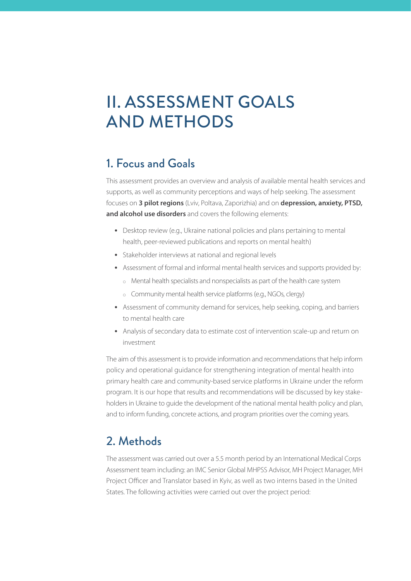## <span id="page-12-0"></span>II. ASSESSMENT GOALS AND METHODS

## 1. Focus and Goals

This assessment provides an overview and analysis of available mental health services and supports, as well as community perceptions and ways of help seeking. The assessment focuses on **3 pilot regions** (Lviv, Poltava, Zaporizhia) and on **depression, anxiety, PTSD, and alcohol use disorders** and covers the following elements:

- **•** Desktop review (e.g., Ukraine national policies and plans pertaining to mental health, peer-reviewed publications and reports on mental health)
- **•** Stakeholder interviews at national and regional levels
- **•** Assessment of formal and informal mental health services and supports provided by:
	- { Mental health specialists and nonspecialists as part of the health care system
	- $\circ$  Community mental health service platforms (e.g., NGOs, clergy)
- **•** Assessment of community demand for services, help seeking, coping, and barriers to mental health care
- **•** Analysis of secondary data to estimate cost of intervention scale-up and return on investment

The aim of this assessment is to provide information and recommendations that help inform policy and operational guidance for strengthening integration of mental health into primary health care and community-based service platforms in Ukraine under the reform program. It is our hope that results and recommendations will be discussed by key stakeholders in Ukraine to guide the development of the national mental health policy and plan, and to inform funding, concrete actions, and program priorities over the coming years.

## 2. Methods

The assessment was carried out over a 5.5 month period by an International Medical Corps Assessment team including: an IMC Senior Global MHPSS Advisor, MH Project Manager, MH Project Officer and Translator based in Kyiv, as well as two interns based in the United States. The following activities were carried out over the project period: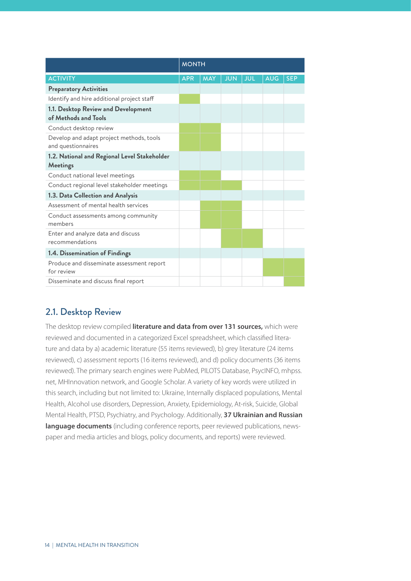|                                                                | <b>MONTH</b> |            |            |            |            |            |
|----------------------------------------------------------------|--------------|------------|------------|------------|------------|------------|
| <b>ACTIVITY</b>                                                | <b>APR</b>   | <b>MAY</b> | <b>JUN</b> | <b>JUL</b> | <b>AUG</b> | <b>SEP</b> |
| <b>Preparatory Activities</b>                                  |              |            |            |            |            |            |
| Identify and hire additional project staff                     |              |            |            |            |            |            |
| 1.1. Desktop Review and Development<br>of Methods and Tools    |              |            |            |            |            |            |
| Conduct desktop review                                         |              |            |            |            |            |            |
| Develop and adapt project methods, tools<br>and questionnaires |              |            |            |            |            |            |
| 1.2. National and Regional Level Stakeholder<br>Meetings       |              |            |            |            |            |            |
| Conduct national level meetings                                |              |            |            |            |            |            |
| Conduct regional level stakeholder meetings                    |              |            |            |            |            |            |
| 1.3. Data Collection and Analysis                              |              |            |            |            |            |            |
| Assessment of mental health services                           |              |            |            |            |            |            |
| Conduct assessments among community<br>members                 |              |            |            |            |            |            |
| Enter and analyze data and discuss<br>recommendations          |              |            |            |            |            |            |
| 1.4. Dissemination of Findings                                 |              |            |            |            |            |            |
| Produce and disseminate assessment report<br>for review        |              |            |            |            |            |            |
| Disseminate and discuss final report                           |              |            |            |            |            |            |

## 2.1. Desktop Review

The desktop review compiled **literature and data from over 131 sources,** which were reviewed and documented in a categorized Excel spreadsheet, which classified literature and data by a) academic literature (55 items reviewed), b) grey literature (24 items reviewed), c) assessment reports (16 items reviewed), and d) policy documents (36 items reviewed). The primary search engines were PubMed, PILOTS Database, PsycINFO, mhpss. net, MHInnovation network, and Google Scholar. A variety of key words were utilized in this search, including but not limited to: Ukraine, Internally displaced populations, Mental Health, Alcohol use disorders, Depression, Anxiety, Epidemiology, At-risk, Suicide, Global Mental Health, PTSD, Psychiatry, and Psychology. Additionally, **37 Ukrainian and Russian language documents** (including conference reports, peer reviewed publications, newspaper and media articles and blogs, policy documents, and reports) were reviewed.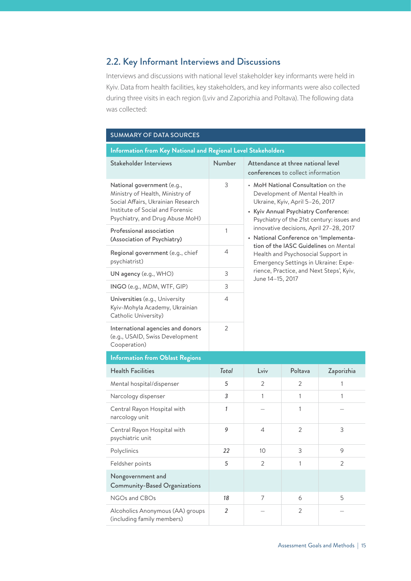## 2.2. Key Informant Interviews and Discussions

Interviews and discussions with national level stakeholder key informants were held in Kyiv. Data from health facilities, key stakeholders, and key informants were also collected during three visits in each region (Lviv and Zaporizhia and Poltava). The following data was collected:

| <b>SUMMARY OF DATA SOURCES</b>                                                                                                                                             |                |                                                                                                                                                                                                                                                                                                                                                                                                                                                                           |              |            |  |
|----------------------------------------------------------------------------------------------------------------------------------------------------------------------------|----------------|---------------------------------------------------------------------------------------------------------------------------------------------------------------------------------------------------------------------------------------------------------------------------------------------------------------------------------------------------------------------------------------------------------------------------------------------------------------------------|--------------|------------|--|
| Information from Key National and Regional Level Stakeholders                                                                                                              |                |                                                                                                                                                                                                                                                                                                                                                                                                                                                                           |              |            |  |
| Stakeholder Interviews                                                                                                                                                     | <b>Number</b>  | Attendance at three national level<br>conferences to collect information                                                                                                                                                                                                                                                                                                                                                                                                  |              |            |  |
| National government (e.g.,<br>Ministry of Health, Ministry of<br>Social Affairs, Ukrainian Research<br>Institute of Social and Forensic<br>Psychiatry, and Drug Abuse MoH) | 3              | • MoH National Consultation on the<br>Development of Mental Health in<br>Ukraine, Kyiv, April 5-26, 2017<br>• Kyiv Annual Psychiatry Conference:<br>Psychiatry of the 21st century: issues and<br>innovative decisions, April 27-28, 2017<br>• National Conference on 'Implementa-<br>tion of the IASC Guidelines on Mental<br>Health and Psychosocial Support in<br>Emergency Settings in Ukraine: Expe-<br>rience, Practice, and Next Steps', Kyiv,<br>June 14-15, 2017 |              |            |  |
| Professional association<br>(Association of Psychiatry)                                                                                                                    | 1              |                                                                                                                                                                                                                                                                                                                                                                                                                                                                           |              |            |  |
| Regional government (e.g., chief<br>psychiatrist)                                                                                                                          | 4              |                                                                                                                                                                                                                                                                                                                                                                                                                                                                           |              |            |  |
| UN agency (e.g., WHO)                                                                                                                                                      | 3              |                                                                                                                                                                                                                                                                                                                                                                                                                                                                           |              |            |  |
| INGO (e.g., MDM, WTF, GIP)                                                                                                                                                 | 3              |                                                                                                                                                                                                                                                                                                                                                                                                                                                                           |              |            |  |
| Universities (e.g., University<br>Kyiv-Mohyla Academy, Ukrainian<br>Catholic University)                                                                                   | 4              |                                                                                                                                                                                                                                                                                                                                                                                                                                                                           |              |            |  |
| International agencies and donors<br>(e.g., USAID, Swiss Development<br>Cooperation)                                                                                       | 2              |                                                                                                                                                                                                                                                                                                                                                                                                                                                                           |              |            |  |
| <b>Information from Oblast Regions</b>                                                                                                                                     |                |                                                                                                                                                                                                                                                                                                                                                                                                                                                                           |              |            |  |
| <b>Health Facilities</b>                                                                                                                                                   | Total          | Lviv                                                                                                                                                                                                                                                                                                                                                                                                                                                                      | Poltava      | Zaporizhia |  |
| Mental hospital/dispenser                                                                                                                                                  | 5              | 2                                                                                                                                                                                                                                                                                                                                                                                                                                                                         | 2            | 1          |  |
| Narcology dispenser                                                                                                                                                        | 3              | 1                                                                                                                                                                                                                                                                                                                                                                                                                                                                         | 1            | 1          |  |
| Central Rayon Hospital with<br>narcology unit                                                                                                                              | 1              |                                                                                                                                                                                                                                                                                                                                                                                                                                                                           | $\mathbf{1}$ |            |  |
| Central Rayon Hospital with<br>psychiatric unit                                                                                                                            | 9              | 4                                                                                                                                                                                                                                                                                                                                                                                                                                                                         | 2            | 3          |  |
| Polyclinics                                                                                                                                                                | 22             | 10                                                                                                                                                                                                                                                                                                                                                                                                                                                                        | 3            | 9          |  |
| Feldsher points                                                                                                                                                            | 5              | 2                                                                                                                                                                                                                                                                                                                                                                                                                                                                         | $\mathbf{1}$ | 2          |  |
| Nongovernment and<br><b>Community-Based Organizations</b>                                                                                                                  |                |                                                                                                                                                                                                                                                                                                                                                                                                                                                                           |              |            |  |
| NGOs and CBOs                                                                                                                                                              | 18             | 7                                                                                                                                                                                                                                                                                                                                                                                                                                                                         | 6            | 5          |  |
| Alcoholics Anonymous (AA) groups<br>(including family members)                                                                                                             | $\overline{2}$ |                                                                                                                                                                                                                                                                                                                                                                                                                                                                           | 2            |            |  |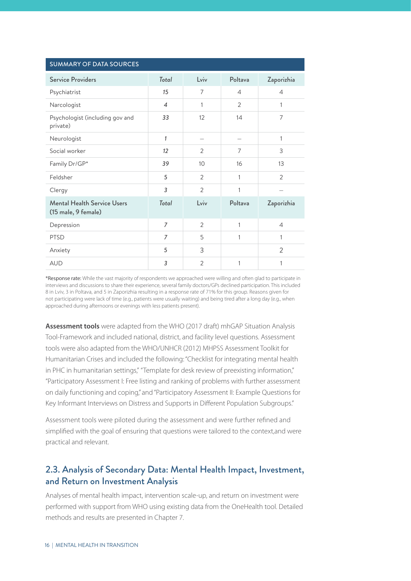| <b>SUMMARY OF DATA SOURCES</b>                            |                          |                |                |                |
|-----------------------------------------------------------|--------------------------|----------------|----------------|----------------|
| <b>Service Providers</b>                                  | <b>Total</b>             | Lviv           | Poltava        | Zaporizhia     |
| Psychiatrist                                              | 15                       | 7              | $\overline{4}$ | $\overline{4}$ |
| Narcologist                                               | $\overline{\mathcal{A}}$ | 1              | $\overline{2}$ | 1              |
| Psychologist (including gov and<br>private)               | 33                       | 12             | 14             | 7              |
| Neurologist                                               | 1                        |                |                | 1              |
| Social worker                                             | 12                       | $\mathcal{P}$  | $\overline{7}$ | $\mathcal{E}$  |
| Family Dr/GP*                                             | 39                       | 10             | 16             | 13             |
| Feldsher                                                  | 5                        | 2              | 1              | $\overline{2}$ |
| Clergy                                                    | 3                        | 2              | 1              |                |
| <b>Mental Health Service Users</b><br>(15 male, 9 female) | Total                    | Lviv           | Poltava        | Zaporizhia     |
| Depression                                                | $\overline{7}$           | $\mathcal{P}$  | 1              | $\overline{4}$ |
| <b>PTSD</b>                                               | $\overline{7}$           | 5              | 1              | 1              |
| Anxiety                                                   | 5                        | 3              |                | $\mathfrak{D}$ |
| <b>AUD</b>                                                | 3                        | $\overline{2}$ | 1              | 1              |

\*Response rate: While the vast majority of respondents we approached were willing and often glad to participate in interviews and discussions to share their experience, several family doctors/GPs declined participation. This included 8 in Lviv, 3 in Poltava, and 5 in Zaporizhia resulting in a response rate of 71% for this group. Reasons given for not participating were lack of time (e.g., patients were usually waiting) and being tired after a long day (e.g., when approached during afternoons or evenings with less patients present).

**Assessment tools** were adapted from the WHO (2017 draft) mhGAP Situation Analysis Tool-Framework and included national, district, and facility level questions. Assessment tools were also adapted from the WHO/UNHCR (2012) MHPSS Assessment Toolkit for Humanitarian Crises and included the following: "Checklist for integrating mental health in PHC in humanitarian settings," "Template for desk review of preexisting information," "Participatory Assessment I: Free listing and ranking of problems with further assessment on daily functioning and coping," and "Participatory Assessment II: Example Questions for Key Informant Interviews on Distress and Supports in Different Population Subgroups."

Assessment tools were piloted during the assessment and were further refined and simplified with the goal of ensuring that questions were tailored to the context,and were practical and relevant.

## 2.3. Analysis of Secondary Data: Mental Health Impact, Investment, and Return on Investment Analysis

Analyses of mental health impact, intervention scale-up, and return on investment were performed with support from WHO using existing data from the OneHealth tool. Detailed methods and results are presented in Chapter 7.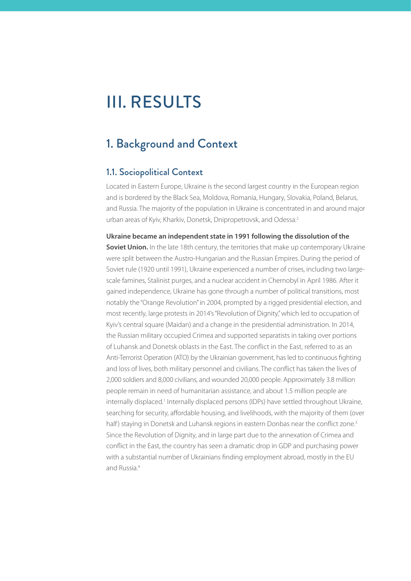## <span id="page-16-0"></span>III. RESULTS

## 1. Background and Context

## 1.1. Sociopolitical Context

Located in Eastern Europe, Ukraine is the second largest country in the European region and is bordered by the Black Sea, Moldova, Romania, Hungary, Slovakia, Poland, Belarus, and Russia. The majority of the population in Ukraine is concentrated in and around major urban areas of Kyiv, Kharkiv, Donetsk, Dnipropetrovsk, and Odessa.2

**Ukraine became an independent state in 1991 following the dissolution of the Soviet Union.** In the late 18th century, the territories that make up contemporary Ukraine were split between the Austro-Hungarian and the Russian Empires. During the period of Soviet rule (1920 until 1991), Ukraine experienced a number of crises, including two largescale famines, Stalinist purges, and a nuclear accident in Chernobyl in April 1986. After it gained independence, Ukraine has gone through a number of political transitions, most notably the "Orange Revolution" in 2004, prompted by a rigged presidential election, and most recently, large protests in 2014's "Revolution of Dignity," which led to occupation of Kyiv's central square (Maidan) and a change in the presidential administration. In 2014, the Russian military occupied Crimea and supported separatists in taking over portions of Luhansk and Donetsk oblasts in the East. The conflict in the East, referred to as an Anti-Terrorist Operation (ATO) by the Ukrainian government, has led to continuous fighting and loss of lives, both military personnel and civilians. The conflict has taken the lives of 2,000 soldiers and 8,000 civilians, and wounded 20,000 people. Approximately 3.8 million people remain in need of humanitarian assistance, and about 1.5 million people are internally displaced.<sup>1</sup> Internally displaced persons (IDPs) have settled throughout Ukraine, searching for security, affordable housing, and livelihoods, with the majority of them (over half) staying in Donetsk and Luhansk regions in eastern Donbas near the conflict zone.<sup>3</sup> Since the Revolution of Dignity, and in large part due to the annexation of Crimea and conflict in the East, the country has seen a dramatic drop in GDP and purchasing power with a substantial number of Ukrainians finding employment abroad, mostly in the EU and Russia.4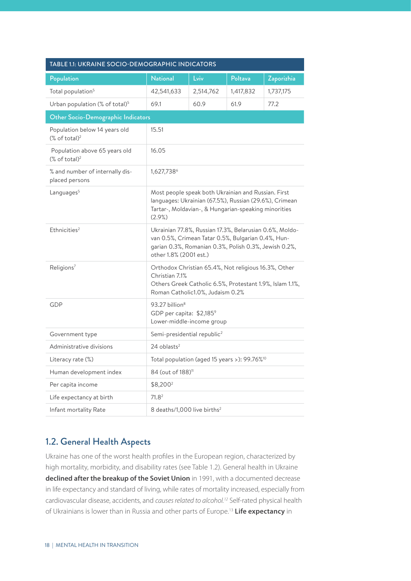| TABLE 1.1: UKRAINE SOCIO-DEMOGRAPHIC INDICATORS                                  |                                                                                                                                                                                                  |                               |           |           |  |  |
|----------------------------------------------------------------------------------|--------------------------------------------------------------------------------------------------------------------------------------------------------------------------------------------------|-------------------------------|-----------|-----------|--|--|
| Population                                                                       | <b>National</b>                                                                                                                                                                                  | Lviv<br>Poltava<br>Zaporizhia |           |           |  |  |
| Total population <sup>5</sup>                                                    | 42,541,633                                                                                                                                                                                       | 2,514,762                     | 1,417,832 | 1,737,175 |  |  |
| Urban population (% of total) <sup>5</sup>                                       | 69.1                                                                                                                                                                                             | 60.9                          | 61.9      | 77.2      |  |  |
| Other Socio-Demographic Indicators                                               |                                                                                                                                                                                                  |                               |           |           |  |  |
| Population below 14 years old<br>$(% \mathcal{L}_{0})$ (% of total) <sup>2</sup> | 15.51                                                                                                                                                                                            |                               |           |           |  |  |
| Population above 65 years old<br>$(\%$ of total) <sup>2</sup>                    | 16.05                                                                                                                                                                                            |                               |           |           |  |  |
| % and number of internally dis-<br>placed persons                                | 1,627,738 <sup>6</sup>                                                                                                                                                                           |                               |           |           |  |  |
| Languages <sup>5</sup>                                                           | Most people speak both Ukrainian and Russian. First<br>languages: Ukrainian (67.5%), Russian (29.6%), Crimean<br>Tartar-, Moldavian-, & Hungarian-speaking minorities<br>$(2.9\%)$               |                               |           |           |  |  |
| Ethnicities <sup>2</sup>                                                         | Ukrainian 77.8%, Russian 17.3%, Belarusian 0.6%, Moldo-<br>van 0.5%, Crimean Tatar 0.5%, Bulgarian 0.4%, Hun-<br>garian 0.3%, Romanian 0.3%, Polish 0.3%, Jewish 0.2%,<br>other 1.8% (2001 est.) |                               |           |           |  |  |
| Religions <sup>7</sup>                                                           | Orthodox Christian 65.4%, Not religious 16.3%, Other<br>Christian 7.1%<br>Others Greek Catholic 6.5%, Protestant 1.9%, Islam 1.1%,<br>Roman Catholic1.0%, Judaism 0.2%                           |                               |           |           |  |  |
| GDP                                                                              | 93.27 billion <sup>8</sup><br>GDP per capita: \$2,1859<br>Lower-middle-income group                                                                                                              |                               |           |           |  |  |
| Government type                                                                  | Semi-presidential republic <sup>2</sup>                                                                                                                                                          |                               |           |           |  |  |
| Administrative divisions                                                         | $24$ oblasts <sup>2</sup>                                                                                                                                                                        |                               |           |           |  |  |
| Literacy rate (%)                                                                | Total population (aged 15 years >): 99.76% <sup>10</sup>                                                                                                                                         |                               |           |           |  |  |
| Human development index                                                          | 84 (out of 188) <sup>11</sup>                                                                                                                                                                    |                               |           |           |  |  |
| Per capita income                                                                | \$8,200 <sup>2</sup>                                                                                                                                                                             |                               |           |           |  |  |
| Life expectancy at birth                                                         | 71.8 <sup>2</sup>                                                                                                                                                                                |                               |           |           |  |  |
| Infant mortality Rate                                                            | 8 deaths/1,000 live births <sup>2</sup>                                                                                                                                                          |                               |           |           |  |  |

## 1.2. General Health Aspects

Ukraine has one of the worst health profiles in the European region, characterized by high mortality, morbidity, and disability rates (see Table 1.2). General health in Ukraine **declined after the breakup of the Soviet Union** in 1991, with a documented decrease in life expectancy and standard of living, while rates of mortality increased, especially from cardiovascular disease, accidents, and *causes related to alcohol.12* Self-rated physical health of Ukrainians is lower than in Russia and other parts of Europe.13 **Life expectancy** in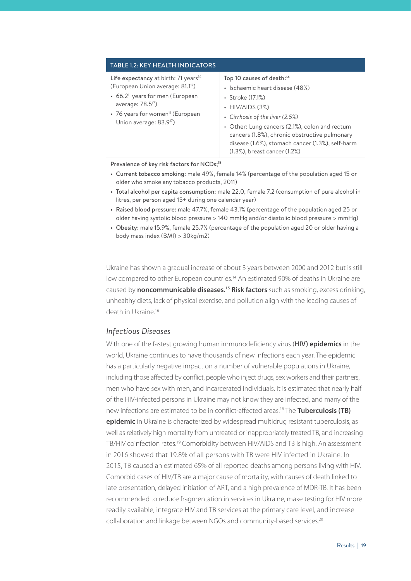#### TABLE 1.2: KEY HEALTH INDICATORS

Life expectancy at birth: 71 years<sup>14</sup> (European Union average: 81.117)

- 66.2<sup>11</sup> years for men (European average: 78.517)
- 76 years for women<sup>11</sup> (European Union average: 83.917)

#### Top 10 causes of death:<sup>14</sup>

- Ischaemic heart disease (48%)
- Stroke (17.1%)
- HIV/AIDS (3%)
- *Cirrhosis of the liver (2.5%)*
- Other: Lung cancers (2.1%), colon and rectum cancers (1.8%), chronic obstructive pulmonary disease (1.6%), stomach cancer (1.3%), self-harm (1.3%), breast cancer (1.2%)

Prevalence of key risk factors for NCDs:<sup>15</sup>

- Current tobacco smoking: male 49%, female 14% (percentage of the population aged 15 or older who smoke any tobacco products, 2011)
- Total alcohol per capita consumption: male 22.0, female 7.2 (consumption of pure alcohol in litres, per person aged 15+ during one calendar year)
- Raised blood pressure: male 47.7%, female 43.1% (percentage of the population aged 25 or older having systolic blood pressure > 140 mmHg and/or diastolic blood pressure > mmHg)
- Obesity: male 15.9%, female 25.7% (percentage of the population aged 20 or older having a body mass index (BMI) > 30kg/m2)

Ukraine has shown a gradual increase of about 3 years between 2000 and 2012 but is still low compared to other European countries.14 An estimated 90% of deaths in Ukraine are caused by **noncommunicable diseases.15 Risk factors** such as smoking, excess drinking, unhealthy diets, lack of physical exercise, and pollution align with the leading causes of death in Ukraine.16

#### *Infectious Diseases*

With one of the fastest growing human immunodeficiency virus (**HIV) epidemics** in the world, Ukraine continues to have thousands of new infections each year. The epidemic has a particularly negative impact on a number of vulnerable populations in Ukraine, including those affected by conflict, people who inject drugs, sex workers and their partners, men who have sex with men, and incarcerated individuals. It is estimated that nearly half of the HIV-infected persons in Ukraine may not know they are infected, and many of the new infections are estimated to be in conflict-affected areas.18 The **Tuberculosis (TB) epidemic** in Ukraine is characterized by widespread multidrug resistant tuberculosis, as well as relatively high mortality from untreated or inappropriately treated TB, and increasing TB/HIV coinfection rates.19 Comorbidity between HIV/AIDS and TB is high. An assessment in 2016 showed that 19.8% of all persons with TB were HIV infected in Ukraine. In 2015, TB caused an estimated 65% of all reported deaths among persons living with HIV. Comorbid cases of HIV/TB are a major cause of mortality, with causes of death linked to late presentation, delayed initiation of ART, and a high prevalence of MDR-TB. It has been recommended to reduce fragmentation in services in Ukraine, make testing for HIV more readily available, integrate HIV and TB services at the primary care level, and increase collaboration and linkage between NGOs and community-based services.<sup>20</sup>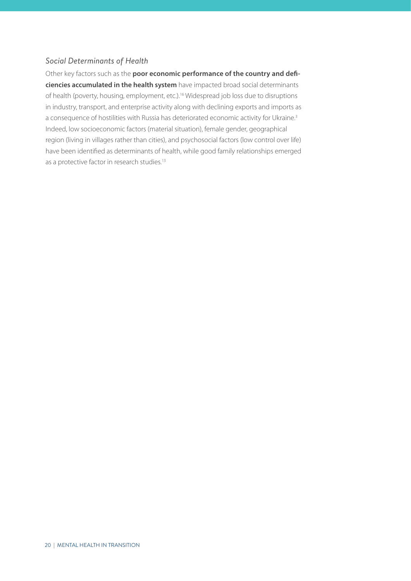### *Social Determinants of Health*

Other key factors such as the **poor economic performance of the country and deficiencies accumulated in the health system** have impacted broad social determinants of health (poverty, housing, employment, etc.).16 Widespread job loss due to disruptions in industry, transport, and enterprise activity along with declining exports and imports as a consequence of hostilities with Russia has deteriorated economic activity for Ukraine.<sup>3</sup> Indeed, low socioeconomic factors (material situation), female gender, geographical region (living in villages rather than cities), and psychosocial factors (low control over life) have been identified as determinants of health, while good family relationships emerged as a protective factor in research studies.<sup>13</sup>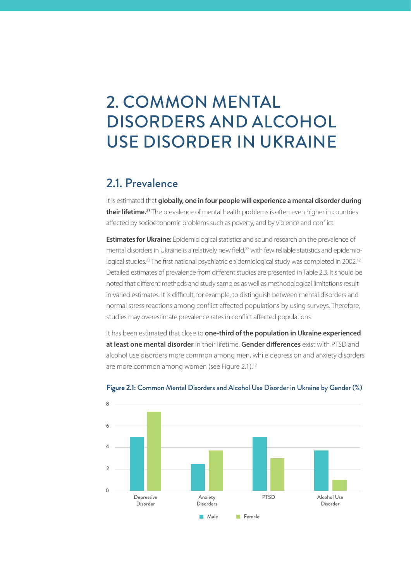## <span id="page-20-0"></span>2. COMMON MENTAL DISORDERS AND ALCOHOL USE DISORDER IN UKRAINE

## 2.1. Prevalence

It is estimated that **globally, one in four people will experience a mental disorder during their lifetime.21** The prevalence of mental health problems is often even higher in countries affected by socioeconomic problems such as poverty, and by violence and conflict.

**Estimates for Ukraine:** Epidemiological statistics and sound research on the prevalence of mental disorders in Ukraine is a relatively new field,<sup>22</sup> with few reliable statistics and epidemiological studies.<sup>23</sup> The first national psychiatric epidemiological study was completed in 2002.<sup>12</sup> Detailed estimates of prevalence from different studies are presented in Table 2.3. It should be noted that different methods and study samples as well as methodological limitations result in varied estimates. It is difficult, for example, to distinguish between mental disorders and normal stress reactions among conflict affected populations by using surveys. Therefore, studies may overestimate prevalence rates in conflict affected populations.

It has been estimated that close to **one-third of the population in Ukraine experienced at least one mental disorder** in their lifetime. **Gender differences** exist with PTSD and alcohol use disorders more common among men, while depression and anxiety disorders are more common among women (see Figure 2.1).12



#### **Figure 2.1:** Common Mental Disorders and Alcohol Use Disorder in Ukraine by Gender (%)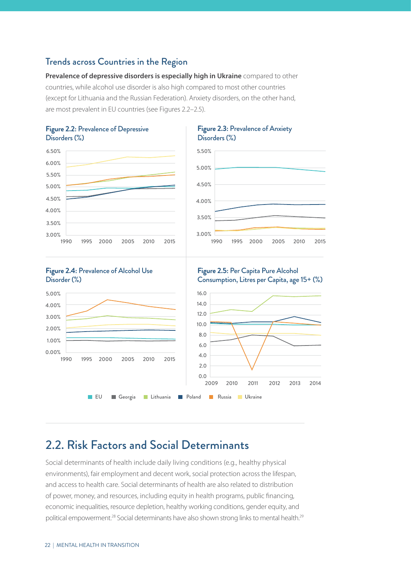## <span id="page-21-0"></span>Trends across Countries in the Region

**Prevalence of depressive disorders is especially high in Ukraine** compared to other countries, while alcohol use disorder is also high compared to most other countries (except for Lithuania and the Russian Federation). Anxiety disorders, on the other hand, are most prevalent in EU countries (see Figures 2.2–2.5).



## 2.2. Risk Factors and Social Determinants

Social determinants of health include daily living conditions (e.g., healthy physical environments), fair employment and decent work, social protection across the lifespan, and access to health care. Social determinants of health are also related to distribution of power, money, and resources, including equity in health programs, public financing, economic inequalities, resource depletion, healthy working conditions, gender equity, and political empowerment.<sup>28</sup> Social determinants have also shown strong links to mental health.<sup>29</sup>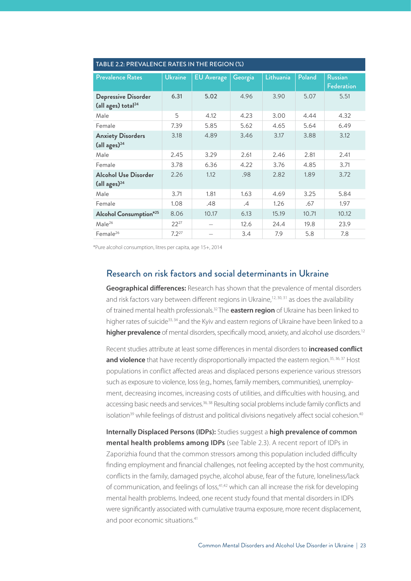| TABLE 2.2: PREVALENCE RATES IN THE REGION (%)                |                |                   |               |           |        |                              |
|--------------------------------------------------------------|----------------|-------------------|---------------|-----------|--------|------------------------------|
| <b>Prevalence Rates</b>                                      | <b>Ukraine</b> | <b>EU</b> Average | Georgia       | Lithuania | Poland | <b>Russian</b><br>Federation |
| <b>Depressive Disorder</b><br>(all ages) total <sup>24</sup> | 6.31           | 5.02              | 4.96          | 3.90      | 5.07   | 5.51                         |
| Male                                                         | 5              | 4.12              | 4.23          | 3.00      | 4.44   | 4.32                         |
| Female                                                       | 7.39           | 5.85              | 5.62          | 4.65      | 5.64   | 6.49                         |
| <b>Anxiety Disorders</b><br>$\text{(all ages)}^{24}$         | 3.18           | 4.89              | 3.46          | 3.17      | 3.88   | 3.12                         |
| Male                                                         | 2.45           | 3.29              | 2.61          | 2.46      | 2.81   | 2.41                         |
| Female                                                       | 3.78           | 6.36              | 4.22          | 3.76      | 4.85   | 3.71                         |
| <b>Alcohol Use Disorder</b><br>$\text{(all ages)}^{24}$      | 2.26           | 1.12              | .98           | 2.82      | 1.89   | 3.72                         |
| Male                                                         | 3.71           | 1.81              | 1.63          | 4.69      | 3.25   | 5.84                         |
| Female                                                       | 1.08           | .48               | $\mathcal{A}$ | 1.26      | .67    | 1.97                         |
| <b>Alcohol Consumption*25</b>                                | 8.06           | 10.17             | 6.13          | 15.19     | 10.71  | 10.12                        |
| Male <sup>26</sup>                                           | $22^{27}$      |                   | 12.6          | 24.4      | 19.8   | 23.9                         |
| Female <sup>26</sup>                                         | $7.2^{27}$     |                   | 3.4           | 7.9       | 5.8    | 7.8                          |

\*Pure alcohol consumption, litres per capita, age 15+, 2014

## Research on risk factors and social determinants in Ukraine

**Geographical differences:** Research has shown that the prevalence of mental disorders and risk factors vary between different regions in Ukraine,<sup>12, 30, 31</sup> as does the availability of trained mental health professionals.32 The **eastern region** of Ukraine has been linked to higher rates of suicide<sup>33, 34</sup> and the Kyiv and eastern regions of Ukraine have been linked to a **higher prevalence** of mental disorders, specifically mood, anxiety, and alcohol use disorders.<sup>12</sup>

Recent studies attribute at least some differences in mental disorders to **increased conflict**  and violence that have recently disproportionally impacted the eastern region.<sup>35, 36, 37</sup> Host populations in conflict affected areas and displaced persons experience various stressors such as exposure to violence, loss (e.g., homes, family members, communities), unemployment, decreasing incomes, increasing costs of utilities, and difficulties with housing, and accessing basic needs and services.<sup>36, 38</sup> Resulting social problems include family conflicts and isolation<sup>39</sup> while feelings of distrust and political divisions negatively affect social cohesion.<sup>40</sup>

**Internally Displaced Persons (IDPs):** Studies suggest a **high prevalence of common mental health problems among IDPs** (see Table 2.3). A recent report of IDPs in Zaporizhia found that the common stressors among this population included difficulty finding employment and financial challenges, not feeling accepted by the host community, conflicts in the family, damaged psyche, alcohol abuse, fear of the future, loneliness/lack of communication, and feelings of loss,<sup>41,42</sup> which can all increase the risk for developing mental health problems. Indeed, one recent study found that mental disorders in IDPs were significantly associated with cumulative trauma exposure, more recent displacement, and poor economic situations.<sup>41</sup>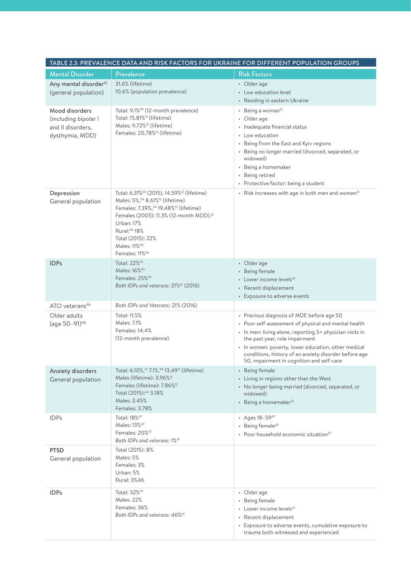| TABLE 2.3: PREVALENCE DATA AND RISK FACTORS FOR UKRAINE FOR DIFFERENT POPULATION GROUPS |                                                                                                                                                                                                                                                                                                                                                                                |                                                                                                                                                                                                                                                                                                                                                              |  |  |
|-----------------------------------------------------------------------------------------|--------------------------------------------------------------------------------------------------------------------------------------------------------------------------------------------------------------------------------------------------------------------------------------------------------------------------------------------------------------------------------|--------------------------------------------------------------------------------------------------------------------------------------------------------------------------------------------------------------------------------------------------------------------------------------------------------------------------------------------------------------|--|--|
| <b>Mental Disorder</b>                                                                  | Prevalence                                                                                                                                                                                                                                                                                                                                                                     | <b>Risk Factors</b>                                                                                                                                                                                                                                                                                                                                          |  |  |
| Any mental disorder <sup>12</sup><br>(general population)                               | 31.6% (lifetime)<br>10.6% (population prevalence)                                                                                                                                                                                                                                                                                                                              | • Older age<br>• Low education level<br>• Residing in eastern Ukraine                                                                                                                                                                                                                                                                                        |  |  |
| Mood disorders<br>(including bipolar I<br>and II disorders,<br>dysthymia, MDD)          | Total: 9.1% <sup>49</sup> (12-month prevalence)<br>Total: 15.81% <sup>12</sup> (lifetime)<br>Males: 9.72% <sup>12</sup> (lifetime)<br>Females: 20.78% <sup>12</sup> (lifetime)                                                                                                                                                                                                 | • Being a woman <sup>12</sup><br>• Older age<br>• Inadequate financial status<br>• Low education<br>• Being from the East and Kyiv regions<br>· Being no longer married (divorced, separated, or<br>widowed)<br>• Being a homemaker<br>• Being retired<br>• Protective factor: being a student                                                               |  |  |
| Depression<br>General population                                                        | Total: 6.31% <sup>24</sup> (2015), 14.59% <sup>12</sup> (lifetime)<br>Males: 5%, <sup>24</sup> 8.61% <sup>12</sup> (lifetime)<br>Females: 7.39%, <sup>24</sup> 19.48% <sup>12</sup> (lifetime)<br>Females (2005): 11.3% (12-month MDD). <sup>12</sup><br>Urban: 17%<br>Rural: <sup>46</sup> 18%<br>Total (2015): 22%<br>Males: 11% <sup>46</sup><br>Females: 11% <sup>46</sup> | • Risk increases with age in both men and women <sup>12</sup>                                                                                                                                                                                                                                                                                                |  |  |
| <b>IDPs</b>                                                                             | Total: 22% <sup>47</sup><br>Males: 16% <sup>43</sup><br>Females: 25% <sup>43</sup><br>Both IDPs and veterans: 21% <sup>41</sup> (2016)                                                                                                                                                                                                                                         | • Older age<br>• Being female<br>• Lower income levels $47$<br>• Recent displacement<br>• Exposure to adverse events                                                                                                                                                                                                                                         |  |  |
| ATO veterans <sup>46</sup>                                                              | Both IDPs and Veterans: 21% (2016)                                                                                                                                                                                                                                                                                                                                             |                                                                                                                                                                                                                                                                                                                                                              |  |  |
| Older adults<br>(age 50-91) <sup>48</sup>                                               | Total: 11.5%<br>Males: 7.1%<br>Females: 14.4%<br>(12-month prevalence)                                                                                                                                                                                                                                                                                                         | • Previous diagnosis of MDE before age 50<br>• Poor self-assessment of physical and mental health<br>• In men: living alone, reporting 5+ physician visits in<br>the past year, role impairment<br>• In women: poverty, lower education, other medical<br>conditions, history of an anxiety disorder before age<br>50, impairment in cognition and self-care |  |  |
| Anxiety disorders<br>General population                                                 | Total: 6.10%, <sup>12</sup> 7.1%, <sup>49</sup> 13.49 <sup>12</sup> (lifetime)<br>Males (lifetime): 3.96% <sup>12</sup><br>Females (lifetime): 7.86% <sup>12</sup><br>Total (2015): <sup>24</sup> 3.18%<br>Males: 2.45%<br>Females: 3.78%                                                                                                                                      | • Being female<br>• Living in regions other than the West<br>• No longer being married (divorced, separated, or<br>widowed)<br>• Being a homemaker <sup>12</sup>                                                                                                                                                                                             |  |  |
| <b>IDPs</b>                                                                             | Total: 18% <sup>47</sup><br>Males: 13% <sup>47</sup><br>Females: 20% <sup>47</sup><br>Both IDPs and veterans: 1% <sup>41</sup>                                                                                                                                                                                                                                                 | • Ages 18-5947<br>• Being female <sup>47</sup><br>• Poor household economic situation <sup>47</sup>                                                                                                                                                                                                                                                          |  |  |
| <b>PTSD</b><br>General population                                                       | Total (2015): 8%<br>Males: 5%<br>Females: 3%<br>Urban: 5%<br>Rural: 3%46                                                                                                                                                                                                                                                                                                       |                                                                                                                                                                                                                                                                                                                                                              |  |  |
| <b>IDPs</b>                                                                             | Total: 32% <sup>47</sup><br>Males: 22%<br>Females: 36%<br>Both IDPs and veterans: 46% <sup>41</sup>                                                                                                                                                                                                                                                                            | • Older age<br>• Being female<br>• Lower income levels <sup>41</sup><br>• Recent displacement<br>• Exposure to adverse events, cumulative exposure to<br>trauma both witnessed and experienced                                                                                                                                                               |  |  |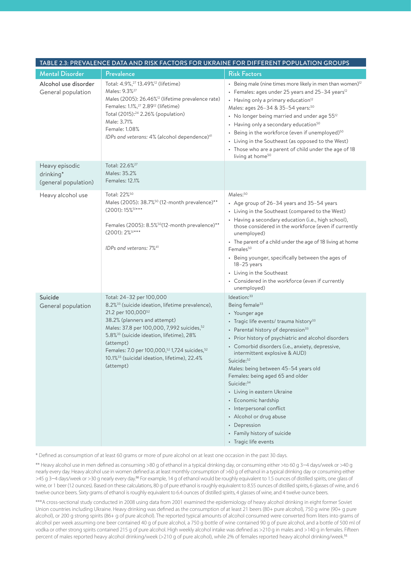| TABLE 2.3: PREVALENCE DATA AND RISK FACTORS FOR UKRAINE FOR DIFFERENT POPULATION GROUPS |                                                                                                                                                                                                                                                                                                                                                                                                                                 |                                                                                                                                                                                                                                                                                                                                                                                                                                                                                                                                                                                                                           |  |  |  |
|-----------------------------------------------------------------------------------------|---------------------------------------------------------------------------------------------------------------------------------------------------------------------------------------------------------------------------------------------------------------------------------------------------------------------------------------------------------------------------------------------------------------------------------|---------------------------------------------------------------------------------------------------------------------------------------------------------------------------------------------------------------------------------------------------------------------------------------------------------------------------------------------------------------------------------------------------------------------------------------------------------------------------------------------------------------------------------------------------------------------------------------------------------------------------|--|--|--|
| <b>Mental Disorder</b>                                                                  | Prevalence                                                                                                                                                                                                                                                                                                                                                                                                                      | <b>Risk Factors</b>                                                                                                                                                                                                                                                                                                                                                                                                                                                                                                                                                                                                       |  |  |  |
| Alcohol use disorder<br>General population                                              | Total: 4.9%, <sup>27</sup> 13.49% <sup>12</sup> (lifetime)<br>Males: 9.3% <sup>27</sup><br>Males (2005): 26.46% <sup>12</sup> (lifetime prevalence rate)<br>Females: 1.1%, <sup>27</sup> 2.89 <sup>12</sup> (lifetime)<br>Total (2015): <sup>24</sup> 2.26% (population)<br>Male: 3.71%<br>Female: 1.08%<br>IDPs and veterans: 4% (alcohol dependence) <sup>41</sup>                                                            | • Being male (nine times more likely in men than women) <sup>12</sup><br>• Females: ages under 25 years and 25-34 years <sup>12</sup><br>• Having only a primary education <sup>12</sup><br>Males: ages 26-34 & 35-54 years: <sup>50</sup><br>• No longer being married and under age 55 <sup>12</sup><br>• Having only a secondary education <sup>50</sup><br>Being in the workforce (even if unemployed) <sup>50</sup><br>• Living in the Southeast (as opposed to the West)<br>• Those who are a parent of child under the age of 18<br>living at home <sup>50</sup>                                                   |  |  |  |
| Heavy episodic<br>drinking*<br>(general population)                                     | Total: 22.6% <sup>27</sup><br>Males: 35.2%<br>Females: 12.1%                                                                                                                                                                                                                                                                                                                                                                    |                                                                                                                                                                                                                                                                                                                                                                                                                                                                                                                                                                                                                           |  |  |  |
| Heavy alcohol use                                                                       | Total: 22% <sup>50</sup><br>Males (2005): 38.7% <sup>50</sup> (12-month prevalence)**<br>(2001): 15% <sup>51***</sup><br>Females (2005): 8.5% <sup>50</sup> (12-month prevalence)**<br>(2001): 2% <sup>51***</sup><br>IDPs and veterans: 7% <sup>41</sup>                                                                                                                                                                       | Males: <sup>50</sup><br>• Age group of 26-34 years and 35-54 years<br>• Living in the Southeast (compared to the West)<br>• Having a secondary education (i.e., high school),<br>those considered in the workforce (even if currently<br>unemployed)<br>• The parent of a child under the age of 18 living at home<br>Females <sup>50</sup><br>• Being younger, specifically between the ages of<br>$18-25$ years<br>• Living in the Southeast<br>• Considered in the workforce (even if currently<br>unemployed)                                                                                                         |  |  |  |
| Suicide<br>General population                                                           | Total: 24-32 per 100,000<br>8.2% <sup>33</sup> (suicide ideation, lifetime prevalence),<br>21.2 per 100,000 <sup>52</sup><br>38.2% (planners and attempt)<br>Males: 37.8 per 100,000, 7,992 suicides, 52<br>5.8% <sup>33</sup> (suicide ideation, lifetime), 28%<br>(attempt)<br>Females: 7.0 per 100,000, <sup>52</sup> 1,724 suicides, <sup>52</sup><br>10.1% <sup>33</sup> (suicidal ideation, lifetime), 22.4%<br>(attempt) | Ideation: 33<br>Being female <sup>33</sup><br>• Younger age<br>• Tragic life events/ trauma history <sup>33</sup><br>• Parental history of depression <sup>33</sup><br>• Prior history of psychiatric and alcohol disorders<br>• Comorbid disorders (i.e., anxiety, depressive,<br>intermittent explosive & AUD)<br>Suicide: <sup>52</sup><br>Males: being between 45-54 years old<br>Females: being aged 65 and older<br>Suicide: 34<br>• Living in eastern Ukraine<br>• Economic hardship<br>• Interpersonal conflict<br>• Alcohol or drug abuse<br>• Depression<br>• Family history of suicide<br>• Tragic life events |  |  |  |

\* Defined as consumption of at least 60 grams or more of pure alcohol on at least one occasion in the past 30 days.

\*\* Heavy alcohol use in men defined as consuming >80 g of ethanol in a typical drinking day, or consuming either >to 60 g 3–4 days/week or >40 g nearly every day. Heavy alcohol use in women defined as at least monthly consumption of >60 g of ethanol in a typical drinking day or consuming either >45 g 3–4 days/week or >30 g nearly every day.50 For example, 14 g of ethanol would be roughly equivalent to 1.5 ounces of distilled spirits, one glass of wine, or 1 beer (12 ounces). Based on these calculations, 80 g of pure ethanol is roughly equivalent to 8.55 ounces of distilled spirits, 6 glasses of wine, and 6 twelve ounce beers. Sixty grams of ethanol is roughly equivalent to 6.4 ounces of distilled spirits, 4 glasses of wine, and 4 twelve ounce beers.

\*\*\*A cross-sectional study conducted in 2008 using data from 2001 examined the epidemiology of heavy alcohol drinking in eight former Soviet Union countries including Ukraine. Heavy drinking was defined as the consumption of at least 21 beers (80+ pure alcohol), 750 g wine (90+ g pure alcohol), or 200 g strong spirits (86+ g of pure alcohol). The reported typical amounts of alcohol consumed were converted from liters into grams of alcohol per week assuming one beer contained 40 g of pure alcohol, a 750 g bottle of wine contained 90 g of pure alcohol, and a bottle of 500 ml of vodka or other strong spirits contained 215 g of pure alcohol. High weekly alcohol intake was defined as >210 g in males and >140 g in females. Fifteen percent of males reported heavy alcohol drinking/week (>210 g of pure alcohol), while 2% of females reported heavy alcohol drinking/week.<sup>51</sup>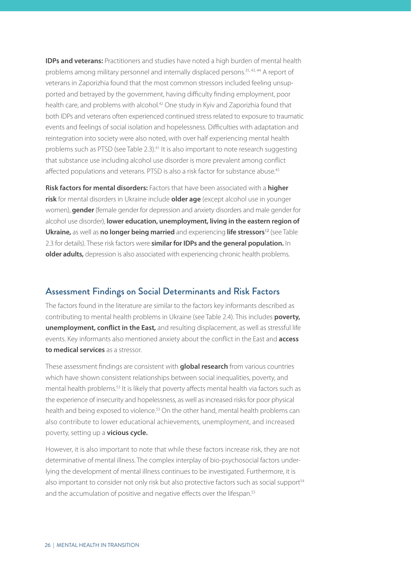**IDPs and veterans:** Practitioners and studies have noted a high burden of mental health problems among military personnel and internally displaced persons.<sup>35, 43, 44</sup> A report of veterans in Zaporizhia found that the most common stressors included feeling unsupported and betrayed by the government, having difficulty finding employment, poor health care, and problems with alcohol.<sup>42</sup> One study in Kyiv and Zaporizhia found that both IDPs and veterans often experienced continued stress related to exposure to traumatic events and feelings of social isolation and hopelessness. Difficulties with adaptation and reintegration into society were also noted, with over half experiencing mental health problems such as PTSD (see Table 2.3).<sup>41</sup> It is also important to note research suggesting that substance use including alcohol use disorder is more prevalent among conflict affected populations and veterans. PTSD is also a risk factor for substance abuse.<sup>45</sup>

**Risk factors for mental disorders:** Factors that have been associated with a **higher risk** for mental disorders in Ukraine include **older age** (except alcohol use in younger women), **gender** (female gender for depression and anxiety disorders and male gender for alcohol use disorder), **lower education, unemployment, living in the eastern region of Ukraine,** as well as **no longer being married** and experiencing **life stressors**<sup>12</sup> (see Table 2.3 for details). These risk factors were **similar for IDPs and the general population.** In **older adults,** depression is also associated with experiencing chronic health problems.

### Assessment Findings on Social Determinants and Risk Factors

The factors found in the literature are similar to the factors key informants described as contributing to mental health problems in Ukraine (see Table 2.4). This includes **poverty, unemployment, conflict in the East,** and resulting displacement, as well as stressful life events. Key informants also mentioned anxiety about the conflict in the East and **access to medical services** as a stressor.

These assessment findings are consistent with **global research** from various countries which have shown consistent relationships between social inequalities, poverty, and mental health problems.<sup>53</sup> It is likely that poverty affects mental health via factors such as the experience of insecurity and hopelessness, as well as increased risks for poor physical health and being exposed to violence.<sup>53</sup> On the other hand, mental health problems can also contribute to lower educational achievements, unemployment, and increased poverty, setting up a **vicious cycle.**

However, it is also important to note that while these factors increase risk, they are not determinative of mental illness. The complex interplay of bio-psychosocial factors underlying the development of mental illness continues to be investigated. Furthermore, it is also important to consider not only risk but also protective factors such as social support<sup>54</sup> and the accumulation of positive and negative effects over the lifespan.<sup>55</sup>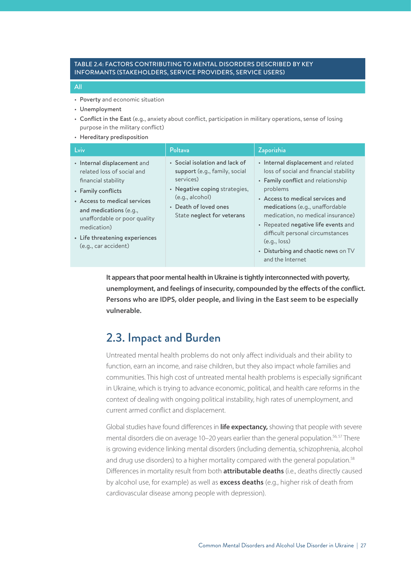#### <span id="page-26-0"></span>TABLE 2.4: FACTORS CONTRIBUTING TO MENTAL DISORDERS DESCRIBED BY KEY INFORMANTS (STAKEHOLDERS, SERVICE PROVIDERS, SERVICE USERS)

All

- Poverty and economic situation
- Unemployment
- Conflict in the East (e.g., anxiety about conflict, participation in military operations, sense of losing purpose in the military conflict)
- Hereditary predisposition

| Lviv                                                                                                                                                                                                                                                                      | Poltava                                                                                                                                                                                 | Zaporizhia                                                                                                                                                                                                                                                                                                                                                                                        |
|---------------------------------------------------------------------------------------------------------------------------------------------------------------------------------------------------------------------------------------------------------------------------|-----------------------------------------------------------------------------------------------------------------------------------------------------------------------------------------|---------------------------------------------------------------------------------------------------------------------------------------------------------------------------------------------------------------------------------------------------------------------------------------------------------------------------------------------------------------------------------------------------|
| • Internal displacement and<br>related loss of social and<br>financial stability<br>• Family conflicts<br>• Access to medical services<br>and medications (e.g.,<br>unaffordable or poor quality<br>medication)<br>• Life threatening experiences<br>(e.g., car accident) | • Social isolation and lack of<br>support (e.g., family, social<br>services)<br>• Negative coping strategies,<br>(e.g., alcohol)<br>• Death of loved ones<br>State neglect for veterans | • Internal displacement and related<br>loss of social and financial stability<br>• Family conflict and relationship<br>problems<br>• Access to medical services and<br>medications (e.g., unaffordable<br>medication, no medical insurance)<br>• Repeated negative life events and<br>difficult personal circumstances<br>(e.g., loss)<br>• Disturbing and chaotic news on TV<br>and the Internet |

**It appears that poor mental health in Ukraine is tightly interconnected with poverty, unemployment, and feelings of insecurity, compounded by the effects of the conflict. Persons who are IDPS, older people, and living in the East seem to be especially vulnerable.** 

## 2.3. Impact and Burden

Untreated mental health problems do not only affect individuals and their ability to function, earn an income, and raise children, but they also impact whole families and communities. This high cost of untreated mental health problems is especially significant in Ukraine, which is trying to advance economic, political, and health care reforms in the context of dealing with ongoing political instability, high rates of unemployment, and current armed conflict and displacement.

Global studies have found differences in **life expectancy,** showing that people with severe mental disorders die on average 10–20 years earlier than the general population.<sup>56,57</sup> There is growing evidence linking mental disorders (including dementia, schizophrenia, alcohol and drug use disorders) to a higher mortality compared with the general population.<sup>58</sup> Differences in mortality result from both **attributable deaths** (i.e., deaths directly caused by alcohol use, for example) as well as **excess deaths** (e.g., higher risk of death from cardiovascular disease among people with depression).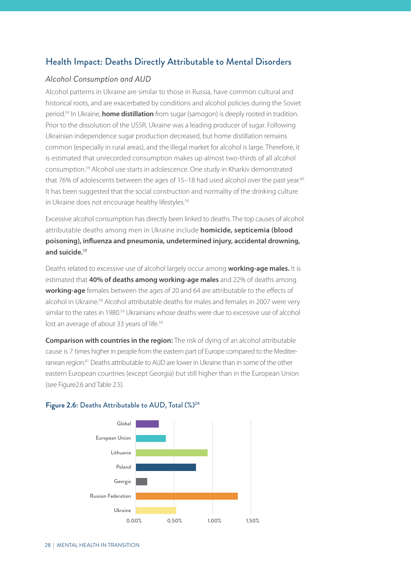## Health Impact: Deaths Directly Attributable to Mental Disorders

### *Alcohol Consumption and AUD*

Alcohol patterns in Ukraine are similar to those in Russia, have common cultural and historical roots, and are exacerbated by conditions and alcohol policies during the Soviet period.59 In Ukraine, **home distillation** from sugar (samogon) is deeply rooted in tradition. Prior to the dissolution of the USSR, Ukraine was a leading producer of sugar. Following Ukrainian independence sugar production decreased, but home distillation remains common (especially in rural areas), and the illegal market for alcohol is large. Therefore, it is estimated that unrecorded consumption makes up almost two-thirds of all alcohol consumption.59 Alcohol use starts in adolescence. One study in Kharkiv demonstrated that 76% of adolescents between the ages of 15–18 had used alcohol over the past year.<sup>60</sup> It has been suggested that the social construction and normality of the drinking culture in Ukraine does not encourage healthy lifestyles.<sup>59</sup>

Excessive alcohol consumption has directly been linked to deaths. The top causes of alcohol attributable deaths among men in Ukraine include **homicide, septicemia (blood poisoning), influenza and pneumonia, undetermined injury, accidental drowning, and suicide.**<sup>59</sup>

Deaths related to excessive use of alcohol largely occur among **working-age males.** It is estimated that **40% of deaths among working-age males** and 22% of deaths among **working-age** females between the ages of 20 and 64 are attributable to the effects of alcohol in Ukraine.59 Alcohol attributable deaths for males and females in 2007 were very similar to the rates in 1980<sup>59</sup> Ukrainians whose deaths were due to excessive use of alcohol lost an average of about 33 years of life.<sup>59</sup>

**Comparison with countries in the region:** The risk of dying of an alcohol attributable cause is 7 times higher in people from the eastern part of Europe compared to the Mediterranean region.<sup>61</sup> Deaths attributable to AUD are lower in Ukraine than in some of the other eastern European countries (except Georgia) but still higher than in the European Union (see Figure2.6 and Table 2.5).



### Figure 2.6: Deaths Attributable to AUD, Total (%)<sup>24</sup>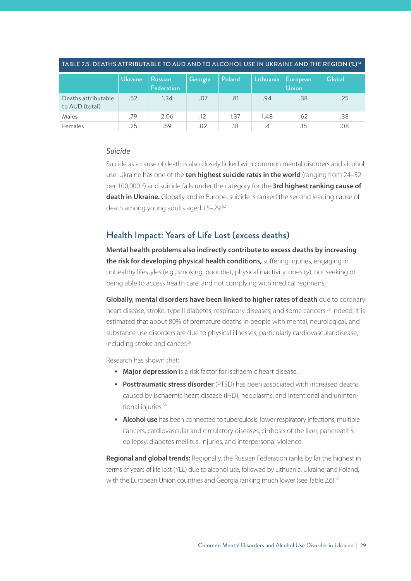| $\,$ TABLE 2.5: DEATHS ATTRIBUTABLE TO AUD AND TO ALCOHOL USE IN UKRAINE AND THE REGION (%) $^{24}$ |                |                              |         |        |           |                          |        |  |  |
|-----------------------------------------------------------------------------------------------------|----------------|------------------------------|---------|--------|-----------|--------------------------|--------|--|--|
|                                                                                                     | <b>Ukraine</b> | Russian<br><b>Federation</b> | Georgia | Poland | Lithuania | <b>European</b><br>Union | Global |  |  |
| Deaths attributable<br>to AUD (total)                                                               | .52            | 1.34                         | .07     | .81    | .94       | .38                      | .25    |  |  |
| Males                                                                                               | .79            | 2.06                         | .12     | 1.37   | 1.48      | .62                      | .38    |  |  |
| Females                                                                                             | .25            | .59                          | .02     | .18    | $\cdot^4$ | .15                      | .08    |  |  |

#### *Suicide*

Suicide as a cause of death is also closely linked with common mental disorders and alcohol use. Ukraine has one of the **ten highest suicide rates in the world** (ranging from 24–32 per 100,00012) and suicide falls under the category for the **3rd highest ranking cause of death in Ukraine.** Globally and in Europe, suicide is ranked the second leading cause of death among young adults aged 15–29.62

## Health Impact: Years of Life Lost (excess deaths)

**Mental health problems also indirectly contribute to excess deaths by increasing the risk for developing physical health conditions,** suffering injuries, engaging in unhealthy lifestyles (e.g., smoking, poor diet, physical inactivity, obesity), not seeking or being able to access health care, and not complying with medical regimens.

**Globally, mental disorders have been linked to higher rates of death** due to coronary heart disease, stroke, type II diabetes, respiratory diseases, and some cancers.<sup>58</sup> Indeed, it is estimated that about 80% of premature deaths in people with mental, neurological, and substance use disorders are due to physical illnesses, particularly cardiovascular disease, including stroke and cancer.<sup>58</sup>

Research has shown that:

- **• Major depression** is a risk factor for ischaemic heart disease.
- **• Posttraumatic stress disorder** (PTSD) has been associated with increased deaths caused by ischaemic heart disease (IHD), neoplasms, and intentional and unintentional injuries.<sup>58</sup>
- **• Alcohol use** has been connected to tuberculosis, lower respiratory infections, multiple cancers, cardiovascular and circulatory diseases, cirrhosis of the liver, pancreatitis, epilepsy, diabetes mellitus, injuries, and interpersonal violence.

**Regional and global trends:** Regionally, the Russian Federation ranks by far the highest in terms of years of life lost (YLL) due to alcohol use, followed by Lithuania, Ukraine, and Poland, with the European Union countries and Georgia ranking much lower (see Table 2.6).<sup>58</sup>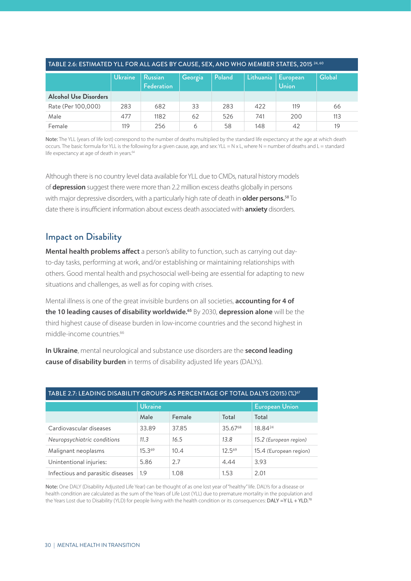| TABLE 2.6: ESTIMATED YLL FOR ALL AGES BY CAUSE, SEX, AND WHO MEMBER STATES, 2015 24, 60 |                |                                     |         |        |           |                    |        |  |  |  |
|-----------------------------------------------------------------------------------------|----------------|-------------------------------------|---------|--------|-----------|--------------------|--------|--|--|--|
|                                                                                         |                |                                     |         |        |           |                    |        |  |  |  |
|                                                                                         | <b>Ukraine</b> | <b>Russian</b><br><b>Federation</b> | Georgia | Poland | Lithuania | European/<br>Union | Global |  |  |  |
| <b>Alcohol Use Disorders</b>                                                            |                |                                     |         |        |           |                    |        |  |  |  |
| Rate (Per 100,000)                                                                      | 283            | 682                                 | 33      | 283    | 422       | 119                | 66     |  |  |  |
| Male                                                                                    | 477            | 1182                                | 62      | 526    | 741       | 200                | 113    |  |  |  |
| Female                                                                                  | 119            | 256                                 | 6       | 58     | 148       | 42                 | 19     |  |  |  |

Note: The YLL (years of life lost) correspond to the number of deaths multiplied by the standard life expectancy at the age at which death occurs. The basic formula for YLL is the following for a given cause, age, and sex: YLL = N x L, where N = number of deaths and L = standard life expectancy at age of death in years.<sup>64</sup>

Although there is no country level data available for YLL due to CMDs, natural history models of **depression** suggest there were more than 2.2 million excess deaths globally in persons with major depressive disorders, with a particularly high rate of death in **older persons.**<sup>58</sup> To date there is insufficient information about excess death associated with **anxiety** disorders.

## Impact on Disability

**Mental health problems affect** a person's ability to function, such as carrying out dayto-day tasks, performing at work, and/or establishing or maintaining relationships with others. Good mental health and psychosocial well-being are essential for adapting to new situations and challenges, as well as for coping with crises.

Mental illness is one of the great invisible burdens on all societies, **accounting for 4 of the 10 leading causes of disability worldwide.65** By 2030, **depression alone** will be the third highest cause of disease burden in low-income countries and the second highest in middle-income countries.<sup>66</sup>

**In Ukraine**, mental neurological and substance use disorders are the **second leading cause of disability burden** in terms of disability adjusted life years (DALYs).

| $\mid$ TABLE 2.7: LEADING DISABILITY GROUPS AS PERCENTAGE OF TOTAL DALYS (2015) (%) $^{67}$ |                |        |                |                        |  |  |  |  |
|---------------------------------------------------------------------------------------------|----------------|--------|----------------|------------------------|--|--|--|--|
|                                                                                             | <b>Ukraine</b> |        | European Union |                        |  |  |  |  |
|                                                                                             | Male           | Female | Total          | Total                  |  |  |  |  |
| Cardiovascular diseases                                                                     | 33.89          | 37.85  | 35.6768        | 18.8424                |  |  |  |  |
| Neuropsychiatric conditions                                                                 | 11.3           | 16.5   | 13.8           | 15.2 (European region) |  |  |  |  |
| Malignant neoplasms                                                                         | 15.369         | 10.4   | $12.5^{69}$    | 15.4 (European region) |  |  |  |  |
| Unintentional injuries:                                                                     | 5.86           | 2.7    | 4.44           | 3.93                   |  |  |  |  |
| Infectious and parasitic diseases                                                           | 1.9            | 1.08   | 1.53           | 2.01                   |  |  |  |  |

Note: One DALY (Disability Adjusted Life Year) can be thought of as one lost year of "healthy" life. DALYs for a disease or health condition are calculated as the sum of the Years of Life Lost (YLL) due to premature mortality in the population and the Years Lost due to Disability (YLD) for people living with the health condition or its consequences: DALY =Y LL + YLD.<sup>70</sup>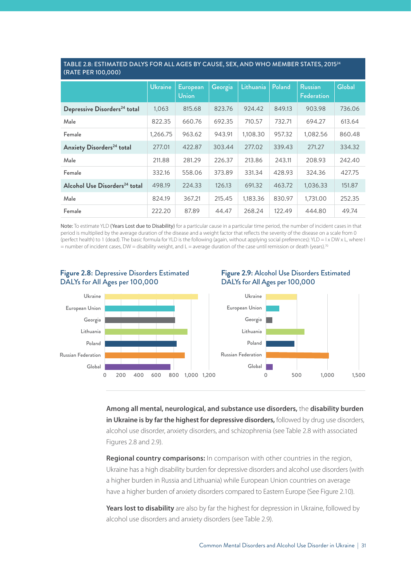#### TABLE 2.8: ESTIMATED DALYS FOR ALL AGES BY CAUSE, SEX, AND WHO MEMBER STATES, 201524 (RATE PER 100,000)

| $\frac{1}{2}$                             |                |                          |         |           |        |                              |        |
|-------------------------------------------|----------------|--------------------------|---------|-----------|--------|------------------------------|--------|
|                                           | <b>Ukraine</b> | European<br><b>Union</b> | Georgia | Lithuania | Poland | Russian<br><b>Federation</b> | Global |
| Depressive Disorders <sup>24</sup> total  | 1,063          | 815.68                   | 823.76  | 924.42    | 849.13 | 903.98                       | 736.06 |
| Male                                      | 822.35         | 660.76                   | 692.35  | 710.57    | 732.71 | 694.27                       | 613.64 |
| Female                                    | 1,266.75       | 963.62                   | 943.91  | 1,108.30  | 957.32 | 1,082.56                     | 860.48 |
| Anxiety Disorders <sup>24</sup> total     | 277.01         | 422.87                   | 303.44  | 277.02    | 339.43 | 271.27                       | 334.32 |
| Male                                      | 211.88         | 281.29                   | 226.37  | 213.86    | 243.11 | 208.93                       | 242.40 |
| Female                                    | 332.16         | 558.06                   | 373.89  | 331.34    | 428.93 | 324.36                       | 427.75 |
| Alcohol Use Disorders <sup>24</sup> total | 498.19         | 224.33                   | 126.13  | 691.32    | 463.72 | 1,036.33                     | 151.87 |
| Male                                      | 824.19         | 367.21                   | 215.45  | 1,183.36  | 830.97 | 1,731.00                     | 252.35 |
| Female                                    | 222.20         | 87.89                    | 44.47   | 268.24    | 122.49 | 444.80                       | 49.74  |

Note: To estimate YLD (Years Lost due to Disability) for a particular cause in a particular time period, the number of incident cases in that period is multiplied by the average duration of the disease and a weight factor that reflects the severity of the disease on a scale from 0 (perfect health) to 1 (dead). The basic formula for YLD is the following (again, without applying social preferences): YLD = I x DW x L, where I  $=$  number of incident cases, DW = disability weight, and L = average duration of the case until remission or death (years).<sup>70</sup>



**Among all mental, neurological, and substance use disorders,** the **disability burden in Ukraine is by far the highest for depressive disorders,** followed by drug use disorders, alcohol use disorder, anxiety disorders, and schizophrenia (see Table 2.8 with associated Figures 2.8 and 2.9).

**Regional country comparisons:** In comparison with other countries in the region, Ukraine has a high disability burden for depressive disorders and alcohol use disorders (with a higher burden in Russia and Lithuania) while European Union countries on average have a higher burden of anxiety disorders compared to Eastern Europe (See Figure 2.10).

Years lost to disability are also by far the highest for depression in Ukraine, followed by alcohol use disorders and anxiety disorders (see Table 2.9).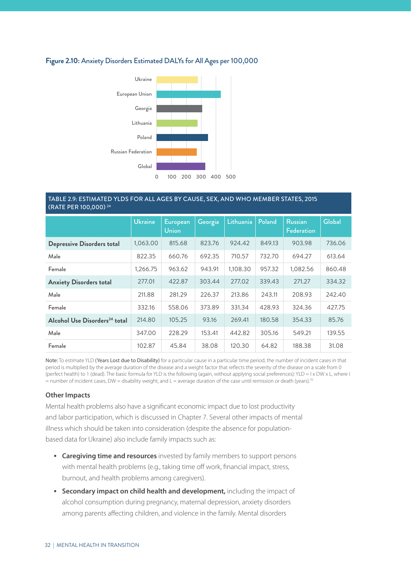

#### **Figure 2.10:** Anxiety Disorders Estimated DALYs for All Ages per 100,000

#### TABLE 2.9: ESTIMATED YLDS FOR ALL AGES BY CAUSE, SEX, AND WHO MEMBER STATES, 2015 (RATE PER 100,000) 24

|                                           | <b>Ukraine</b> | European<br><b>Union</b> | Georgia | Lithuania | Poland | Russian<br>Federation | Global |
|-------------------------------------------|----------------|--------------------------|---------|-----------|--------|-----------------------|--------|
| <b>Depressive Disorders total</b>         | 1,063.00       | 815.68                   | 823.76  | 924.42    | 849.13 | 903.98                | 736.06 |
| Male                                      | 822.35         | 660.76                   | 692.35  | 710.57    | 732.70 | 694.27                | 613.64 |
| Female                                    | 1,266.75       | 963.62                   | 943.91  | 1,108.30  | 957.32 | 1,082.56              | 860.48 |
| <b>Anxiety Disorders total</b>            | 277.01         | 422.87                   | 303.44  | 277.02    | 339.43 | 271.27                | 334.32 |
| Male                                      | 211.88         | 281.29                   | 226.37  | 213.86    | 243.11 | 208.93                | 242.40 |
| Female                                    | 332.16         | 558.06                   | 373.89  | 331.34    | 428.93 | 324.36                | 427.75 |
| Alcohol Use Disorders <sup>24</sup> total | 214.80         | 105.25                   | 93.16   | 269.41    | 180.58 | 354.33                | 85.76  |
| Male                                      | 347.00         | 228.29                   | 153.41  | 442.82    | 305.16 | 549.21                | 139.55 |
| Female                                    | 102.87         | 45.84                    | 38.08   | 120.30    | 64.82  | 188.38                | 31.08  |

Note: To estimate YLD (Years Lost due to Disability) for a particular cause in a particular time period, the number of incident cases in that period is multiplied by the average duration of the disease and a weight factor that reflects the severity of the disease on a scale from 0 (perfect health) to 1 (dead). The basic formula for YLD is the following (again, without applying social preferences): YLD = I x DW x L, where I = number of incident cases, DW = disability weight, and L = average duration of the case until remission or death (years).70

#### **Other Impacts**

Mental health problems also have a significant economic impact due to lost productivity and labor participation, which is discussed in Chapter 7. Several other impacts of mental illness which should be taken into consideration (despite the absence for populationbased data for Ukraine) also include family impacts such as:

- **• Caregiving time and resources** invested by family members to support persons with mental health problems (e.g., taking time off work, financial impact, stress, burnout, and health problems among caregivers).
- **• Secondary impact on child health and development,** including the impact of alcohol consumption during pregnancy, maternal depression, anxiety disorders among parents affecting children, and violence in the family. Mental disorders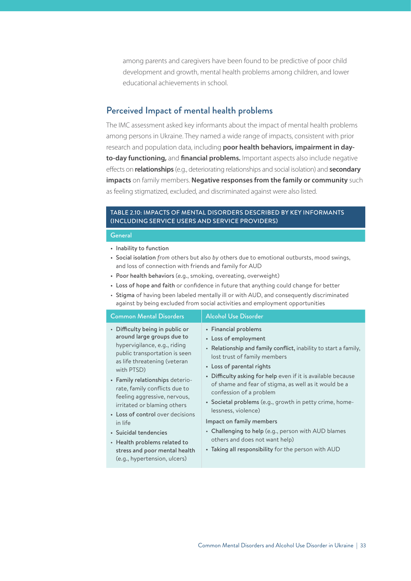among parents and caregivers have been found to be predictive of poor child development and growth, mental health problems among children, and lower educational achievements in school.

## Perceived Impact of mental health problems

The IMC assessment asked key informants about the impact of mental health problems among persons in Ukraine. They named a wide range of impacts, consistent with prior research and population data, including **poor health behaviors, impairment in dayto-day functioning,** and **financial problems.** Important aspects also include negative effects on **relationships** (e.g., deteriorating relationships and social isolation) and **secondary impacts** on family members. **Negative responses from the family or community** such as feeling stigmatized, excluded, and discriminated against were also listed.

#### TABLE 2.10: IMPACTS OF MENTAL DISORDERS DESCRIBED BY KEY INFORMANTS (INCLUDING SERVICE USERS AND SERVICE PROVIDERS)

#### **General**

- Inability to function
- Social isolation *from* others but also *by* others due to emotional outbursts, mood swings, and loss of connection with friends and family for AUD
- Poor health behaviors (e.g., smoking, overeating, overweight)
- Loss of hope and faith or confidence in future that anything could change for better
- Stigma of having been labeled mentally ill or with AUD, and consequently discriminated against by being excluded from social activities and employment opportunities

| Common Mental Disorders                                                                                                                                                                                                                                                                                                                                                                                                                                                                  | <b>Alcohol Use Disorder</b>                                                                                                                                                                                                                                                                                                                                                                                                                                                                                                                                                                     |
|------------------------------------------------------------------------------------------------------------------------------------------------------------------------------------------------------------------------------------------------------------------------------------------------------------------------------------------------------------------------------------------------------------------------------------------------------------------------------------------|-------------------------------------------------------------------------------------------------------------------------------------------------------------------------------------------------------------------------------------------------------------------------------------------------------------------------------------------------------------------------------------------------------------------------------------------------------------------------------------------------------------------------------------------------------------------------------------------------|
| • Difficulty being in public or<br>around large groups due to<br>hypervigilance, e.g., riding<br>public transportation is seen<br>as life threatening (veteran<br>with PTSD)<br>• Family relationships deterio-<br>rate, family conflicts due to<br>feeling aggressive, nervous,<br>irritated or blaming others<br>• Loss of control over decisions<br>in life<br>• Suicidal tendencies<br>• Health problems related to<br>stress and poor mental health<br>(e.g., hypertension, ulcers) | • Financial problems<br>• Loss of employment<br>• Relationship and family conflict, inability to start a family,<br>lost trust of family members<br>• Loss of parental rights<br>• Difficulty asking for help even if it is available because<br>of shame and fear of stigma, as well as it would be a<br>confession of a problem<br>• Societal problems (e.g., growth in petty crime, home-<br>lessness, violence)<br>Impact on family members<br>• Challenging to help (e.g., person with AUD blames<br>others and does not want help)<br>• Taking all responsibility for the person with AUD |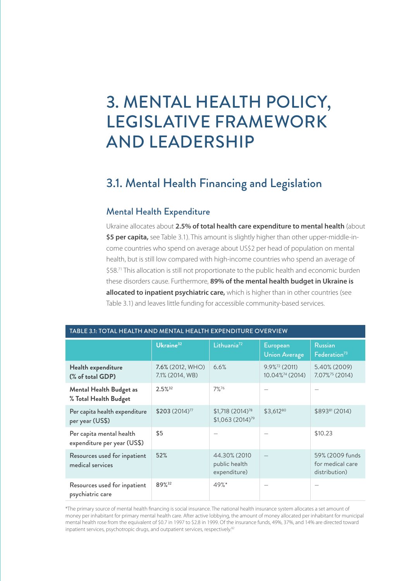## <span id="page-34-0"></span>3. MENTAL HEALTH POLICY, LEGISLATIVE FRAMEWORK AND LEADERSHIP

## 3.1. Mental Health Financing and Legislation

## Mental Health Expenditure

Ukraine allocates about **2.5% of total health care expenditure to mental health** (about **\$5 per capita,** see Table 3.1). This amount is slightly higher than other upper-middle-income countries who spend on average about US\$2 per head of population on mental health, but is still low compared with high-income countries who spend an average of \$58.<sup>71</sup> This allocation is still not proportionate to the public health and economic burden these disorders cause. Furthermore, **89% of the mental health budget in Ukraine is allocated to inpatient psychiatric care,** which is higher than in other countries (see Table 3.1) and leaves little funding for accessible community-based services.

| TABLE 3.1: TOTAL HEALTH AND MENTAL HEALTH EXPENDITURE OVERVIEW |                                        |                                                             |                                                             |                                                       |  |  |  |  |
|----------------------------------------------------------------|----------------------------------------|-------------------------------------------------------------|-------------------------------------------------------------|-------------------------------------------------------|--|--|--|--|
|                                                                | Ukraine <sup>32</sup>                  | Lithuania <sup>72</sup>                                     | <b>European</b><br><b>Union Average</b>                     | Russian<br>Federation <sup>73</sup>                   |  |  |  |  |
| Health expenditure<br>(% of total GDP)                         | $7.6\%$ (2012, WHO)<br>7.1% (2014, WB) | 6.6%                                                        | $9.9\%$ <sup>72</sup> (2011)<br>10.04% <sup>74</sup> (2014) | 5.40% (2009)<br>$7.07\%$ <sup>75</sup> (2014)         |  |  |  |  |
| <b>Mental Health Budget as</b><br>% Total Health Budget        | $2.5%^{32}$                            | $7\frac{9}{6}$ <sup>76</sup>                                |                                                             |                                                       |  |  |  |  |
| Per capita health expenditure<br>per year (US\$)               | \$203 (2014) <sup>77</sup>             | \$1,718 (2014) <sup>78</sup><br>\$1,063(2014) <sup>79</sup> | \$3,61280                                                   | \$89381 (2014)                                        |  |  |  |  |
| Per capita mental health<br>expenditure per year (US\$)        | \$5                                    |                                                             |                                                             | \$10.23                                               |  |  |  |  |
| Resources used for inpatient<br>medical services               | 52%                                    | 44.30% (2010<br>public health<br>expenditure)               |                                                             | 59% (2009 funds)<br>for medical care<br>distribution) |  |  |  |  |
| Resources used for inpatient<br>psychiatric care               | 89%32                                  | 49%*                                                        |                                                             |                                                       |  |  |  |  |

#### \*The primary source of mental health financing is social insurance. The national health insurance system allocates a set amount of money per inhabitant for primary mental health care. After active lobbying, the amount of money allocated per inhabitant for municipal mental health rose from the equivalent of \$0.7 in 1997 to \$2.8 in 1999. Of the insurance funds, 49%, 37%, and 14% are directed toward inpatient services, psychotropic drugs, and outpatient services, respectively.<sup>82</sup>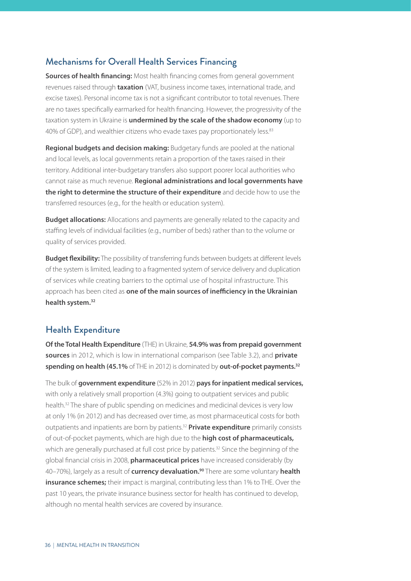## Mechanisms for Overall Health Services Financing

**Sources of health financing:** Most health financing comes from general government revenues raised through **taxation** (VAT, business income taxes, international trade, and excise taxes). Personal income tax is not a significant contributor to total revenues. There are no taxes specifically earmarked for health financing. However, the progressivity of the taxation system in Ukraine is **undermined by the scale of the shadow economy** (up to 40% of GDP), and wealthier citizens who evade taxes pay proportionately less.<sup>83</sup>

**Regional budgets and decision making:** Budgetary funds are pooled at the national and local levels, as local governments retain a proportion of the taxes raised in their territory. Additional inter-budgetary transfers also support poorer local authorities who cannot raise as much revenue. **Regional administrations and local governments have the right to determine the structure of their expenditure** and decide how to use the transferred resources (e.g., for the health or education system).

**Budget allocations:** Allocations and payments are generally related to the capacity and staffing levels of individual facilities (e.g., number of beds) rather than to the volume or quality of services provided.

**Budget flexibility:** The possibility of transferring funds between budgets at different levels of the system is limited, leading to a fragmented system of service delivery and duplication of services while creating barriers to the optimal use of hospital infrastructure. This approach has been cited as **one of the main sources of inefficiency in the Ukrainian health system.32**

## Health Expenditure

**Of the Total Health Expenditure** (THE) in Ukraine, **54.9% was from prepaid government sources** in 2012, which is low in international comparison (see Table 3.2), and **private spending on health (45.1%** of THE in 2012) is dominated by **out-of-pocket payments.32**

The bulk of **government expenditure** (52% in 2012) **pays for inpatient medical services,** with only a relatively small proportion (4.3%) going to outpatient services and public health.32 The share of public spending on medicines and medicinal devices is very low at only 1% (in 2012) and has decreased over time, as most pharmaceutical costs for both outpatients and inpatients are born by patients.32 **Private expenditure** primarily consists of out-of-pocket payments, which are high due to the **high cost of pharmaceuticals,** which are generally purchased at full cost price by patients.<sup>32</sup> Since the beginning of the global financial crisis in 2008, **pharmaceutical prices** have increased considerably (by 40–70%), largely as a result of **currency devaluation.90** There are some voluntary **health insurance schemes;** their impact is marginal, contributing less than 1% to THE. Over the past 10 years, the private insurance business sector for health has continued to develop, although no mental health services are covered by insurance.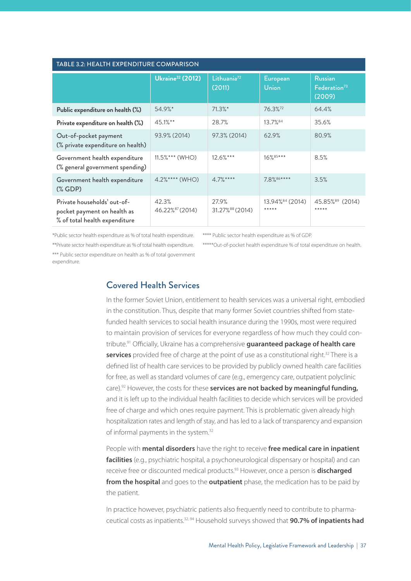| <b>TABLE 3.2: HEALTH EXPENDITURE COMPARISON</b>                                             |                                      |                                      |                                      |                                                      |  |  |  |  |
|---------------------------------------------------------------------------------------------|--------------------------------------|--------------------------------------|--------------------------------------|------------------------------------------------------|--|--|--|--|
|                                                                                             | <b>Ukraine</b> <sup>32</sup> (2012)  | Lithuania <sup>72</sup><br>(2011)    | European<br>Union                    | <b>Russian</b><br>Federation <sup>73</sup><br>(2009) |  |  |  |  |
| Public expenditure on health (%)                                                            | 54.9%*                               | $71.3\%$ <sup>*</sup>                | 76.3% <sup>72</sup>                  | 64.4%                                                |  |  |  |  |
| Private expenditure on health (%)                                                           | $45.1%$ **                           | 28.7%                                | 13.7% 84                             | 35.6%                                                |  |  |  |  |
| Out-of-pocket payment<br>(% private expenditure on health)                                  | 93.9% (2014)                         | 97.3% (2014)                         | 62.9%                                | 80.9%                                                |  |  |  |  |
| Government health expenditure<br>(% general government spending)                            | $11.5\%***$ (WHO)                    | $12.6\%***$                          | $16\%$ <sup>85***</sup>              | 8.5%                                                 |  |  |  |  |
| Government health expenditure<br>$(\%$ GDP)                                                 | $4.2$ %**** (WHO)                    | $4.7%***$                            | 7.8%86****                           | 3.5%                                                 |  |  |  |  |
| Private households' out-of-<br>pocket payment on health as<br>% of total health expenditure | 42.3%<br>46.22% <sup>87</sup> (2014) | 27.9%<br>31.27% <sup>88</sup> (2014) | 13.94% <sup>84</sup> (2014)<br>***** | 45.85% <sup>89</sup> (2014)<br>*****                 |  |  |  |  |

\*Public sector health expenditure as % of total health expenditure. \*\*Private sector health expenditure as % of total health expenditure. \*\*\* Public sector expenditure on health as % of total government expenditure.

\*\*\*\* Public sector health expenditure as % of GDP.

\*\*\*\*\*Out-of-pocket health expenditure % of total expenditure on health.

### Covered Health Services

In the former Soviet Union, entitlement to health services was a universal right, embodied in the constitution. Thus, despite that many former Soviet countries shifted from statefunded health services to social health insurance during the 1990s, most were required to maintain provision of services for everyone regardless of how much they could contribute.91 Officially, Ukraine has a comprehensive **guaranteed package of health care services** provided free of charge at the point of use as a constitutional right.<sup>32</sup> There is a defined list of health care services to be provided by publicly owned health care facilities for free, as well as standard volumes of care (e.g., emergency care, outpatient polyclinic care).92 However, the costs for these **services are not backed by meaningful funding,** and it is left up to the individual health facilities to decide which services will be provided free of charge and which ones require payment. This is problematic given already high hospitalization rates and length of stay, and has led to a lack of transparency and expansion of informal payments in the system.<sup>32</sup>

People with **mental disorders** have the right to receive **free medical care in inpatient facilities** (e.g., psychiatric hospital, a psychoneurological dispensary or hospital) and can receive free or discounted medical products.<sup>93</sup> However, once a person is **discharged from the hospital** and goes to the **outpatient** phase, the medication has to be paid by the patient.

In practice however, psychiatric patients also frequently need to contribute to pharmaceutical costs as inpatients.32, 94 Household surveys showed that **90.7% of inpatients had**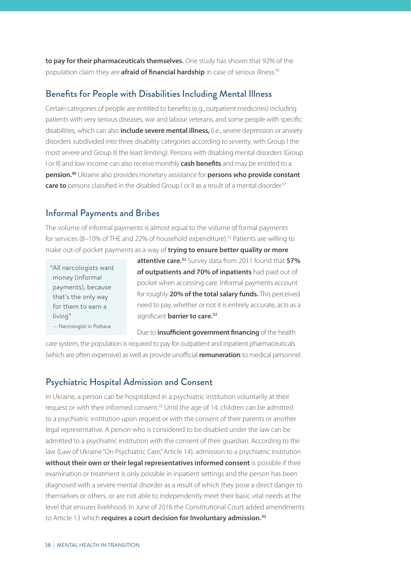**to pay for their pharmaceuticals themselves.** One study has shown that 92% of the population claim they are **afraid of financial hardship** in case of serious illness.95

### Benefits for People with Disabilities Including Mental Illness

Certain categories of people are entitled to benefits (e.g., outpatient medicines) including patients with very serious diseases, war and labour veterans, and some people with specific disabilities, which can also **include severe mental illness,** (i.e., severe depression or anxiety disorders subdivided into three disability categories according to severity, with Group I the most severe and Group III the least limiting). Persons with disabling mental disorders (Group I or II) and low income can also receive monthly **cash benefits** and may be entitled to a **pension.96** Ukraine also provides monetary assistance for **persons who provide constant care to** persons classified in the disabled Group I or II as a result of a mental disorder.<sup>97</sup>

### Informal Payments and Bribes

The volume of informal payments is almost equal to the volume of formal payments for services (8-10% of THE and 22% of household expenditure).<sup>32</sup> Patients are willing to make out-of-pocket payments as a way of **trying to ensure better quality or more** 

"All narcologists want money (informal payments), because that's the only way for them to earn a living" — Narcologist in Poltava

**attentive care.32** Survey data from 2011 found that **57% of outpatients and 70% of inpatients** had paid out of pocket when accessing care. Informal payments account for roughly **20% of the total salary funds.** This perceived need to pay, whether or not it is entirely accurate, acts as a significant **barrier to care.32**

Due to **insufficient government financing** of the health care system, the population is required to pay for outpatient and inpatient pharmaceuticals (which are often expensive) as well as provide unofficial **remuneration** to medical personnel.

## Psychiatric Hospital Admission and Consent

In Ukraine, a person can be hospitalized in a psychiatric institution voluntarily at their request or with their informed consent.93 Until the age of 14, children can be admitted to a psychiatric institution upon request or with the consent of their parents or another legal representative. A person who is considered to be disabled under the law can be admitted to a psychiatric institution with the consent of their guardian. According to the law (Law of Ukraine "On Psychiatric Care," Article 14), admission to a psychiatric institution **without their own or their legal representatives informed consent** is possible if their examination or treatment is only possible in inpatient settings and the person has been diagnosed with a severe mental disorder as a result of which they pose a direct danger to themselves or others, or are not able to independently meet their basic vital needs at the level that ensures livelihood. In June of 2016 the Constitutional Court added amendments to Article 13 which **requires a court decision for Involuntary admission.93**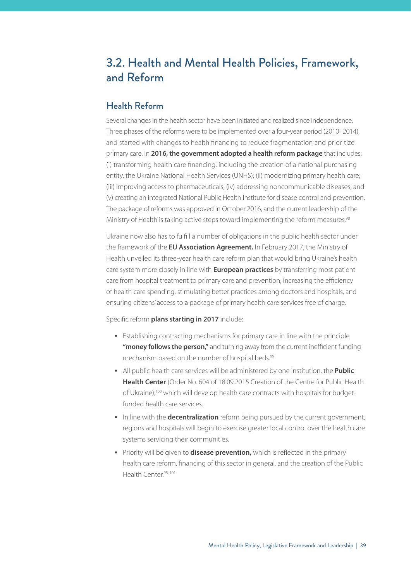## 3.2. Health and Mental Health Policies, Framework, and Reform

## Health Reform

Several changes in the health sector have been initiated and realized since independence. Three phases of the reforms were to be implemented over a four-year period (2010–2014), and started with changes to health financing to reduce fragmentation and prioritize primary care. In **2016, the government adopted a health reform package** that includes: (i) transforming health care financing, including the creation of a national purchasing entity, the Ukraine National Health Services (UNHS); (ii) modernizing primary health care; (iii) improving access to pharmaceuticals; (iv) addressing noncommunicable diseases; and (v) creating an integrated National Public Health Institute for disease control and prevention. The package of reforms was approved in October 2016, and the current leadership of the Ministry of Health is taking active steps toward implementing the reform measures.<sup>98</sup>

Ukraine now also has to fulfill a number of obligations in the public health sector under the framework of the **EU Association Agreement.** In February 2017, the Ministry of Health unveiled its three-year health care reform plan that would bring Ukraine's health care system more closely in line with **European practices** by transferring most patient care from hospital treatment to primary care and prevention, increasing the efficiency of health care spending, stimulating better practices among doctors and hospitals, and ensuring citizens' access to a package of primary health care services free of charge.

Specific reform **plans starting in 2017** include:

- **•** Establishing contracting mechanisms for primary care in line with the principle **"money follows the person,"** and turning away from the current inefficient funding mechanism based on the number of hospital beds.<sup>99</sup>
- **•** All public health care services will be administered by one institution, the **Public Health Center** (Order No. 604 of 18.09.2015 Creation of the Centre for Public Health of Ukraine),100 which will develop health care contracts with hospitals for budgetfunded health care services.
- **•** In line with the **decentralization** reform being pursued by the current government, regions and hospitals will begin to exercise greater local control over the health care systems servicing their communities.
- **•** Priority will be given to **disease prevention,** which is reflected in the primary health care reform, financing of this sector in general, and the creation of the Public Health Center.98, 101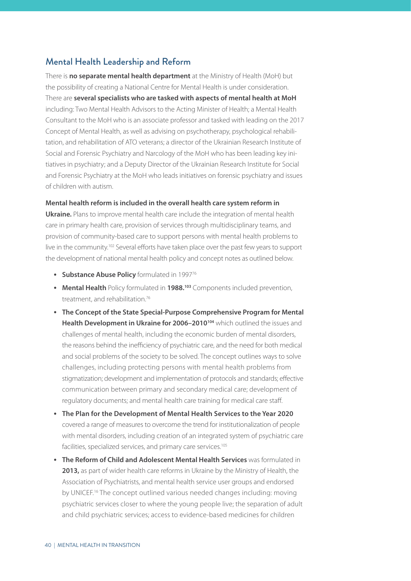## Mental Health Leadership and Reform

There is **no separate mental health department** at the Ministry of Health (MoH) but the possibility of creating a National Centre for Mental Health is under consideration. There are **several specialists who are tasked with aspects of mental health at MoH** including: Two Mental Health Advisors to the Acting Minister of Health; a Mental Health Consultant to the MoH who is an associate professor and tasked with leading on the 2017 Concept of Mental Health, as well as advising on psychotherapy, psychological rehabilitation, and rehabilitation of ATO veterans; a director of the Ukrainian Research Institute of Social and Forensic Psychiatry and Narcology of the MoH who has been leading key initiatives in psychiatry; and a Deputy Director of the Ukrainian Research Institute for Social and Forensic Psychiatry at the MoH who leads initiatives on forensic psychiatry and issues of children with autism.

#### **Mental health reform is included in the overall health care system reform in**

**Ukraine.** Plans to improve mental health care include the integration of mental health care in primary health care, provision of services through multidisciplinary teams, and provision of community-based care to support persons with mental health problems to live in the community.102 Several efforts have taken place over the past few years to support the development of national mental health policy and concept notes as outlined below.

- **Substance Abuse Policy** formulated in 1997<sup>76</sup>
- **• Mental Health** Policy formulated in **1988.103** Components included prevention, treatment, and rehabilitation.76
- **• The Concept of the State Special-Purpose Comprehensive Program for Mental Health Development in Ukraine for 2006–2010<sup>104</sup> which outlined the issues and** challenges of mental health, including the economic burden of mental disorders, the reasons behind the inefficiency of psychiatric care, and the need for both medical and social problems of the society to be solved. The concept outlines ways to solve challenges, including protecting persons with mental health problems from stigmatization; development and implementation of protocols and standards; effective communication between primary and secondary medical care; development of regulatory documents; and mental health care training for medical care staff.
- **• The Plan for the Development of Mental Health Services to the Year 2020** covered a range of measures to overcome the trend for institutionalization of people with mental disorders, including creation of an integrated system of psychiatric care facilities, specialized services, and primary care services.<sup>105</sup>
- **• The Reform of Child and Adolescent Mental Health Services** was formulated in **2013,** as part of wider health care reforms in Ukraine by the Ministry of Health, the Association of Psychiatrists, and mental health service user groups and endorsed by UNICEF.16 The concept outlined various needed changes including: moving psychiatric services closer to where the young people live; the separation of adult and child psychiatric services; access to evidence-based medicines for children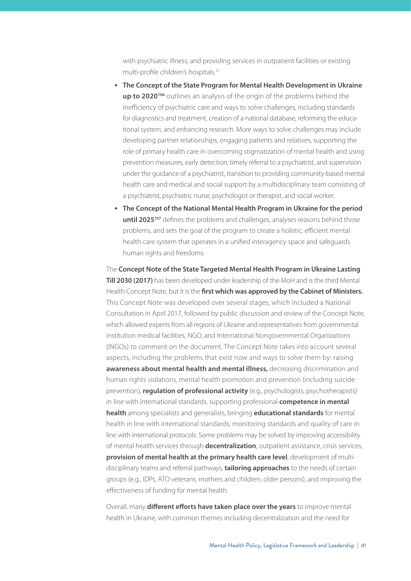with psychiatric illness; and providing services in outpatient facilities or existing multi-profile children's hospitals.32

- **• The Concept of the State Program for Mental Health Development in Ukraine**  up to 2020<sup>106</sup> outlines an analysis of the origin of the problems behind the inefficiency of psychiatric care and ways to solve challenges, including standards for diagnostics and treatment, creation of a national database, reforming the educational system, and enhancing research. More ways to solve challenges may include developing partner relationships, engaging patients and relatives, supporting the role of primary health care in overcoming stigmatization of mental health and using prevention measures, early detection, timely referral to a psychiatrist, and supervision under the guidance of a psychiatrist, transition to providing community-based mental health care and medical and social support by a multidisciplinary team consisting of a psychiatrist, psychiatric nurse, psychologist or therapist, and social worker.
- **• The Concept of the National Mental Health Program in Ukraine for the period until 2025<sup>107</sup>** defines the problems and challenges, analyses reasons behind those problems, and sets the goal of the program to create a holistic, efficient mental health care system that operates in a unified interagency space and safeguards human rights and freedoms.

The **Concept Note of the State Targeted Mental Health Program in Ukraine Lasting Till 2030 (2017)** has been developed under leadership of the MoH and is the third Mental Health Concept Note, but it is the **first which was approved by the Cabinet of Ministers.** This Concept Note was developed over several stages, which included a National Consultation in April 2017, followed by public discussion and review of the Concept Note, which allowed experts from all regions of Ukraine and representatives from governmental institution medical facilities, NGO, and International Nongovernmental Organizations (INGOs) to comment on the document. The Concept Note takes into account several aspects, including the problems that exist now and ways to solve them by: raising **awareness about mental health and mental illness,** decreasing discrimination and human rights violations, mental health promotion and prevention (including suicide prevention), **regulation of professional activity** (e.g., psychologists, psychotherapists) in line with international standards, supporting professional **competence in mental health** among specialists and generalists, bringing **educational standards** for mental health in line with international standards, monitoring standards and quality of care in line with international protocols. Some problems may be solved by improving accessibility of mental health services through **decentralization**, outpatient assistance, crisis services, **provision of mental health at the primary health care level**, development of multidisciplinary teams and referral pathways, **tailoring approaches** to the needs of certain groups (e.g., IDPs, ATO veterans, mothers and children, older persons), and improving the effectiveness of funding for mental health.

Overall, many **different efforts have taken place over the years** to improve mental health in Ukraine, with common themes including decentralization and the need for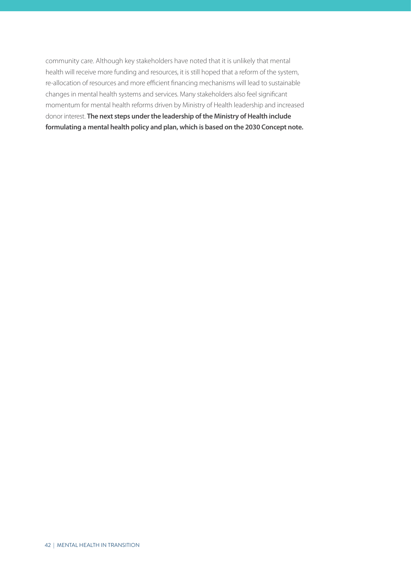community care. Although key stakeholders have noted that it is unlikely that mental health will receive more funding and resources, it is still hoped that a reform of the system, re-allocation of resources and more efficient financing mechanisms will lead to sustainable changes in mental health systems and services. Many stakeholders also feel significant momentum for mental health reforms driven by Ministry of Health leadership and increased donor interest. **The next steps under the leadership of the Ministry of Health include formulating a mental health policy and plan, which is based on the 2030 Concept note.**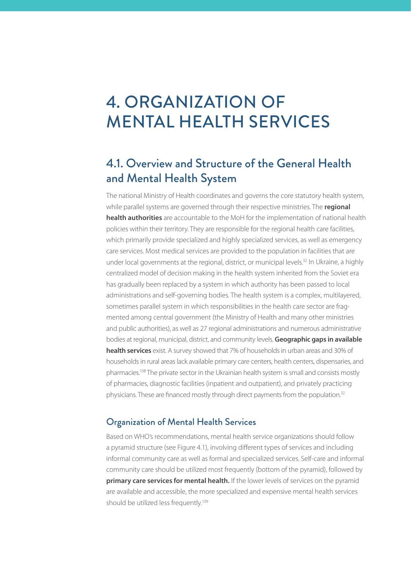# 4. ORGANIZATION OF MENTAL HEALTH SERVICES

## 4.1. Overview and Structure of the General Health and Mental Health System

The national Ministry of Health coordinates and governs the core statutory health system, while parallel systems are governed through their respective ministries. The **regional health authorities** are accountable to the MoH for the implementation of national health policies within their territory. They are responsible for the regional health care facilities, which primarily provide specialized and highly specialized services, as well as emergency care services. Most medical services are provided to the population in facilities that are under local governments at the regional, district, or municipal levels.<sup>32</sup> In Ukraine, a highly centralized model of decision making in the health system inherited from the Soviet era has gradually been replaced by a system in which authority has been passed to local administrations and self-governing bodies. The health system is a complex, multilayered, sometimes parallel system in which responsibilities in the health care sector are fragmented among central government (the Ministry of Health and many other ministries and public authorities), as well as 27 regional administrations and numerous administrative bodies at regional, municipal, district, and community levels. **Geographic gaps in available health services** exist. A survey showed that 7% of households in urban areas and 30% of households in rural areas lack available primary care centers, health centers, dispensaries, and pharmacies.<sup>108</sup> The private sector in the Ukrainian health system is small and consists mostly of pharmacies, diagnostic facilities (inpatient and outpatient), and privately practicing physicians. These are financed mostly through direct payments from the population.<sup>32</sup>

## Organization of Mental Health Services

Based on WHO's recommendations, mental health service organizations should follow a pyramid structure (see Figure 4.1), involving different types of services and including informal community care as well as formal and specialized services. Self-care and informal community care should be utilized most frequently (bottom of the pyramid), followed by **primary care services for mental health.** If the lower levels of services on the pyramid are available and accessible, the more specialized and expensive mental health services should be utilized less frequently.<sup>109</sup>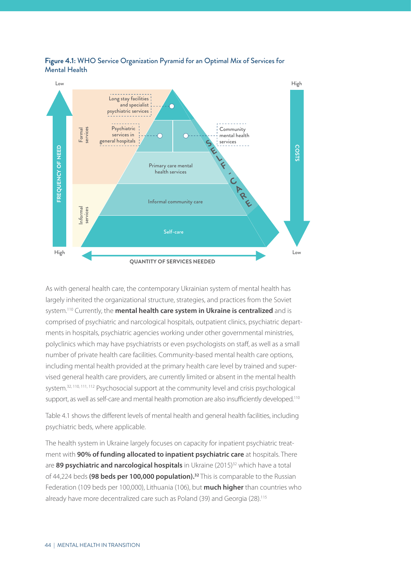

### **Figure 4.1:** WHO Service Organization Pyramid for an Optimal Mix of Services for Mental Health

As with general health care, the contemporary Ukrainian system of mental health has largely inherited the organizational structure, strategies, and practices from the Soviet system.110 Currently, the **mental health care system in Ukraine is centralized** and is comprised of psychiatric and narcological hospitals, outpatient clinics, psychiatric departments in hospitals, psychiatric agencies working under other governmental ministries, polyclinics which may have psychiatrists or even psychologists on staff, as well as a small number of private health care facilities. Community-based mental health care options, including mental health provided at the primary health care level by trained and supervised general health care providers, are currently limited or absent in the mental health system.<sup>32, 110, 111, 112</sup> Psychosocial support at the community level and crisis psychological support, as well as self-care and mental health promotion are also insufficiently developed.<sup>110</sup>

Table 4.1 shows the different levels of mental health and general health facilities, including psychiatric beds, where applicable.

The health system in Ukraine largely focuses on capacity for inpatient psychiatric treatment with **90% of funding allocated to inpatient psychiatric care** at hospitals. There are 89 psychiatric and narcological hospitals in Ukraine (2015)<sup>32</sup> which have a total of 44,224 beds **(98 beds per 100,000 population).32** This is comparable to the Russian Federation (109 beds per 100,000), Lithuania (106), but **much higher** than countries who already have more decentralized care such as Poland (39) and Georgia (28).<sup>115</sup>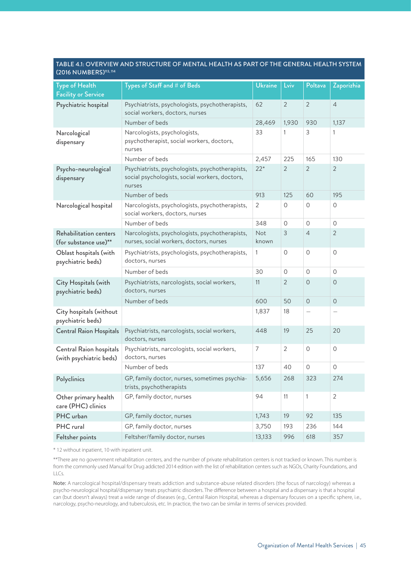| (2016 NUMBERS) <sup>113, 114</sup>                        |                                                                                                             |                     |                |                |                          |
|-----------------------------------------------------------|-------------------------------------------------------------------------------------------------------------|---------------------|----------------|----------------|--------------------------|
| <b>Type of Health</b><br><b>Facility or Service</b>       | Types of Staff and # of Beds                                                                                | <b>Ukraine</b>      | Lviv           | Poltava        | Zaporizhia               |
| Psychiatric hospital                                      | Psychiatrists, psychologists, psychotherapists,<br>social workers, doctors, nurses                          | 62                  | $\overline{2}$ | $\overline{2}$ | 4                        |
|                                                           | Number of beds                                                                                              | 28,469              | 1,930          | 930            | 1,137                    |
| Narcological<br>dispensary                                | Narcologists, psychologists,<br>psychotherapist, social workers, doctors,<br>nurses                         | 33                  | 1              | 3              | $\mathbf{1}$             |
|                                                           | Number of beds                                                                                              | 2,457               | 225            | 165            | 130                      |
| Psycho-neurological<br>dispensary                         | Psychiatrists, psychologists, psychotherapists,<br>social psychologists, social workers, doctors,<br>nurses | $22*$               | $\overline{2}$ | $\overline{2}$ | $\overline{2}$           |
|                                                           | Number of beds                                                                                              | 913                 | 125            | 60             | 195                      |
| Narcological hospital                                     | Narcologists, psychologists, psychotherapists,<br>social workers, doctors, nurses                           | 2                   | 0              | 0              | 0                        |
|                                                           | Number of beds                                                                                              | 348                 | $\Omega$       | 0              | 0                        |
| <b>Rehabilitation centers</b><br>(for substance use)**    | Narcologists, psychologists, psychotherapists,<br>nurses, social workers, doctors, nurses                   | <b>Not</b><br>known | 3              | $\sqrt{4}$     | $\overline{2}$           |
| Oblast hospitals (with<br>psychiatric beds)               | Psychiatrists, psychologists, psychotherapists,<br>doctors, nurses                                          | 1                   | $\circ$        | $\circ$        | $\circ$                  |
|                                                           | Number of beds                                                                                              | 30                  | 0              | 0              | 0                        |
| <b>City Hospitals (with</b><br>psychiatric beds)          | Psychiatrists, narcologists, social workers,<br>doctors, nurses                                             | 11                  | $\overline{2}$ | 0              | $\Omega$                 |
|                                                           | Number of beds                                                                                              | 600                 | 50             | $\overline{O}$ | $\overline{O}$           |
| City hospitals (without<br>psychiatric beds)              |                                                                                                             | 1,837               | 18             |                | $\overline{\phantom{0}}$ |
| <b>Central Raion Hospitals</b>                            | Psychiatrists, narcologists, social workers,<br>doctors, nurses                                             | 448                 | 19             | 25             | 20                       |
| <b>Central Raion hospitals</b><br>(with psychiatric beds) | Psychiatrists, narcologists, social workers,<br>doctors, nurses                                             | 7                   | 2              | 0              | 0                        |
|                                                           | Number of beds                                                                                              | 137                 | 40             | 0              | 0                        |
| Polyclinics                                               | GP, family doctor, nurses, sometimes psychia-<br>trists, psychotherapists                                   | 5,656               | 268            | 323            | 274                      |
| Other primary health<br>care (PHC) clinics                | GP, family doctor, nurses                                                                                   | 94                  | 11             | 1              | $\overline{2}$           |
| PHC urban                                                 | GP, family doctor, nurses                                                                                   | 1,743               | 19             | 92             | 135                      |
| PHC rural                                                 | GP, family doctor, nurses                                                                                   | 3,750               | 193            | 236            | 144                      |
| Feltsher points                                           | Feltsher/family doctor, nurses                                                                              | 13,133              | 996            | 618            | 357                      |

## TABLE 4.1: OVERVIEW AND STRUCTURE OF MENTAL HEALTH AS PART OF THE GENERAL HEALTH SYSTEM

\* 12 without inpatient, 10 with inpatient unit.

Note: A narcological hospital/dispensary treats addiction and substance-abuse related disorders (the focus of narcology) whereas a psycho-neurological hospital/dispensary treats psychiatric disorders. The difference between a hospital and a dispensary is that a hospital can (but doesn't always) treat a wide range of diseases (e.g., Central Raion Hospital, whereas a dispensary focuses on a specific sphere, i.e., narcology, psycho-neurology, and tuberculosis, etc. In practice, the two can be similar in terms of services provided.

<sup>\*\*</sup>There are no government rehabilitation centers, and the number of private rehabilitation centers is not tracked or known. This number is from the commonly used Manual for Drug addicted 2014 edition with the list of rehabilitation centers such as NGOs, Charity Foundations, and LLCs.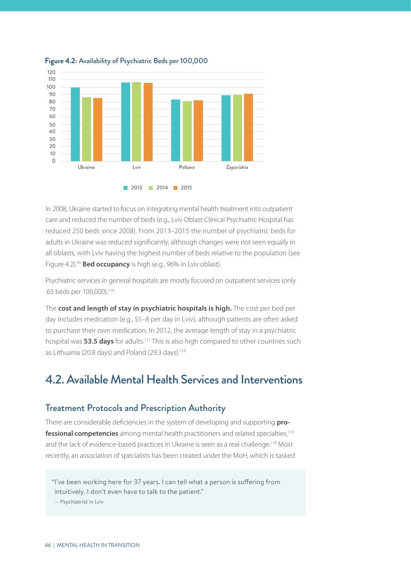

**Figure 4.2:** Availability of Psychiatric Beds per 100,000

In 2008, Ukraine started to focus on integrating mental health treatment into outpatient care and reduced the number of beds (e.g., Lviv Oblast Clinical Psychiatric Hospital has reduced 250 beds since 2008). From 2013–2015 the number of psychiatric beds for adults in Ukraine was reduced significantly, although changes were not seen equally in all oblasts, with Lviv having the highest number of beds relative to the population (see Figure 4.2).<sup>46</sup> **Bed occupancy** is high (e.g., 96% in Lviv oblast).

Psychiatric services in general hospitals are mostly focused on outpatient services (only .65 beds per 100,000).116

The **cost and length of stay in psychiatric hospitals is high.** The cost per bed per day includes medication (e.g., \$5–8 per day in Lviv), although patients are often asked to purchase their own medication. In 2012, the average length of stay in a psychiatric hospital was **53.5 days** for adults.117 This is also high compared to other countries such as Lithuania (20.8 days) and Poland (29.3 days).<sup>118</sup>

## 4.2. Available Mental Health Services and Interventions

## Treatment Protocols and Prescription Authority

There are considerable deficiencies in the system of developing and supporting **professional competencies** among mental health practitioners and related specialties,<sup>110</sup> and the lack of evidence-based practices in Ukraine is seen as a real challenge.<sup>119</sup> Most recently, an association of specialists has been created under the MoH, which is tasked

"I've been working here for 37 years. I can tell what a person is suffering from intuitively. I don't even have to talk to the patient." — Psychiatrist in Lviv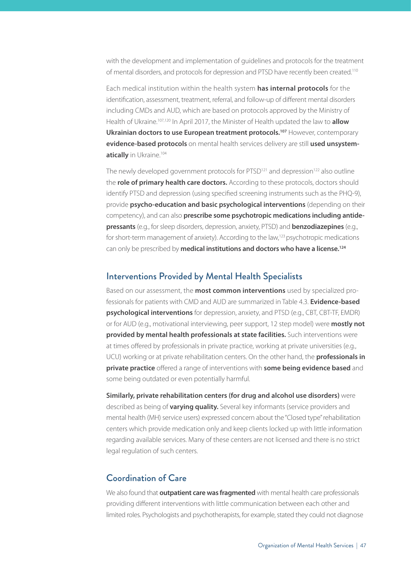with the development and implementation of guidelines and protocols for the treatment of mental disorders, and protocols for depression and PTSD have recently been created.110

Each medical institution within the health system **has internal protocols** for the identification, assessment, treatment, referral, and follow-up of different mental disorders including CMDs and AUD, which are based on protocols approved by the Ministry of Health of Ukraine.107,120 In April 2017, the Minister of Health updated the law to **allow Ukrainian doctors to use European treatment protocols.<sup>107</sup> However, contemporary evidence-based protocols** on mental health services delivery are still **used unsystem**atically in Ukraine.<sup>104</sup>

The newly developed government protocols for PTSD<sup>121</sup> and depression<sup>122</sup> also outline the **role of primary health care doctors.** According to these protocols, doctors should identify PTSD and depression (using specified screening instruments such as the PHQ-9), provide **psycho-education and basic psychological interventions** (depending on their competency), and can also **prescribe some psychotropic medications including antidepressants** (e.g., for sleep disorders, depression, anxiety, PTSD) and **benzodiazepines** (e.g., for short-term management of anxiety). According to the law,<sup>123</sup> psychotropic medications can only be prescribed by **medical institutions and doctors who have a license.124**

## Interventions Provided by Mental Health Specialists

Based on our assessment, the **most common interventions** used by specialized professionals for patients with CMD and AUD are summarized in Table 4.3. **Evidence-based psychological interventions** for depression, anxiety, and PTSD (e.g., CBT, CBT-TF, EMDR) or for AUD (e.g., motivational interviewing, peer support, 12 step model) were **mostly not provided by mental health professionals at state facilities.** Such interventions were at times offered by professionals in private practice, working at private universities (e.g., UCU) working or at private rehabilitation centers. On the other hand, the **professionals in private practice** offered a range of interventions with **some being evidence based** and some being outdated or even potentially harmful.

**Similarly, private rehabilitation centers (for drug and alcohol use disorders)** were described as being of **varying quality.** Several key informants (service providers and mental health (MH) service users) expressed concern about the "Closed type" rehabilitation centers which provide medication only and keep clients locked up with little information regarding available services. Many of these centers are not licensed and there is no strict legal regulation of such centers.

## Coordination of Care

We also found that **outpatient care was fragmented** with mental health care professionals providing different interventions with little communication between each other and limited roles. Psychologists and psychotherapists, for example, stated they could not diagnose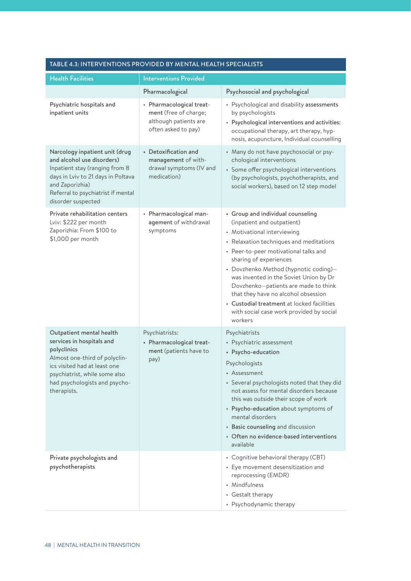| <u>IABLE 4.3: INTERVENTIONS PROVIDED BI MENTAL HEALIH SPECIALISIS</u>                                                                                                                                                  |                                                                                                   |                                                                                                                                                                                                                                                                                                                                                                                                                                                                                     |  |  |  |  |  |  |
|------------------------------------------------------------------------------------------------------------------------------------------------------------------------------------------------------------------------|---------------------------------------------------------------------------------------------------|-------------------------------------------------------------------------------------------------------------------------------------------------------------------------------------------------------------------------------------------------------------------------------------------------------------------------------------------------------------------------------------------------------------------------------------------------------------------------------------|--|--|--|--|--|--|
| <b>Health Facilities</b>                                                                                                                                                                                               | <b>Interventions Provided</b>                                                                     |                                                                                                                                                                                                                                                                                                                                                                                                                                                                                     |  |  |  |  |  |  |
|                                                                                                                                                                                                                        | Pharmacological                                                                                   | Psychosocial and psychological                                                                                                                                                                                                                                                                                                                                                                                                                                                      |  |  |  |  |  |  |
| Psychiatric hospitals and<br>inpatient units                                                                                                                                                                           | • Pharmacological treat-<br>ment (free of charge;<br>although patients are<br>often asked to pay) | • Psychological and disability assessments<br>by psychologists<br>• Psychological interventions and activities:<br>occupational therapy, art therapy, hyp-<br>nosis, acupuncture, Individual counselling                                                                                                                                                                                                                                                                            |  |  |  |  |  |  |
| Narcology inpatient unit (drug<br>and alcohol use disorders)<br>Inpatient stay (ranging from 8<br>days in Lviv to 21 days in Poltava<br>and Zaporizhia)<br>Referral to psychiatrist if mental<br>disorder suspected    | • Detoxification and<br>management of with-<br>drawal symptoms (IV and<br>medication)             | • Many do not have psychosocial or psy-<br>chological interventions<br>• Some offer psychological interventions<br>(by psychologists, psychotherapists, and<br>social workers), based on 12 step model                                                                                                                                                                                                                                                                              |  |  |  |  |  |  |
| Private rehabilitation centers<br>Lviv: \$222 per month<br>Zaporizhia: From \$100 to<br>\$1,000 per month                                                                                                              | • Pharmacological man-<br>agement of withdrawal<br>symptoms                                       | • Group and individual counseling<br>(inpatient and outpatient)<br>• Motivational interviewing<br>• Relaxation techniques and meditations<br>• Peer-to-peer motivational talks and<br>sharing of experiences<br>• Dovzhenko Method (hypnotic coding)-<br>was invented in the Soviet Union by Dr<br>Dovzhenko-patients are made to think<br>that they have no alcohol obsession<br>• Custodial treatment at locked facilities<br>with social case work provided by social<br>workers |  |  |  |  |  |  |
| Outpatient mental health<br>services in hospitals and<br>polyclinics<br>Almost one-third of polyclin-<br>ics visited had at least one<br>psychiatrist, while some also<br>had psychologists and psycho-<br>therapists. | Psychiatrists:<br>• Pharmacological treat-<br>ment (patients have to<br>pay)                      | Psychiatrists<br>• Psychiatric assessment<br>• Psycho-education<br>Psychologists<br>• Assessment<br>• Several psychologists noted that they did<br>not assess for mental disorders because<br>this was outside their scope of work<br>• Psycho-education about symptoms of<br>mental disorders<br>• Basic counseling and discussion<br>• Often no evidence-based interventions<br>available                                                                                         |  |  |  |  |  |  |
| Private psychologists and<br>psychotherapists                                                                                                                                                                          |                                                                                                   | • Cognitive behavioral therapy (CBT)<br>• Eye movement desensitization and<br>reprocessing (EMDR)<br>• Mindfulness<br>• Gestalt therapy<br>• Psychodynamic therapy                                                                                                                                                                                                                                                                                                                  |  |  |  |  |  |  |

## TABLE 4.3: INTERVENTIONS PROVIDED BY MENTAL HEALTH SPECIALISTS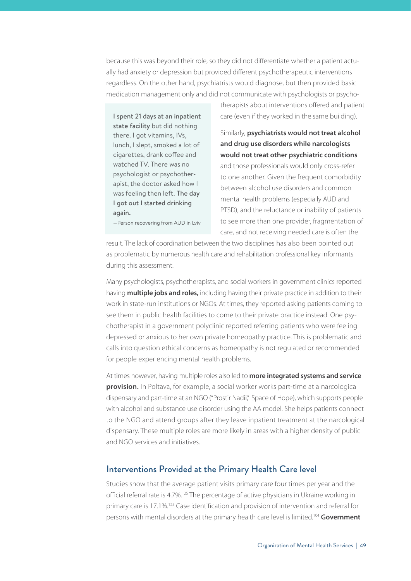because this was beyond their role, so they did not differentiate whether a patient actually had anxiety or depression but provided different psychotherapeutic interventions regardless. On the other hand, psychiatrists would diagnose, but then provided basic medication management only and did not communicate with psychologists or psycho-

I spent 21 days at an inpatient state facility but did nothing there. I got vitamins, IVs, lunch, I slept, smoked a lot of cigarettes, drank coffee and watched TV. There was no psychologist or psychotherapist, the doctor asked how I was feeling then left. The day I got out I started drinking again.

—Person recovering from AUD in Lviv

therapists about interventions offered and patient care (even if they worked in the same building).

Similarly, **psychiatrists would not treat alcohol and drug use disorders while narcologists would not treat other psychiatric conditions** and those professionals would only cross-refer to one another. Given the frequent comorbidity between alcohol use disorders and common mental health problems (especially AUD and PTSD), and the reluctance or inability of patients to see more than one provider, fragmentation of care, and not receiving needed care is often the

result. The lack of coordination between the two disciplines has also been pointed out as problematic by numerous health care and rehabilitation professional key informants during this assessment.

Many psychologists, psychotherapists, and social workers in government clinics reported having **multiple jobs and roles,** including having their private practice in addition to their work in state-run institutions or NGOs. At times, they reported asking patients coming to see them in public health facilities to come to their private practice instead. One psychotherapist in a government polyclinic reported referring patients who were feeling depressed or anxious to her own private homeopathy practice. This is problematic and calls into question ethical concerns as homeopathy is not regulated or recommended for people experiencing mental health problems.

At times however, having multiple roles also led to **more integrated systems and service provision.** In Poltava, for example, a social worker works part-time at a narcological dispensary and part-time at an NGO ("Prostir Nadii," Space of Hope), which supports people with alcohol and substance use disorder using the AA model. She helps patients connect to the NGO and attend groups after they leave inpatient treatment at the narcological dispensary. These multiple roles are more likely in areas with a higher density of public and NGO services and initiatives.

## Interventions Provided at the Primary Health Care level

Studies show that the average patient visits primary care four times per year and the official referral rate is 4.7%.125 The percentage of active physicians in Ukraine working in primary care is 17.1%.<sup>125</sup> Case identification and provision of intervention and referral for persons with mental disorders at the primary health care level is limited.104 **Government**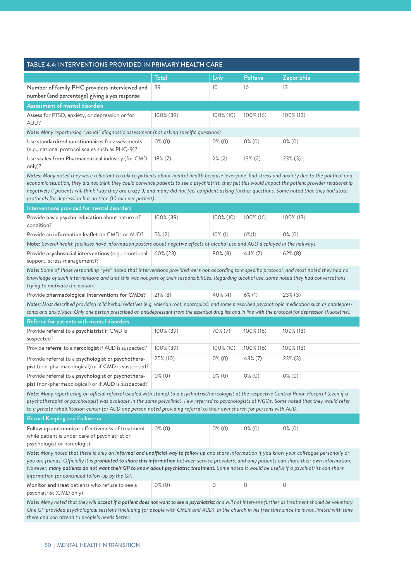| TABLE 4.4: INTERVENTIONS PROVIDED IN PRIMARY HEALTH CARE                                                                                                                                                                                                                                                                                                                                                                                                                                                                        |                                                                                                                                                                                                                                                                                                                                                                                                                                                      |            |             |            |  |  |  |  |
|---------------------------------------------------------------------------------------------------------------------------------------------------------------------------------------------------------------------------------------------------------------------------------------------------------------------------------------------------------------------------------------------------------------------------------------------------------------------------------------------------------------------------------|------------------------------------------------------------------------------------------------------------------------------------------------------------------------------------------------------------------------------------------------------------------------------------------------------------------------------------------------------------------------------------------------------------------------------------------------------|------------|-------------|------------|--|--|--|--|
|                                                                                                                                                                                                                                                                                                                                                                                                                                                                                                                                 | Total                                                                                                                                                                                                                                                                                                                                                                                                                                                | Lviv       | Poltava     | Zaporizhia |  |  |  |  |
| Number of family PHC providers interviewed and                                                                                                                                                                                                                                                                                                                                                                                                                                                                                  | 39                                                                                                                                                                                                                                                                                                                                                                                                                                                   | 10         | 16          | 13         |  |  |  |  |
| number (and percentage) giving a yes response                                                                                                                                                                                                                                                                                                                                                                                                                                                                                   |                                                                                                                                                                                                                                                                                                                                                                                                                                                      |            |             |            |  |  |  |  |
| Assessment of mental disorders                                                                                                                                                                                                                                                                                                                                                                                                                                                                                                  |                                                                                                                                                                                                                                                                                                                                                                                                                                                      |            |             |            |  |  |  |  |
| Assess for PTSD, anxiety, or depression or for<br>AUD?                                                                                                                                                                                                                                                                                                                                                                                                                                                                          | 100% (39)                                                                                                                                                                                                                                                                                                                                                                                                                                            | 100% (10)  | 100% (16)   | 100% (13)  |  |  |  |  |
| Note: Many report using "visual" diagnostic assessment (not asking specific questions)                                                                                                                                                                                                                                                                                                                                                                                                                                          |                                                                                                                                                                                                                                                                                                                                                                                                                                                      |            |             |            |  |  |  |  |
| Use standardized questionnaires for assessments<br>(e.g., national protocol scales such as PHQ-9)?                                                                                                                                                                                                                                                                                                                                                                                                                              | $0\%$ (0)                                                                                                                                                                                                                                                                                                                                                                                                                                            | $0\%$ (0)  | $0\%$ (0)   | $0\%$ (0)  |  |  |  |  |
| Use scales from Pharmaceutical industry (for CMD<br>only)?                                                                                                                                                                                                                                                                                                                                                                                                                                                                      | $18\%$ (7)                                                                                                                                                                                                                                                                                                                                                                                                                                           | $2\%$ (2)  | $13\%$ (2)  | 23% (3)    |  |  |  |  |
| Notes: Many noted they were reluctant to talk to patients about mental health because 'everyone' had stress and anxiety due to the political and<br>economic situation, they did not think they could convince patients to see a psychiatrist, they felt this would impact the patient provider relationship<br>negatively ("patients will think I say they are crazy"), and many did not feel confident asking further questions. Some noted that they had state<br>protocols for depression but no time (10 min per patient). |                                                                                                                                                                                                                                                                                                                                                                                                                                                      |            |             |            |  |  |  |  |
| Interventions provided for mental disorders                                                                                                                                                                                                                                                                                                                                                                                                                                                                                     |                                                                                                                                                                                                                                                                                                                                                                                                                                                      |            |             |            |  |  |  |  |
| Provide basic psycho-education about nature of<br>condition?                                                                                                                                                                                                                                                                                                                                                                                                                                                                    | 100% (39)                                                                                                                                                                                                                                                                                                                                                                                                                                            | 100% (10)  | 100% (16)   | 100% (13)  |  |  |  |  |
| Provide an information leaflet on CMDs or AUD?                                                                                                                                                                                                                                                                                                                                                                                                                                                                                  | 5% (2)                                                                                                                                                                                                                                                                                                                                                                                                                                               | $10\%$ (1) | $6\%$ (1)   | $0\%$ (0)  |  |  |  |  |
| Note: Several health facilities have information posters about negative effects of alcohol use and AUD displayed in the hallways                                                                                                                                                                                                                                                                                                                                                                                                |                                                                                                                                                                                                                                                                                                                                                                                                                                                      |            |             |            |  |  |  |  |
| Provide psychosocial interventions (e.g., emotional<br>support, stress management)?                                                                                                                                                                                                                                                                                                                                                                                                                                             | 60% (23)                                                                                                                                                                                                                                                                                                                                                                                                                                             | 80% (8)    | 44% (7)     | $62\%$ (8) |  |  |  |  |
| Note: Some of those responding "yes" noted that interventions provided were not according to a specific protocol, and most noted they had no<br>knowledge of such interventions and that this was not part of their responsibilities. Regarding alcohol use, some noted they had conversations<br>trying to motivate the person.                                                                                                                                                                                                |                                                                                                                                                                                                                                                                                                                                                                                                                                                      |            |             |            |  |  |  |  |
| Provide pharmacological interventions for CMDs?                                                                                                                                                                                                                                                                                                                                                                                                                                                                                 | $21\%$ (8)                                                                                                                                                                                                                                                                                                                                                                                                                                           | 40% (4)    | $6\%$ (1)   | $23\%$ (3) |  |  |  |  |
| Notes: Most described providing mild herbal sedatives (e.g. valerian root, nootropics), and some prescribed psychotropic medication such as antidepres-                                                                                                                                                                                                                                                                                                                                                                         |                                                                                                                                                                                                                                                                                                                                                                                                                                                      |            |             |            |  |  |  |  |
| sants and anxiolytics. Only one person prescribed an antidepressant from the essential drug list and in line with the protocol for depression (fluoxetine).                                                                                                                                                                                                                                                                                                                                                                     |                                                                                                                                                                                                                                                                                                                                                                                                                                                      |            |             |            |  |  |  |  |
| Referral for patients with mental disorders                                                                                                                                                                                                                                                                                                                                                                                                                                                                                     |                                                                                                                                                                                                                                                                                                                                                                                                                                                      |            |             |            |  |  |  |  |
| Provide referral to a psychiatrist if CMD is<br>suspected?                                                                                                                                                                                                                                                                                                                                                                                                                                                                      | 100% (39)                                                                                                                                                                                                                                                                                                                                                                                                                                            | 70% (7)    | 100% (16)   | 100% (13)  |  |  |  |  |
| Provide referral to a narcologist if AUD is suspected?                                                                                                                                                                                                                                                                                                                                                                                                                                                                          | 100% (39)                                                                                                                                                                                                                                                                                                                                                                                                                                            | 100% (10)  | 100% (16)   | 100% (13)  |  |  |  |  |
| Provide referral to a psychologist or psychothera-<br>pist (non-pharmacological) or if CMD is suspected?                                                                                                                                                                                                                                                                                                                                                                                                                        | 25% (10)                                                                                                                                                                                                                                                                                                                                                                                                                                             | $0\%$ (0)  | 43% (7)     | $23\%$ (3) |  |  |  |  |
| Provide referral to a psychologist or psychothera-<br>pist (non-pharmacological) or if AUD is suspected?                                                                                                                                                                                                                                                                                                                                                                                                                        | $0\%$ (0)                                                                                                                                                                                                                                                                                                                                                                                                                                            | $0\%$ (0)  | $0\%$ (0)   | $0\%$ (0)  |  |  |  |  |
| Note: Many report using an official referral (sealed with stamp) to a psychiatrist/narcologist at the respective Central Raion Hospital (even if a<br>psychotherapist or psychologist was available in the same polyclinic). Few referred to psychologists at NGOs. Some noted that they would refer<br>to a private rehabilitation center for AUD one person noted providing referral to their own church for persons with AUD.                                                                                                |                                                                                                                                                                                                                                                                                                                                                                                                                                                      |            |             |            |  |  |  |  |
|                                                                                                                                                                                                                                                                                                                                                                                                                                                                                                                                 |                                                                                                                                                                                                                                                                                                                                                                                                                                                      |            |             |            |  |  |  |  |
| Record Keeping and Follow-up                                                                                                                                                                                                                                                                                                                                                                                                                                                                                                    |                                                                                                                                                                                                                                                                                                                                                                                                                                                      |            |             |            |  |  |  |  |
| Follow up and monitor effectiveness of treatment<br>while patient is under care of psychiatrist or<br>psychologist or narcologist                                                                                                                                                                                                                                                                                                                                                                                               | $0\%$ (0)                                                                                                                                                                                                                                                                                                                                                                                                                                            | $0\%$ (0)  | $0\%$ (0)   | $0\%$ (0)  |  |  |  |  |
| information for continued follow-up by the GP.                                                                                                                                                                                                                                                                                                                                                                                                                                                                                  | Note: Many noted that there is only an informal and unofficial way to follow up and share information if you know your colleague personally or<br>you are friends. Officially it is prohibited to share this information between service providers, and only patients can share their own information.<br>However, many patients do not want their GP to know about psychiatric treatment. Some noted it would be useful if a psychiatrist can share |            |             |            |  |  |  |  |
| Monitor and treat patients who refuse to see a<br>psychiatrist (CMD only)                                                                                                                                                                                                                                                                                                                                                                                                                                                       | $0\%$ (0)                                                                                                                                                                                                                                                                                                                                                                                                                                            | 0          | $\mathbf 0$ | $\circ$    |  |  |  |  |
| Note: Many noted that they will accept if a patient does not want to see a psychiatrist and will not intervene further as treatment should be voluntary.<br>One GP provided psychological sessions (including for people with CMDs and AUD) in the church in his free time since he is not limited with time<br>there and can attend to people's needs better.                                                                                                                                                                  |                                                                                                                                                                                                                                                                                                                                                                                                                                                      |            |             |            |  |  |  |  |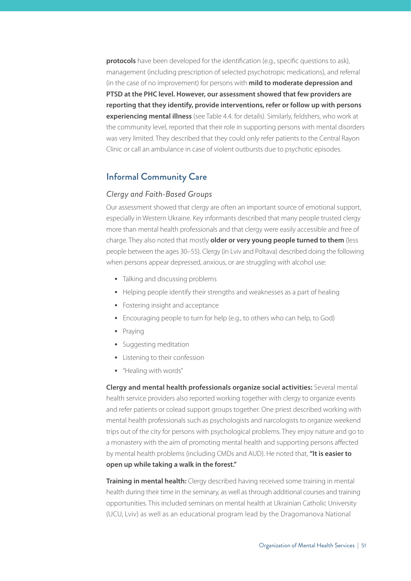**protocols** have been developed for the identification (e.g., specific questions to ask), management (including prescription of selected psychotropic medications), and referral (in the case of no improvement) for persons with **mild to moderate depression and PTSD at the PHC level. However, our assessment showed that few providers are reporting that they identify, provide interventions, refer or follow up with persons experiencing mental illness** (see Table 4.4. for details). Similarly, feldshers, who work at the community level, reported that their role in supporting persons with mental disorders was very limited. They described that they could only refer patients to the Central Rayon Clinic or call an ambulance in case of violent outbursts due to psychotic episodes.

## Informal Community Care

#### *Clergy and Faith-Based Groups*

Our assessment showed that clergy are often an important source of emotional support, especially in Western Ukraine. Key informants described that many people trusted clergy more than mental health professionals and that clergy were easily accessible and free of charge. They also noted that mostly **older or very young people turned to them** (less people between the ages 30–55). Clergy (in Lviv and Poltava) described doing the following when persons appear depressed, anxious, or are struggling with alcohol use:

- **•** Talking and discussing problems
- **•** Helping people identify their strengths and weaknesses as a part of healing
- **•** Fostering insight and acceptance
- **•** Encouraging people to turn for help (e.g., to others who can help, to God)
- **•** Praying
- **•** Suggesting meditation
- **•** Listening to their confession
- **•** "Healing with words"

**Clergy and mental health professionals organize social activities:** Several mental health service providers also reported working together with clergy to organize events and refer patients or colead support groups together. One priest described working with mental health professionals such as psychologists and narcologists to organize weekend trips out of the city for persons with psychological problems. They enjoy nature and go to a monastery with the aim of promoting mental health and supporting persons affected by mental health problems (including CMDs and AUD). He noted that, **"It is easier to open up while taking a walk in the forest."** 

**Training in mental health:** Clergy described having received some training in mental health during their time in the seminary, as well as through additional courses and training opportunities. This included seminars on mental health at Ukrainian Catholic University (UCU, Lviv) as well as an educational program lead by the Dragomanova National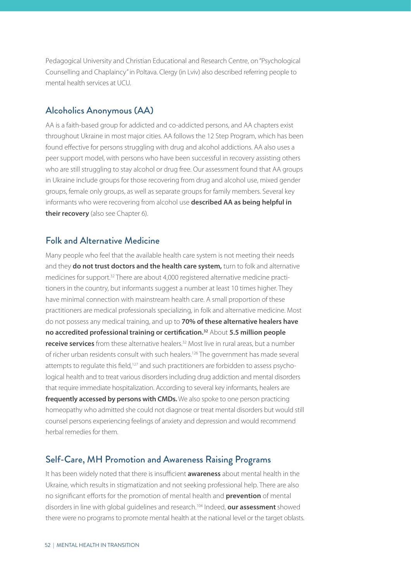Pedagogical University and Christian Educational and Research Centre, on "Psychological Counselling and Chaplaincy" in Poltava. Clergy (in Lviv) also described referring people to mental health services at UCU.

### Alcoholics Anonymous (AA)

AA is a faith-based group for addicted and co-addicted persons, and AA chapters exist throughout Ukraine in most major cities. AA follows the 12 Step Program, which has been found effective for persons struggling with drug and alcohol addictions. AA also uses a peer support model, with persons who have been successful in recovery assisting others who are still struggling to stay alcohol or drug free. Our assessment found that AA groups in Ukraine include groups for those recovering from drug and alcohol use, mixed gender groups, female only groups, as well as separate groups for family members. Several key informants who were recovering from alcohol use **described AA as being helpful in their recovery** (also see Chapter 6).

### Folk and Alternative Medicine

Many people who feel that the available health care system is not meeting their needs and they **do not trust doctors and the health care system,** turn to folk and alternative medicines for support.32 There are about 4,000 registered alternative medicine practitioners in the country, but informants suggest a number at least 10 times higher. They have minimal connection with mainstream health care. A small proportion of these practitioners are medical professionals specializing, in folk and alternative medicine. Most do not possess any medical training, and up to **70% of these alternative healers have no accredited professional training or certification.32** About **5.5 million people receive services** from these alternative healers.<sup>32</sup> Most live in rural areas, but a number of richer urban residents consult with such healers.126 The government has made several attempts to regulate this field,<sup>127</sup> and such practitioners are forbidden to assess psychological health and to treat various disorders including drug addiction and mental disorders that require immediate hospitalization. According to several key informants, healers are **frequently accessed by persons with CMDs.** We also spoke to one person practicing homeopathy who admitted she could not diagnose or treat mental disorders but would still counsel persons experiencing feelings of anxiety and depression and would recommend herbal remedies for them.

## Self-Care, MH Promotion and Awareness Raising Programs

It has been widely noted that there is insufficient **awareness** about mental health in the Ukraine, which results in stigmatization and not seeking professional help. There are also no significant efforts for the promotion of mental health and **prevention** of mental disorders in line with global guidelines and research.104 Indeed, **our assessment** showed there were no programs to promote mental health at the national level or the target oblasts.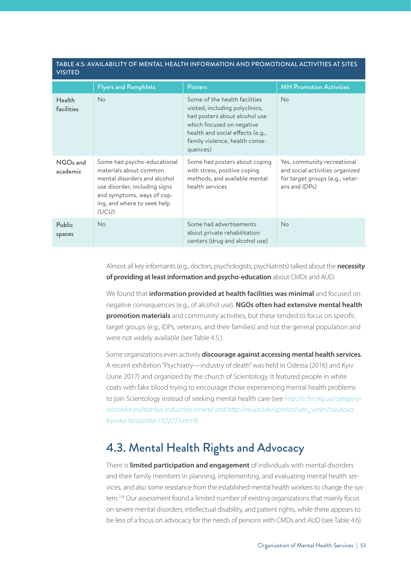| TABLE 4.5: AVAILABILITY OF MENTAL HEALTH INFORMATION AND PROMOTIONAL ACTIVITIES AT SITES<br><b>VISITED</b> |                                                                                                                                                                                              |                                                                                                                                                                                                                  |                                                                                                                    |  |  |  |  |  |
|------------------------------------------------------------------------------------------------------------|----------------------------------------------------------------------------------------------------------------------------------------------------------------------------------------------|------------------------------------------------------------------------------------------------------------------------------------------------------------------------------------------------------------------|--------------------------------------------------------------------------------------------------------------------|--|--|--|--|--|
|                                                                                                            | <b>Flyers and Pamphlets</b>                                                                                                                                                                  | <b>Posters</b>                                                                                                                                                                                                   | <b>MH Promotion Activities</b>                                                                                     |  |  |  |  |  |
| <b>Health</b><br>facilities                                                                                | <b>No</b>                                                                                                                                                                                    | Some of the health facilities<br>visited, including polyclinics,<br>had posters about alcohol use<br>which focused on negative<br>health and social effects (e.g.,<br>family violence, health conse-<br>quences) | <b>No</b>                                                                                                          |  |  |  |  |  |
| NGO <sub>s</sub> and<br>academic                                                                           | Some had psycho-educational<br>materials about common<br>mental disorders and alcohol<br>use disorder, including signs<br>and symptoms, ways of cop-<br>ing, and where to seek help<br>(UCU) | Some had posters about coping<br>with stress, positive coping<br>methods, and available mental<br>health services                                                                                                | Yes, community recreational<br>and social activities organized<br>for target groups (e.g., veter-<br>ans and IDPs) |  |  |  |  |  |
| Public<br>spaces                                                                                           | <b>No</b>                                                                                                                                                                                    | Some had advertisements<br>about private rehabilitation<br>centers (drug and alcohol use)                                                                                                                        | <b>No</b>                                                                                                          |  |  |  |  |  |

Almost all key informants (e.g., doctors, psychologists, psychiatrists) talked about the **necessity of providing at least information and psycho-education** about CMDs and AUD.

We found that **information provided at health facilities was minimal** and focused on negative consequences (e.g., of alcohol use). **NGOs often had extensive mental health promotion materials** and community activities, but these tended to focus on specific target groups (e.g., IDPs, veterans, and their families) and not the general population and were not widely available (see Table 4.5.).

Some organizations even actively **discourage against accessing mental health services.** A recent exhibition "Psychiatry—industry of death" was held in Odessa (2016) and Kyiv (June 2017) and organized by the church of Scientology. It featured people in white coats with fake blood trying to encourage those experiencing mental health problems to join Scientology instead of seeking mental health care (see *[http://cchr.org.ua/category/](http://cchr.org.ua/category/vyistavka-psihiatriya-industriya-smerti/) [vyistavka-psihiatriya-industriya-smerti/](http://cchr.org.ua/category/vyistavka-psihiatriya-industriya-smerti/) and [http://nv.ua/ukr/opinion/van\\_voren/naukova](http://nv.ua/ukr/opinion/van_voren/naukova-kijivska-fantastika-1322773.html)[kijivska-fantastika-1322773.html](http://nv.ua/ukr/opinion/van_voren/naukova-kijivska-fantastika-1322773.html)*).

## 4.3. Mental Health Rights and Advocacy

There is **limited participation and engagement** of individuals with mental disorders and their family members in planning, implementing, and evaluating mental health services, and also some resistance from the established mental health workers to change the system.104 Our assessment found a limited number of existing organizations that mainly focus on severe mental disorders, intellectual disability, and patient rights, while there appears to be less of a focus on advocacy for the needs of persons with CMDs and AUD (see Table 4.6).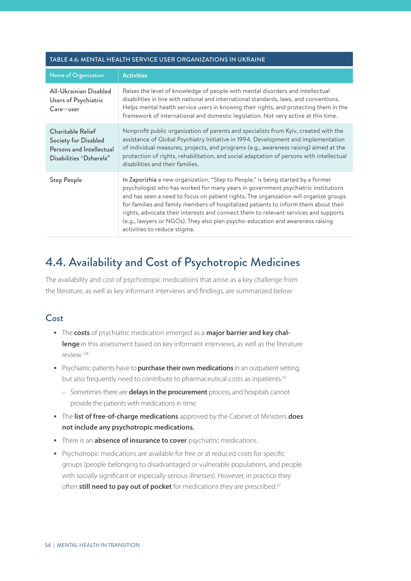| TABLE 4.6: MENTAL HEALTH SERVICE USER ORGANIZATIONS IN UKRAINE                                          |                                                                                                                                                                                                                                                                                                                                                                                                                                                                                                                                                                |  |  |  |  |  |
|---------------------------------------------------------------------------------------------------------|----------------------------------------------------------------------------------------------------------------------------------------------------------------------------------------------------------------------------------------------------------------------------------------------------------------------------------------------------------------------------------------------------------------------------------------------------------------------------------------------------------------------------------------------------------------|--|--|--|--|--|
| Name of Organization                                                                                    | <b>Activities</b>                                                                                                                                                                                                                                                                                                                                                                                                                                                                                                                                              |  |  |  |  |  |
| All-Ukrainian Disabled<br>Users of Psychiatric<br>$Care-user$                                           | Raises the level of knowledge of people with mental disorders and intellectual<br>disabilities in line with national and international standards, laws, and conventions.<br>Helps mental health service users in knowing their rights, and protecting them in the<br>framework of international and domestic legislation. Not very active at this time.                                                                                                                                                                                                        |  |  |  |  |  |
| <b>Charitable Relief</b><br>Society for Disabled<br>Persons and Intellectual<br>Disabilities "Dzherela" | Nonprofit public organization of parents and specialists from Kyiv, created with the<br>assistance of Global Psychiatry Initiative in 1994. Development and implementation<br>of individual measures, projects, and programs (e.g., awareness raising) aimed at the<br>protection of rights, rehabilitation, and social adaptation of persons with intellectual<br>disabilities and their families.                                                                                                                                                            |  |  |  |  |  |
| <b>Step People</b>                                                                                      | In Zaporizhia a new organization, "Step to People," is being started by a former<br>psychologist who has worked for many years in government psychiatric institutions<br>and has seen a need to focus on patient rights. The organization will organize groups<br>for families and family members of hospitalized patients to inform them about their<br>rights, advocate their interests and connect them to relevant services and supports<br>(e.g., lawyers or NGOs). They also plan psycho-education and awareness raising<br>activities to reduce stigma. |  |  |  |  |  |

## 4.4. Availability and Cost of Psychotropic Medicines

The availability and cost of psychotropic medications that arose as a key challenge from the literature, as well as key informant interviews and findings, are summarized below:

## **Cost**

- **•** The **costs** of psychiatric medication emerged as a **major barrier and key challenge** in this assessment based on key informant interviews, as well as the literature review.128
- **•** Psychiatric patients have to**purchase their own medications** in an outpatient setting, but also frequently need to contribute to pharmaceutical costs as inpatients.<sup>32</sup>
	- { Sometimes there are **delays in the procurement** process, and hospitals cannot provide the patients with medications in time.
- **•** The **list of free-of-charge medications** approved by the Cabinet of Ministers **does not include any psychotropic medications.**
- **•** There is an **absence of insurance to cover** psychiatric medications.
- **•** Psychotropic medications are available for free or at reduced costs for specific groups (people belonging to disadvantaged or vulnerable populations, and people with socially significant or especially serious illnesses). However, in practice they often **still need to pay out of pocket** for medications they are prescribed.<sup>32</sup>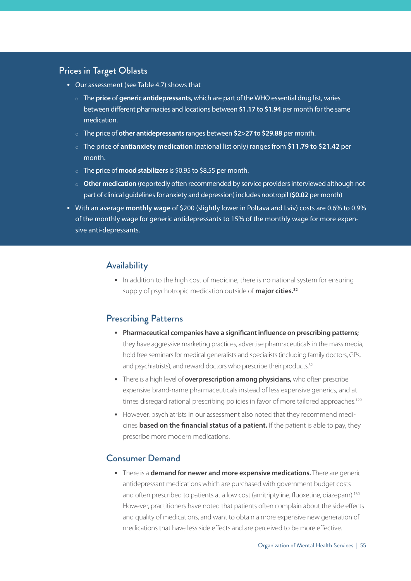## Prices in Target Oblasts

- **•** Our assessment (see Table 4.7) shows that
	- { The **price** of **generic antidepressants,** which are part of the WHO essential drug list, varies between different pharmacies and locations between **\$1.17 to \$1.94** per month for the same medication.
	- { The price of **other antidepressants** ranges between **\$2>27 to \$29.88** per month.
	- { The price of **antianxiety medication** (national list only) ranges from **\$11.79 to \$21.42** per month.
	- { The price of **mood stabilizers** is \$0.95 to \$8.55 per month.
	- { **Other medication** (reportedly often recommended by service providers interviewed although not part of clinical guidelines for anxiety and depression) includes nootropil (**\$0.02** per month)
- **•** With an average **monthly wage** of \$200 (slightly lower in Poltava and Lviv) costs are 0.6% to 0.9% of the monthly wage for generic antidepressants to 15% of the monthly wage for more expensive anti-depressants.

### **Availability**

• In addition to the high cost of medicine, there is no national system for ensuring supply of psychotropic medication outside of **major cities.32**

### Prescribing Patterns

- **• Pharmaceutical companies have a significant influence on prescribing patterns;** they have aggressive marketing practices, advertise pharmaceuticals in the mass media, hold free seminars for medical generalists and specialists (including family doctors, GPs, and psychiatrists), and reward doctors who prescribe their products.<sup>32</sup>
- **•** There is a high level of **overprescription among physicians,** who often prescribe expensive brand-name pharmaceuticals instead of less expensive generics, and at times disregard rational prescribing policies in favor of more tailored approaches.<sup>129</sup>
- **•** However, psychiatrists in our assessment also noted that they recommend medicines **based on the financial status of a patient.** If the patient is able to pay, they prescribe more modern medications.

## Consumer Demand

**•** There is a **demand for newer and more expensive medications.** There are generic antidepressant medications which are purchased with government budget costs and often prescribed to patients at a low cost (amitriptyline, fluoxetine, diazepam).<sup>130</sup> However, practitioners have noted that patients often complain about the side effects and quality of medications, and want to obtain a more expensive new generation of medications that have less side effects and are perceived to be more effective.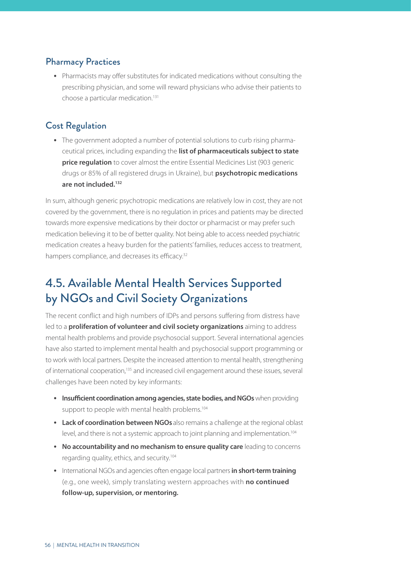## Pharmacy Practices

**•** Pharmacists may offer substitutes for indicated medications without consulting the prescribing physician, and some will reward physicians who advise their patients to choose a particular medication.131

## Cost Regulation

**•** The government adopted a number of potential solutions to curb rising pharmaceutical prices, including expanding the **list of pharmaceuticals subject to state price regulation** to cover almost the entire Essential Medicines List (903 generic drugs or 85% of all registered drugs in Ukraine), but **psychotropic medications are not included.132**

In sum, although generic psychotropic medications are relatively low in cost, they are not covered by the government, there is no regulation in prices and patients may be directed towards more expensive medications by their doctor or pharmacist or may prefer such medication believing it to be of better quality. Not being able to access needed psychiatric medication creates a heavy burden for the patients' families, reduces access to treatment, hampers compliance, and decreases its efficacy.<sup>32</sup>

## 4.5. Available Mental Health Services Supported by NGOs and Civil Society Organizations

The recent conflict and high numbers of IDPs and persons suffering from distress have led to a **proliferation of volunteer and civil society organizations** aiming to address mental health problems and provide psychosocial support. Several international agencies have also started to implement mental health and psychosocial support programming or to work with local partners. Despite the increased attention to mental health, strengthening of international cooperation,135 and increased civil engagement around these issues, several challenges have been noted by key informants:

- **• Insufficient coordination among agencies, state bodies, and NGOs** when providing support to people with mental health problems.<sup>104</sup>
- **• Lack of coordination between NGOs** also remains a challenge at the regional oblast level, and there is not a systemic approach to joint planning and implementation.<sup>104</sup>
- **• No accountability and no mechanism to ensure quality care** leading to concerns regarding quality, ethics, and security.104
- **•** International NGOs and agencies often engage local partners **in short-term training** (e.g., one week), simply translating western approaches with **no continued follow-up, supervision, or mentoring.**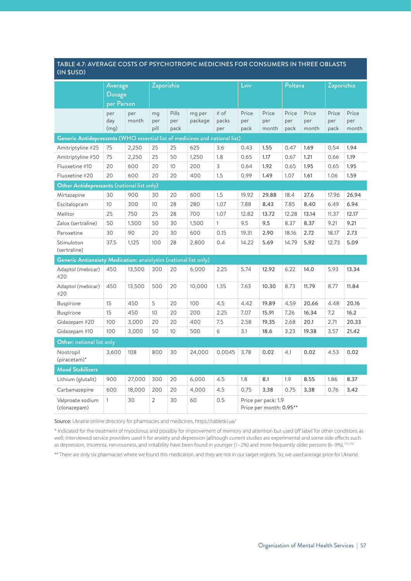#### TABLE 4.7: AVERAGE COSTS OF PSYCHOTROPIC MEDICINES FOR CONSUMERS IN THREE OBLASTS (IN \$USD)

|                                                                             | Average<br><b>Dosage</b><br>per Person |              | Zaporizhia        |                      |                   |                      | Lviv                 |                                                | Poltava              |                       | Zaporizhia           |                       |
|-----------------------------------------------------------------------------|----------------------------------------|--------------|-------------------|----------------------|-------------------|----------------------|----------------------|------------------------------------------------|----------------------|-----------------------|----------------------|-----------------------|
|                                                                             | per<br>day<br>(mq)                     | per<br>month | mg<br>per<br>pill | Pills<br>per<br>pack | mg per<br>package | # of<br>packs<br>per | Price<br>per<br>pack | Price<br>per<br>month                          | Price<br>per<br>pack | Price<br>per<br>month | Price<br>per<br>pack | Price<br>per<br>month |
| Generic Antidepressants (WHO essential list of medicines and national list) |                                        |              |                   |                      |                   |                      |                      |                                                |                      |                       |                      |                       |
| Amitriptyline #25                                                           | 75                                     | 2,250        | 25                | 25                   | 625               | 3.6                  | 0.43                 | 1.55                                           | 0.47                 | 1.69                  | 0.54                 | 1.94                  |
| Amitriptyline #50                                                           | 75                                     | 2,250        | 25                | 50                   | 1,250             | 1.8                  | 0.65                 | 1.17                                           | 0.67                 | 1.21                  | 0.66                 | 1.19                  |
| Fluoxetine #10                                                              | 20                                     | 600          | 20                | 10                   | 200               | 3                    | 0.64                 | 1.92                                           | 0.65                 | 1.95                  | 0.65                 | 1.95                  |
| Fluoxetine #20                                                              | 20                                     | 600          | 20                | 20                   | 400               | 1.5                  | 0.99                 | 1.49                                           | 1.07                 | 1.61                  | 1.06                 | 1.59                  |
| Other Antidepressants (national list only)                                  |                                        |              |                   |                      |                   |                      |                      |                                                |                      |                       |                      |                       |
| Mirtazapine                                                                 | 30                                     | 900          | 30                | 20                   | 600               | 1.5                  | 19.92                | 29.88                                          | 18.4                 | 27.6                  | 17.96                | 26.94                 |
| Escitalopram                                                                | 10                                     | 300          | 10                | 28                   | 280               | 1.07                 | 7.88                 | 8.43                                           | 7.85                 | 8.40                  | 6.49                 | 6.94                  |
| Melitor                                                                     | 25                                     | 750          | 25                | 28                   | 700               | 1.07                 | 12.82                | 13.72                                          | 12.28                | 13.14                 | 11.37                | 12.17                 |
| Zalox (sertraline)                                                          | 50                                     | 1,500        | 50                | 30                   | 1,500             | $\mathbf{1}$         | 9.5                  | 9.5                                            | 8.37                 | 8.37                  | 9.21                 | 9.21                  |
| Paroxetine                                                                  | 30                                     | 90           | 20                | 30                   | 600               | 0.15                 | 19.31                | 2.90                                           | 18.16                | 2.72                  | 18.17                | 2.73                  |
| Stimuloton<br>(sertraline)                                                  | 37.5                                   | 1,125        | 100               | 28                   | 2,800             | 0.4                  | 14.22                | 5.69                                           | 14.79                | 5.92                  | 12.73                | 5.09                  |
| Generic Antianxiety Medication: anxiolytics (national list only)            |                                        |              |                   |                      |                   |                      |                      |                                                |                      |                       |                      |                       |
| Adaptol (mebicar)<br>#20                                                    | 450                                    | 13,500       | 300               | 20                   | 6,000             | 2.25                 | 5.74                 | 12.92                                          | 6.22                 | 14.0                  | 5.93                 | 13.34                 |
| Adaptol (mebicar)<br>#20                                                    | 450                                    | 13,500       | 500               | 20                   | 10,000            | 1.35                 | 7.63                 | 10.30                                          | 8.73                 | 11.79                 | 8.77                 | 11.84                 |
| <b>Buspirone</b>                                                            | 15                                     | 450          | 5                 | 20                   | 100               | 4.5                  | 4.42                 | 19.89                                          | 4.59                 | 20.66                 | 4.48                 | 20.16                 |
| <b>Buspirone</b>                                                            | 15                                     | 450          | 10                | 20                   | 200               | 2.25                 | 7.07                 | 15.91                                          | 7.26                 | 16.34                 | 7.2                  | 16.2                  |
| Gidazepam #20                                                               | 100                                    | 3,000        | 20                | 20                   | 400               | 7.5                  | 2.58                 | 19.35                                          | 2.68                 | 20.1                  | 2.71                 | 20.33                 |
| Gidazepam #10                                                               | 100                                    | 3,000        | 50                | 10                   | 500               | 6                    | 3.1                  | 18.6                                           | 3.23                 | 19.38                 | 3.57                 | 21.42                 |
| Other: national list only                                                   |                                        |              |                   |                      |                   |                      |                      |                                                |                      |                       |                      |                       |
| Nootropil<br>(piracetam)*                                                   | 3,600                                  | 108          | 800               | 30                   | 24,000            | 0.0045               | 3.78                 | 0.02                                           | 4.1                  | 0.02                  | 4.53                 | 0.02                  |
| <b>Mood Stabilizers</b>                                                     |                                        |              |                   |                      |                   |                      |                      |                                                |                      |                       |                      |                       |
| Lithium (glutalit)                                                          | 900                                    | 27,000       | 300               | 20                   | 6,000             | 4.5                  | 1.8                  | 8.1                                            | 1.9                  | 8.55                  | 1.86                 | 8.37                  |
| Carbamazepine                                                               | 600                                    | 18,000       | 200               | 20                   | 4,000             | 4.5                  | 0.75                 | 3.38                                           | 0.75                 | 3.38                  | 0.76                 | 3.42                  |
| Valproate sodium<br>(clonazepam)                                            | $\mathbf{1}$                           | 30           | $\overline{2}$    | 30                   | 60                | 0.5                  |                      | Price per pack: 1.9<br>Price per month: 0.95** |                      |                       |                      |                       |

Source: Ukraine online directory for pharmacies and medicines, https://tabletki.ua/

\* Indicated for the treatment of myoclonus and possibly for improvement of memory and attention but used 'off label' for other conditions as well; interviewed service providers used it for anxiety and depression (although current studies are experimental and some side effects such as depression, insomnia, nervousness, and irritability have been found in younger (1–2%) and more frequently older persons (6–9%).<sup>133,134</sup>

\*\* There are only six pharmacies where we found this medication, and they are not in our target regions. So, we used average price for Ukraine.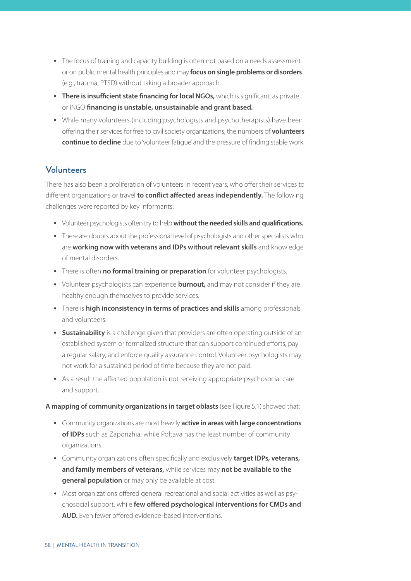- **•** The focus of training and capacity building is often not based on a needs assessment or on public mental health principles and may **focus on single problems or disorders** (e.g., trauma, PTSD) without taking a broader approach.
- **• There is insufficient state financing for local NGOs,** which is significant, as private or INGO **financing is unstable, unsustainable and grant based.**
- **•** While many volunteers (including psychologists and psychotherapists) have been offering their services for free to civil society organizations, the numbers of **volunteers continue to decline** due to 'volunteer fatigue' and the pressure of finding stable work.

## Volunteers

There has also been a proliferation of volunteers in recent years, who offer their services to different organizations or travel **to conflict affected areas independently.** The following challenges were reported by key informants:

- **•** Volunteer psychologists often try to help **without the needed skills and qualifications.**
- **•** There are doubts about the professional level of psychologists and other specialists who are **working now with veterans and IDPs without relevant skills** and knowledge of mental disorders.
- **•** There is often **no formal training or preparation** for volunteer psychologists.
- **•** Volunteer psychologists can experience **burnout,** and may not consider if they are healthy enough themselves to provide services.
- **•** There is **high inconsistency in terms of practices and skills** among professionals and volunteers.
- **• Sustainability** is a challenge given that providers are often operating outside of an established system or formalized structure that can support continued efforts, pay a regular salary, and enforce quality assurance control. Volunteer psychologists may not work for a sustained period of time because they are not paid.
- **•** As a result the affected population is not receiving appropriate psychosocial care and support.

#### **A mapping of community organizations in target oblasts** (see Figure 5.1) showed that:

- **•** Community organizations are most heavily **active in areas with large concentrations of IDPs** such as Zaporizhia, while Poltava has the least number of community organizations.
- **•** Community organizations often specifically and exclusively **target IDPs, veterans, and family members of veterans,** while services may **not be available to the general population** or may only be available at cost.
- **•** Most organizations offered general recreational and social activities as well as psychosocial support, while **few offered psychological interventions for CMDs and AUD.** Even fewer offered evidence-based interventions.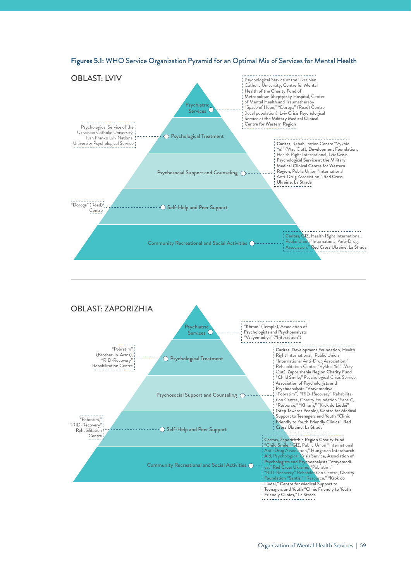

#### **Figures 5.1:** WHO Service Organization Pyramid for an Optimal Mix of Services for Mental Health

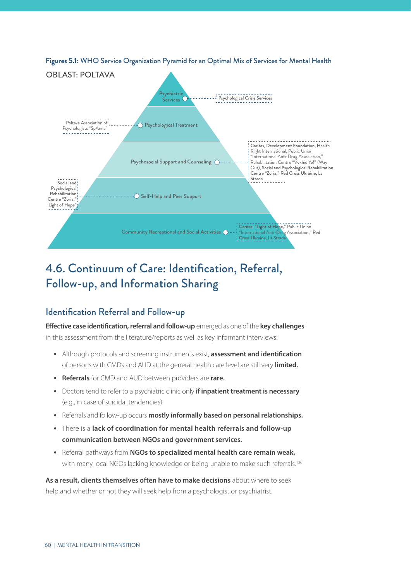

**Figures 5.1:** WHO Service Organization Pyramid for an Optimal Mix of Services for Mental Health

## 4.6. Continuum of Care: Identification, Referral, Follow-up, and Information Sharing

## Identification Referral and Follow-up

**Effective case identification, referral and follow-up** emerged as one of the **key challenges** in this assessment from the literature/reports as well as key informant interviews:

- **•** Although protocols and screening instruments exist, **assessment and identification** of persons with CMDs and AUD at the general health care level are still very **limited.**
- **• Referrals** for CMD and AUD between providers are **rare.**
- **•** Doctors tend to refer to a psychiatric clinic only **if inpatient treatment is necessary** (e.g., in case of suicidal tendencies).
- **•** Referrals and follow-up occurs **mostly informally based on personal relationships.**
- **•** There is a **lack of coordination for mental health referrals and follow-up communication between NGOs and government services.**
- **•** Referral pathways from **NGOs to specialized mental health care remain weak,** with many local NGOs lacking knowledge or being unable to make such referrals.<sup>136</sup>

**As a result, clients themselves often have to make decisions** about where to seek help and whether or not they will seek help from a psychologist or psychiatrist.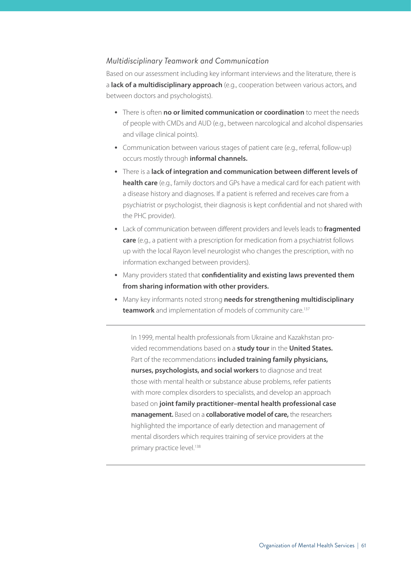#### *Multidisciplinary Teamwork and Communication*

Based on our assessment including key informant interviews and the literature, there is a **lack of a multidisciplinary approach** (e.g., cooperation between various actors, and between doctors and psychologists).

- **•** There is often **no or limited communication or coordination** to meet the needs of people with CMDs and AUD (e.g., between narcological and alcohol dispensaries and village clinical points).
- **•** Communication between various stages of patient care (e.g., referral, follow-up) occurs mostly through **informal channels.**
- **•** There is a **lack of integration and communication between different levels of health care** (e.g., family doctors and GPs have a medical card for each patient with a disease history and diagnoses. If a patient is referred and receives care from a psychiatrist or psychologist, their diagnosis is kept confidential and not shared with the PHC provider).
- **•** Lack of communication between different providers and levels leads to **fragmented care** (e.g., a patient with a prescription for medication from a psychiatrist follows up with the local Rayon level neurologist who changes the prescription, with no information exchanged between providers).
- **•** Many providers stated that **confidentiality and existing laws prevented them from sharing information with other providers.**
- **•** Many key informants noted strong **needs for strengthening multidisciplinary teamwork** and implementation of models of community care.<sup>137</sup>

In 1999, mental health professionals from Ukraine and Kazakhstan provided recommendations based on a **study tour** in the **United States.** Part of the recommendations **included training family physicians, nurses, psychologists, and social workers** to diagnose and treat those with mental health or substance abuse problems, refer patients with more complex disorders to specialists, and develop an approach based on **joint family practitioner–mental health professional case management.** Based on a **collaborative model of care,** the researchers highlighted the importance of early detection and management of mental disorders which requires training of service providers at the primary practice level.<sup>138</sup>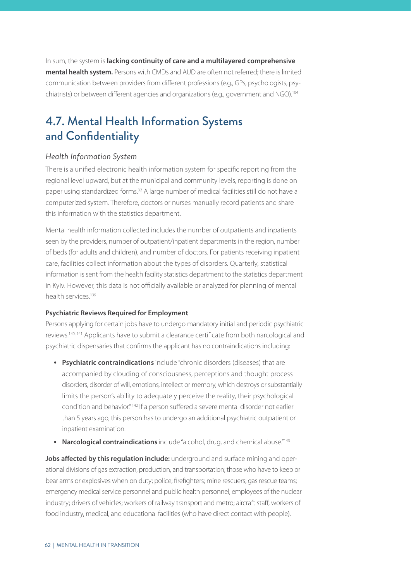In sum, the system is **lacking continuity of care and a multilayered comprehensive mental health system.** Persons with CMDs and AUD are often not referred; there is limited communication between providers from different professions (e.g., GPs, psychologists, psychiatrists) or between different agencies and organizations (e.g., government and NGO).104

## 4.7. Mental Health Information Systems and Confidentiality

#### *Health Information System*

There is a unified electronic health information system for specific reporting from the regional level upward, but at the municipal and community levels, reporting is done on paper using standardized forms.<sup>32</sup> A large number of medical facilities still do not have a computerized system. Therefore, doctors or nurses manually record patients and share this information with the statistics department.

Mental health information collected includes the number of outpatients and inpatients seen by the providers, number of outpatient/inpatient departments in the region, number of beds (for adults and children), and number of doctors. For patients receiving inpatient care, facilities collect information about the types of disorders. Quarterly, statistical information is sent from the health facility statistics department to the statistics department in Kyiv. However, this data is not officially available or analyzed for planning of mental health services.<sup>139</sup>

#### **Psychiatric Reviews Required for Employment**

Persons applying for certain jobs have to undergo mandatory initial and periodic psychiatric reviews.<sup>140, 141</sup> Applicants have to submit a clearance certificate from both narcological and psychiatric dispensaries that confirms the applicant has no contraindications including:

- **• Psychiatric contraindications** include "chronic disorders (diseases) that are accompanied by clouding of consciousness, perceptions and thought process disorders, disorder of will, emotions, intellect or memory, which destroys or substantially limits the person's ability to adequately perceive the reality, their psychological condition and behavior." 142 If a person suffered a severe mental disorder not earlier than 5 years ago, this person has to undergo an additional psychiatric outpatient or inpatient examination.
- **Narcological contraindications** include "alcohol, drug, and chemical abuse."<sup>143</sup>

**Jobs affected by this regulation include:** underground and surface mining and operational divisions of gas extraction, production, and transportation; those who have to keep or bear arms or explosives when on duty; police; firefighters; mine rescuers; gas rescue teams; emergency medical service personnel and public health personnel; employees of the nuclear industry; drivers of vehicles; workers of railway transport and metro; aircraft staff, workers of food industry, medical, and educational facilities (who have direct contact with people).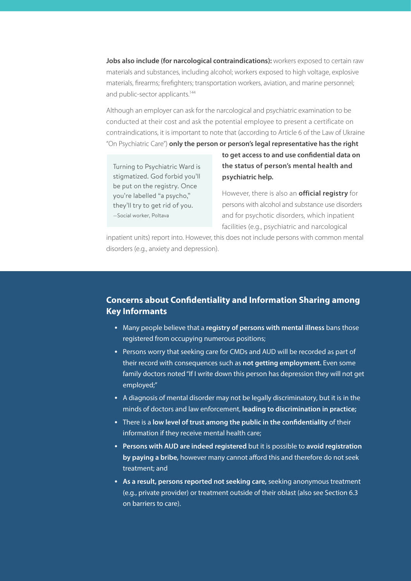Jobs also include (for narcological contraindications): workers exposed to certain raw materials and substances, including alcohol; workers exposed to high voltage, explosive materials, firearms; firefighters; transportation workers, aviation, and marine personnel; and public-sector applicants.<sup>144</sup>

Although an employer can ask for the narcological and psychiatric examination to be conducted at their cost and ask the potential employee to present a certificate on contraindications, it is important to note that (according to Article 6 of the Law of Ukraine

"On Psychiatric Care") **only the person or person's legal representative has the right** 

Turning to Psychiatric Ward is stigmatized. God forbid you'll be put on the registry. Once you're labelled "a psycho," they'll try to get rid of you. —Social worker, Poltava

**to get access to and use confidential data on the status of person's mental health and psychiatric help.**

However, there is also an **official registry** for persons with alcohol and substance use disorders and for psychotic disorders, which inpatient facilities (e.g., psychiatric and narcological

inpatient units) report into. However, this does not include persons with common mental disorders (e.g., anxiety and depression).

## **Concerns about Confidentiality and Information Sharing among Key Informants**

- **•** Many people believe that a **registry of persons with mental illness** bans those registered from occupying numerous positions;
- **•** Persons worry that seeking care for CMDs and AUD will be recorded as part of their record with consequences such as **not getting employment.** Even some family doctors noted "If I write down this person has depression they will not get employed;"
- **•** A diagnosis of mental disorder may not be legally discriminatory, but it is in the minds of doctors and law enforcement, **leading to discrimination in practice;**
- **•** There is a **low level of trust among the public in the confidentiality** of their information if they receive mental health care;
- **• Persons with AUD are indeed registered** but it is possible to **avoid registration by paying a bribe,** however many cannot afford this and therefore do not seek treatment; and
- **• As a result, persons reported not seeking care,** seeking anonymous treatment (e.g., private provider) or treatment outside of their oblast (also see Section 6.3 on barriers to care).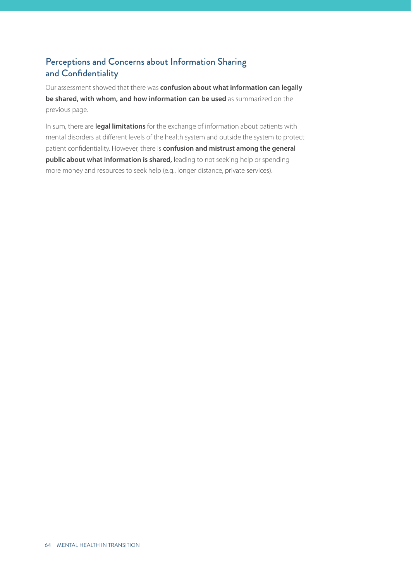## Perceptions and Concerns about Information Sharing and Confidentiality

Our assessment showed that there was **confusion about what information can legally be shared, with whom, and how information can be used** as summarized on the previous page.

In sum, there are **legal limitations** for the exchange of information about patients with mental disorders at different levels of the health system and outside the system to protect patient confidentiality. However, there is **confusion and mistrust among the general public about what information is shared,** leading to not seeking help or spending more money and resources to seek help (e.g., longer distance, private services).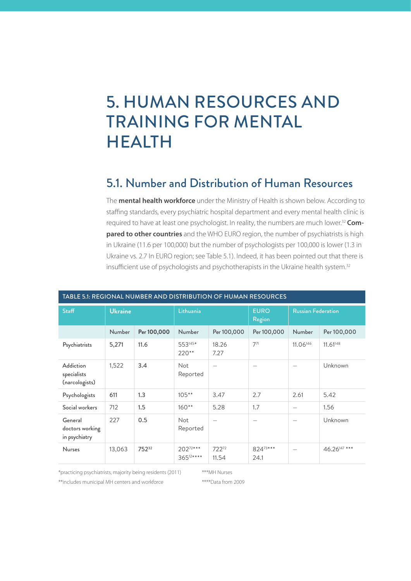# 5. HUMAN RESOURCES AND TRAINING FOR MENTAL HEALTH

## 5.1. Number and Distribution of Human Resources

The **mental health workforce** under the Ministry of Health is shown below. According to staffing standards, every psychiatric hospital department and every mental health clinic is required to have at least one psychologist. In reality, the numbers are much lower.32 **Compared to other countries** and the WHO EURO region, the number of psychiatrists is high in Ukraine (11.6 per 100,000) but the number of psychologists per 100,000 is lower (1.3 in Ukraine vs. 2.7 In EURO region; see Table 5.1). Indeed, it has been pointed out that there is insufficient use of psychologists and psychotherapists in the Ukraine health system.<sup>32</sup>

| TABLE 5.1: REGIONAL NUMBER AND DISTRIBUTION OF HUMAN RESOURCES |                |             |                       |                |                       |                      |                           |  |  |
|----------------------------------------------------------------|----------------|-------------|-----------------------|----------------|-----------------------|----------------------|---------------------------|--|--|
| <b>Staff</b>                                                   | <b>Ukraine</b> |             | Lithuania             |                | <b>EURO</b><br>Region |                      | <b>Russian Federation</b> |  |  |
|                                                                | Number         | Per 100,000 | Number                | Per 100,000    | Per 100,000           | <b>Number</b>        | Per 100,000               |  |  |
| Psychiatrists                                                  | 5,271          | 11.6        | 553145*<br>$220**$    | 18.26<br>7.27  | $7^{71}$              | 11.06 <sup>146</sup> | 11.61 <sup>148</sup>      |  |  |
| Addiction<br>specialists<br>(narcologists)                     | 1,522          | 3.4         | Not<br>Reported       | -              |                       |                      | Unknown                   |  |  |
| Psychologists                                                  | 611            | 1.3         | $105***$              | 3.47           | 2.7                   | 2.61                 | 5.42                      |  |  |
| Social workers                                                 | 712            | 1.5         | $160**$               | 5.28           | 1.7                   |                      | 1.56                      |  |  |
| General<br>doctors working<br>in psychiatry                    | 227            | 0.5         | Not<br>Reported       |                |                       |                      | Unknown                   |  |  |
| <b>Nurses</b>                                                  | 13,063         | 75232       | 20272***<br>36512**** | 72272<br>11.54 | 82473***<br>24.1      |                      | 46.26 <sup>147</sup> ***  |  |  |

\*practicing psychiatrists, majority being residents (2011)

\*\*\*MH Nurses

\*\*includes municipal MH centers and workforce

\*\*\*\*Data from 2009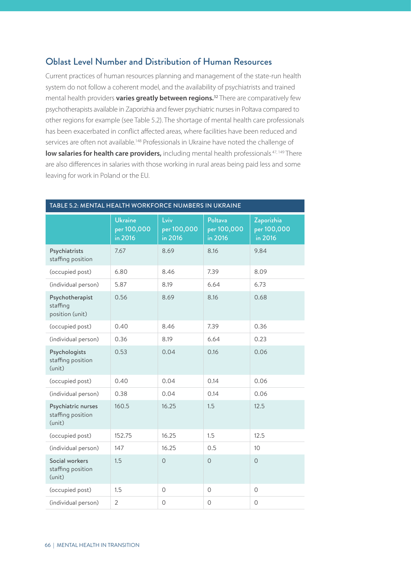## Oblast Level Number and Distribution of Human Resources

Current practices of human resources planning and management of the state-run health system do not follow a coherent model, and the availability of psychiatrists and trained mental health providers **varies greatly between regions.**<sup>32</sup> There are comparatively few psychotherapists available in Zaporizhia and fewer psychiatric nurses in Poltava compared to other regions for example (see Table 5.2). The shortage of mental health care professionals has been exacerbated in conflict affected areas, where facilities have been reduced and services are often not available.<sup>148</sup> Professionals in Ukraine have noted the challenge of low salaries for health care providers, including mental health professionals.<sup>47, 149</sup> There are also differences in salaries with those working in rural areas being paid less and some leaving for work in Poland or the EU.

| TABLE 5.2: MENTAL HEALTH WORKFORCE NUMBERS IN UKRAINE |                                                       |                                |                                   |                                      |  |  |  |  |
|-------------------------------------------------------|-------------------------------------------------------|--------------------------------|-----------------------------------|--------------------------------------|--|--|--|--|
|                                                       | <b>Ukraine</b><br>per 100,000<br>$\overline{in}$ 2016 | Lviv<br>per 100,000<br>in 2016 | Poltava<br>per 100,000<br>in 2016 | Zaporizhia<br>per 100,000<br>in 2016 |  |  |  |  |
| Psychiatrists<br>staffing position                    | 7.67                                                  | 8.69                           | 8.16                              | 9.84                                 |  |  |  |  |
| (occupied post)                                       | 6.80                                                  | 8.46                           | 7.39                              | 8.09                                 |  |  |  |  |
| (individual person)                                   | 5.87                                                  | 8.19                           | 6.64                              | 6.73                                 |  |  |  |  |
| Psychotherapist<br>staffing<br>position (unit)        | 0.56                                                  | 8.69                           | 8.16                              | 0.68                                 |  |  |  |  |
| (occupied post)                                       | 0.40                                                  | 8.46                           | 7.39                              | 0.36                                 |  |  |  |  |
| (individual person)                                   | 0.36                                                  | 8.19                           | 6.64                              | 0.23                                 |  |  |  |  |
| Psychologists<br>staffing position<br>(unit)          | 0.53                                                  | 0.04                           | 0.16                              | 0.06                                 |  |  |  |  |
| (occupied post)                                       | 0.40                                                  | 0.04                           | 0.14                              | 0.06                                 |  |  |  |  |
| (individual person)                                   | 0.38                                                  | 0.04                           | 0.14                              | 0.06                                 |  |  |  |  |
| Psychiatric nurses<br>staffing position<br>(unit)     | 160.5                                                 | 16.25                          | 1.5                               | 12.5                                 |  |  |  |  |
| (occupied post)                                       | 152.75                                                | 16.25                          | 1.5                               | 12.5                                 |  |  |  |  |
| (individual person)                                   | 147                                                   | 16.25                          | 0.5                               | 10                                   |  |  |  |  |
| Social workers<br>staffing position<br>(unit)         | 1.5                                                   | $\mathsf{O}$                   | $\mathsf O$                       | $\mathsf{O}$                         |  |  |  |  |
| (occupied post)                                       | 1.5                                                   | $\circ$                        | 0                                 | $\circ$                              |  |  |  |  |
| (individual person)                                   | $\overline{2}$                                        | 0                              | $\mathsf O$                       | $\mathsf{O}$                         |  |  |  |  |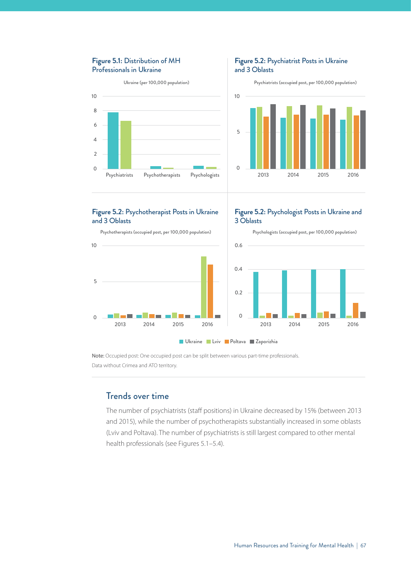#### **Figure 5.1:** Distribution of MH Professionals in Ukraine



#### **Figure 5.2:** Psychiatrist Posts in Ukraine and 3 Oblasts



**Figure 5.2:** Psychologist Posts in Ukraine and

3 Oblasts

#### Psychiatrists (occupied post, per 100,000 population)

#### **Figure 5.2:** Psychotherapist Posts in Ukraine and 3 Oblasts

## **La Ukraine Luiv La Poltava La Zaporizhia** 0.6 0.4 0.2  $\Omega$ 2013 2014 2015 2016 Psychologists (occupied post, per 100,000 population) 10 5  $\Omega$ 2013 2014 2015 2016

Psychotherapists (occupied post, per 100,000 population)

Note: Occupied post: One occupied post can be split between various part-time professionals. Data without Crimea and ATO territory.

### Trends over time

The number of psychiatrists (staff positions) in Ukraine decreased by 15% (between 2013 and 2015), while the number of psychotherapists substantially increased in some oblasts (Lviv and Poltava). The number of psychiatrists is still largest compared to other mental health professionals (see Figures 5.1–5.4).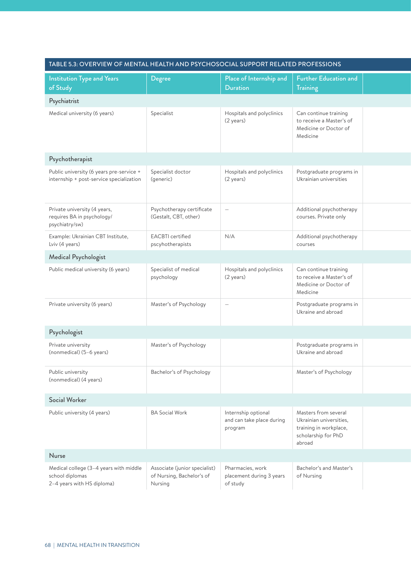| TABLE 5.3: OVERVIEW OF MENTAL HEALTH AND PSYCHOSOCIAL SUPPORT RELATED PROFESSIONS       |                                                                       |                                                             |                                                                                                            |  |  |  |  |
|-----------------------------------------------------------------------------------------|-----------------------------------------------------------------------|-------------------------------------------------------------|------------------------------------------------------------------------------------------------------------|--|--|--|--|
| Institution Type and Years<br>of Study                                                  | Degree                                                                | Place of Internship and<br><b>Duration</b>                  | <b>Further Education and</b><br><b>Training</b>                                                            |  |  |  |  |
| Psychiatrist                                                                            |                                                                       |                                                             |                                                                                                            |  |  |  |  |
| Medical university (6 years)                                                            | Specialist                                                            | Hospitals and polyclinics<br>(2 years)                      | Can continue training<br>to receive a Master's of<br>Medicine or Doctor of<br>Medicine                     |  |  |  |  |
| Psychotherapist                                                                         |                                                                       |                                                             |                                                                                                            |  |  |  |  |
| Public university (6 years pre-service +<br>internship + post-service specialization    | Specialist doctor<br>(generic)                                        | Hospitals and polyclinics<br>(2 years)                      | Postgraduate programs in<br>Ukrainian universities                                                         |  |  |  |  |
| Private university (4 years,<br>requires BA in psychology/<br>psychiatry/sw)            | Psychotherapy certificate<br>(Gestalt, CBT, other)                    | $\qquad \qquad -$                                           | Additional psychotherapy<br>courses. Private only                                                          |  |  |  |  |
| Example: Ukrainian CBT Institute,<br>Lviv (4 years)                                     | <b>EACBTI</b> certified<br>pscyhotherapists                           | N/A                                                         | Additional psychotherapy<br>courses                                                                        |  |  |  |  |
| <b>Medical Psychologist</b>                                                             |                                                                       |                                                             |                                                                                                            |  |  |  |  |
| Public medical university (6 years)                                                     | Specialist of medical<br>psychology                                   | Hospitals and polyclinics<br>(2 years)                      | Can continue training<br>to receive a Master's of<br>Medicine or Doctor of<br>Medicine                     |  |  |  |  |
| Private university (6 years)                                                            | Master's of Psychology                                                |                                                             | Postgraduate programs in<br>Ukraine and abroad                                                             |  |  |  |  |
| Psychologist                                                                            |                                                                       |                                                             |                                                                                                            |  |  |  |  |
| Private university<br>(nonmedical) (5-6 years)                                          | Master's of Psychology                                                |                                                             | Postgraduate programs in<br>Ukraine and abroad                                                             |  |  |  |  |
| Public university<br>(nonmedical) (4 years)                                             | Bachelor's of Psychology                                              |                                                             | Master's of Psychology                                                                                     |  |  |  |  |
| Social Worker                                                                           |                                                                       |                                                             |                                                                                                            |  |  |  |  |
| Public university (4 years)                                                             | <b>BA Social Work</b>                                                 | Internship optional<br>and can take place during<br>program | Masters from several<br>Ukrainian universities,<br>training in workplace,<br>scholarship for PhD<br>abroad |  |  |  |  |
| Nurse                                                                                   |                                                                       |                                                             |                                                                                                            |  |  |  |  |
| Medical college (3-4 years with middle<br>school diplomas<br>2-4 years with HS diploma) | Associate (junior specialist)<br>of Nursing, Bachelor's of<br>Nursing | Pharmacies, work<br>placement during 3 years<br>of study    | Bachelor's and Master's<br>of Nursing                                                                      |  |  |  |  |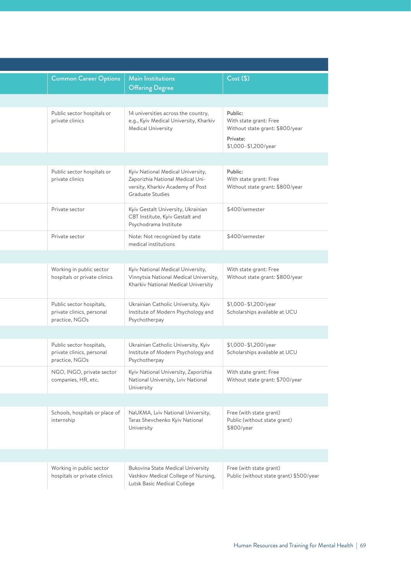| <b>Common Career Options</b>                                            | <b>Main Institutions</b><br><b>Offering Degree</b>                                                                            | Cost(S)                                                                                                  |
|-------------------------------------------------------------------------|-------------------------------------------------------------------------------------------------------------------------------|----------------------------------------------------------------------------------------------------------|
|                                                                         |                                                                                                                               |                                                                                                          |
| Public sector hospitals or<br>private clinics                           | 14 universities across the country,<br>e.g., Kyiv Medical University, Kharkiv<br><b>Medical University</b>                    | Public:<br>With state grant: Free<br>Without state grant: \$800/year<br>Private:<br>\$1,000-\$1,200/year |
|                                                                         |                                                                                                                               |                                                                                                          |
| Public sector hospitals or<br>private clinics                           | Kyiv National Medical University,<br>Zaporizhia National Medical Uni-<br>versity, Kharkiv Academy of Post<br>Graduate Studies | Public:<br>With state grant: Free<br>Without state grant: \$800/year                                     |
| Private sector                                                          | Kyiv Gestalt University, Ukrainian<br>CBT Institute, Kyiv Gestalt and<br>Psychodrama Institute                                | \$400/semester                                                                                           |
| Private sector                                                          | Note: Not recognized by state<br>medical institutions                                                                         | \$400/semester                                                                                           |
|                                                                         |                                                                                                                               |                                                                                                          |
| Working in public sector<br>hospitals or private clinics                | Kyiv National Medical University,<br>Vinnytsia National Medical University,<br>Kharkiv National Medical University            | With state grant: Free<br>Without state grant: \$800/year                                                |
| Public sector hospitals,<br>private clinics, personal<br>practice, NGOs | Ukrainian Catholic University, Kyiv<br>Institute of Modern Psychology and<br>Psychotherpay                                    | \$1,000-\$1,200/year<br>Scholarships available at UCU                                                    |
|                                                                         |                                                                                                                               |                                                                                                          |
| Public sector hospitals,<br>private clinics, personal<br>practice, NGOs | Ukrainian Catholic University, Kyiv<br>Institute of Modern Psychology and<br>Psychotherpay                                    | \$1,000-\$1,200/year<br>Scholarships available at UCU                                                    |
| NGO, INGO, private sector<br>companies, HR, etc.                        | Kyiv National University, Zaporizhia<br>National University, Lviv National<br>University                                      | With state grant: Free<br>Without state grant: \$700/year                                                |
|                                                                         |                                                                                                                               |                                                                                                          |
| Schools, hospitals or place of<br>internship                            | NaUKMA, Lviv National University,<br>Taras Shevchenko Kyiv National<br>University                                             | Free (with state grant)<br>Public (without state grant)<br>\$800/year                                    |
|                                                                         |                                                                                                                               |                                                                                                          |
| Working in public sector<br>hospitals or private clinics                | Bukovina State Medical University<br>Vashkov Medical College of Nursing,<br>Lutsk Basic Medical College                       | Free (with state grant)<br>Public (without state grant) \$500/year                                       |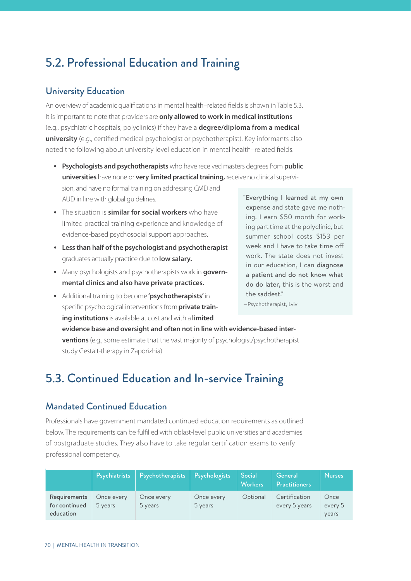## 5.2. Professional Education and Training

## University Education

An overview of academic qualifications in mental health–related fields is shown in Table 5.3. It is important to note that providers are **only allowed to work in medical institutions** (e.g., psychiatric hospitals, polyclinics) if they have a **degree/diploma from a medical university** (e.g., certified medical psychologist or psychotherapist). Key informants also noted the following about university level education in mental health–related fields:

- **• Psychologists and psychotherapists** who have received masters degrees from **public universities** have none or **very limited practical training,** receive no clinical supervision, and have no formal training on addressing CMD and AUD in line with global guidelines.
- **•** The situation is **similar for social workers** who have limited practical training experience and knowledge of evidence-based psychosocial support approaches.
- **• Less than half of the psychologist and psychotherapist**  graduates actually practice due to **low salary.**
- **•** Many psychologists and psychotherapists work in **governmental clinics and also have private practices.**
- **•** Additional training to become **'psychotherapists'** in specific psychological interventions from**private training institutions** is available at cost and with a **limited evidence base and oversight and often not in line with evidence-based inter-**

"Everything I learned at my own expense and state gave me nothing. I earn \$50 month for working part time at the polyclinic, but summer school costs \$153 per week and I have to take time off work. The state does not invest in our education, I can diagnose a patient and do not know what do do later, this is the worst and the saddest."

—Psychotherapist, Lviv

**ventions** (e.g., some estimate that the vast majority of psychologist/psychotherapist study Gestalt-therapy in Zaporizhia).

## 5.3. Continued Education and In-service Training

## Mandated Continued Education

Professionals have government mandated continued education requirements as outlined below. The requirements can be fulfilled with oblast-level public universities and academies of postgraduate studies. They also have to take regular certification exams to verify professional competency.

|                                            | <b>Psychiatrists</b>  | Psychotherapists      | Psychologists         | Social<br><b>Workers</b> | General<br><b>Practitioners</b> | <b>Nurses</b>            |
|--------------------------------------------|-----------------------|-----------------------|-----------------------|--------------------------|---------------------------------|--------------------------|
| Requirements<br>for continued<br>education | Once every<br>5 years | Once every<br>5 years | Once every<br>5 years | Optional                 | Certification<br>every 5 years  | Once<br>every 5<br>years |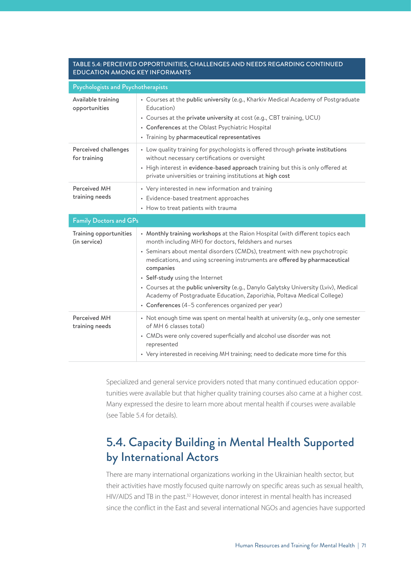#### TABLE 5.4: PERCEIVED OPPORTUNITIES, CHALLENGES AND NEEDS REGARDING CONTINUED EDUCATION AMONG KEY INFORMANTS

| Psychologists and Psychotherapists     |                                                                                                                                                                                                                                                                                                                                                                                                                                                                                                                                                                             |  |  |  |  |  |  |
|----------------------------------------|-----------------------------------------------------------------------------------------------------------------------------------------------------------------------------------------------------------------------------------------------------------------------------------------------------------------------------------------------------------------------------------------------------------------------------------------------------------------------------------------------------------------------------------------------------------------------------|--|--|--|--|--|--|
| Available training<br>opportunities    | • Courses at the public university (e.g., Kharkiv Medical Academy of Postgraduate<br>Education)<br>• Courses at the private university at cost (e.g., CBT training, UCU)<br>• Conferences at the Oblast Psychiatric Hospital<br>• Training by pharmaceutical representatives                                                                                                                                                                                                                                                                                                |  |  |  |  |  |  |
| Perceived challenges<br>for training   | • Low quality training for psychologists is offered through private institutions<br>without necessary certifications or oversight<br>• High interest in evidence-based approach training but this is only offered at<br>private universities or training institutions at high cost                                                                                                                                                                                                                                                                                          |  |  |  |  |  |  |
| Perceived MH<br>training needs         | • Very interested in new information and training<br>• Evidence-based treatment approaches<br>• How to treat patients with trauma                                                                                                                                                                                                                                                                                                                                                                                                                                           |  |  |  |  |  |  |
| <b>Family Doctors and GPs</b>          |                                                                                                                                                                                                                                                                                                                                                                                                                                                                                                                                                                             |  |  |  |  |  |  |
| Training opportunities<br>(in service) | • Monthly training workshops at the Raion Hospital (with different topics each<br>month including MH) for doctors, feldshers and nurses<br>• Seminars about mental disorders (CMDs), treatment with new psychotropic<br>medications, and using screening instruments are offered by pharmaceutical<br>companies<br>• Self-study using the Internet<br>• Courses at the public university (e.g., Danylo Galytsky University (Lviv), Medical<br>Academy of Postgraduate Education, Zaporizhia, Poltava Medical College)<br>• Conferences (4-5 conferences organized per year) |  |  |  |  |  |  |
| Perceived MH<br>training needs         | • Not enough time was spent on mental health at university (e.g., only one semester<br>of MH 6 classes total)<br>• CMDs were only covered superficially and alcohol use disorder was not<br>represented<br>• Very interested in receiving MH training; need to dedicate more time for this                                                                                                                                                                                                                                                                                  |  |  |  |  |  |  |

Specialized and general service providers noted that many continued education opportunities were available but that higher quality training courses also came at a higher cost. Many expressed the desire to learn more about mental health if courses were available (see Table 5.4 for details).

## 5.4. Capacity Building in Mental Health Supported by International Actors

There are many international organizations working in the Ukrainian health sector, but their activities have mostly focused quite narrowly on specific areas such as sexual health, HIV/AIDS and TB in the past.<sup>32</sup> However, donor interest in mental health has increased since the conflict in the East and several international NGOs and agencies have supported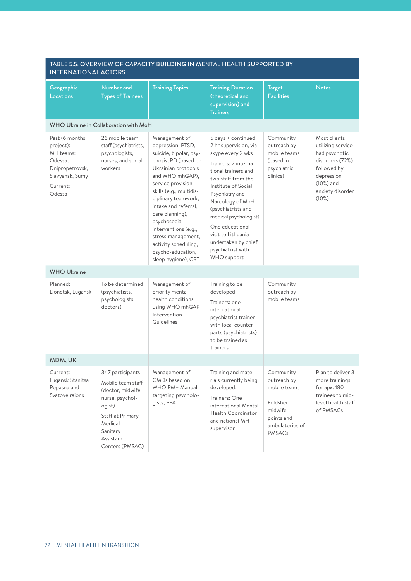| TABLE 5.5: OVERVIEW OF CAPACITY BUILDING IN MENTAL HEALTH SUPPORTED BY<br><b>INTERNATIONAL ACTORS</b>           |                                                                                                                                                                     |                                                                                                                                                                                                                                                                                                                                                                                    |                                                                                                                                                                                                                                                                                                                                                       |                                                                                                                    |                                                                                                                                                    |  |  |
|-----------------------------------------------------------------------------------------------------------------|---------------------------------------------------------------------------------------------------------------------------------------------------------------------|------------------------------------------------------------------------------------------------------------------------------------------------------------------------------------------------------------------------------------------------------------------------------------------------------------------------------------------------------------------------------------|-------------------------------------------------------------------------------------------------------------------------------------------------------------------------------------------------------------------------------------------------------------------------------------------------------------------------------------------------------|--------------------------------------------------------------------------------------------------------------------|----------------------------------------------------------------------------------------------------------------------------------------------------|--|--|
| Geographic<br>Locations                                                                                         | Number and<br><b>Types of Trainees</b>                                                                                                                              | <b>Training Topics</b>                                                                                                                                                                                                                                                                                                                                                             | <b>Training Duration</b><br>(theoretical and<br>supervision) and<br><b>Trainers</b>                                                                                                                                                                                                                                                                   | <b>Target</b><br><b>Facilities</b>                                                                                 | <b>Notes</b>                                                                                                                                       |  |  |
| WHO Ukraine in Collaboration with MoH                                                                           |                                                                                                                                                                     |                                                                                                                                                                                                                                                                                                                                                                                    |                                                                                                                                                                                                                                                                                                                                                       |                                                                                                                    |                                                                                                                                                    |  |  |
| Past (6 months<br>project):<br>MH teams:<br>Odessa,<br>Dnipropetrovsk,<br>Slavyansk, Sumy<br>Current:<br>Odessa | 26 mobile team<br>staff (psychiatrists,<br>psychologists,<br>nurses, and social<br>workers                                                                          | Management of<br>depression, PTSD,<br>suicide, bipolar, psy-<br>chosis, PD (based on<br>Ukrainian protocols<br>and WHO mhGAP),<br>service provision<br>skills (e.g., multidis-<br>ciplinary teamwork,<br>intake and referral,<br>care planning),<br>psychosocial<br>interventions (e.g.,<br>stress management,<br>activity scheduling,<br>psycho-education,<br>sleep hygiene), CBT | 5 days + continued<br>2 hr supervision, via<br>skype every 2 wks<br>Trainers: 2 interna-<br>tional trainers and<br>two staff from the<br>Institute of Social<br>Psychiatry and<br>Narcology of MoH<br>(psychiatrists and<br>medical psychologist)<br>One educational<br>visit to Lithuania<br>undertaken by chief<br>psychiatrist with<br>WHO support | Community<br>outreach by<br>mobile teams<br>(based in<br>psychiatric<br>clinics)                                   | Most clients<br>utilizing service<br>had psychotic<br>disorders (72%)<br>followed by<br>depression<br>$(10\%)$ and<br>anxiety disorder<br>$(10\%)$ |  |  |
| <b>WHO Ukraine</b>                                                                                              |                                                                                                                                                                     |                                                                                                                                                                                                                                                                                                                                                                                    |                                                                                                                                                                                                                                                                                                                                                       |                                                                                                                    |                                                                                                                                                    |  |  |
| Planned:<br>Donetsk, Lugansk                                                                                    | To be determined<br>(psychiatists,<br>psychologists,<br>doctors)                                                                                                    | Management of<br>priority mental<br>health conditions<br>using WHO mhGAP<br>Intervention<br>Guidelines                                                                                                                                                                                                                                                                             | Training to be<br>developed<br>Trainers: one<br>international<br>psychiatrist trainer<br>with local counter-<br>parts (psychiatrists)<br>to be trained as<br>trainers                                                                                                                                                                                 | Community<br>outreach by<br>mobile teams                                                                           |                                                                                                                                                    |  |  |
| MDM, UK                                                                                                         |                                                                                                                                                                     |                                                                                                                                                                                                                                                                                                                                                                                    |                                                                                                                                                                                                                                                                                                                                                       |                                                                                                                    |                                                                                                                                                    |  |  |
| Current:<br>Lugansk Stanitsa<br>Popasna and<br>Svatove raions                                                   | 347 participants<br>Mobile team staff<br>(doctor, midwife,<br>nurse, psychol-<br>ogist)<br>Staff at Primary<br>Medical<br>Sanitary<br>Assistance<br>Centers (PMSAC) | Management of<br>CMDs based on<br>WHO PM+ Manual<br>targeting psycholo-<br>gists, PFA                                                                                                                                                                                                                                                                                              | Training and mate-<br>rials currently being<br>developed.<br>Trainers: One<br>international Mental<br>Health Coordinator<br>and national MH<br>supervisor                                                                                                                                                                                             | Community<br>outreach by<br>mobile teams<br>Feldsher-<br>midwife<br>points and<br>ambulatories of<br><b>PMSACs</b> | Plan to deliver 3<br>more trainings<br>for apx. 180<br>trainees to mid-<br>level health staff<br>of PMSACs                                         |  |  |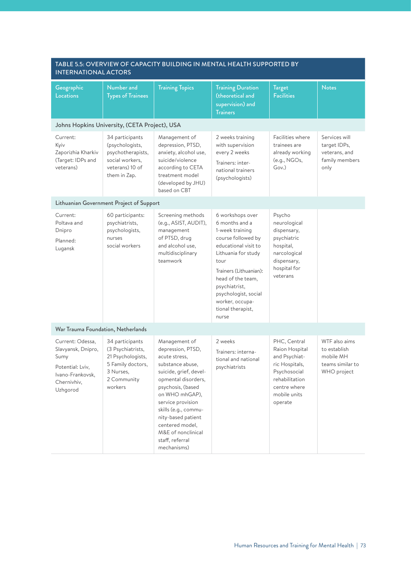| TABLE 5.5: OVERVIEW OF CAPACITY BUILDING IN MENTAL HEALTH SUPPORTED BY<br><b>INTERNATIONAL ACTORS</b>             |                                                                                                                       |                                                                                                                                                                                                                                                                                                               |                                                                                                                                                                                                                                                                             |                                                                                                                                                |                                                                               |
|-------------------------------------------------------------------------------------------------------------------|-----------------------------------------------------------------------------------------------------------------------|---------------------------------------------------------------------------------------------------------------------------------------------------------------------------------------------------------------------------------------------------------------------------------------------------------------|-----------------------------------------------------------------------------------------------------------------------------------------------------------------------------------------------------------------------------------------------------------------------------|------------------------------------------------------------------------------------------------------------------------------------------------|-------------------------------------------------------------------------------|
| Geographic<br>Locations                                                                                           | Number and<br><b>Types of Trainees</b>                                                                                | <b>Training Topics</b>                                                                                                                                                                                                                                                                                        | <b>Training Duration</b><br>(theoretical and<br>supervision) and<br><b>Trainers</b>                                                                                                                                                                                         | <b>Target</b><br><b>Facilities</b>                                                                                                             | <b>Notes</b>                                                                  |
|                                                                                                                   | Johns Hopkins University, (CETA Project), USA                                                                         |                                                                                                                                                                                                                                                                                                               |                                                                                                                                                                                                                                                                             |                                                                                                                                                |                                                                               |
| Current:<br>Kyiv<br>Zaporizhia Kharkiv<br>(Target: IDPs and<br>veterans)                                          | 34 participants<br>(psychologists,<br>psychotherapists,<br>social workers,<br>veterans) 10 of<br>them in Zap.         | Management of<br>depression, PTSD,<br>anxiety, alcohol use,<br>suicide/violence<br>according to CETA<br>treatment model<br>(developed by JHU)<br>based on CBT                                                                                                                                                 | 2 weeks training<br>with supervision<br>every 2 weeks<br>Trainers: inter-<br>national trainers<br>(psychologists)                                                                                                                                                           | Facilities where<br>trainees are<br>already working<br>(e.g., NGOs,<br>Gov.)                                                                   | Services will<br>target IDPs,<br>veterans, and<br>family members<br>only      |
|                                                                                                                   | Lithuanian Government Project of Support                                                                              |                                                                                                                                                                                                                                                                                                               |                                                                                                                                                                                                                                                                             |                                                                                                                                                |                                                                               |
| Current:<br>Poltava and<br>Dnipro<br>Planned:<br>Lugansk                                                          | 60 participants:<br>psychiatrists,<br>psychologists,<br>nurses<br>social workers                                      | Screening methods<br>(e.g., ASIST, AUDIT),<br>management<br>of PTSD, drug<br>and alcohol use,<br>multidisciplinary<br>teamwork                                                                                                                                                                                | 6 workshops over<br>6 months and a<br>1-week training<br>course followed by<br>educational visit to<br>Lithuania for study<br>tour<br>Trainers (Lithuanian):<br>head of the team,<br>psychiatrist,<br>psychologist, social<br>worker, occupa-<br>tional therapist,<br>nurse | Psycho<br>neurological<br>dispensary,<br>psychiatric<br>hospital,<br>narcological<br>dispensary,<br>hospital for<br>veterans                   |                                                                               |
| War Trauma Foundation, Netherlands                                                                                |                                                                                                                       |                                                                                                                                                                                                                                                                                                               |                                                                                                                                                                                                                                                                             |                                                                                                                                                |                                                                               |
| Current: Odessa,<br>Slavyansk, Dnipro,<br>Sumy<br>Potential: Lviv,<br>Ivano-Frankovsk,<br>Chernivhiv,<br>Uzhgorod | 34 participants<br>(3 Psychiatrists,<br>21 Psychologists,<br>5 Family doctors,<br>3 Nurses,<br>2 Community<br>workers | Management of<br>depression, PTSD,<br>acute stress,<br>substance abuse.<br>suicide, grief, devel-<br>opmental disorders,<br>psychosis, (based<br>on WHO mhGAP),<br>service provision<br>skills (e.g., commu-<br>nity-based patient<br>centered model,<br>M&E of nonclinical<br>staff, referral<br>mechanisms) | 2 weeks<br>Trainers: interna-<br>tional and national<br>psychiatrists                                                                                                                                                                                                       | PHC, Central<br>Raion Hospital<br>and Psychiat-<br>ric Hospitals,<br>Psychosocial<br>rehabilitation<br>centre where<br>mobile units<br>operate | WTF also aims<br>to establish<br>mobile MH<br>teams similar to<br>WHO project |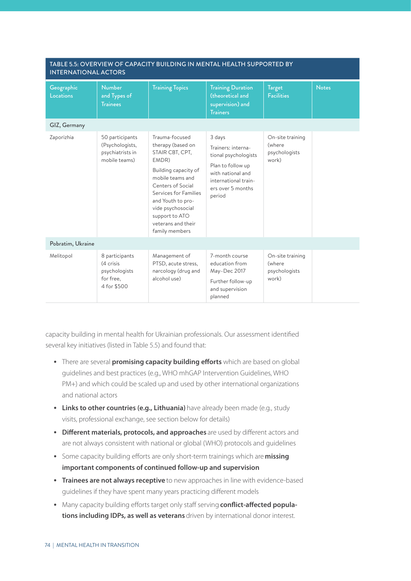| <u>DEE 3.3. O FERFIERFOL CALACITI DOIEDING IN MENTAE HEAEHT 301 FORTED DI</u><br><b>INTERNATIONAL ACTORS</b> |                                                                          |                                                                                                                                                                                                                                                               |                                                                                                                                                       |                                                      |              |
|--------------------------------------------------------------------------------------------------------------|--------------------------------------------------------------------------|---------------------------------------------------------------------------------------------------------------------------------------------------------------------------------------------------------------------------------------------------------------|-------------------------------------------------------------------------------------------------------------------------------------------------------|------------------------------------------------------|--------------|
| Geographic<br>Locations                                                                                      | <b>Number</b><br>and Types of<br><b>Trainees</b>                         | <b>Training Topics</b>                                                                                                                                                                                                                                        | <b>Training Duration</b><br>(theoretical and<br>supervision) and<br><b>Trainers</b>                                                                   | <b>Target</b><br><b>Facilities</b>                   | <b>Notes</b> |
| GIZ, Germany                                                                                                 |                                                                          |                                                                                                                                                                                                                                                               |                                                                                                                                                       |                                                      |              |
| Zaporizhia                                                                                                   | 50 participants<br>(Psychologists,<br>psychiatrists in<br>mobile teams)  | Trauma-focused<br>therapy (based on<br>STAIR CBT, CPT,<br>EMDR)<br>Building capacity of<br>mobile teams and<br>Centers of Social<br>Services for Families<br>and Youth to pro-<br>vide psychosocial<br>support to ATO<br>veterans and their<br>family members | 3 days<br>Trainers: interna-<br>tional psychologists<br>Plan to follow up<br>with national and<br>international train-<br>ers over 5 months<br>period | On-site training<br>(where<br>psychologists<br>work) |              |
| Pobratim, Ukraine                                                                                            |                                                                          |                                                                                                                                                                                                                                                               |                                                                                                                                                       |                                                      |              |
| Melitopol                                                                                                    | 8 participants<br>(4 crisis<br>psychologists<br>for free,<br>4 for \$500 | Management of<br>PTSD, acute stress,<br>narcology (drug and<br>alcohol use)                                                                                                                                                                                   | 7-month course<br>education from<br>May-Dec 2017<br>Further follow-up<br>and supervision<br>planned                                                   | On-site training<br>(where<br>psychologists<br>work) |              |

# TABLE 5.5: OVERVIEW OF CAPACITY BUILDING IN MENTAL HEALTH SUPPORTED BY

capacity building in mental health for Ukrainian professionals. Our assessment identified several key initiatives (listed in Table 5.5) and found that:

- **•** There are several **promising capacity building efforts** which are based on global guidelines and best practices (e.g., WHO mhGAP Intervention Guidelines, WHO PM+) and which could be scaled up and used by other international organizations and national actors
- **• Links to other countries (e.g., Lithuania)** have already been made (e.g., study visits, professional exchange, see section below for details)
- **• Different materials, protocols, and approaches** are used by different actors and are not always consistent with national or global (WHO) protocols and guidelines
- **•** Some capacity building efforts are only short-term trainings which are **missing important components of continued follow-up and supervision**
- **• Trainees are not always receptive** to new approaches in line with evidence-based guidelines if they have spent many years practicing different models
- Many capacity building efforts target only staff serving **conflict-affected populations including IDPs, as well as veterans** driven by international donor interest.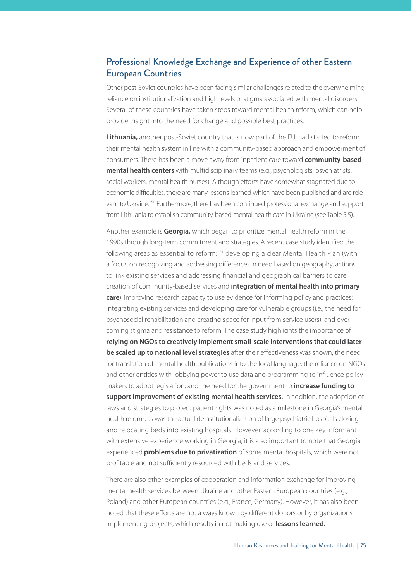#### Professional Knowledge Exchange and Experience of other Eastern European Countries

Other post-Soviet countries have been facing similar challenges related to the overwhelming reliance on institutionalization and high levels of stigma associated with mental disorders. Several of these countries have taken steps toward mental health reform, which can help provide insight into the need for change and possible best practices.

**Lithuania,** another post-Soviet country that is now part of the EU, had started to reform their mental health system in line with a community-based approach and empowerment of consumers. There has been a move away from inpatient care toward **community-based mental health centers** with multidisciplinary teams (e.g., psychologists, psychiatrists, social workers, mental health nurses). Although efforts have somewhat stagnated due to economic difficulties, there are many lessons learned which have been published and are relevant to Ukraine.<sup>150</sup> Furthermore, there has been continued professional exchange and support from Lithuania to establish community-based mental health care in Ukraine (see Table 5.5).

Another example is **Georgia,** which began to prioritize mental health reform in the 1990s through long-term commitment and strategies. A recent case study identified the following areas as essential to reform:151 developing a clear Mental Health Plan (with a focus on recognizing and addressing differences in need based on geography, actions to link existing services and addressing financial and geographical barriers to care, creation of community-based services and **integration of mental health into primary care**); improving research capacity to use evidence for informing policy and practices; Integrating existing services and developing care for vulnerable groups (i.e., the need for psychosocial rehabilitation and creating space for input from service users); and overcoming stigma and resistance to reform. The case study highlights the importance of **relying on NGOs to creatively implement small-scale interventions that could later be scaled up to national level strategies** after their effectiveness was shown, the need for translation of mental health publications into the local language, the reliance on NGOs and other entities with lobbying power to use data and programming to influence policy makers to adopt legislation, and the need for the government to **increase funding to support improvement of existing mental health services.** In addition, the adoption of laws and strategies to protect patient rights was noted as a milestone in Georgia's mental health reform, as was the actual deinstitutionalization of large psychiatric hospitals closing and relocating beds into existing hospitals. However, according to one key informant with extensive experience working in Georgia, it is also important to note that Georgia experienced **problems due to privatization** of some mental hospitals, which were not profitable and not sufficiently resourced with beds and services.

There are also other examples of cooperation and information exchange for improving mental health services between Ukraine and other Eastern European countries (e.g., Poland) and other European countries (e.g., France, Germany). However, it has also been noted that these efforts are not always known by different donors or by organizations implementing projects, which results in not making use of **lessons learned.**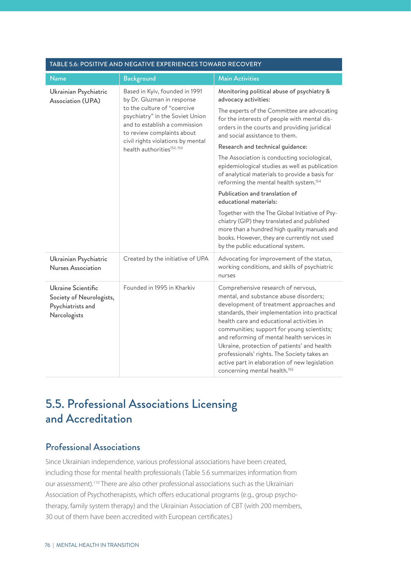| TABLE 5.6: POSITIVE AND NEGATIVE EXPERIENCES TOWARD RECOVERY                        |                                                                                                                               |                                                                                                                                                                                                                                                                                                                                                                                                                                                                                                               |  |  |
|-------------------------------------------------------------------------------------|-------------------------------------------------------------------------------------------------------------------------------|---------------------------------------------------------------------------------------------------------------------------------------------------------------------------------------------------------------------------------------------------------------------------------------------------------------------------------------------------------------------------------------------------------------------------------------------------------------------------------------------------------------|--|--|
| <b>Name</b>                                                                         | <b>Background</b>                                                                                                             | <b>Main Activities</b>                                                                                                                                                                                                                                                                                                                                                                                                                                                                                        |  |  |
| Ukrainian Psychiatric<br>Association (UPA)                                          | Based in Kyiv, founded in 1991<br>by Dr. Gluzman in response                                                                  | Monitoring political abuse of psychiatry &<br>advocacy activities:                                                                                                                                                                                                                                                                                                                                                                                                                                            |  |  |
|                                                                                     | to the culture of "coercive<br>psychiatry" in the Soviet Union<br>and to establish a commission<br>to review complaints about | The experts of the Committee are advocating<br>for the interests of people with mental dis-<br>orders in the courts and providing juridical<br>and social assistance to them.                                                                                                                                                                                                                                                                                                                                 |  |  |
|                                                                                     | civil rights violations by mental<br>health authorities <sup>152, 153</sup>                                                   | Research and technical guidance:                                                                                                                                                                                                                                                                                                                                                                                                                                                                              |  |  |
|                                                                                     |                                                                                                                               | The Association is conducting sociological,<br>epidemiological studies as well as publication<br>of analytical materials to provide a basis for<br>reforming the mental health system. <sup>154</sup>                                                                                                                                                                                                                                                                                                         |  |  |
|                                                                                     |                                                                                                                               | Publication and translation of<br>educational materials:                                                                                                                                                                                                                                                                                                                                                                                                                                                      |  |  |
|                                                                                     |                                                                                                                               | Together with the The Global Initiative of Psy-<br>chiatry (GIP) they translated and published<br>more than a hundred high quality manuals and<br>books. However, they are currently not used<br>by the public educational system.                                                                                                                                                                                                                                                                            |  |  |
| Ukrainian Psychiatric<br>Nurses Association                                         | Created by the initiative of UPA                                                                                              | Advocating for improvement of the status,<br>working conditions, and skills of psychiatric<br>nurses                                                                                                                                                                                                                                                                                                                                                                                                          |  |  |
| Ukraine Scientific<br>Society of Neurologists,<br>Psychiatrists and<br>Narcologists | Founded in 1995 in Kharkiv                                                                                                    | Comprehensive research of nervous,<br>mental, and substance abuse disorders;<br>development of treatment approaches and<br>standards, their implementation into practical<br>health care and educational activities in<br>communities; support for young scientists;<br>and reforming of mental health services in<br>Ukraine, protection of patients' and health<br>professionals' rights. The Society takes an<br>active part in elaboration of new legislation<br>concerning mental health. <sup>155</sup> |  |  |

# 5.5. Professional Associations Licensing and Accreditation

#### Professional Associations

Since Ukrainian independence, various professional associations have been created, including those for mental health professionals (Table 5.6 summarizes information from our assessment).110 There are also other professional associations such as the Ukrainian Association of Psychotherapists, which offers educational programs (e.g., group psychotherapy, family system therapy) and the Ukrainian Association of CBT (with 200 members, 30 out of them have been accredited with European certificates.)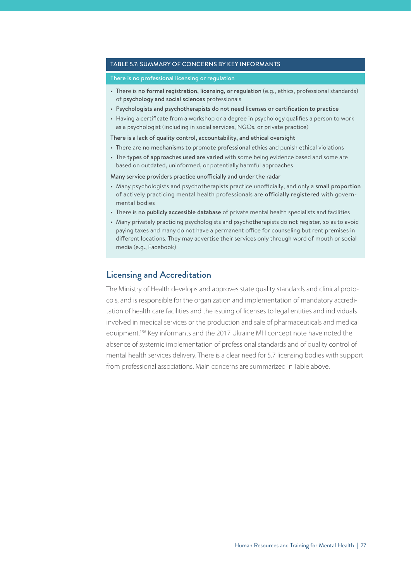#### TABLE 5.7: SUMMARY OF CONCERNS BY KEY INFORMANTS

There is no professional licensing or regulation

- There is no formal registration, licensing, or regulation (e.g., ethics, professional standards) of psychology and social sciences professionals
- Psychologists and psychotherapists do not need licenses or certification to practice
- Having a certificate from a workshop or a degree in psychology qualifies a person to work as a psychologist (including in social services, NGOs, or private practice)

There is a lack of quality control, accountability, and ethical oversight

- There are no mechanisms to promote professional ethics and punish ethical violations
- The types of approaches used are varied with some being evidence based and some are based on outdated, uninformed, or potentially harmful approaches

Many service providers practice unofficially and under the radar

- Many psychologists and psychotherapists practice unofficially, and only a small proportion of actively practicing mental health professionals are officially registered with governmental bodies
- There is no publicly accessible database of private mental health specialists and facilities
- Many privately practicing psychologists and psychotherapists do not register, so as to avoid paying taxes and many do not have a permanent office for counseling but rent premises in different locations. They may advertise their services only through word of mouth or social media (e.g., Facebook)

#### Licensing and Accreditation

The Ministry of Health develops and approves state quality standards and clinical protocols, and is responsible for the organization and implementation of mandatory accreditation of health care facilities and the issuing of licenses to legal entities and individuals involved in medical services or the production and sale of pharmaceuticals and medical equipment.<sup>156</sup> Key informants and the 2017 Ukraine MH concept note have noted the absence of systemic implementation of professional standards and of quality control of mental health services delivery. There is a clear need for 5.7 licensing bodies with support from professional associations. Main concerns are summarized in Table above.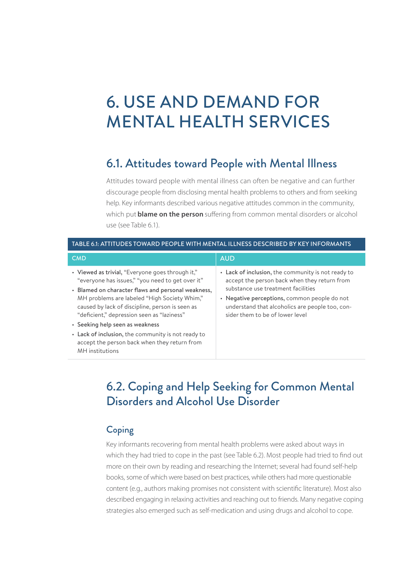# 6. USE AND DEMAND FOR MENTAL HEALTH SERVICES

# 6.1. Attitudes toward People with Mental Illness

Attitudes toward people with mental illness can often be negative and can further discourage people from disclosing mental health problems to others and from seeking help. Key informants described various negative attitudes common in the community, which put **blame on the person** suffering from common mental disorders or alcohol use (see Table 6.1).

# TABLE 6.1: ATTITUDES TOWARD PEOPLE WITH MENTAL ILLNESS DESCRIBED BY KEY INFORMANTS

| <b>CMD</b>                                                                                                                                                                                                                                                                                                  | <b>AUD</b>                                                                                                                                                                                                                                                                     |
|-------------------------------------------------------------------------------------------------------------------------------------------------------------------------------------------------------------------------------------------------------------------------------------------------------------|--------------------------------------------------------------------------------------------------------------------------------------------------------------------------------------------------------------------------------------------------------------------------------|
| • Viewed as trivial, "Everyone goes through it,"<br>"everyone has issues," "you need to get over it"<br>• Blamed on character flaws and personal weakness,<br>MH problems are labeled "High Society Whim,"<br>caused by lack of discipline, person is seen as<br>"deficient," depression seen as "laziness" | • Lack of inclusion, the community is not ready to<br>accept the person back when they return from<br>substance use treatment facilities<br>• Negative perceptions, common people do not<br>understand that alcoholics are people too, con-<br>sider them to be of lower level |
| • Seeking help seen as weakness                                                                                                                                                                                                                                                                             |                                                                                                                                                                                                                                                                                |
| • Lack of inclusion, the community is not ready to<br>accept the person back when they return from<br>MH institutions                                                                                                                                                                                       |                                                                                                                                                                                                                                                                                |

# 6.2. Coping and Help Seeking for Common Mental Disorders and Alcohol Use Disorder

### Coping

Key informants recovering from mental health problems were asked about ways in which they had tried to cope in the past (see Table 6.2). Most people had tried to find out more on their own by reading and researching the Internet; several had found self-help books, some of which were based on best practices, while others had more questionable content (e.g., authors making promises not consistent with scientific literature). Most also described engaging in relaxing activities and reaching out to friends. Many negative coping strategies also emerged such as self-medication and using drugs and alcohol to cope.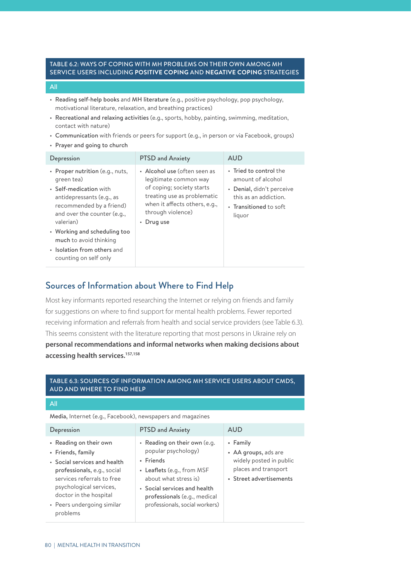#### TABLE 6.2: WAYS OF COPING WITH MH PROBLEMS ON THEIR OWN AMONG MH SERVICE USERS INCLUDING **POSITIVE COPING** AND **NEGATIVE COPING** STRATEGIES

#### All

- Reading self-help books and MH literature (e.g., positive psychology, pop psychology, motivational literature, relaxation, and breathing practices)
- Recreational and relaxing activities (e.g., sports, hobby, painting, swimming, meditation, contact with nature)
- Communication with friends or peers for support (e.g., in person or via Facebook, groups)
- Prayer and going to church

| Depression                                                                                                                                                                   | <b>PTSD and Anxiety</b>                                                                                                                                                                  | <b>AUD</b>                                                                                                                            |
|------------------------------------------------------------------------------------------------------------------------------------------------------------------------------|------------------------------------------------------------------------------------------------------------------------------------------------------------------------------------------|---------------------------------------------------------------------------------------------------------------------------------------|
| • Proper nutrition (e.g., nuts,<br>green tea)<br>• Self-medication with<br>antidepressants (e.g., as<br>recommended by a friend)<br>and over the counter (e.g.,<br>valerian) | • Alcohol use (often seen as<br>legitimate common way<br>of coping; society starts<br>treating use as problematic<br>when it affects others, e.g.,<br>through violence)<br>Drug use<br>٠ | • Tried to control the<br>amount of alcohol<br>• Denial, didn't perceive<br>this as an addiction.<br>• Transitioned to soft<br>liquor |
| • Working and scheduling too<br>much to avoid thinking                                                                                                                       |                                                                                                                                                                                          |                                                                                                                                       |
| · Isolation from others and<br>counting on self only                                                                                                                         |                                                                                                                                                                                          |                                                                                                                                       |

#### Sources of Information about Where to Find Help

Most key informants reported researching the Internet or relying on friends and family for suggestions on where to find support for mental health problems. Fewer reported receiving information and referrals from health and social service providers (see Table 6.3). This seems consistent with the literature reporting that most persons in Ukraine rely on **personal recommendations and informal networks when making decisions about accessing health services.157,158**

#### TABLE 6.3: SOURCES OF INFORMATION AMONG MH SERVICE USERS ABOUT CMDS, AUD AND WHERE TO FIND HELP

#### All

Media, Internet (e.g., Facebook), newspapers and magazines

| Depression                                                                                                                                                                                                                              | <b>PTSD and Anxiety</b>                                                                                                                                                                                                   | <b>AUD</b>                                                                                                     |
|-----------------------------------------------------------------------------------------------------------------------------------------------------------------------------------------------------------------------------------------|---------------------------------------------------------------------------------------------------------------------------------------------------------------------------------------------------------------------------|----------------------------------------------------------------------------------------------------------------|
| • Reading on their own<br>• Friends, family<br>• Social services and health<br>professionals, e.g., social<br>services referrals to free<br>psychological services,<br>doctor in the hospital<br>• Peers undergoing similar<br>problems | • Reading on their own (e.g.<br>popular psychology)<br>• Friends<br>• Leaflets (e.g., from MSF<br>about what stress is)<br>• Social services and health<br>professionals (e.g., medical<br>professionals, social workers) | • Family<br>• AA groups, ads are<br>widely posted in public<br>places and transport<br>• Street advertisements |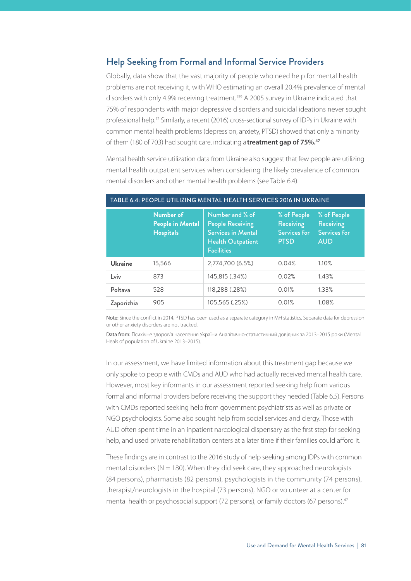#### Help Seeking from Formal and Informal Service Providers

Globally, data show that the vast majority of people who need help for mental health problems are not receiving it, with WHO estimating an overall 20.4% prevalence of mental disorders with only 4.9% receiving treatment.<sup>159</sup> A 2005 survey in Ukraine indicated that 75% of respondents with major depressive disorders and suicidal ideations never sought professional help.12 Similarly, a recent (2016) cross-sectional survey of IDPs in Ukraine with common mental health problems (depression, anxiety, PTSD) showed that only a minority of them (180 of 703) had sought care, indicating a**treatment gap of 75%.47**

Mental health service utilization data from Ukraine also suggest that few people are utilizing mental health outpatient services when considering the likely prevalence of common mental disorders and other mental health problems (see Table 6.4).

|                | TABLE 6.4: PEOPLE UTILIZING MENTAL HEALTH SERVICES 2016 IN UKRAINE |                                                                                                                          |                                                                |                                                        |  |
|----------------|--------------------------------------------------------------------|--------------------------------------------------------------------------------------------------------------------------|----------------------------------------------------------------|--------------------------------------------------------|--|
|                | Number of<br>People in Mental<br><b>Hospitals</b>                  | Number and % of<br><b>People Receiving</b><br><b>Services in Mental</b><br><b>Health Outpatient</b><br><b>Facilities</b> | % of People<br><b>Receiving</b><br>Services for<br><b>PTSD</b> | % of People<br>Receiving<br>Services for<br><b>AUD</b> |  |
| <b>Ukraine</b> | 15,566                                                             | 2,774,700 (6.5%)                                                                                                         | 0.04%                                                          | 1.10%                                                  |  |
| Lviv           | 873                                                                | 145,815 (.34%)                                                                                                           | 0.02%                                                          | 1.43%                                                  |  |
| Poltava        | 528                                                                | 118,288 (.28%)                                                                                                           | 0.01%                                                          | 1.33%                                                  |  |
| Zaporizhia     | 905                                                                | 105,565 (.25%)                                                                                                           | 0.01%                                                          | 1.08%                                                  |  |

#### Note: Since the conflict in 2014, PTSD has been used as a separate category in MH statistics. Separate data for depression or other anxiety disorders are not tracked.

Data from: Психічне здоров'я населення України Аналітично-статистичний довідник за 2013–2015 роки (Mental Heals of population of Ukraine 2013–2015).

In our assessment, we have limited information about this treatment gap because we only spoke to people with CMDs and AUD who had actually received mental health care. However, most key informants in our assessment reported seeking help from various formal and informal providers before receiving the support they needed (Table 6.5). Persons with CMDs reported seeking help from government psychiatrists as well as private or NGO psychologists. Some also sought help from social services and clergy. Those with AUD often spent time in an inpatient narcological dispensary as the first step for seeking help, and used private rehabilitation centers at a later time if their families could afford it.

These findings are in contrast to the 2016 study of help seeking among IDPs with common mental disorders ( $N = 180$ ). When they did seek care, they approached neurologists (84 persons), pharmacists (82 persons), psychologists in the community (74 persons), therapist/neurologists in the hospital (73 persons), NGO or volunteer at a center for mental health or psychosocial support (72 persons), or family doctors (67 persons).<sup>47</sup>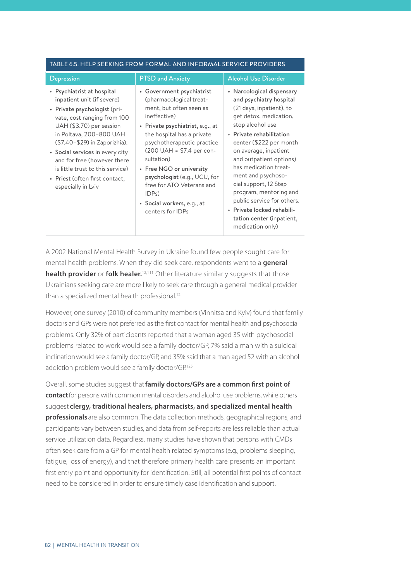| TABLE 6.5: HELP SEEKING FROM FORMAL AND INFORMAL SERVICE PROVIDERS                                                                                                                                                                                                                                                                                                            |                                                                                                                                                                                                                                                                                                                                                                                                |                                                                                                                                                                                                                                                                                                                                                                                                                                                          |  |  |
|-------------------------------------------------------------------------------------------------------------------------------------------------------------------------------------------------------------------------------------------------------------------------------------------------------------------------------------------------------------------------------|------------------------------------------------------------------------------------------------------------------------------------------------------------------------------------------------------------------------------------------------------------------------------------------------------------------------------------------------------------------------------------------------|----------------------------------------------------------------------------------------------------------------------------------------------------------------------------------------------------------------------------------------------------------------------------------------------------------------------------------------------------------------------------------------------------------------------------------------------------------|--|--|
| <b>Depression</b>                                                                                                                                                                                                                                                                                                                                                             | <b>PTSD and Anxiety</b>                                                                                                                                                                                                                                                                                                                                                                        | <b>Alcohol Use Disorder</b>                                                                                                                                                                                                                                                                                                                                                                                                                              |  |  |
| • Psychiatrist at hospital<br>inpatient unit (if severe)<br>• Private psychologist (pri-<br>vate, cost ranging from 100<br>UAH (\$3.70) per session<br>in Poltava, 200-800 UAH<br>(\$7.40-\$29) in Zaporizhia).<br>• Social services in every city<br>and for free (however there<br>is little trust to this service)<br>• Priest (often first contact,<br>especially in Lviv | • Government psychiatrist<br>(pharmacological treat-<br>ment, but often seen as<br>ineffective)<br>• Private psychiatrist, e.g., at<br>the hospital has a private<br>psychotherapeutic practice<br>(200 UAH = \$7.4 per con-<br>sultation)<br>• Free NGO or university<br>psychologist (e.g., UCU, for<br>free for ATO Veterans and<br>IDPs)<br>• Social workers, e.g., at<br>centers for IDPs | • Narcological dispensary<br>and psychiatry hospital<br>(21 days, inpatient), to<br>get detox, medication,<br>stop alcohol use<br>• Private rehabilitation<br>center (\$222 per month<br>on average, inpatient<br>and outpatient options)<br>has medication treat-<br>ment and psychoso-<br>cial support, 12 Step<br>program, mentoring and<br>public service for others.<br>• Private locked rehabili-<br>tation center (inpatient,<br>medication only) |  |  |

A 2002 National Mental Health Survey in Ukraine found few people sought care for mental health problems. When they did seek care, respondents went to a **general health provider** or **folk healer.**12,111 Other literature similarly suggests that those Ukrainians seeking care are more likely to seek care through a general medical provider than a specialized mental health professional.<sup>12</sup>

However, one survey (2010) of community members (Vinnitsa and Kyiv) found that family doctors and GPs were not preferred as the first contact for mental health and psychosocial problems. Only 32% of participants reported that a woman aged 35 with psychosocial problems related to work would see a family doctor/GP, 7% said a man with a suicidal inclinationwould see a family doctor/GP, and 35% said that a man aged 52 with an alcohol addiction problem would see a family doctor/GP.125

Overall, some studies suggest that**family doctors/GPs are a common first point of contact**for persons with common mental disorders and alcohol use problems, while others suggest **clergy, traditional healers, pharmacists, and specialized mental health professionals** are also common. The data collection methods, geographical regions, and participants vary between studies, and data from self-reports are less reliable than actual service utilization data. Regardless, many studies have shown that persons with CMDs often seek care from a GP for mental health related symptoms (e.g., problems sleeping, fatigue, loss of energy), and that therefore primary health care presents an important first entry point and opportunity for identification. Still, all potential first points of contact need to be considered in order to ensure timely case identification and support.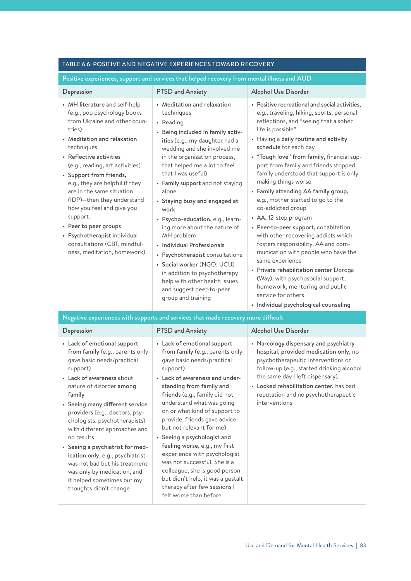| TABLE 6.6: POSITIVE AND NEGATIVE EXPERIENCES TOWARD RECOVERY                                                                                                                                                                                                                                                                                                                                                                                                                                                                     |                                                                                                                                                                                                                                                                                                                                                                                                                                                                                                                                                                                                                                              |                                                                                                                                                                                                                                                                                                                                                                                                                                                                                                                                                                                                                                                                                                                                                                                                                                                                               |  |  |
|----------------------------------------------------------------------------------------------------------------------------------------------------------------------------------------------------------------------------------------------------------------------------------------------------------------------------------------------------------------------------------------------------------------------------------------------------------------------------------------------------------------------------------|----------------------------------------------------------------------------------------------------------------------------------------------------------------------------------------------------------------------------------------------------------------------------------------------------------------------------------------------------------------------------------------------------------------------------------------------------------------------------------------------------------------------------------------------------------------------------------------------------------------------------------------------|-------------------------------------------------------------------------------------------------------------------------------------------------------------------------------------------------------------------------------------------------------------------------------------------------------------------------------------------------------------------------------------------------------------------------------------------------------------------------------------------------------------------------------------------------------------------------------------------------------------------------------------------------------------------------------------------------------------------------------------------------------------------------------------------------------------------------------------------------------------------------------|--|--|
| Positive experiences, support and services that helped recovery from mental illness and AUD                                                                                                                                                                                                                                                                                                                                                                                                                                      |                                                                                                                                                                                                                                                                                                                                                                                                                                                                                                                                                                                                                                              |                                                                                                                                                                                                                                                                                                                                                                                                                                                                                                                                                                                                                                                                                                                                                                                                                                                                               |  |  |
| Depression                                                                                                                                                                                                                                                                                                                                                                                                                                                                                                                       | <b>PTSD and Anxiety</b>                                                                                                                                                                                                                                                                                                                                                                                                                                                                                                                                                                                                                      | <b>Alcohol Use Disorder</b>                                                                                                                                                                                                                                                                                                                                                                                                                                                                                                                                                                                                                                                                                                                                                                                                                                                   |  |  |
| • MH literature and self-help<br>(e.g., pop psychology books<br>from Ukraine and other coun-<br>tries)<br>• Meditation and relaxation<br>techniques<br>• Reflective activities<br>(e.g., reading, art activities)<br>• Support from friends,<br>e.g., they are helpful if they<br>are in the same situation<br>(IDP)-then they understand<br>how you feel and give you<br>support.<br>• Peer to peer groups<br>• Psychotherapist individual<br>consultations (CBT, mindful-<br>ness, meditation, homework).                      | • Meditation and relaxation<br>techniques<br>• Reading<br>• Being included in family activ-<br>ities (e.g., my daughter had a<br>wedding and she involved me<br>in the organization process,<br>that helped me a lot to feel<br>that I was useful)<br>• Family support and not staying<br>alone<br>• Staying busy and engaged at<br>work<br>· Psycho-education, e.g., learn-<br>ing more about the nature of<br>MH problem<br>· Individual Professionals<br>• Psychotherapist consultations<br>· Social worker (NGO: UCU)<br>in addition to psychotherapy<br>help with other health issues<br>and suggest peer-to-peer<br>group and training | • Positive recreational and social activities,<br>e.g., traveling, hiking, sports, personal<br>reflections, and "seeing that a sober<br>life is possible"<br>• Having a daily routine and activity<br>schedule for each day<br>• "Tough love" from family, financial sup-<br>port from family and friends stopped,<br>family understood that support is only<br>making things worse<br>• Family attending AA family group,<br>e.g., mother started to go to the<br>co-addicted group<br>• AA, 12-step program<br>• Peer-to-peer support, cohabitation<br>with other recovering addicts which<br>fosters responsibility, AA and com-<br>munication with people who have the<br>same experience<br>• Private rehabilitation center Doroga<br>(Way), with psychosocial support,<br>homework, mentoring and public<br>service for others<br>• Individual psychological counseling |  |  |
|                                                                                                                                                                                                                                                                                                                                                                                                                                                                                                                                  | Negative experiences with supports and services that made recovery more difficult                                                                                                                                                                                                                                                                                                                                                                                                                                                                                                                                                            |                                                                                                                                                                                                                                                                                                                                                                                                                                                                                                                                                                                                                                                                                                                                                                                                                                                                               |  |  |
| Depression                                                                                                                                                                                                                                                                                                                                                                                                                                                                                                                       | <b>PTSD and Anxiety</b>                                                                                                                                                                                                                                                                                                                                                                                                                                                                                                                                                                                                                      | <b>Alcohol Use Disorder</b>                                                                                                                                                                                                                                                                                                                                                                                                                                                                                                                                                                                                                                                                                                                                                                                                                                                   |  |  |
| • Lack of emotional support<br>from family (e.g., parents only<br>gave basic needs/practical<br>support)<br>• Lack of awareness about<br>nature of disorder among<br>family<br>• Seeing many different service<br>providers (e.g., doctors, psy-<br>chologists, psychotherapists)<br>with different approaches and<br>no results<br>• Seeing a psychiatrist for med-<br>ication only, e.g., psychiatrist<br>was not bad but his treatment<br>was only by medication, and<br>it helped sometimes but my<br>thoughts didn't change | • Lack of emotional support<br>from family (e.g., parents only<br>gave basic needs/practical<br>support)<br>• Lack of awareness and under-<br>standing from family and<br>friends (e.g., family did not<br>understand what was going<br>on or what kind of support to<br>provide, friends gave advice<br>but not relevant for me)<br>• Seeing a psychologist and<br>feeling worse, e.g., my first<br>experience with psychologist<br>was not successful. She is a<br>colleague, she is good person<br>but didn't help, it was a gestalt<br>therapy after few sessions I<br>felt worse than before                                            | • Narcology dispensary and psychiatry<br>hospital, provided medication only, no<br>psychotherapeutic interventions or<br>follow-up (e.g., started drinking alcohol<br>the same day I left dispensary).<br>• Locked rehabilitation center, has bad<br>reputation and no psychotherapeutic<br>interventions                                                                                                                                                                                                                                                                                                                                                                                                                                                                                                                                                                     |  |  |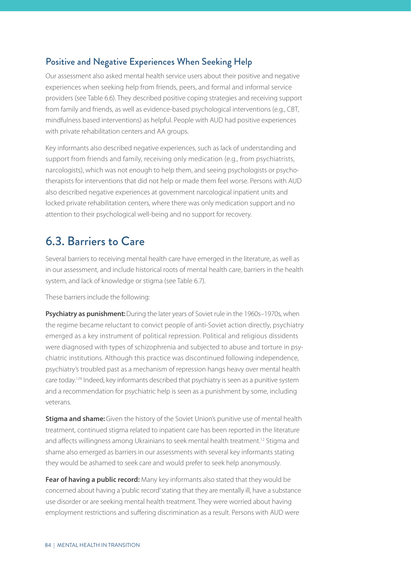#### Positive and Negative Experiences When Seeking Help

Our assessment also asked mental health service users about their positive and negative experiences when seeking help from friends, peers, and formal and informal service providers (see Table 6.6). They described positive coping strategies and receiving support from family and friends, as well as evidence-based psychological interventions (e.g., CBT, mindfulness based interventions) as helpful. People with AUD had positive experiences with private rehabilitation centers and AA groups.

Key informants also described negative experiences, such as lack of understanding and support from friends and family, receiving only medication (e.g., from psychiatrists, narcologists), which was not enough to help them, and seeing psychologists or psychotherapists for interventions that did not help or made them feel worse. Persons with AUD also described negative experiences at government narcological inpatient units and locked private rehabilitation centers, where there was only medication support and no attention to their psychological well-being and no support for recovery.

# 6.3. Barriers to Care

Several barriers to receiving mental health care have emerged in the literature, as well as in our assessment, and include historical roots of mental health care, barriers in the health system, and lack of knowledge or stigma (see Table 6.7).

These barriers include the following:

**Psychiatry as punishment:**During the later years of Soviet rule in the 1960s–1970s, when the regime became reluctant to convict people of anti-Soviet action directly, psychiatry emerged as a key instrument of political repression. Political and religious dissidents were diagnosed with types of schizophrenia and subjected to abuse and torture in psychiatric institutions. Although this practice was discontinued following independence, psychiatry's troubled past as a mechanism of repression hangs heavy over mental health care today.129 Indeed, key informants described that psychiatry is seen as a punitive system and a recommendation for psychiatric help is seen as a punishment by some, including veterans.

**Stigma and shame:**Given the history of the Soviet Union's punitive use of mental health treatment, continued stigma related to inpatient care has been reported in the literature and affects willingness among Ukrainians to seek mental health treatment.<sup>12</sup> Stigma and shame also emerged as barriers in our assessments with several key informants stating they would be ashamed to seek care and would prefer to seek help anonymously.

**Fear of having a public record:** Many key informants also stated that they would be concerned about having a 'public record' stating that they are mentally ill, have a substance use disorder or are seeking mental health treatment. They were worried about having employment restrictions and suffering discrimination as a result. Persons with AUD were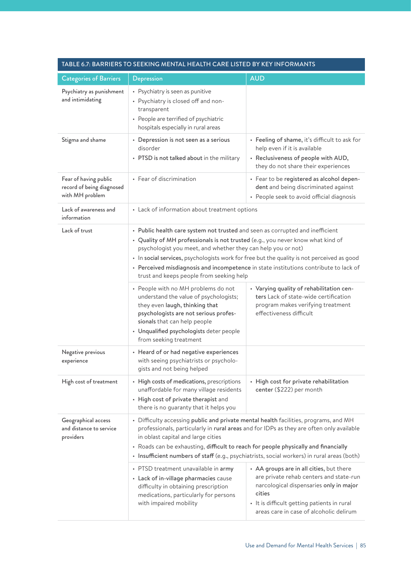| TABLE 6.7: BARRIERS TO SEEKING MENTAL HEALTH CARE LISTED BY KEY INFORMANTS                                                                                                                                                                                                                                                                                                                                                                                                           |                                                                                                                                                                                                                                                                |                                                                                                                                                                                                                                    |  |  |
|--------------------------------------------------------------------------------------------------------------------------------------------------------------------------------------------------------------------------------------------------------------------------------------------------------------------------------------------------------------------------------------------------------------------------------------------------------------------------------------|----------------------------------------------------------------------------------------------------------------------------------------------------------------------------------------------------------------------------------------------------------------|------------------------------------------------------------------------------------------------------------------------------------------------------------------------------------------------------------------------------------|--|--|
| Categories of Barriers                                                                                                                                                                                                                                                                                                                                                                                                                                                               | <b>Depression</b>                                                                                                                                                                                                                                              | <b>AUD</b>                                                                                                                                                                                                                         |  |  |
| Psychiatry as punishment<br>and intimidating                                                                                                                                                                                                                                                                                                                                                                                                                                         | • Psychiatry is seen as punitive<br>• Psychiatry is closed off and non-<br>transparent<br>• People are terrified of psychiatric<br>hospitals especially in rural areas                                                                                         |                                                                                                                                                                                                                                    |  |  |
| Stigma and shame                                                                                                                                                                                                                                                                                                                                                                                                                                                                     | • Depression is not seen as a serious<br>disorder<br>• PTSD is not talked about in the military                                                                                                                                                                | • Feeling of shame, it's difficult to ask for<br>help even if it is available<br>• Reclusiveness of people with AUD,<br>they do not share their experiences                                                                        |  |  |
| Fear of having public<br>record of being diagnosed<br>with MH problem                                                                                                                                                                                                                                                                                                                                                                                                                | • Fear of discrimination                                                                                                                                                                                                                                       | • Fear to be registered as alcohol depen-<br>dent and being discriminated against<br>• People seek to avoid official diagnosis                                                                                                     |  |  |
| Lack of awareness and<br>information                                                                                                                                                                                                                                                                                                                                                                                                                                                 | • Lack of information about treatment options                                                                                                                                                                                                                  |                                                                                                                                                                                                                                    |  |  |
| Lack of trust<br>• Public health care system not trusted and seen as corrupted and inefficient<br>• Quality of MH professionals is not trusted (e.g., you never know what kind of<br>psychologist you meet, and whether they can help you or not)<br>• In social services, psychologists work for free but the quality is not perceived as good<br>• Perceived misdiagnosis and incompetence in state institutions contribute to lack of<br>trust and keeps people from seeking help |                                                                                                                                                                                                                                                                |                                                                                                                                                                                                                                    |  |  |
|                                                                                                                                                                                                                                                                                                                                                                                                                                                                                      | • People with no MH problems do not<br>understand the value of psychologists;<br>they even laugh, thinking that<br>psychologists are not serious profes-<br>sionals that can help people<br>• Unqualified psychologists deter people<br>from seeking treatment | • Varying quality of rehabilitation cen-<br>ters Lack of state-wide certification<br>program makes verifying treatment<br>effectiveness difficult                                                                                  |  |  |
| Negative previous<br>experience                                                                                                                                                                                                                                                                                                                                                                                                                                                      | • Heard of or had negative experiences<br>with seeing psychiatrists or psycholo-<br>gists and not being helped                                                                                                                                                 |                                                                                                                                                                                                                                    |  |  |
| High cost of treatment                                                                                                                                                                                                                                                                                                                                                                                                                                                               | • High costs of medications, prescriptions<br>unaffordable for many village residents<br>• High cost of private therapist and<br>there is no guaranty that it helps you                                                                                        | • High cost for private rehabilitation<br>center (\$222) per month                                                                                                                                                                 |  |  |
| Geographical access<br>and distance to service<br>providers                                                                                                                                                                                                                                                                                                                                                                                                                          | • Difficulty accessing public and private mental health facilities, programs, and MH<br>in oblast capital and large cities<br>• Roads can be exhausting, difficult to reach for people physically and financially                                              | professionals, particularly in rural areas and for IDPs as they are often only available<br>· Insufficient numbers of staff (e.g., psychiatrists, social workers) in rural areas (both)                                            |  |  |
|                                                                                                                                                                                                                                                                                                                                                                                                                                                                                      | • PTSD treatment unavailable in army<br>• Lack of in-village pharmacies cause<br>difficulty in obtaining prescription<br>medications, particularly for persons<br>with impaired mobility                                                                       | • AA groups are in all cities, but there<br>are private rehab centers and state-run<br>narcological dispensaries only in major<br>cities<br>• It is difficult getting patients in rural<br>areas care in case of alcoholic delirum |  |  |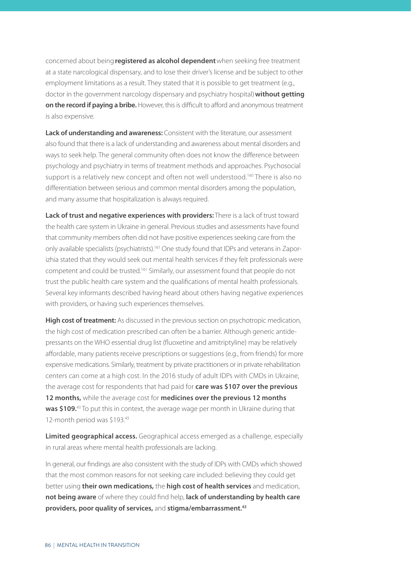concerned about being**registered as alcohol dependent**when seeking free treatment at a state narcological dispensary, and to lose their driver's license and be subject to other employment limitations as a result. They stated that it is possible to get treatment (e.g., doctor in the government narcology dispensary and psychiatry hospital)**without getting on the record if paying a bribe.** However, this is difficult to afford and anonymous treatment is also expensive.

**Lack of understanding and awareness:** Consistent with the literature, our assessment also found that there is a lack of understanding and awareness about mental disorders and ways to seek help. The general community often does not know the difference between psychology and psychiatry in terms of treatment methods and approaches. Psychosocial support is a relatively new concept and often not well understood.<sup>160</sup> There is also no differentiation between serious and common mental disorders among the population, and many assume that hospitalization is always required.

**Lack of trust and negative experiences with providers:** There is a lack of trust toward the health care system in Ukraine in general. Previous studies and assessments have found that community members often did not have positive experiences seeking care from the only available specialists (psychiatrists).<sup>161</sup> One study found that IDPs and veterans in Zaporizhia stated that they would seek out mental health services if they felt professionals were competent and could be trusted.161 Similarly, our assessment found that people do not trust the public health care system and the qualifications of mental health professionals. Several key informants described having heard about others having negative experiences with providers, or having such experiences themselves.

**High cost of treatment:** As discussed in the previous section on psychotropic medication, the high cost of medication prescribed can often be a barrier. Although generic antidepressants on the WHO essential drug list (fluoxetine and amitriptyline) may be relatively affordable, many patients receive prescriptions or suggestions (e.g., from friends) for more expensive medications. Similarly, treatment by private practitioners or in private rehabilitation centers can come at a high cost. In the 2016 study of adult IDPs with CMDs in Ukraine, the average cost for respondents that had paid for **care was \$107 over the previous 12 months,** while the average cost for **medicines over the previous 12 months was \$109.**43 To put this in context, the average wage per month in Ukraine during that 12-month period was \$193.43

**Limited geographical access.** Geographical access emerged as a challenge, especially in rural areas where mental health professionals are lacking.

In general, our findings are also consistent with the study of IDPs with CMDs which showed that the most common reasons for not seeking care included: believing they could get better using **their own medications,** the **high cost of health services** and medication, **not being aware** of where they could find help, **lack of understanding by health care providers, poor quality of services,** and **stigma/embarrassment.43**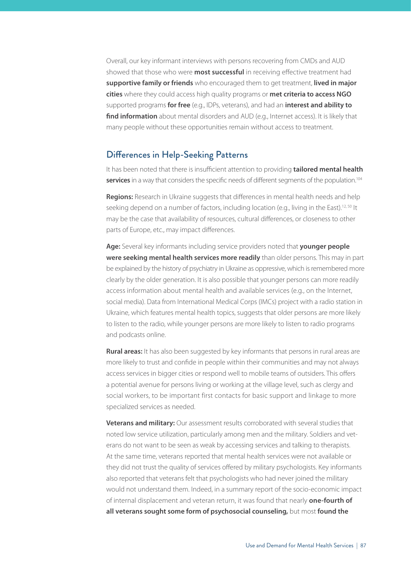Overall, our key informant interviews with persons recovering from CMDs and AUD showed that those who were **most successful** in receiving effective treatment had **supportive family or friends** who encouraged them to get treatment, **lived in major cities** where they could access high quality programs or **met criteria to access NGO** supported programs **for free** (e.g., IDPs, veterans), and had an **interest and ability to find information** about mental disorders and AUD (e.g., Internet access). It is likely that many people without these opportunities remain without access to treatment.

#### Differences in Help-Seeking Patterns

It has been noted that there is insufficient attention to providing **tailored mental health services** in a way that considers the specific needs of different segments of the population.<sup>104</sup>

**Regions:** Research in Ukraine suggests that differences in mental health needs and help seeking depend on a number of factors, including location (e.g., living in the East).<sup>12, 50</sup> It may be the case that availability of resources, cultural differences, or closeness to other parts of Europe, etc., may impact differences.

**Age:** Several key informants including service providers noted that **younger people were seeking mental health services more readily** than older persons. This may in part be explained by the history of psychiatry in Ukraine as oppressive, which is remembered more clearly by the older generation. It is also possible that younger persons can more readily access information about mental health and available services (e.g., on the Internet, social media). Data from International Medical Corps (IMCs) project with a radio station in Ukraine, which features mental health topics, suggests that older persons are more likely to listen to the radio, while younger persons are more likely to listen to radio programs and podcasts online.

**Rural areas:** It has also been suggested by key informants that persons in rural areas are more likely to trust and confide in people within their communities and may not always access services in bigger cities or respond well to mobile teams of outsiders. This offers a potential avenue for persons living or working at the village level, such as clergy and social workers, to be important first contacts for basic support and linkage to more specialized services as needed.

**Veterans and military:** Our assessment results corroborated with several studies that noted low service utilization, particularly among men and the military. Soldiers and veterans do not want to be seen as weak by accessing services and talking to therapists. At the same time, veterans reported that mental health services were not available or they did not trust the quality of services offered by military psychologists. Key informants also reported that veterans felt that psychologists who had never joined the military would not understand them. Indeed, in a summary report of the socio-economic impact of internal displacement and veteran return, it was found that nearly **one-fourth of all veterans sought some form of psychosocial counseling,** but most **found the**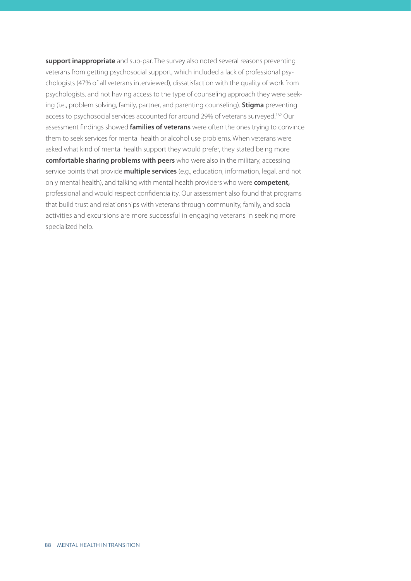**support inappropriate** and sub-par. The survey also noted several reasons preventing veterans from getting psychosocial support, which included a lack of professional psychologists (47% of all veterans interviewed), dissatisfaction with the quality of work from psychologists, and not having access to the type of counseling approach they were seeking (i.e., problem solving, family, partner, and parenting counseling). **Stigma** preventing access to psychosocial services accounted for around 29% of veterans surveyed.<sup>162</sup> Our assessment findings showed **families of veterans** were often the ones trying to convince them to seek services for mental health or alcohol use problems. When veterans were asked what kind of mental health support they would prefer, they stated being more **comfortable sharing problems with peers** who were also in the military, accessing service points that provide **multiple services** (e.g., education, information, legal, and not only mental health), and talking with mental health providers who were **competent,** professional and would respect confidentiality. Our assessment also found that programs that build trust and relationships with veterans through community, family, and social activities and excursions are more successful in engaging veterans in seeking more specialized help.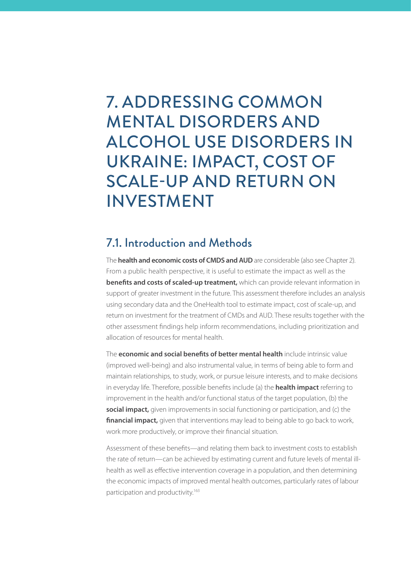7. ADDRESSING COMMON MENTAL DISORDERS AND ALCOHOL USE DISORDERS IN UKRAINE: IMPACT, COST OF SCALE-UP AND RETURN ON INVESTMENT

# 7.1. Introduction and Methods

The **health and economic costs of CMDS and AUD** are considerable (also see Chapter 2). From a public health perspective, it is useful to estimate the impact as well as the **benefits and costs of scaled-up treatment,** which can provide relevant information in support of greater investment in the future. This assessment therefore includes an analysis using secondary data and the OneHealth tool to estimate impact, cost of scale-up, and return on investment for the treatment of CMDs and AUD. These results together with the other assessment findings help inform recommendations, including prioritization and allocation of resources for mental health.

The **economic and social benefits of better mental health** include intrinsic value (improved well-being) and also instrumental value, in terms of being able to form and maintain relationships, to study, work, or pursue leisure interests, and to make decisions in everyday life. Therefore, possible benefits include (a) the **health impact** referring to improvement in the health and/or functional status of the target population, (b) the **social impact,** given improvements in social functioning or participation, and (c) the **financial impact,** given that interventions may lead to being able to go back to work. work more productively, or improve their financial situation.

Assessment of these benefits—and relating them back to investment costs to establish the rate of return—can be achieved by estimating current and future levels of mental illhealth as well as effective intervention coverage in a population, and then determining the economic impacts of improved mental health outcomes, particularly rates of labour participation and productivity.<sup>163</sup>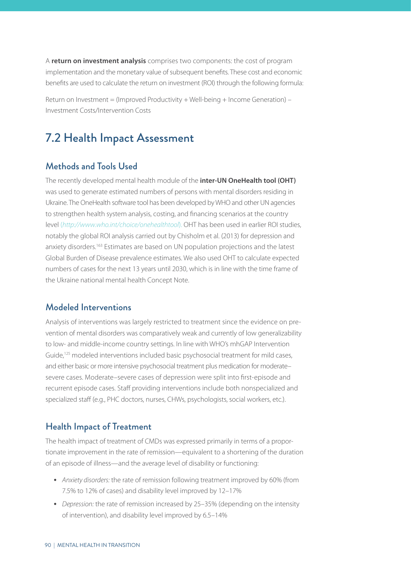A **return on investment analysis** comprises two components: the cost of program implementation and the monetary value of subsequent benefits. These cost and economic benefits are used to calculate the return on investment (ROI) through the following formula:

Return on Investment = (Improved Productivity + Well-being + Income Generation) – Investment Costs/Intervention Costs

# 7.2 Health Impact Assessment

#### Methods and Tools Used

The recently developed mental health module of the **inter-UN OneHealth tool (OHT)** was used to generate estimated numbers of persons with mental disorders residing in Ukraine. The OneHealth software tool has been developed by WHO and other UN agencies to strengthen health system analysis, costing, and financing scenarios at the country level (*http://www.who.int/choice/onehealthtool*). OHT has been used in earlier ROI studies, notably the global ROI analysis carried out by Chisholm et al. (2013) for depression and anxiety disorders.163 Estimates are based on UN population projections and the latest Global Burden of Disease prevalence estimates. We also used OHT to calculate expected numbers of cases for the next 13 years until 2030, which is in line with the time frame of the Ukraine national mental health Concept Note.

#### Modeled Interventions

Analysis of interventions was largely restricted to treatment since the evidence on prevention of mental disorders was comparatively weak and currently of low generalizability to low- and middle-income country settings. In line with WHO's mhGAP Intervention Guide,<sup>125</sup> modeled interventions included basic psychosocial treatment for mild cases, and either basic or more intensive psychosocial treatment plus medication for moderate– severe cases. Moderate–severe cases of depression were split into first-episode and recurrent episode cases. Staff providing interventions include both nonspecialized and specialized staff (e.g., PHC doctors, nurses, CHWs, psychologists, social workers, etc.).

#### Health Impact of Treatment

The health impact of treatment of CMDs was expressed primarily in terms of a proportionate improvement in the rate of remission—equivalent to a shortening of the duration of an episode of illness—and the average level of disability or functioning:

- **•** *Anxiety disorders:* the rate of remission following treatment improved by 60% (from 7.5% to 12% of cases) and disability level improved by 12–17%
- **•** *Depression:* the rate of remission increased by 25–35% (depending on the intensity of intervention), and disability level improved by 6.5–14%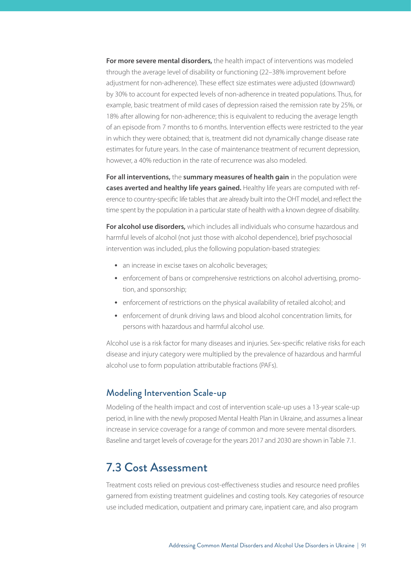**For more severe mental disorders,** the health impact of interventions was modeled through the average level of disability or functioning (22–38% improvement before adjustment for non-adherence). These effect size estimates were adjusted (downward) by 30% to account for expected levels of non-adherence in treated populations. Thus, for example, basic treatment of mild cases of depression raised the remission rate by 25%, or 18% after allowing for non-adherence; this is equivalent to reducing the average length of an episode from 7 months to 6 months. Intervention effects were restricted to the year in which they were obtained; that is, treatment did not dynamically change disease rate estimates for future years. In the case of maintenance treatment of recurrent depression, however, a 40% reduction in the rate of recurrence was also modeled.

**For all interventions,** the **summary measures of health gain** in the population were **cases averted and healthy life years gained.** Healthy life years are computed with reference to country-specific life tables that are already built into the OHT model, and reflect the time spent by the population in a particular state of health with a known degree of disability.

**For alcohol use disorders,** which includes all individuals who consume hazardous and harmful levels of alcohol (not just those with alcohol dependence), brief psychosocial intervention was included, plus the following population-based strategies:

- **•** an increase in excise taxes on alcoholic beverages;
- **•** enforcement of bans or comprehensive restrictions on alcohol advertising, promotion, and sponsorship;
- **•** enforcement of restrictions on the physical availability of retailed alcohol; and
- **•** enforcement of drunk driving laws and blood alcohol concentration limits, for persons with hazardous and harmful alcohol use.

Alcohol use is a risk factor for many diseases and injuries. Sex-specific relative risks for each disease and injury category were multiplied by the prevalence of hazardous and harmful alcohol use to form population attributable fractions (PAFs).

#### Modeling Intervention Scale-up

Modeling of the health impact and cost of intervention scale-up uses a 13-year scale-up period, in line with the newly proposed Mental Health Plan in Ukraine, and assumes a linear increase in service coverage for a range of common and more severe mental disorders. Baseline and target levels of coverage for the years 2017 and 2030 are shown in Table 7.1.

# 7.3 Cost Assessment

Treatment costs relied on previous cost-effectiveness studies and resource need profiles garnered from existing treatment guidelines and costing tools. Key categories of resource use included medication, outpatient and primary care, inpatient care, and also program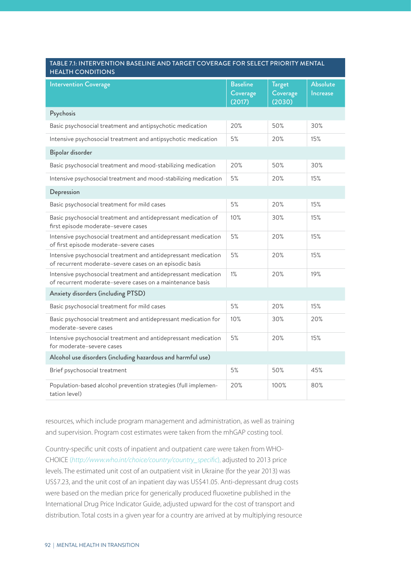| TABLE 7.1: INTERVENTION BASELINE AND TARGET COVERAGE FOR SELECT PRIORITY MENTAL<br><b>HEALTH CONDITIONS</b>                 |                                       |                                     |                             |
|-----------------------------------------------------------------------------------------------------------------------------|---------------------------------------|-------------------------------------|-----------------------------|
| <b>Intervention Coverage</b>                                                                                                | <b>Baseline</b><br>Coverage<br>(2017) | <b>Target</b><br>Coverage<br>(2030) | <b>Absolute</b><br>Increase |
| Psychosis                                                                                                                   |                                       |                                     |                             |
| Basic psychosocial treatment and antipsychotic medication                                                                   | 20%                                   | 50%                                 | 30%                         |
| Intensive psychosocial treatment and antipsychotic medication                                                               | 5%                                    | 20%                                 | 15%                         |
| Bipolar disorder                                                                                                            |                                       |                                     |                             |
| Basic psychosocial treatment and mood-stabilizing medication                                                                | 20%                                   | 50%                                 | 30%                         |
| Intensive psychosocial treatment and mood-stabilizing medication                                                            | 5%                                    | 20%                                 | 15%                         |
| Depression                                                                                                                  |                                       |                                     |                             |
| Basic psychosocial treatment for mild cases                                                                                 | 5%                                    | 20%                                 | 15%                         |
| Basic psychosocial treatment and antidepressant medication of<br>first episode moderate-severe cases                        | 10%                                   | 30%                                 | 15%                         |
| Intensive psychosocial treatment and antidepressant medication<br>of first episode moderate-severe cases                    | 5%                                    | 20%                                 | 15%                         |
| Intensive psychosocial treatment and antidepressant medication<br>of recurrent moderate-severe cases on an episodic basis   | 5%                                    | 20%                                 | 15%                         |
| Intensive psychosocial treatment and antidepressant medication<br>of recurrent moderate-severe cases on a maintenance basis | 1%                                    | 20%                                 | 19%                         |
| Anxiety disorders (including PTSD)                                                                                          |                                       |                                     |                             |
| Basic psychosocial treatment for mild cases                                                                                 | 5%                                    | 20%                                 | 15%                         |
| Basic psychosocial treatment and antidepressant medication for<br>moderate-severe cases                                     | 10%                                   | 30%                                 | 20%                         |
| Intensive psychosocial treatment and antidepressant medication<br>for moderate-severe cases                                 | 5%                                    | 20%                                 | 15%                         |
| Alcohol use disorders (including hazardous and harmful use)                                                                 |                                       |                                     |                             |
| Brief psychosocial treatment                                                                                                | 5%                                    | 50%                                 | 45%                         |
| Population-based alcohol prevention strategies (full implemen-<br>tation level)                                             | 20%                                   | 100%                                | 80%                         |

resources, which include program management and administration, as well as training and supervision. Program cost estimates were taken from the mhGAP costing tool.

Country-specific unit costs of inpatient and outpatient care were taken from WHO-CHOICE (*[http://www.who.int/choice/country/country\\_specific](http://www.who.int/choice/country/country_specific)*), adjusted to 2013 price levels. The estimated unit cost of an outpatient visit in Ukraine (for the year 2013) was US\$7.23, and the unit cost of an inpatient day was US\$41.05. Anti-depressant drug costs were based on the median price for generically produced fluoxetine published in the International Drug Price Indicator Guide, adjusted upward for the cost of transport and distribution. Total costs in a given year for a country are arrived at by multiplying resource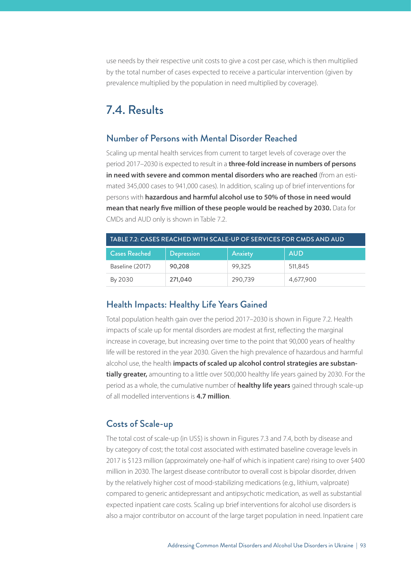use needs by their respective unit costs to give a cost per case, which is then multiplied by the total number of cases expected to receive a particular intervention (given by prevalence multiplied by the population in need multiplied by coverage).

# 7.4. Results

#### Number of Persons with Mental Disorder Reached

Scaling up mental health services from current to target levels of coverage over the period 2017–2030 is expected to result in a **three-fold increase in numbers of persons in need with severe and common mental disorders who are reached** (from an estimated 345,000 cases to 941,000 cases). In addition, scaling up of brief interventions for persons with **hazardous and harmful alcohol use to 50% of those in need would mean that nearly five million of these people would be reached by 2030.** Data for CMDs and AUD only is shown in Table 7.2.

| TABLE 7.2: CASES REACHED WITH SCALE-UP OF SERVICES FOR CMDS AND AUD |                   |         |            |  |
|---------------------------------------------------------------------|-------------------|---------|------------|--|
| <b>Cases Reached</b>                                                | <b>Depression</b> | Anxiety | <b>AUD</b> |  |
| Baseline (2017)                                                     | 90,208            | 99,325  | 511,845    |  |
| By 2030                                                             | 271,040           | 290,739 | 4,677,900  |  |

#### Health Impacts: Healthy Life Years Gained

Total population health gain over the period 2017–2030 is shown in Figure 7.2. Health impacts of scale up for mental disorders are modest at first, reflecting the marginal increase in coverage, but increasing over time to the point that 90,000 years of healthy life will be restored in the year 2030. Given the high prevalence of hazardous and harmful alcohol use, the health **impacts of scaled up alcohol control strategies are substantially greater,** amounting to a little over 500,000 healthy life years gained by 2030. For the period as a whole, the cumulative number of **healthy life years** gained through scale-up of all modelled interventions is **4.7 million**.

#### Costs of Scale-up

The total cost of scale-up (in US\$) is shown in Figures 7.3 and 7.4, both by disease and by category of cost; the total cost associated with estimated baseline coverage levels in 2017 is \$123 million (approximately one-half of which is inpatient care) rising to over \$400 million in 2030. The largest disease contributor to overall cost is bipolar disorder, driven by the relatively higher cost of mood-stabilizing medications (e.g., lithium, valproate) compared to generic antidepressant and antipsychotic medication, as well as substantial expected inpatient care costs. Scaling up brief interventions for alcohol use disorders is also a major contributor on account of the large target population in need. Inpatient care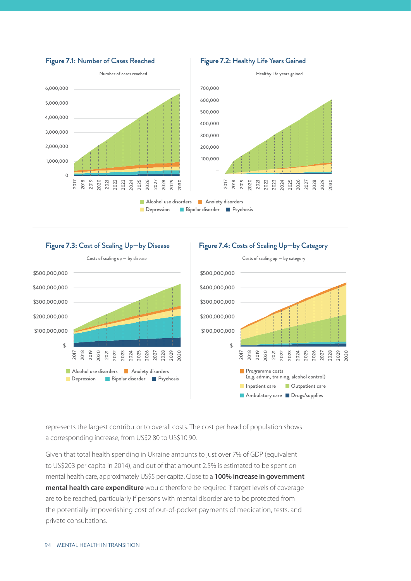

#### **Figure 7.1:** Number of Cases Reached

#### **Figure 7.2:** Healthy Life Years Gained

2026 2027 2028

2029 2030



represents the largest contributor to overall costs. The cost per head of population shows a corresponding increase, from US\$2.80 to US\$10.90.

Given that total health spending in Ukraine amounts to just over 7% of GDP (equivalent to US\$203 per capita in 2014), and out of that amount 2.5% is estimated to be spent on mental health care, approximately US\$5 per capita. Close to a **100% increase in government mental health care expenditure** would therefore be required if target levels of coverage are to be reached, particularly if persons with mental disorder are to be protected from the potentially impoverishing cost of out-of-pocket payments of medication, tests, and private consultations.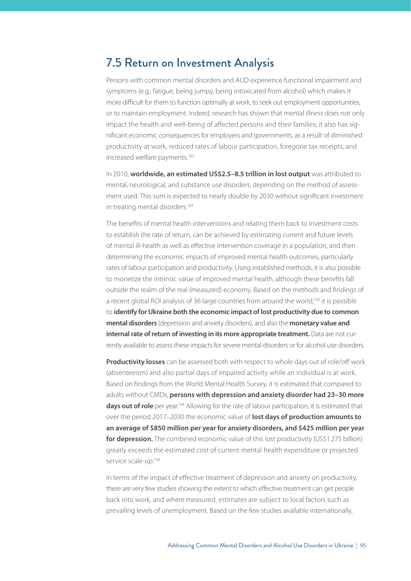# 7.5 Return on Investment Analysis

Persons with common mental disorders and AUD experience functional impairment and symptoms (e.g., fatigue, being jumpy, being intoxicated from alcohol) which makes it more difficult for them to function optimally at work, to seek out employment opportunities, or to maintain employment. Indeed, research has shown that mental illness does not only impact the health and well-being of affected persons and their families; it also has significant economic consequences for employers and governments, as a result of diminished productivity at work, reduced rates of labour participation, foregone tax receipts, and increased welfare payments.163

In 2010, **worldwide, an estimated US\$2.5–8.5 trillion in lost output** was attributed to mental, neurological, and substance use disorders, depending on the method of assessment used. This sum is expected to nearly double by 2030 without significant investment in treating mental disorders.<sup>163</sup>

The benefits of mental health interventions and relating them back to investment costs to establish the rate of return, can be achieved by estimating current and future levels of mental ill-health as well as effective intervention coverage in a population, and then determining the economic impacts of improved mental health outcomes, particularly rates of labour participation and productivity. Using established methods, it is also possible to monetize the intrinsic value of improved mental health, although these benefits fall outside the realm of the real (measured) economy. Based on the methods and findings of a recent global ROI analysis of 36 large countries from around the world,<sup>163</sup> it is possible to **identify for Ukraine both the economic impact of lost productivity due to common mental disorders** (depression and anxiety disorders), and also the **monetary value and internal rate of return of investing in its more appropriate treatment.** Data are not currently available to assess these impacts for severe mental disorders or for alcohol use disorders.

**Productivity losses** can be assessed both with respect to whole days out of role/off work (absenteeism) and also partial days of impaired activity while an individual is at work. Based on findings from the World Mental Health Survey, it is estimated that compared to adults without CMDs, **persons with depression and anxiety disorder had 23–30 more days out of role** per year.<sup>164</sup> Allowing for the rate of labour participation, it is estimated that over the period 2017–2030 the economic value of **lost days of production amounts to an average of \$850 million per year for anxiety disorders, and \$425 million per year**  for depression. The combined economic value of this lost productivity (US\$1.275 billion) greatly exceeds the estimated cost of current mental health expenditure or projected service scale-up.<sup>104</sup>

In terms of the impact of effective treatment of depression and anxiety on productivity, there are very few studies showing the extent to which effective treatment can get people back into work, and where measured, estimates are subject to local factors such as prevailing levels of unemployment. Based on the few studies available internationally,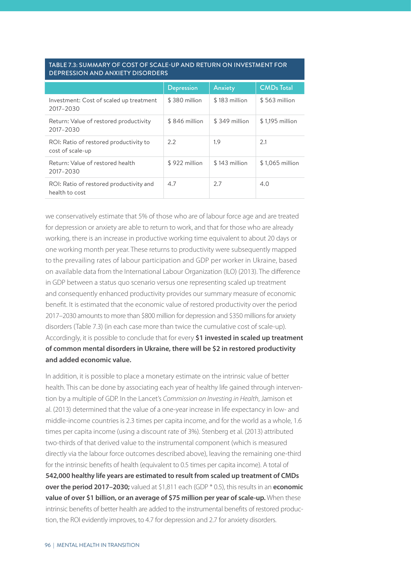| DEPRESSION AND ANXIELT DISORDERS                           |               |               |                   |
|------------------------------------------------------------|---------------|---------------|-------------------|
|                                                            | Depression    | Anxiety       | <b>CMDs Total</b> |
| Investment: Cost of scaled up treatment<br>2017-2030       | \$380 million | \$183 million | \$563 million     |
| Return: Value of restored productivity<br>2017-2030        | \$846 million | \$349 million | \$1,195 million   |
| ROI: Ratio of restored productivity to<br>cost of scale-up | 2.2           | 1.9           | 2.1               |
| Return: Value of restored health<br>2017-2030              | \$922 million | \$143 million | \$1,065 million   |
| ROI: Ratio of restored productivity and<br>health to cost  | 4.7           | 2.7           | 4.0               |

#### TABLE 7.3: SUMMARY OF COST OF SCALE-UP AND RETURN ON INVESTMENT FOR DEPRESSION AND ANXIETY DISORDERS

we conservatively estimate that 5% of those who are of labour force age and are treated for depression or anxiety are able to return to work, and that for those who are already working, there is an increase in productive working time equivalent to about 20 days or one working month per year. These returns to productivity were subsequently mapped to the prevailing rates of labour participation and GDP per worker in Ukraine, based on available data from the International Labour Organization (ILO) (2013). The difference in GDP between a status quo scenario versus one representing scaled up treatment and consequently enhanced productivity provides our summary measure of economic benefit. It is estimated that the economic value of restored productivity over the period 2017–2030 amounts to more than \$800 million for depression and \$350 millions for anxiety disorders (Table 7.3) (in each case more than twice the cumulative cost of scale-up). Accordingly, it is possible to conclude that for every **\$1 invested in scaled up treatment of common mental disorders in Ukraine, there will be \$2 in restored productivity and added economic value.**

In addition, it is possible to place a monetary estimate on the intrinsic value of better health. This can be done by associating each year of healthy life gained through intervention by a multiple of GDP. In the Lancet's *Commission on Investing in Health*, Jamison et al. (2013) determined that the value of a one-year increase in life expectancy in low- and middle-income countries is 2.3 times per capita income, and for the world as a whole, 1.6 times per capita income (using a discount rate of 3%). Stenberg et al. (2013) attributed two-thirds of that derived value to the instrumental component (which is measured directly via the labour force outcomes described above), leaving the remaining one-third for the intrinsic benefits of health (equivalent to 0.5 times per capita income). A total of **542,000 healthy life years are estimated to result from scaled up treatment of CMDs over the period 2017–2030;** valued at \$1,811 each (GDP \* 0.5), this results in an **economic value of over \$1 billion, or an average of \$75 million per year of scale-up.** When these intrinsic benefits of better health are added to the instrumental benefits of restored production, the ROI evidently improves, to 4.7 for depression and 2.7 for anxiety disorders.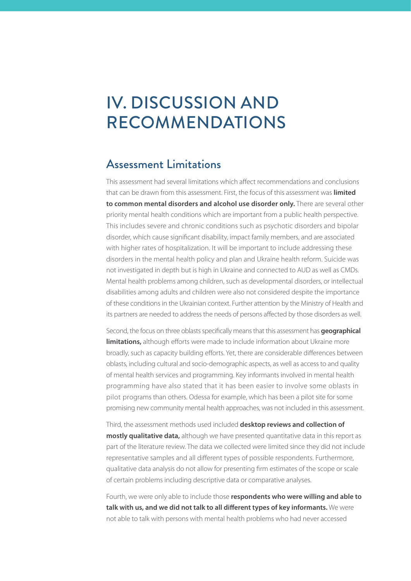# IV. DISCUSSION AND RECOMMENDATIONS

# Assessment Limitations

This assessment had several limitations which affect recommendations and conclusions that can be drawn from this assessment. First, the focus of this assessment was **limited to common mental disorders and alcohol use disorder only.** There are several other priority mental health conditions which are important from a public health perspective. This includes severe and chronic conditions such as psychotic disorders and bipolar disorder, which cause significant disability, impact family members, and are associated with higher rates of hospitalization. It will be important to include addressing these disorders in the mental health policy and plan and Ukraine health reform. Suicide was not investigated in depth but is high in Ukraine and connected to AUD as well as CMDs. Mental health problems among children, such as developmental disorders, or intellectual disabilities among adults and children were also not considered despite the importance of these conditions in the Ukrainian context. Further attention by the Ministry of Health and its partners are needed to address the needs of persons affected by those disorders as well.

Second, the focus on three oblasts specifically means that this assessment has **geographical limitations,** although efforts were made to include information about Ukraine more broadly, such as capacity building efforts. Yet, there are considerable differences between oblasts, including cultural and socio-demographic aspects, as well as access to and quality of mental health services and programming. Key informants involved in mental health programming have also stated that it has been easier to involve some oblasts in pilot programs than others. Odessa for example, which has been a pilot site for some promising new community mental health approaches, was not included in this assessment.

Third, the assessment methods used included **desktop reviews and collection of mostly qualitative data,** although we have presented quantitative data in this report as part of the literature review. The data we collected were limited since they did not include representative samples and all different types of possible respondents. Furthermore, qualitative data analysis do not allow for presenting firm estimates of the scope or scale of certain problems including descriptive data or comparative analyses.

Fourth, we were only able to include those **respondents who were willing and able to talk with us, and we did not talk to all different types of key informants.** We were not able to talk with persons with mental health problems who had never accessed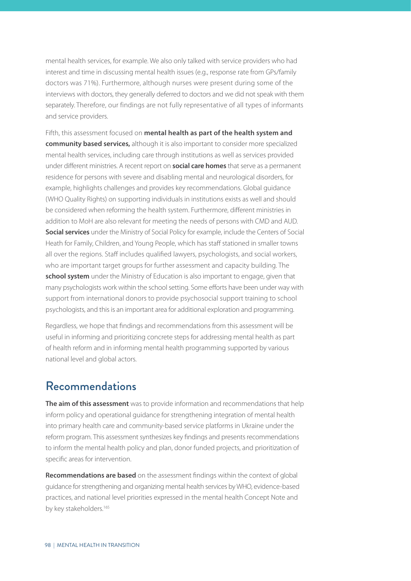mental health services, for example. We also only talked with service providers who had interest and time in discussing mental health issues (e.g., response rate from GPs/family doctors was 71%). Furthermore, although nurses were present during some of the interviews with doctors, they generally deferred to doctors and we did not speak with them separately. Therefore, our findings are not fully representative of all types of informants and service providers.

Fifth, this assessment focused on **mental health as part of the health system and community based services,** although it is also important to consider more specialized mental health services, including care through institutions as well as services provided under different ministries. A recent report on **social care homes** that serve as a permanent residence for persons with severe and disabling mental and neurological disorders, for example, highlights challenges and provides key recommendations. Global guidance (WHO Quality Rights) on supporting individuals in institutions exists as well and should be considered when reforming the health system. Furthermore, different ministries in addition to MoH are also relevant for meeting the needs of persons with CMD and AUD. **Social services** under the Ministry of Social Policy for example, include the Centers of Social Heath for Family, Children, and Young People, which has staff stationed in smaller towns all over the regions. Staff includes qualified lawyers, psychologists, and social workers, who are important target groups for further assessment and capacity building. The **school system** under the Ministry of Education is also important to engage, given that many psychologists work within the school setting. Some efforts have been under way with support from international donors to provide psychosocial support training to school psychologists, and this is an important area for additional exploration and programming.

Regardless, we hope that findings and recommendations from this assessment will be useful in informing and prioritizing concrete steps for addressing mental health as part of health reform and in informing mental health programming supported by various national level and global actors.

## Recommendations

**The aim of this assessment** was to provide information and recommendations that help inform policy and operational guidance for strengthening integration of mental health into primary health care and community-based service platforms in Ukraine under the reform program. This assessment synthesizes key findings and presents recommendations to inform the mental health policy and plan, donor funded projects, and prioritization of specific areas for intervention.

**Recommendations are based** on the assessment findings within the context of global guidance for strengthening and organizing mental health services by WHO, evidence-based practices, and national level priorities expressed in the mental health Concept Note and by key stakeholders.<sup>165</sup>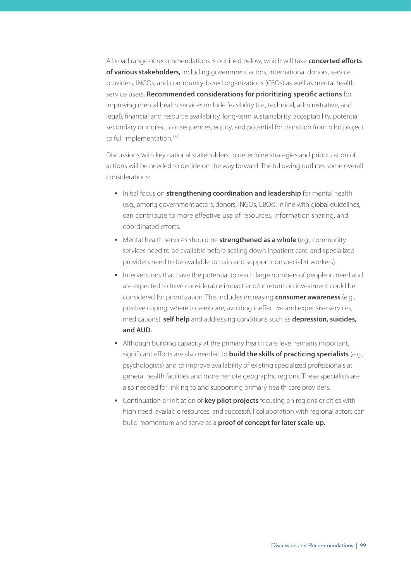A broad range of recommendations is outlined below, which will take **concerted efforts of various stakeholders,** including government actors, international donors, service providers, INGOs, and community-based organizations (CBOs) as well as mental health service users. **Recommended considerations for prioritizing specific actions** for improving mental health services include feasibility (i.e., technical, administrative, and legal), financial and resource availability, long-term sustainability, acceptability, potential secondary or indirect consequences, equity, and potential for transition from pilot project to full implementation.<sup>165</sup>

Discussions with key national stakeholders to determine strategies and prioritization of actions will be needed to decide on the way forward. The following outlines some overall considerations:

- **•** Initial focus on **strengthening coordination and leadership** for mental health (e.g., among government actors, donors, INGOs, CBOs), in line with global guidelines, can contribute to more effective use of resources, information sharing, and coordinated efforts.
- **•** Mental health services should be **strengthened as a whole** (e.g., community services need to be available before scaling down inpatient care, and specialized providers need to be available to train and support nonspecialist workers).
- Interventions that have the potential to reach large numbers of people in need and are expected to have considerable impact and/or return on investment could be considered for prioritization. This includes increasing **consumer awareness** (e.g., positive coping, where to seek care, avoiding ineffective and expensive services, medications), **self help** and addressing conditions such as **depression, suicides, and AUD.**
- **•** Although building capacity at the primary health care level remains important, significant efforts are also needed to **build the skills of practicing specialists** (e.g., psychologists) and to improve availability of existing specialized professionals at general health facilities and more remote geographic regions. These specialists are also needed for linking to and supporting primary health care providers.
- **•** Continuation or initiation of **key pilot projects** focusing on regions or cities with high need, available resources, and successful collaboration with regional actors can build momentum and serve as a **proof of concept for later scale-up.**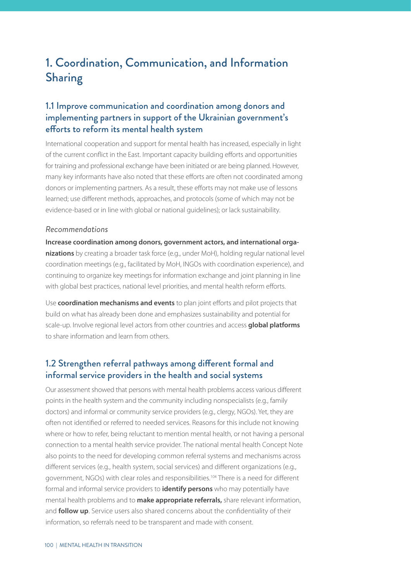# 1. Coordination, Communication, and Information Sharing

#### 1.1 Improve communication and coordination among donors and implementing partners in support of the Ukrainian government's efforts to reform its mental health system

International cooperation and support for mental health has increased, especially in light of the current conflict in the East. Important capacity building efforts and opportunities for training and professional exchange have been initiated or are being planned. However, many key informants have also noted that these efforts are often not coordinated among donors or implementing partners. As a result, these efforts may not make use of lessons learned; use different methods, approaches, and protocols (some of which may not be evidence-based or in line with global or national guidelines); or lack sustainability.

#### *Recommendations*

**Increase coordination among donors, government actors, and international organizations** by creating a broader task force (e.g., under MoH), holding regular national level coordination meetings (e.g., facilitated by MoH, INGOs with coordination experience), and continuing to organize key meetings for information exchange and joint planning in line with global best practices, national level priorities, and mental health reform efforts.

Use **coordination mechanisms and events** to plan joint efforts and pilot projects that build on what has already been done and emphasizes sustainability and potential for scale-up. Involve regional level actors from other countries and access **global platforms** to share information and learn from others.

#### 1.2 Strengthen referral pathways among different formal and informal service providers in the health and social systems

Our assessment showed that persons with mental health problems access various different points in the health system and the community including nonspecialists (e.g., family doctors) and informal or community service providers (e.g., clergy, NGOs). Yet, they are often not identified or referred to needed services. Reasons for this include not knowing where or how to refer, being reluctant to mention mental health, or not having a personal connection to a mental health service provider. The national mental health Concept Note also points to the need for developing common referral systems and mechanisms across different services (e.g., health system, social services) and different organizations (e.g., government, NGOs) with clear roles and responsibilities.<sup>104</sup> There is a need for different formal and informal service providers to **identify persons** who may potentially have mental health problems and to **make appropriate referrals,** share relevant information, and **follow up**. Service users also shared concerns about the confidentiality of their information, so referrals need to be transparent and made with consent.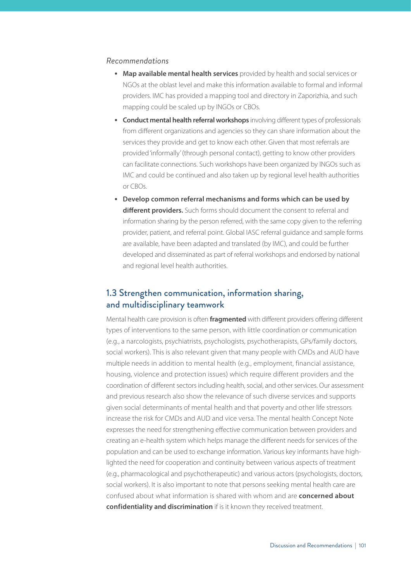#### *Recommendations*

- **• Map available mental health services** provided by health and social services or NGOs at the oblast level and make this information available to formal and informal providers. IMC has provided a mapping tool and directory in Zaporizhia, and such mapping could be scaled up by INGOs or CBOs.
- **• Conduct mental health referral workshops** involving different types of professionals from different organizations and agencies so they can share information about the services they provide and get to know each other. Given that most referrals are provided 'informally' (through personal contact), getting to know other providers can facilitate connections. Such workshops have been organized by INGOs such as IMC and could be continued and also taken up by regional level health authorities or CBOs.
- **• Develop common referral mechanisms and forms which can be used by different providers.** Such forms should document the consent to referral and information sharing by the person referred, with the same copy given to the referring provider, patient, and referral point. Global IASC referral guidance and sample forms are available, have been adapted and translated (by IMC), and could be further developed and disseminated as part of referral workshops and endorsed by national and regional level health authorities.

#### 1.3 Strengthen communication, information sharing, and multidisciplinary teamwork

Mental health care provision is often **fragmented** with different providers offering different types of interventions to the same person, with little coordination or communication (e.g., a narcologists, psychiatrists, psychologists, psychotherapists, GPs/family doctors, social workers). This is also relevant given that many people with CMDs and AUD have multiple needs in addition to mental health (e.g., employment, financial assistance, housing, violence and protection issues) which require different providers and the coordination of different sectors including health, social, and other services. Our assessment and previous research also show the relevance of such diverse services and supports given social determinants of mental health and that poverty and other life stressors increase the risk for CMDs and AUD and vice versa. The mental health Concept Note expresses the need for strengthening effective communication between providers and creating an e-health system which helps manage the different needs for services of the population and can be used to exchange information. Various key informants have highlighted the need for cooperation and continuity between various aspects of treatment (e.g., pharmacological and psychotherapeutic) and various actors (psychologists, doctors, social workers). It is also important to note that persons seeking mental health care are confused about what information is shared with whom and are **concerned about confidentiality and discrimination** if is it known they received treatment.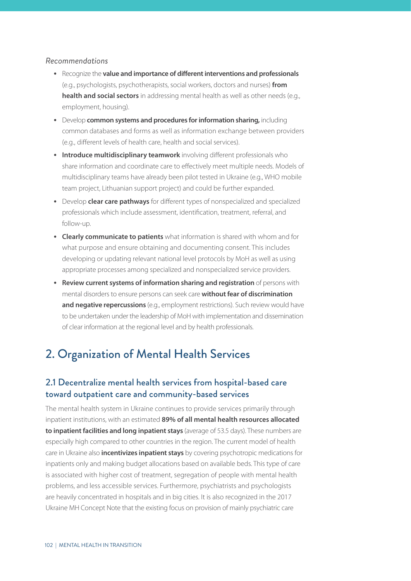#### *Recommendations*

- **•** Recognize the **value and importance of different interventions and professionals**  (e.g., psychologists, psychotherapists, social workers, doctors and nurses) **from health and social sectors** in addressing mental health as well as other needs (e.g., employment, housing).
- **•** Develop **common systems and procedures for information sharing,** including common databases and forms as well as information exchange between providers (e.g., different levels of health care, health and social services).
- **• Introduce multidisciplinary teamwork** involving different professionals who share information and coordinate care to effectively meet multiple needs. Models of multidisciplinary teams have already been pilot tested in Ukraine (e.g., WHO mobile team project, Lithuanian support project) and could be further expanded.
- **•** Develop **clear care pathways** for different types of nonspecialized and specialized professionals which include assessment, identification, treatment, referral, and follow-up.
- **• Clearly communicate to patients** what information is shared with whom and for what purpose and ensure obtaining and documenting consent. This includes developing or updating relevant national level protocols by MoH as well as using appropriate processes among specialized and nonspecialized service providers.
- **• Review current systems of information sharing and registration** of persons with mental disorders to ensure persons can seek care **without fear of discrimination**  and negative repercussions (e.g., employment restrictions). Such review would have to be undertaken under the leadership of MoH with implementation and dissemination of clear information at the regional level and by health professionals.

# 2. Organization of Mental Health Services

#### 2.1 Decentralize mental health services from hospital-based care toward outpatient care and community-based services

The mental health system in Ukraine continues to provide services primarily through inpatient institutions, with an estimated **89% of all mental health resources allocated to inpatient facilities and long inpatient stays** (average of 53.5 days). These numbers are especially high compared to other countries in the region. The current model of health care in Ukraine also **incentivizes inpatient stays** by covering psychotropic medications for inpatients only and making budget allocations based on available beds. This type of care is associated with higher cost of treatment, segregation of people with mental health problems, and less accessible services. Furthermore, psychiatrists and psychologists are heavily concentrated in hospitals and in big cities. It is also recognized in the 2017 Ukraine MH Concept Note that the existing focus on provision of mainly psychiatric care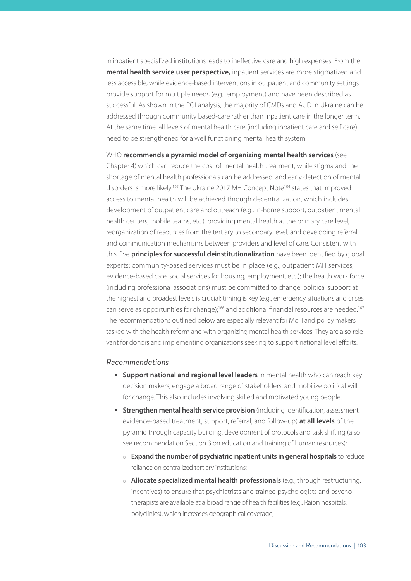in inpatient specialized institutions leads to ineffective care and high expenses. From the **mental health service user perspective,** inpatient services are more stigmatized and less accessible, while evidence-based interventions in outpatient and community settings provide support for multiple needs (e.g., employment) and have been described as successful. As shown in the ROI analysis, the majority of CMDs and AUD in Ukraine can be addressed through community based-care rather than inpatient care in the longer term. At the same time, all levels of mental health care (including inpatient care and self care) need to be strengthened for a well functioning mental health system.

WHO **recommends a pyramid model of organizing mental health services** (see Chapter 4) which can reduce the cost of mental health treatment, while stigma and the shortage of mental health professionals can be addressed, and early detection of mental disorders is more likely.<sup>165</sup> The Ukraine 2017 MH Concept Note<sup>104</sup> states that improved access to mental health will be achieved through decentralization, which includes development of outpatient care and outreach (e.g., in-home support, outpatient mental health centers, mobile teams, etc.), providing mental health at the primary care level, reorganization of resources from the tertiary to secondary level, and developing referral and communication mechanisms between providers and level of care. Consistent with this, five **principles for successful deinstitutionalization** have been identified by global experts: community-based services must be in place (e.g., outpatient MH services, evidence-based care, social services for housing, employment, etc.); the health work force (including professional associations) must be committed to change; political support at the highest and broadest levels is crucial; timing is key (e.g., emergency situations and crises can serve as opportunities for change);<sup>166</sup> and additional financial resources are needed.<sup>167</sup> The recommendations outlined below are especially relevant for MoH and policy makers tasked with the health reform and with organizing mental health services. They are also relevant for donors and implementing organizations seeking to support national level efforts.

#### *Recommendations*

- **• Support national and regional level leaders** in mental health who can reach key decision makers, engage a broad range of stakeholders, and mobilize political will for change. This also includes involving skilled and motivated young people.
- **• Strengthen mental health service provision** (including identification, assessment, evidence-based treatment, support, referral, and follow-up) **at all levels** of the pyramid through capacity building, development of protocols and task shifting (also see recommendation Section 3 on education and training of human resources):
	- { **Expand the number of psychiatric inpatient units in general hospitals** to reduce reliance on centralized tertiary institutions;
	- { **Allocate specialized mental health professionals** (e.g., through restructuring, incentives) to ensure that psychiatrists and trained psychologists and psychotherapists are available at a broad range of health facilities (e.g., Raion hospitals, polyclinics), which increases geographical coverage;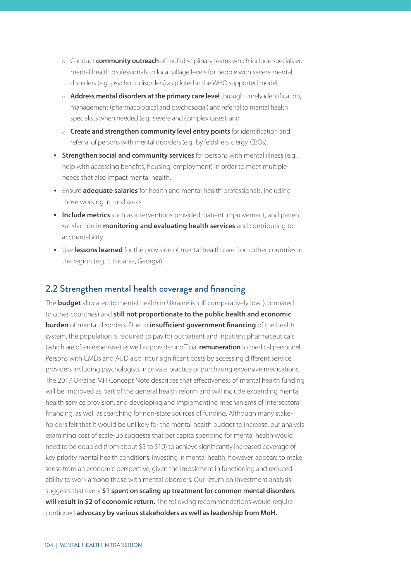- { Conduct **community outreach** of multidisciplinary teams which include specialized mental health professionals to local village levels for people with severe mental disorders (e.g., psychotic disorders) as piloted in the WHO supported model;
- { **Address mental disorders at the primary care level** through timely identification, management (pharmacological and psychosocial) and referral to mental health specialists when needed (e.g., severe and complex cases); and
- { **Create and strengthen community level entry points** for identification and referral of persons with mental disorders (e.g., by feldshers, clergy, CBOs).
- **• Strengthen social and community services** for persons with mental illness (e.g., help with accessing benefits, housing, employment) in order to meet multiple needs that also impact mental health.
- **•** Ensure **adequate salaries** for health and mental health professionals, including those working in rural areas
- **• Include metrics** such as interventions provided, patient improvement, and patient satisfaction in **monitoring and evaluating health services** and contributing to accountability.
- **•** Use **lessons learned** for the provision of mental health care from other countries in the region (e.g., Lithuania, Georgia).

#### 2.2 Strengthen mental health coverage and financing

The **budget** allocated to mental health in Ukraine is still comparatively low (compared to other countries) and **still not proportionate to the public health and economic burden** of mental disorders. Due to **insufficient government financing** of the health system, the population is required to pay for outpatient and inpatient pharmaceuticals (which are often expensive) as well as provide unofficial **remuneration** to medical personnel. Persons with CMDs and AUD also incur significant costs by accessing different service providers including psychologists in private practice or purchasing expensive medications. The 2017 Ukraine MH Concept Note describes that effectiveness of mental health funding will be improved as part of the general health reform and will include expanding mental health service provision, and developing and implementing mechanisms of intersectoral financing, as well as searching for non-state sources of funding. Although many stakeholders felt that it would be unlikely for the mental health budget to increase, our analysis examining cost of scale-up suggests that per capita spending for mental health would need to be doubled (from about \$5 to \$10) to achieve significantly increased coverage of key priority mental health conditions. Investing in mental health, however, appears to make sense from an economic perspective, given the impairment in functioning and reduced ability to work among those with mental disorders. Our return on investment analysis suggests that every **\$1 spent on scaling up treatment for common mental disorders will result in \$2 of economic return.** The following recommendations would require continued **advocacy by various stakeholders as well as leadership from MoH.**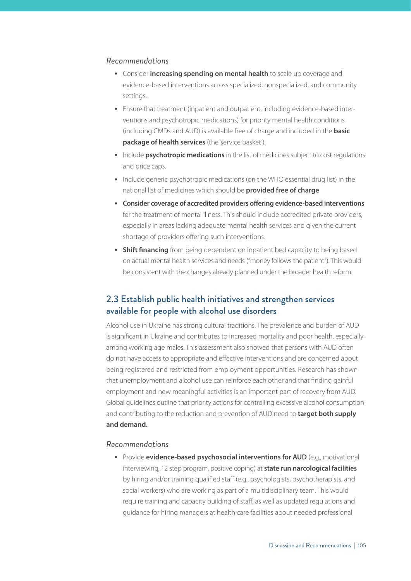#### *Recommendations*

- **•** Consider **increasing spending on mental health** to scale up coverage and evidence-based interventions across specialized, nonspecialized, and community settings.
- **•** Ensure that treatment (inpatient and outpatient, including evidence-based interventions and psychotropic medications) for priority mental health conditions (including CMDs and AUD) is available free of charge and included in the **basic package of health services** (the 'service basket').
- **•** Include **psychotropic medications** in the list of medicines subject to cost regulations and price caps.
- **•** Include generic psychotropic medications (on the WHO essential drug list) in the national list of medicines which should be **provided free of charge**
- **• Consider coverage of accredited providers offering evidence-based interventions** for the treatment of mental illness. This should include accredited private providers, especially in areas lacking adequate mental health services and given the current shortage of providers offering such interventions.
- **• Shift financing** from being dependent on inpatient bed capacity to being based on actual mental health services and needs ("money follows the patient"). This would be consistent with the changes already planned under the broader health reform.

#### 2.3 Establish public health initiatives and strengthen services available for people with alcohol use disorders

Alcohol use in Ukraine has strong cultural traditions. The prevalence and burden of AUD is significant in Ukraine and contributes to increased mortality and poor health, especially among working age males. This assessment also showed that persons with AUD often do not have access to appropriate and effective interventions and are concerned about being registered and restricted from employment opportunities. Research has shown that unemployment and alcohol use can reinforce each other and that finding gainful employment and new meaningful activities is an important part of recovery from AUD. Global guidelines outline that priority actions for controlling excessive alcohol consumption and contributing to the reduction and prevention of AUD need to **target both supply and demand.**

#### *Recommendations*

**•** Provide **evidence-based psychosocial interventions for AUD** (e.g., motivational interviewing, 12 step program, positive coping) at **state run narcological facilities** by hiring and/or training qualified staff (e.g., psychologists, psychotherapists, and social workers) who are working as part of a multidisciplinary team. This would require training and capacity building of staff, as well as updated regulations and guidance for hiring managers at health care facilities about needed professional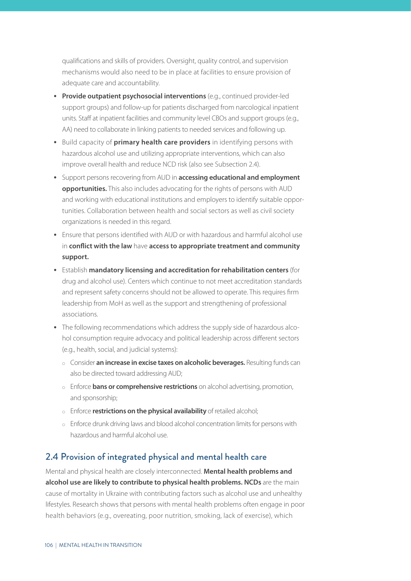qualifications and skills of providers. Oversight, quality control, and supervision mechanisms would also need to be in place at facilities to ensure provision of adequate care and accountability.

- **• Provide outpatient psychosocial interventions** (e.g., continued provider-led support groups) and follow-up for patients discharged from narcological inpatient units. Staff at inpatient facilities and community level CBOs and support groups (e.g., AA) need to collaborate in linking patients to needed services and following up.
- **•** Build capacity of **primary health care providers** in identifying persons with hazardous alcohol use and utilizing appropriate interventions, which can also improve overall health and reduce NCD risk (also see Subsection 2.4).
- **•** Support persons recovering from AUD in **accessing educational and employment opportunities.** This also includes advocating for the rights of persons with AUD and working with educational institutions and employers to identify suitable opportunities. Collaboration between health and social sectors as well as civil society organizations is needed in this regard.
- **•** Ensure that persons identified with AUD or with hazardous and harmful alcohol use in **conflict with the law** have **access to appropriate treatment and community support.**
- **•** Establish **mandatory licensing and accreditation for rehabilitation centers** (for drug and alcohol use). Centers which continue to not meet accreditation standards and represent safety concerns should not be allowed to operate. This requires firm leadership from MoH as well as the support and strengthening of professional associations.
- **•** The following recommendations which address the supply side of hazardous alcohol consumption require advocacy and political leadership across different sectors (e.g., health, social, and judicial systems):
	- { Consider **an increase in excise taxes on alcoholic beverages.** Resulting funds can also be directed toward addressing AUD;
	- { Enforce **bans or comprehensive restrictions** on alcohol advertising, promotion, and sponsorship;
	- { Enforce **restrictions on the physical availability** of retailed alcohol;
	- { Enforce drunk driving laws and blood alcohol concentration limits for persons with hazardous and harmful alcohol use.

#### 2.4 Provision of integrated physical and mental health care

Mental and physical health are closely interconnected. **Mental health problems and alcohol use are likely to contribute to physical health problems. NCDs** are the main cause of mortality in Ukraine with contributing factors such as alcohol use and unhealthy lifestyles. Research shows that persons with mental health problems often engage in poor health behaviors (e.g., overeating, poor nutrition, smoking, lack of exercise), which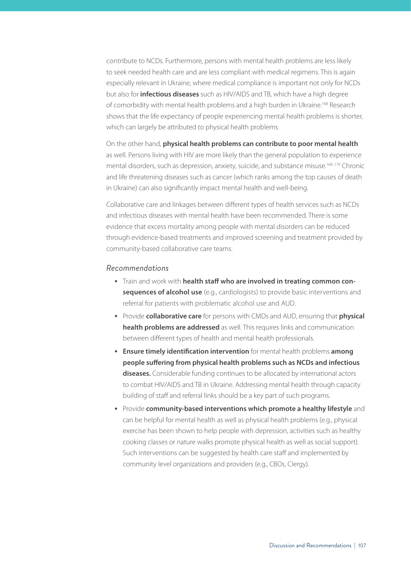contribute to NCDs. Furthermore, persons with mental health problems are less likely to seek needed health care and are less compliant with medical regimens. This is again especially relevant in Ukraine, where medical compliance is important not only for NCDs but also for **infectious diseases** such as HIV/AIDS and TB, which have a high degree of comorbidity with mental health problems and a high burden in Ukraine.168 Research shows that the life expectancy of people experiencing mental health problems is shorter, which can largely be attributed to physical health problems.

On the other hand, **physical health problems can contribute to poor mental health** as well. Persons living with HIV are more likely than the general population to experience mental disorders, such as depression, anxiety, suicide, and substance misuse.<sup>169, 170</sup> Chronic and life threatening diseases such as cancer (which ranks among the top causes of death in Ukraine) can also significantly impact mental health and well-being.

Collaborative care and linkages between different types of health services such as NCDs and infectious diseases with mental health have been recommended. There is some evidence that excess mortality among people with mental disorders can be reduced through evidence-based treatments and improved screening and treatment provided by community-based collaborative care teams.

#### *Recommendations*

- **•** Train and work with **health staff who are involved in treating common consequences of alcohol use** (e.g., cardiologists) to provide basic interventions and referral for patients with problematic alcohol use and AUD.
- **•** Provide **collaborative care** for persons with CMDs and AUD, ensuring that **physical health problems are addressed** as well. This requires links and communication between different types of health and mental health professionals.
- **• Ensure timely identification intervention** for mental health problems **among people suffering from physical health problems such as NCDs and infectious diseases.** Considerable funding continues to be allocated by international actors to combat HIV/AIDS and TB in Ukraine. Addressing mental health through capacity building of staff and referral links should be a key part of such programs.
- **•** Provide **community-based interventions which promote a healthy lifestyle** and can be helpful for mental health as well as physical health problems (e.g., physical exercise has been shown to help people with depression, activities such as healthy cooking classes or nature walks promote physical health as well as social support). Such interventions can be suggested by health care staff and implemented by community level organizations and providers (e.g., CBOs, Clergy).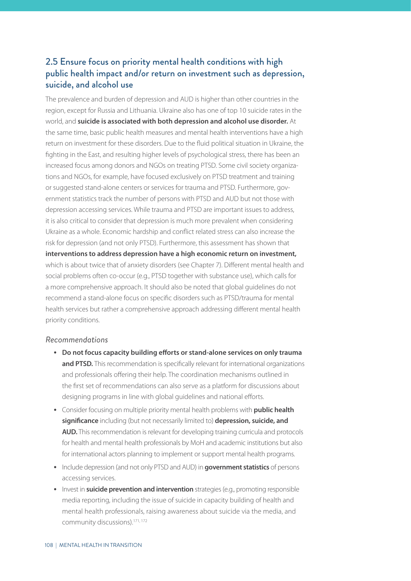### 2.5 Ensure focus on priority mental health conditions with high public health impact and/or return on investment such as depression, suicide, and alcohol use

The prevalence and burden of depression and AUD is higher than other countries in the region, except for Russia and Lithuania. Ukraine also has one of top 10 suicide rates in the world, and **suicide is associated with both depression and alcohol use disorder.** At the same time, basic public health measures and mental health interventions have a high return on investment for these disorders. Due to the fluid political situation in Ukraine, the fighting in the East, and resulting higher levels of psychological stress, there has been an increased focus among donors and NGOs on treating PTSD. Some civil society organizations and NGOs, for example, have focused exclusively on PTSD treatment and training or suggested stand-alone centers or services for trauma and PTSD. Furthermore, government statistics track the number of persons with PTSD and AUD but not those with depression accessing services. While trauma and PTSD are important issues to address, it is also critical to consider that depression is much more prevalent when considering Ukraine as a whole. Economic hardship and conflict related stress can also increase the risk for depression (and not only PTSD). Furthermore, this assessment has shown that **interventions to address depression have a high economic return on investment,** which is about twice that of anxiety disorders (see Chapter 7). Different mental health and social problems often co-occur (e.g., PTSD together with substance use), which calls for a more comprehensive approach. It should also be noted that global guidelines do not recommend a stand-alone focus on specific disorders such as PTSD/trauma for mental health services but rather a comprehensive approach addressing different mental health priority conditions.

#### *Recommendations*

- **• Do not focus capacity building efforts or stand-alone services on only trauma**  and PTSD. This recommendation is specifically relevant for international organizations and professionals offering their help. The coordination mechanisms outlined in the first set of recommendations can also serve as a platform for discussions about designing programs in line with global guidelines and national efforts.
- **•** Consider focusing on multiple priority mental health problems with **public health significance** including (but not necessarily limited to) **depression, suicide, and AUD.** This recommendation is relevant for developing training curricula and protocols for health and mental health professionals by MoH and academic institutions but also for international actors planning to implement or support mental health programs.
- **•** Include depression (and not only PTSD and AUD) in **government statistics** of persons accessing services.
- **•** Invest in **suicide prevention and intervention** strategies (e.g., promoting responsible media reporting, including the issue of suicide in capacity building of health and mental health professionals, raising awareness about suicide via the media, and community discussions).171, 172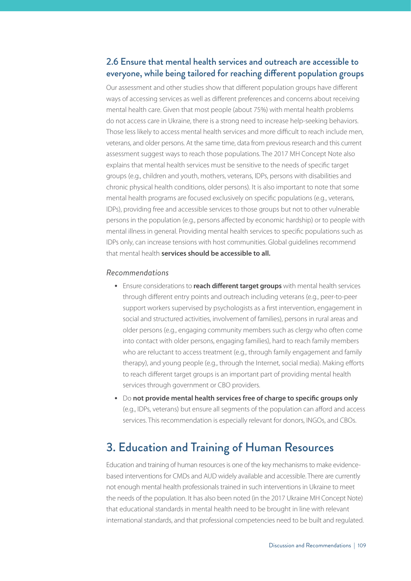## 2.6 Ensure that mental health services and outreach are accessible to everyone, while being tailored for reaching different population groups

Our assessment and other studies show that different population groups have different ways of accessing services as well as different preferences and concerns about receiving mental health care. Given that most people (about 75%) with mental health problems do not access care in Ukraine, there is a strong need to increase help-seeking behaviors. Those less likely to access mental health services and more difficult to reach include men, veterans, and older persons. At the same time, data from previous research and this current assessment suggest ways to reach those populations. The 2017 MH Concept Note also explains that mental health services must be sensitive to the needs of specific target groups (e.g., children and youth, mothers, veterans, IDPs, persons with disabilities and chronic physical health conditions, older persons). It is also important to note that some mental health programs are focused exclusively on specific populations (e.g., veterans, IDPs), providing free and accessible services to those groups but not to other vulnerable persons in the population (e.g., persons affected by economic hardship) or to people with mental illness in general. Providing mental health services to specific populations such as IDPs only, can increase tensions with host communities. Global guidelines recommend that mental health **services should be accessible to all.**

#### *Recommendations*

- **•** Ensure considerations to **reach different target groups** with mental health services through different entry points and outreach including veterans (e.g., peer-to-peer support workers supervised by psychologists as a first intervention, engagement in social and structured activities, involvement of families), persons in rural areas and older persons (e.g., engaging community members such as clergy who often come into contact with older persons, engaging families), hard to reach family members who are reluctant to access treatment (e.g., through family engagement and family therapy), and young people (e.g., through the Internet, social media). Making efforts to reach different target groups is an important part of providing mental health services through government or CBO providers.
- **•** Do **not provide mental health services free of charge to specific groups only** (e.g., IDPs, veterans) but ensure all segments of the population can afford and access services. This recommendation is especially relevant for donors, INGOs, and CBOs.

## 3. Education and Training of Human Resources

Education and training of human resources is one of the key mechanisms to make evidencebased interventions for CMDs and AUD widely available and accessible. There are currently not enough mental health professionals trained in such interventions in Ukraine to meet the needs of the population. It has also been noted (in the 2017 Ukraine MH Concept Note) that educational standards in mental health need to be brought in line with relevant international standards, and that professional competencies need to be built and regulated.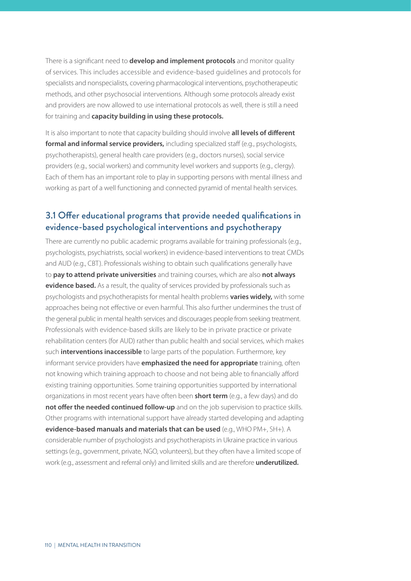There is a significant need to **develop and implement protocols** and monitor quality of services. This includes accessible and evidence-based guidelines and protocols for specialists and nonspecialists, covering pharmacological interventions, psychotherapeutic methods, and other psychosocial interventions. Although some protocols already exist and providers are now allowed to use international protocols as well, there is still a need for training and **capacity building in using these protocols.**

It is also important to note that capacity building should involve **all levels of different formal and informal service providers,** including specialized staff (e.g., psychologists, psychotherapists), general health care providers (e.g., doctors nurses), social service providers (e.g., social workers) and community level workers and supports (e.g., clergy). Each of them has an important role to play in supporting persons with mental illness and working as part of a well functioning and connected pyramid of mental health services.

## 3.1 Offer educational programs that provide needed qualifications in evidence-based psychological interventions and psychotherapy

There are currently no public academic programs available for training professionals (e.g., psychologists, psychiatrists, social workers) in evidence-based interventions to treat CMDs and AUD (e.g., CBT). Professionals wishing to obtain such qualifications generally have to **pay to attend private universities** and training courses, which are also **not always evidence based.** As a result, the quality of services provided by professionals such as psychologists and psychotherapists for mental health problems **varies widely,** with some approaches being not effective or even harmful. This also further undermines the trust of the general public in mental health services and discourages people from seeking treatment. Professionals with evidence-based skills are likely to be in private practice or private rehabilitation centers (for AUD) rather than public health and social services, which makes such **interventions inaccessible** to large parts of the population. Furthermore, key informant service providers have **emphasized the need for appropriate** training, often not knowing which training approach to choose and not being able to financially afford existing training opportunities. Some training opportunities supported by international organizations in most recent years have often been **short term** (e.g., a few days) and do **not offer the needed continued follow-up** and on the job supervision to practice skills. Other programs with international support have already started developing and adapting **evidence-based manuals and materials that can be used** (e.g., WHO PM+, SH+). A considerable number of psychologists and psychotherapists in Ukraine practice in various settings (e.g., government, private, NGO, volunteers), but they often have a limited scope of work (e.g., assessment and referral only) and limited skills and are therefore **underutilized.**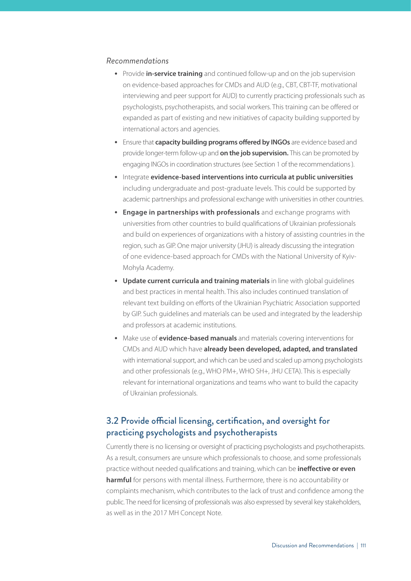#### *Recommendations*

- **•** Provide **in-service training** and continued follow-up and on the job supervision on evidence-based approaches for CMDs and AUD (e.g., CBT, CBT-TF, motivational interviewing and peer support for AUD) to currently practicing professionals such as psychologists, psychotherapists, and social workers. This training can be offered or expanded as part of existing and new initiatives of capacity building supported by international actors and agencies.
- **•** Ensure that **capacity building programs offered by INGOs** are evidence based and provide longer-term follow-up and **on the job supervision.** This can be promoted by engaging INGOs in coordination structures (see Section 1 of the recommendations ).
- **•** Integrate **evidence-based interventions into curricula at public universities**  including undergraduate and post-graduate levels. This could be supported by academic partnerships and professional exchange with universities in other countries.
- **• Engage in partnerships with professionals** and exchange programs with universities from other countries to build qualifications of Ukrainian professionals and build on experiences of organizations with a history of assisting countries in the region, such as GIP. One major university (JHU) is already discussing the integration of one evidence-based approach for CMDs with the National University of Kyiv-Mohyla Academy.
- **• Update current curricula and training materials** in line with global guidelines and best practices in mental health. This also includes continued translation of relevant text building on efforts of the Ukrainian Psychiatric Association supported by GIP. Such guidelines and materials can be used and integrated by the leadership and professors at academic institutions.
- **•** Make use of **evidence-based manuals** and materials covering interventions for CMDs and AUD which have **already been developed, adapted, and translated** with international support, and which can be used and scaled up among psychologists and other professionals (e.g., WHO PM+, WHO SH+, JHU CETA). This is especially relevant for international organizations and teams who want to build the capacity of Ukrainian professionals.

## 3.2 Provide official licensing, certification, and oversight for practicing psychologists and psychotherapists

Currently there is no licensing or oversight of practicing psychologists and psychotherapists. As a result, consumers are unsure which professionals to choose, and some professionals practice without needed qualifications and training, which can be **ineffective or even harmful** for persons with mental illness. Furthermore, there is no accountability or complaints mechanism, which contributes to the lack of trust and confidence among the public. The need for licensing of professionals was also expressed by several key stakeholders, as well as in the 2017 MH Concept Note.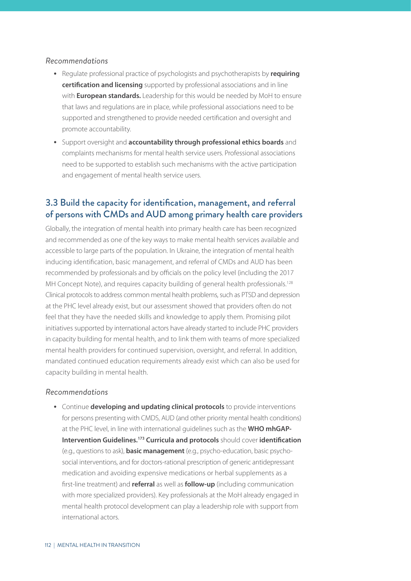#### *Recommendations*

- **•** Regulate professional practice of psychologists and psychotherapists by **requiring certification and licensing** supported by professional associations and in line with **European standards.** Leadership for this would be needed by MoH to ensure that laws and regulations are in place, while professional associations need to be supported and strengthened to provide needed certification and oversight and promote accountability.
- **•** Support oversight and **accountability through professional ethics boards** and complaints mechanisms for mental health service users. Professional associations need to be supported to establish such mechanisms with the active participation and engagement of mental health service users.

## 3.3 Build the capacity for identification, management, and referral of persons with CMDs and AUD among primary health care providers

Globally, the integration of mental health into primary health care has been recognized and recommended as one of the key ways to make mental health services available and accessible to large parts of the population. In Ukraine, the integration of mental health inducing identification, basic management, and referral of CMDs and AUD has been recommended by professionals and by officials on the policy level (including the 2017 MH Concept Note), and requires capacity building of general health professionals.<sup>128</sup> Clinical protocols to address common mental health problems, such as PTSD and depression at the PHC level already exist, but our assessment showed that providers often do not feel that they have the needed skills and knowledge to apply them. Promising pilot initiatives supported by international actors have already started to include PHC providers in capacity building for mental health, and to link them with teams of more specialized mental health providers for continued supervision, oversight, and referral. In addition, mandated continued education requirements already exist which can also be used for capacity building in mental health.

#### *Recommendations*

**•** Continue **developing and updating clinical protocols** to provide interventions for persons presenting with CMDS, AUD (and other priority mental health conditions) at the PHC level, in line with international guidelines such as the **WHO mhGAP-Intervention Guidelines.173 Curricula and protocols** should cover **identification** (e.g., questions to ask), **basic management** (e.g., psycho-education, basic psychosocial interventions, and for doctors-rational prescription of generic antidepressant medication and avoiding expensive medications or herbal supplements as a first-line treatment) and **referral** as well as **follow-up** (including communication with more specialized providers). Key professionals at the MoH already engaged in mental health protocol development can play a leadership role with support from international actors.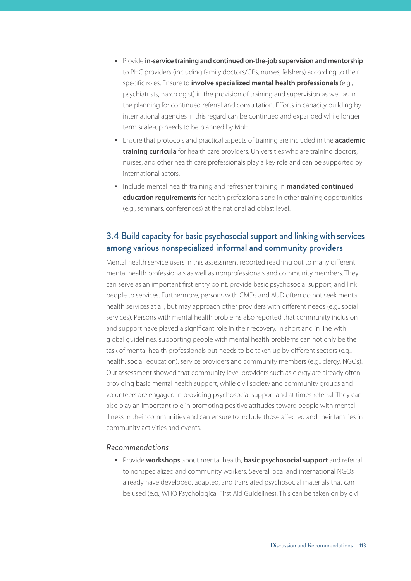- **•** Provide **in-service training and continued on-the-job supervision and mentorship** to PHC providers (including family doctors/GPs, nurses, felshers) according to their specific roles. Ensure to **involve specialized mental health professionals** (e.g., psychiatrists, narcologist) in the provision of training and supervision as well as in the planning for continued referral and consultation. Efforts in capacity building by international agencies in this regard can be continued and expanded while longer term scale-up needs to be planned by MoH.
- **•** Ensure that protocols and practical aspects of training are included in the **academic training curricula** for health care providers. Universities who are training doctors, nurses, and other health care professionals play a key role and can be supported by international actors.
- **•** Include mental health training and refresher training in **mandated continued education requirements** for health professionals and in other training opportunities (e.g., seminars, conferences) at the national ad oblast level.

## 3.4 Build capacity for basic psychosocial support and linking with services among various nonspecialized informal and community providers

Mental health service users in this assessment reported reaching out to many different mental health professionals as well as nonprofessionals and community members. They can serve as an important first entry point, provide basic psychosocial support, and link people to services. Furthermore, persons with CMDs and AUD often do not seek mental health services at all, but may approach other providers with different needs (e.g., social services). Persons with mental health problems also reported that community inclusion and support have played a significant role in their recovery. In short and in line with global guidelines, supporting people with mental health problems can not only be the task of mental health professionals but needs to be taken up by different sectors (e.g., health, social, education), service providers and community members (e.g., clergy, NGOs). Our assessment showed that community level providers such as clergy are already often providing basic mental health support, while civil society and community groups and volunteers are engaged in providing psychosocial support and at times referral. They can also play an important role in promoting positive attitudes toward people with mental illness in their communities and can ensure to include those affected and their families in community activities and events.

#### *Recommendations*

**•** Provide **workshops** about mental health, **basic psychosocial support** and referral to nonspecialized and community workers. Several local and international NGOs already have developed, adapted, and translated psychosocial materials that can be used (e.g., WHO Psychological First Aid Guidelines). This can be taken on by civil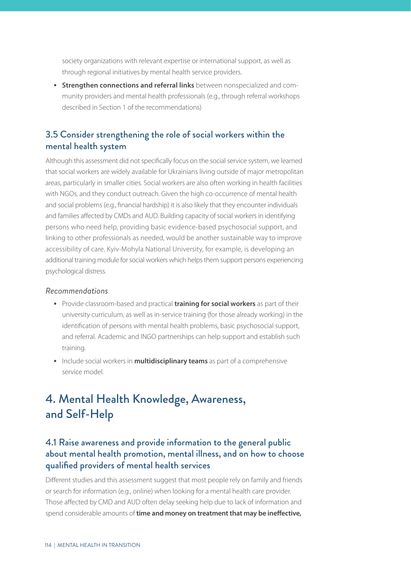society organizations with relevant expertise or international support, as well as through regional initiatives by mental health service providers.

**• Strengthen connections and referral links** between nonspecialized and community providers and mental health professionals (e.g., through referral workshops described in Section 1 of the recommendations)

## 3.5 Consider strengthening the role of social workers within the mental health system

Although this assessment did not specifically focus on the social service system, we learned that social workers are widely available for Ukrainians living outside of major metropolitan areas, particularly in smaller cities. Social workers are also often working in health facilities with NGOs, and they conduct outreach. Given the high co-occurrence of mental health and social problems (e.g., financial hardship) it is also likely that they encounter individuals and families affected by CMDs and AUD. Building capacity of social workers in identifying persons who need help, providing basic evidence-based psychosocial support, and linking to other professionals as needed, would be another sustainable way to improve accessibility of care. Kyiv-Mohyla National University, for example, is developing an additional training module for social workers which helps them support persons experiencing psychological distress.

#### *Recommendations*

- **•** Provide classroom-based and practical **training for social workers** as part of their university curriculum, as well as in-service training (for those already working) in the identification of persons with mental health problems, basic psychosocial support, and referral. Academic and INGO partnerships can help support and establish such training.
- **•** Include social workers in **multidisciplinary teams** as part of a comprehensive service model.

# 4. Mental Health Knowledge, Awareness, and Self-Help

## 4.1 Raise awareness and provide information to the general public about mental health promotion, mental illness, and on how to choose qualified providers of mental health services

Different studies and this assessment suggest that most people rely on family and friends or search for information (e.g., online) when looking for a mental health care provider. Those affected by CMD and AUD often delay seeking help due to lack of information and spend considerable amounts of **time and money on treatment that may be ineffective,**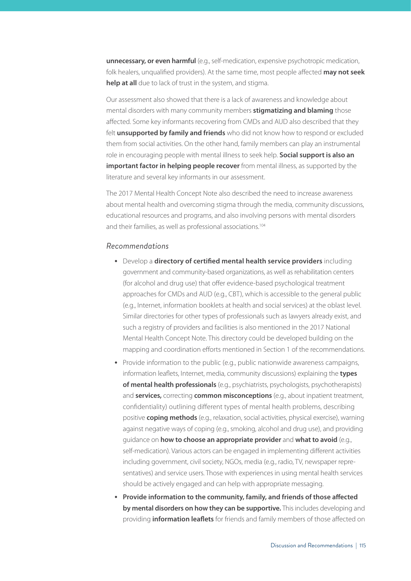**unnecessary, or even harmful** (e.g., self-medication, expensive psychotropic medication, folk healers, unqualified providers). At the same time, most people affected **may not seek help at all** due to lack of trust in the system, and stigma.

Our assessment also showed that there is a lack of awareness and knowledge about mental disorders with many community members **stigmatizing and blaming** those affected. Some key informants recovering from CMDs and AUD also described that they felt **unsupported by family and friends** who did not know how to respond or excluded them from social activities. On the other hand, family members can play an instrumental role in encouraging people with mental illness to seek help. **Social support is also an important factor in helping people recover** from mental illness, as supported by the literature and several key informants in our assessment.

The 2017 Mental Health Concept Note also described the need to increase awareness about mental health and overcoming stigma through the media, community discussions, educational resources and programs, and also involving persons with mental disorders and their families, as well as professional associations.<sup>104</sup>

#### *Recommendations*

- **•** Develop a **directory of certified mental health service providers** including government and community-based organizations, as well as rehabilitation centers (for alcohol and drug use) that offer evidence-based psychological treatment approaches for CMDs and AUD (e.g., CBT), which is accessible to the general public (e.g., Internet, information booklets at health and social services) at the oblast level. Similar directories for other types of professionals such as lawyers already exist, and such a registry of providers and facilities is also mentioned in the 2017 National Mental Health Concept Note. This directory could be developed building on the mapping and coordination efforts mentioned in Section 1 of the recommendations.
- **•** Provide information to the public (e.g., public nationwide awareness campaigns, information leaflets, Internet, media, community discussions) explaining the **types of mental health professionals** (e.g., psychiatrists, psychologists, psychotherapists) and **services,** correcting **common misconceptions** (e.g., about inpatient treatment, confidentiality) outlining different types of mental health problems, describing positive **coping methods** (e.g., relaxation, social activities, physical exercise), warning against negative ways of coping (e.g., smoking, alcohol and drug use), and providing guidance on **how to choose an appropriate provider** and **what to avoid** (e.g., self-medication). Various actors can be engaged in implementing different activities including government, civil society, NGOs, media (e.g., radio, TV, newspaper representatives) and service users. Those with experiences in using mental health services should be actively engaged and can help with appropriate messaging.
- **• Provide information to the community, family, and friends of those affected by mental disorders on how they can be supportive.** This includes developing and providing **information leaflets** for friends and family members of those affected on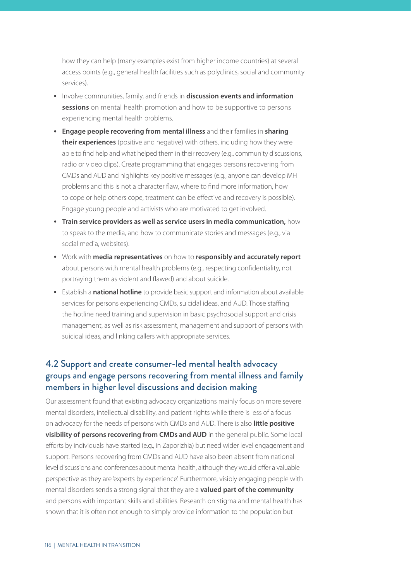how they can help (many examples exist from higher income countries) at several access points (e.g., general health facilities such as polyclinics, social and community services).

- **•** Involve communities, family, and friends in **discussion events and information sessions** on mental health promotion and how to be supportive to persons experiencing mental health problems.
- **• Engage people recovering from mental illness** and their families in **sharing their experiences** (positive and negative) with others, including how they were able to find help and what helped them in their recovery (e.g., community discussions, radio or video clips). Create programming that engages persons recovering from CMDs and AUD and highlights key positive messages (e.g., anyone can develop MH problems and this is not a character flaw, where to find more information, how to cope or help others cope, treatment can be effective and recovery is possible). Engage young people and activists who are motivated to get involved.
- **• Train service providers as well as service users in media communication,** how to speak to the media, and how to communicate stories and messages (e.g., via social media, websites).
- **•** Work with **media representatives** on how to **responsibly and accurately report** about persons with mental health problems (e.g., respecting confidentiality, not portraying them as violent and flawed) and about suicide.
- **•** Establish a **national hotline** to provide basic support and information about available services for persons experiencing CMDs, suicidal ideas, and AUD. Those staffing the hotline need training and supervision in basic psychosocial support and crisis management, as well as risk assessment, management and support of persons with suicidal ideas, and linking callers with appropriate services.

## 4.2 Support and create consumer-led mental health advocacy groups and engage persons recovering from mental illness and family members in higher level discussions and decision making

Our assessment found that existing advocacy organizations mainly focus on more severe mental disorders, intellectual disability, and patient rights while there is less of a focus on advocacy for the needs of persons with CMDs and AUD. There is also **little positive visibility of persons recovering from CMDs and AUD** in the general public. Some local efforts by individuals have started (e.g., in Zaporizhia) but need wider level engagement and support. Persons recovering from CMDs and AUD have also been absent from national level discussions and conferences about mental health, although they would offer a valuable perspective as they are 'experts by experience'. Furthermore, visibly engaging people with mental disorders sends a strong signal that they are a **valued part of the community** and persons with important skills and abilities. Research on stigma and mental health has shown that it is often not enough to simply provide information to the population but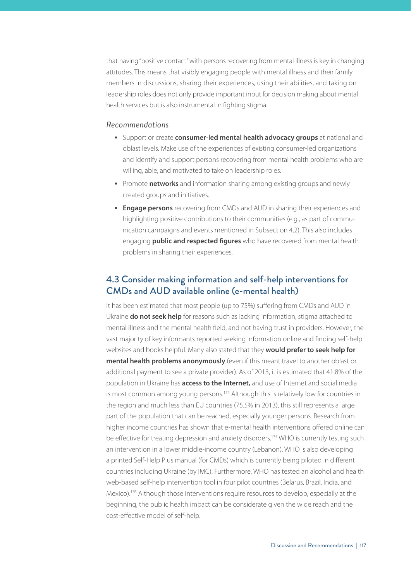that having "positive contact" with persons recovering from mental illness is key in changing attitudes. This means that visibly engaging people with mental illness and their family members in discussions, sharing their experiences, using their abilities, and taking on leadership roles does not only provide important input for decision making about mental health services but is also instrumental in fighting stigma.

#### *Recommendations*

- **•** Support or create **consumer-led mental health advocacy groups** at national and oblast levels. Make use of the experiences of existing consumer-led organizations and identify and support persons recovering from mental health problems who are willing, able, and motivated to take on leadership roles.
- **•** Promote **networks** and information sharing among existing groups and newly created groups and initiatives.
- **• Engage persons** recovering from CMDs and AUD in sharing their experiences and highlighting positive contributions to their communities (e.g., as part of communication campaigns and events mentioned in Subsection 4.2). This also includes engaging **public and respected figures** who have recovered from mental health problems in sharing their experiences.

## 4.3 Consider making information and self-help interventions for CMDs and AUD available online (e-mental health)

It has been estimated that most people (up to 75%) suffering from CMDs and AUD in Ukraine **do not seek help** for reasons such as lacking information, stigma attached to mental illness and the mental health field, and not having trust in providers. However, the vast majority of key informants reported seeking information online and finding self-help websites and books helpful. Many also stated that they **would prefer to seek help for mental health problems anonymously** (even if this meant travel to another oblast or additional payment to see a private provider). As of 2013, it is estimated that 41.8% of the population in Ukraine has **access to the Internet,** and use of Internet and social media is most common among young persons.<sup>174</sup> Although this is relatively low for countries in the region and much less than EU countries (75.5% in 2013), this still represents a large part of the population that can be reached, especially younger persons. Research from higher income countries has shown that e-mental health interventions offered online can be effective for treating depression and anxiety disorders.<sup>175</sup> WHO is currently testing such an intervention in a lower middle-income country (Lebanon). WHO is also developing a printed Self-Help Plus manual (for CMDs) which is currently being piloted in different countries including Ukraine (by IMC). Furthermore, WHO has tested an alcohol and health web-based self-help intervention tool in four pilot countries (Belarus, Brazil, India, and Mexico).<sup>176</sup> Although those interventions require resources to develop, especially at the beginning, the public health impact can be considerate given the wide reach and the cost-effective model of self-help.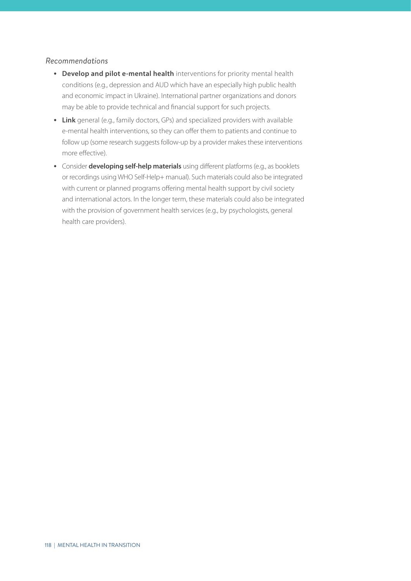#### *Recommendations*

- **• Develop and pilot e-mental health** interventions for priority mental health conditions (e.g., depression and AUD which have an especially high public health and economic impact in Ukraine). International partner organizations and donors may be able to provide technical and financial support for such projects.
- **• Link** general (e.g., family doctors, GPs) and specialized providers with available e-mental health interventions, so they can offer them to patients and continue to follow up (some research suggests follow-up by a provider makes these interventions more effective).
- **•** Consider **developing self-help materials** using different platforms (e.g., as booklets or recordings using WHO Self-Help+ manual). Such materials could also be integrated with current or planned programs offering mental health support by civil society and international actors. In the longer term, these materials could also be integrated with the provision of government health services (e.g., by psychologists, general health care providers).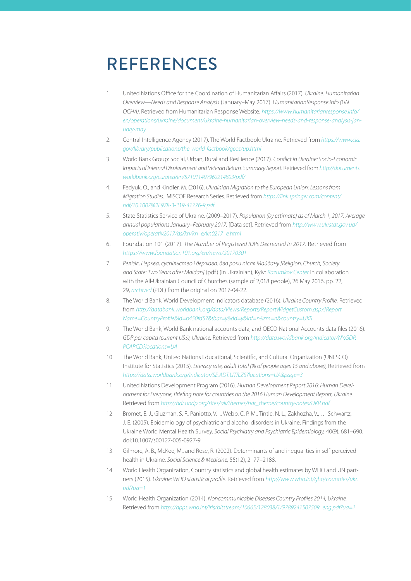# **REFERENCES**

- 1. United Nations Office for the Coordination of Humanitarian Affairs (2017). *Ukraine: Humanitarian Overview—Needs and Response Analysis* (January–May 2017). *HumanitarianResponse.info (UN OCHA).* Retrieved from Humanitarian Response Website: *[https://www.humanitarianresponse.info/](https://www.humanitarianresponse.info/en/operations/ukraine/document/ukraine-humanitarian-overview-needs-and-response-analysis-january-may) [en/operations/ukraine/document/ukraine-humanitarian-overview-needs-and-response-analysis-jan](https://www.humanitarianresponse.info/en/operations/ukraine/document/ukraine-humanitarian-overview-needs-and-response-analysis-january-may)[uary-may](https://www.humanitarianresponse.info/en/operations/ukraine/document/ukraine-humanitarian-overview-needs-and-response-analysis-january-may)*
- 2. Central Intelligence Agency (2017). The World Factbook: Ukraine. Retrieved from *[https://www.cia.](https://www.cia.gov/library/publications/the-world-factbook/geos/up.html) [gov/library/publications/the-world-factbook/geos/up.html](https://www.cia.gov/library/publications/the-world-factbook/geos/up.html)*
- 3. World Bank Group: Social, Urban, Rural and Resilience (2017). *Conflict in Ukraine: Socio-Economic Impacts of Internal Displacement and Veteran Return. Summary Report.* Retrieved from *[http://documents.](http://documents.worldbank.org/curated/en/571011497962214803/pdf/116489-REVISED-Updated-Report-Socioeconomic-Impacts-Internal-Displacement-Veteran-Ret.pdf) [worldbank.org/curated/en/571011497962214803/pdf/](http://documents.worldbank.org/curated/en/571011497962214803/pdf/116489-REVISED-Updated-Report-Socioeconomic-Impacts-Internal-Displacement-Veteran-Ret.pdf)*
- 4. Fedyuk, O., and Kindler, M. (2016). *Ukrainian Migration to the European Union: Lessons from Migration Studies:* IMISCOE Research Series. Retrieved from *[https://link.springer.com/content/](https://link.springer.com/content/pdf/10.1007%2F978-3-319-41776-9.pdf) [pdf/10.1007%2F978-3-319-41776-9.pdf](https://link.springer.com/content/pdf/10.1007%2F978-3-319-41776-9.pdf)*
- 5. State Statistics Service of Ukraine. (2009–2017). *Population (by estimate) as of March 1, 2017. Average annual populations January–February 2017.* [Data set]. Retrieved from *[http://www.ukrstat.gov.ua/](http://www.ukrstat.gov.ua/operativ/operativ2017/ds/kn/kn_e/kn0217_e.html) [operativ/operativ2017/ds/kn/kn\\_e/kn0217\\_e.html](http://www.ukrstat.gov.ua/operativ/operativ2017/ds/kn/kn_e/kn0217_e.html)*
- 6. Foundation 101 (2017). *The Number of Registered IDPs Decreased in 2017.* Retrieved from *<https://www.foundation101.org/en/news/20170301>*
- 7. *[Релігія, Церква, суспільство і держава: два роки після Майдану](http://old.razumkov.org.ua/upload/Religiya_200516_A4.compressed.pdf) [Religion, Church, Society*  and State: Two Years after Maidan] (pdf) (in Ukrainian), Kyiv: *[Razumkov Center](https://en.wikipedia.org/wiki/Razumkov_Center)* in collaboration with the All-Ukrainian Council of Churches (sample of 2,018 people), 26 May 2016, pp. 22, 29, *[archived](https://web.archive.org/web/20170422181327/http://old.razumkov.org.ua/upload/Religiya_200516_A4.compressed.pdf)* (PDF) from the original on 2017-04-22.
- 8. The World Bank, World Development Indicators database (2016). *Ukraine Country Profile.* Retrieved from *[http://databank.worldbank.org/data/Views/Reports/ReportWidgetCustom.aspx?Report\\_](http://databank.worldbank.org/data/Views/Reports/ReportWidgetCustom.aspx?Report_Name=CountryProfile&Id=b450fd57&tbar=y&dd=y&inf=n&zm=n&country=UKR) [Name=CountryProfile&Id=b450fd57&tbar=y&dd=y&inf=n&zm=n&country=UKR](http://databank.worldbank.org/data/Views/Reports/ReportWidgetCustom.aspx?Report_Name=CountryProfile&Id=b450fd57&tbar=y&dd=y&inf=n&zm=n&country=UKR)*
- 9. The World Bank, World Bank national accounts data, and OECD National Accounts data files (2016). *GDP per capita (current US\$), Ukraine.* Retrieved from *[http://data.worldbank.org/indicator/NY.GDP.](http://data.worldbank.org/indicator/NY.GDP.PCAP.CD?locations=UA) [PCAP.CD?locations=UA](http://data.worldbank.org/indicator/NY.GDP.PCAP.CD?locations=UA)*
- 10. The World Bank, United Nations Educational, Scientific, and Cultural Organization (UNESCO) Institute for Statistics (2015). *Literacy rate, adult total (% of people ages 15 and above),* Retrieved from *<https://data.worldbank.org/indicator/SE.ADT.LITR.ZS?locations=UA&page=3>*
- 11. United Nations Development Program (2016). *Human Development Report 2016: Human Development for Everyone, Briefing note for countries on the 2016 Human Development Report, Ukraine.* Retrieved from *[http://hdr.undp.org/sites/all/themes/hdr\\_theme/country-notes/UKR.pdf](http://hdr.undp.org/sites/all/themes/hdr_theme/country-notes/UKR.pdf)*
- 12. Bromet, E. J., Gluzman, S. F., Paniotto, V. I., Webb, C. P. M., Tintle, N. L., Zakhozha, V., . . . Schwartz, J. E. (2005). Epidemiology of psychiatric and alcohol disorders in Ukraine: Findings from the Ukraine World Mental Health Survey. *Social Psychiatry and Psychiatric Epidemiology,* 40(9), 681–690. doi:10.1007/s00127-005-0927-9
- 13. Gilmore, A. B., McKee, M., and Rose, R. (2002). Determinants of and inequalities in self-perceived health in Ukraine. *Social Science & Medicine,* 55(12), 2177–2188.
- 14. World Health Organization, Country statistics and global health estimates by WHO and UN partners (2015). *Ukraine: WHO statistical profile.* Retrieved from *[http://www.who.int/gho/countries/ukr.](http://www.who.int/gho/countries/ukr.pdf?ua=1) [pdf?ua=1](http://www.who.int/gho/countries/ukr.pdf?ua=1)*
- 15. World Health Organization (2014). *Noncommunicable Diseases Country Profiles 2014, Ukraine.* Retrieved from *[http://apps.who.int/iris/bitstream/10665/128038/1/9789241507509\\_eng.pdf?ua=1](http://apps.who.int/iris/bitstream/10665/128038/1/9789241507509_eng.pdf?ua=1)*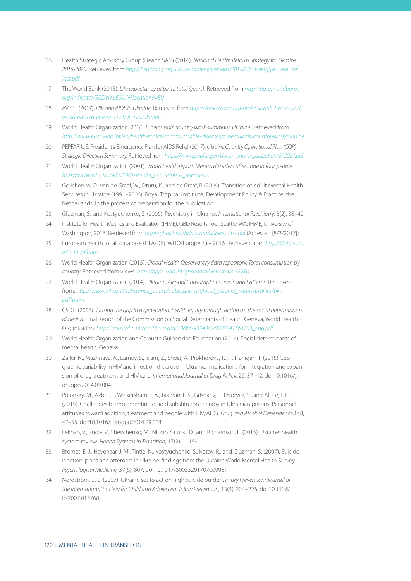- 16. Health Strategic Advisory Group (Health SAG) (2014). *National Health Reform Strategy for Ukraine 2015-2020.* Retrieved from *[http://healthsag.org.ua/wp-content/uploads/2015/03/Strategiya\\_Engl\\_for\\_](http://healthsag.org.ua/wp-content/uploads/2015/03/Strategiya_Engl_for_inet.pdf) [inet.pdf](http://healthsag.org.ua/wp-content/uploads/2015/03/Strategiya_Engl_for_inet.pdf)*
- 17. The World Bank (2015). *Life expectancy at birth, total (years).* Retrieved from *[http://data.worldbank.](http://data.worldbank.org/indicator/SP.DYN.LE00.IN?locations=EU) [org/indicator/SP.DYN.LE00.IN?locations=EU](http://data.worldbank.org/indicator/SP.DYN.LE00.IN?locations=EU)*
- 18. AVERT (2017). *HIV and AIDS in Ukraine.* Retrieved from *[https://www.avert.org/professionals/hiv-around](https://www.avert.org/professionals/hiv-around-world/eastern-europe-central-asia/ukraine)[world/eastern-europe-central-asia/ukraine](https://www.avert.org/professionals/hiv-around-world/eastern-europe-central-asia/ukraine)*
- 19. World Health Organization. 2016. *Tuberculosis country work summary: Ukraine.* Retrieved from: *<http://www.euro.who.int/en/health-topics/communicable-diseases/tuberculosis/country-work/ukraine>*
- 20. PEPFAR U.S. President's Emergency Plan for AIDS Relief (2017). *Ukraine Country Operational Plan (COP) Strategic Direction Summary.* Retrieved from *<https://www.pepfar.gov/documents/organization/272024.pdf>*
- 21. World Health Organization (2001). *World health report. Mental disorders affect one in four people. [http://www.who.int/whr/2001/media\\_centre/press\\_release/en/](http://www.who.int/whr/2001/media_centre/press_release/en/)*
- 22. Golichenko, O., van de Graaf, W., Oturu, K., and de Graaf, P. (2006). Transition of Adult Mental Health Services in Ukraine (1991–2006). Royal Tropical Institiute, Development Policy & Practice, the Netherlands. In the process of preparation for the publication.
- 23. Gluzman, S., and Kostyuchenko, S. (2006). Psychiatry in Ukraine. *International Psychiatry,* 3(2), 38–40.
- 24. Institute for Health Metrics and Evaluation (IHME). GBD Results Tool. Seattle, WA: IHME, University of Washington, 2016. Retrieved from *<http://ghdx.healthdata.org/gbd-results-tool>* (Accessed [8/3/2017]).
- 25. European health for all database (HFA-DB). WHO/Europe July 2016. Retrieved from *[http://data.euro.](http://data.euro.who.int/hfadb/) [who.int/hfadb/](http://data.euro.who.int/hfadb/)*
- 26. World Health Organization (2015). *Global Health Observatory data repository, Total consumption by country.* Retrieved from views. *<http://apps.who.int/gho/data/view.main.52280>*
- 27. World Health Organization (2014). *Ukraine, Alcohol Consumption: Levels and Patterns.* Retrieved from: *[http://www.who.int/substance\\_abuse/publications/global\\_alcohol\\_report/profiles/ukr.](http://www.who.int/substance_abuse/publications/global_alcohol_report/profiles/ukr.pdf?ua=1) [pdf?ua=1](http://www.who.int/substance_abuse/publications/global_alcohol_report/profiles/ukr.pdf?ua=1)*
- 28. CSDH (2008). *Closing the gap in a generation: health equity through action on the social determinants of health.* Final Report of the Commission on Social Determants of Health. Geneva, World Health Organization. *[http://apps.who.int/iris/bitstream/10665/43943/1/9789241563703\\_eng.pdf](http://apps.who.int/iris/bitstream/10665/43943/1/9789241563703_eng.pdf)*
- 29. World Health Organization and Calouste Gulbenkian Foundation (2014). Social determinants of mental health. Geneva.
- 30. Zaller, N., Mazhnaya, A., Larney, S., Islam, Z., Shost, A., Prokhorova, T., . . . Flanigan, T. (2015) Geographic variability in HIV and injection drug use in Ukraine: Implications for integration and expansion of drug treatment and HIV care. *International Journal of Drug Policy,* 26, 37–42. doi:10.1016/j. drugpo.2014.09.004
- 31. Polonsky, M., Azbel, L., Wickersham, J. A., Taxman, F. S., Grishaev, E., Dvoryak, S., and Altice, F. L. (2015). Challenges to implementing opioid substitution therapy in Ukrainian prisons: Personnel attitudes toward addition, treatment and people with HIV/AIDS. *Drug and Alcohol Dependence,*148, 47–55. doi:10.1016/j.drugpo.2014.09.004
- 32. Lekhan, V., Rudiy, V., Shevchenko, M., Nitzan Kaluski, D., and Richardson, E. (2015). Ukraine: health system review. *Health Systems in Transition,* 17(2), 1–154.
- 33. Bromet, E. J., Havenaar, J. M., Tintle, N., Kostyuchenko, S., Kotov, R., and Gluzman, S. (2007). Suicide ideation, plans and attempts in Ukraine: findings from the Ukraine World Mental Health Survey. *Psychological Medicine,* 37(6), 807. doi:10.1017/S0033291707009981
- 34. Nordstrom, D. L. (2007). Ukraine set to act on high suicide burden. *Injury Prevention: Journal of the International Society for Child and Adolescent Injury Prevention,* 13(4), 224–226. doi:10.1136/ ip.2007.015768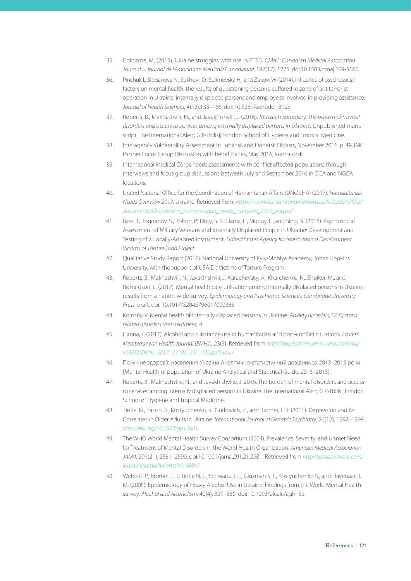- 35. Colborne, M. (2015). Ukraine struggles with rise in PTSD. *CMAJ : Canadian Medical Association Journal = Journal de l'Association Medicale Canadienne,* 187(17), 1275. doi:10.1503/cmaj.109-5160
- 36. Pinchuk I., Stepanova N., Sukhovii O., Sulimovska H., and Zukow W. (2014). Influence of psychosocial factors on mental health: the results of questioning persons, suffered in zone of antiterrorist operation in Ukraine, internally displaced persons and employees involved in providing assistance. *Journal of Health Sciences,* 4(12),133–166. doi: 10.5281/zenodo.13123
- 37. Roberts, B., Makhashvili, N., and Javakhishvili, J. (2016). *Research Summary, The burden of mental disorders and access to services among internally displaced persons in Ukraine.* Unpublished manuscript, The International Alert; GIP-Tbilisi; London School of Hygiene and Tropical Medicine.
- 38. Interagency Vulnerability Assessment in Luhansk and Donetsk Oblasts, November 2016, p. 49, IMC Partner Focus Group Discussion with beneficiaries, May 2016, Kramatorsk.
- 39. International Medical Corps needs assessments with conflict affected populations through interviews and focus group discussions between July and September 2016 in GCA and NGCA locations.
- 40. United National Office for the Coordination of Humanitarian Affairs (UNOCHA) (2017). *Humanitarian Needs Overview 2017,* Ukraine. Retrieved from: *[https://www.humanitarianresponse.info/system/files/](https://www.humanitarianresponse.info/system/files/documents/files/ukraine_humanitarian_needs_overview_2017_eng.pdf) [documents/files/ukraine\\_humanitarian\\_needs\\_overview\\_2017\\_eng.pdf](https://www.humanitarianresponse.info/system/files/documents/files/ukraine_humanitarian_needs_overview_2017_eng.pdf)*
- 41. Bass, J., Bogdanov, S., Bolton, P., Doty, S. B., Haroz, E., Murray, L., and Sing, N. (2016). Psychosocial Assessment of Military Veterans and Internally Displaced People in Ukraine: Development and Testing of a Locally-Adapted Instrument. *United States Agency for International Development Victims of Torture Fund Project.*
- 42. Qualitative Study Report (2016). National University of Kyiv-Mohlya Academy, Johns Hopkins University, with the support of USAID's Victims of Torture Program.
- 43. Roberts, B., Makhashvili, N., Javakhishvili, J., Karachevsky, A., Kharchenko, N., Shpiker, M., and Richardson, E. (2017). Mental health care utilisation among internally displaced persons in Ukraine: results from a nation-wide survey. *Epidemiology and Psychiatric Sciences, Cambridge University Press,* draft. doi: 10.1017/S2045796017000385
- 44. Korostiy, V. Mental health of internally displaced persons in Ukraine. *Anxiety disorders, OCD, stress related disorders and treatment,* 4.
- 45. Hanna, F. (2017). Alcohol and substance use in humanitarian and post-conflict situations. *Eastern Mediterranean Health Journal (EMHJ),* 23(3). Retrieved from *[http://applications.emro.who.int/emhj/](http://applications.emro.who.int/emhj/v23/03/EMHJ_2017_23_03_231_235.pdf?ua=1) [v23/03/EMHJ\\_2017\\_23\\_03\\_231\\_235.pdf?ua=1](http://applications.emro.who.int/emhj/v23/03/EMHJ_2017_23_03_231_235.pdf?ua=1)*
- 46. Психічне здоров'я населення України Аналітично-статистичний довідник за 2013–2015 роки [Mental Health of population of Ukraine Analytical and Statistical Guide. 2013–2015].
- 47. Roberts, B., Makhashvilie, N., and Javakhishvilie, J. 2016. The burden of mental disorders and access to services among internally displaced persons in Ukraine. The International Alert; GIP-Tbilisi; London School of Hygiene and Tropical Medicine.
- 48. Tintle, N., Bacon, B., Kostyuchenko, S., Gutkovich, Z., and Bromet, E. J. (2011). Depression and Its Correlates in Older Adults in Ukraine. *International Journal of Geriatric Psychiatry,* 26(12), 1292–1299. *<http://doi.org/10.1002/gps.2681>*
- 49. The WHO World Mental Health Survey Consortium (2004). Prevalence, Severity, and Unmet Need for Treatment of Mental Disorders in the World Health Organization. *American Medical Association JAMA,* 291(21), 2581–2590. doi:10.1001/jama.291.21.2581. Retrieved from *[http://jamanetwork.com/](http://jamanetwork.com/journals/jama/fullarticle/198847) [journals/jama/fullarticle/198847](http://jamanetwork.com/journals/jama/fullarticle/198847)*
- 50. Webb C. P., Bromet E. J., Tintle N. L., Schwartz J. E., Gluzman S. F., Kostyuchenko S., and Havenaar, J. M. (2005). Epidemiology of Heavy Alcohol Use in Ukraine: Findings from the World Mental Health survey. *Alcohol and Alcoholism,* 40(4), 327–335. doi: 10.1093/alcalc/agh152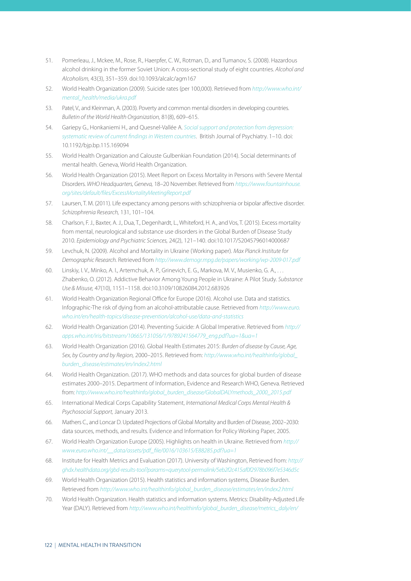- 51. Pomerleau, J., Mckee, M., Rose, R., Haerpfer, C. W., Rotman, D., and Tumanov, S. (2008). Hazardous alcohol drinking in the former Soviet Union: A cross-sectional study of eight countries. *Alcohol and Alcoholism,* 43(3), 351–359. doi:10.1093/alcalc/agm167
- 52. World Health Organization (2009). Suicide rates (per 100,000). Retrieved from *[http://www.who.int/](http://www.who.int/mental_health/media/ukra.pdf) [mental\\_health/media/ukra.pdf](http://www.who.int/mental_health/media/ukra.pdf)*
- 53. Patel, V., and Kleinman, A. (2003). Poverty and common mental disorders in developing countries. *Bulletin of the World Health Organization,* 81(8), 609–615.
- 54. Gariepy G., Honkaniemi H., and Quesnel-Vallée A. *[Social support and protection from depression:](http://bjp.rcpsych.org/content/early/2016/07/11/bjp.bp.115.169094)  [systematic review of current findings in Western countries](http://bjp.rcpsych.org/content/early/2016/07/11/bjp.bp.115.169094)*. British Journal of Psychiatry. 1–10. doi: 10.1192/bjp.bp.115.169094
- 55. World Health Organization and Calouste Gulbenkian Foundation (2014). Social determinants of mental health. Geneva, World Health Organization.
- 56. World Health Organization (2015). Meet Report on Excess Mortality in Persons with Severe Mental Disorders. *WHO Headquarters, Geneva,* 18–20 November. Retrieved from *[https://www.fountainhouse.](https://www.fountainhouse.org/sites/default/files/ExcessMortalityMeetingReport.pdf) [org/sites/default/files/ExcessMortalityMeetingReport.pdf](https://www.fountainhouse.org/sites/default/files/ExcessMortalityMeetingReport.pdf)*
- 57. Laursen, T. M. (2011). Life expectancy among persons with schizophrenia or bipolar affective disorder. *Schizophrenia Research,* 131, 101–104.
- 58. Charlson, F. J., Baxter, A. J., Dua, T., Degenhardt, L., Whiteford, H. A., and Vos, T. (2015). Excess mortality from mental, neurological and substance use disorders in the Global Burden of Disease Study 2010. *Epidemiology and Psychiatric Sciences,* 24(2), 121–140. doi:10.1017/S2045796014000687
- 59. Levchuk, N. (2009). Alcohol and Mortality in Ukraine (Working paper). *Max Planck Institute for Demographic Research.* Retrieved from *<http://www.demogr.mpg.de/papers/working/wp-2009-017.pdf>*
- 60. Linskiy, I. V., Minko, A. I., Artemchuk, A. P., Grinevich, E. G., Markova, M. V., Musienko, G. A., . . . Zhabenko, O. (2012). Addictive Behavior Among Young People in Ukraine: A Pilot Study. *Substance Use & Misuse,* 47(10), 1151–1158. doi:10.3109/10826084.2012.683926
- 61. World Health Organization Regional Office for Europe (2016). Alcohol use. Data and statistics. Infographic-The risk of dying from an alcohol-attributable cause. Retrieved from *[http://www.euro.](http://www.euro.who.int/en/health-topics/disease-prevention/alcohol-use/data-and-statistics) [who.int/en/health-topics/disease-prevention/alcohol-use/data-and-statistics](http://www.euro.who.int/en/health-topics/disease-prevention/alcohol-use/data-and-statistics)*
- 62. World Health Organization (2014). Preventing Suicide: A Global Imperative. Retrieved from *[http://](http://apps.who.int/iris/bitstream/10665/131056/1/9789241564779_eng.pdf?ua=1&ua=1) [apps.who.int/iris/bitstream/10665/131056/1/9789241564779\\_eng.pdf?ua=1&ua=1](http://apps.who.int/iris/bitstream/10665/131056/1/9789241564779_eng.pdf?ua=1&ua=1)*
- 63. World Health Organization (2016). Global Health Estimates 2015: *Burden of disease by Cause, Age, Sex, by Country and by Region,* 2000–2015. Retrieved from: *[http://www.who.int/healthinfo/global\\_](http://www.who.int/healthinfo/global_burden_disease/estimates/en/index2.html) [burden\\_disease/estimates/en/index2.html](http://www.who.int/healthinfo/global_burden_disease/estimates/en/index2.html)*
- 64. World Health Organization. (2017). WHO methods and data sources for global burden of disease estimates 2000–2015. Department of Information, Evidence and Research WHO, Geneva. Retrieved from: *[http://www.who.int/healthinfo/global\\_burden\\_disease/GlobalDALYmethods\\_2000\\_2015.pdf](http://www.who.int/healthinfo/global_burden_disease/GlobalDALYmethods_2000_2015.pdf)*
- 65. International Medical Corps Capability Statement, *International Medical Corps Mental Health & Psychosocial Support,* January 2013.
- 66. Mathers C., and Loncar D. Updated Projections of Global Mortality and Burden of Disease, 2002–2030: data sources, methods, and results. Evidence and Information for Policy Working Paper, 2005.
- 67. World Health Organization Europe (2005). Highlights on health in Ukraine. Retrieved from *[http://](http://www.euro.who.int/__data/assets/pdf_file/0016/103615/E88285.pdf?ua=1) [www.euro.who.int/\\_\\_data/assets/pdf\\_file/0016/103615/E88285.pdf?ua=1](http://www.euro.who.int/__data/assets/pdf_file/0016/103615/E88285.pdf?ua=1)*
- 68. Institute for Health Metrics and Evaluation (2017). University of Washington, Retrieved from: *[http://](http://ghdx.healthdata.org/gbd-results-tool?params=querytool-permalink/5eb2f2c415af0f2978b096f7e5346d5c) [ghdx.healthdata.org/gbd-results-tool?params=querytool-permalink/5eb2f2c415af0f2978b096f7e5346d5c](http://ghdx.healthdata.org/gbd-results-tool?params=querytool-permalink/5eb2f2c415af0f2978b096f7e5346d5c)*
- 69. World Health Organization (2015). Health statistics and information systems, Disease Burden. Retrieved from *[http://www.who.int/healthinfo/global\\_burden\\_disease/estimates/en/index2.html](http://www.who.int/healthinfo/global_burden_disease/estimates/en/index2.html)*
- 70. World Health Organization. Health statistics and information systems. Metrics: Disability-Adjusted Life Year (DALY). Retrieved from *[http://www.who.int/healthinfo/global\\_burden\\_disease/metrics\\_daly/en/](http://www.who.int/healthinfo/global_burden_disease/metrics_daly/en/)*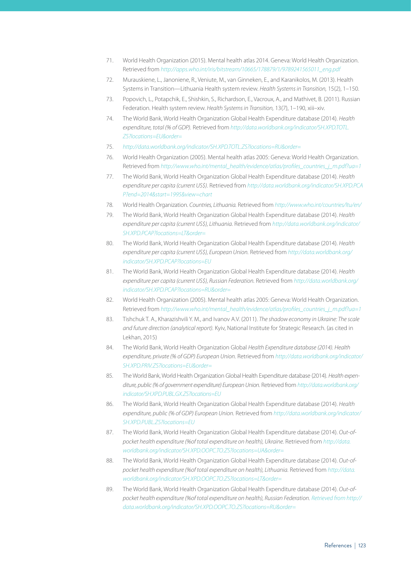- 71. World Health Organization (2015). Mental health atlas 2014. Geneva: World Health Organization. Retrieved from *[http://apps.who.int/iris/bitstream/10665/178879/1/9789241565011\\_eng.pdf](http://apps.who.int/iris/bitstream/10665/178879/1/9789241565011_eng.pdf)*
- 72. Murauskiene, L., Janoniene, R., Veniute, M., van Ginneken, E., and Karanikolos, M. (2013). Health Systems in Transition—Lithuania Health system review. *Health Systems in Transition,* 15(2), 1–150.
- 73. Popovich, L., Potapchik, E., Shishkin, S., Richardson, E., Vacroux, A., and Mathivet, B. (2011). Russian Federation. Health system review. *Health Systems in Transition,* 13(7), 1–190, xiii–xiv.
- 74. The World Bank, World Health Organization Global Health Expenditure database (2014). *Health expenditure, total (% of GDP).* Retrieved from *[http://data.worldbank.org/indicator/SH.XPD.TOTL.]( http://data.worldbank.org/indicator/SH.XPD.TOTL.ZS?locations=EU&order=) [ZS?locations=EU&order=]( http://data.worldbank.org/indicator/SH.XPD.TOTL.ZS?locations=EU&order=)*
- 75. *<http://data.worldbank.org/indicator/SH.XPD.TOTL.ZS?locations=RU&order=>*
- 76. World Health Organization (2005). Mental health atlas 2005: Geneva: World Health Organization. Retrieved from *[http://www.who.int/mental\\_health/evidence/atlas/profiles\\_countries\\_j\\_m.pdf?ua=1](http://www.who.int/mental_health/evidence/atlas/profiles_countries_j_m.pdf?ua=1)*
- 77. The World Bank, World Health Organization Global Health Expenditure database (2014). *Health expenditure per capita (current US\$).* Retrieved from *[http://data.worldbank.org/indicator/SH.XPD.PCA](http://data.worldbank.org/indicator/SH.XPD.PCAP?end=2014&start=1995&view=chart) [P?end=2014&start=1995&view=chart](http://data.worldbank.org/indicator/SH.XPD.PCAP?end=2014&start=1995&view=chart)*
- 78. World Health Organization. *Countries, Lithuania.* Retrieved from *<http://www.who.int/countries/ltu/en/>*
- 79. The World Bank, World Health Organization Global Health Expenditure database (2014). *Health expenditure per capita (current US\$), Lithuania.* Retrieved from *[http://data.worldbank.org/indicator/](http://data.worldbank.org/indicator/SH.XPD.PCAP?locations=LT&order=) [SH.XPD.PCAP?locations=LT&order=](http://data.worldbank.org/indicator/SH.XPD.PCAP?locations=LT&order=)*
- 80. The World Bank, World Health Organization Global Health Expenditure database (2014). *Health expenditure per capita (current US\$), European Union.* Retrieved from *[http://data.worldbank.org/](http://data.worldbank.org/indicator/SH.XPD.PCAP?locations=EU) [indicator/SH.XPD.PCAP?locations=EU](http://data.worldbank.org/indicator/SH.XPD.PCAP?locations=EU)*
- 81. The World Bank, World Health Organization Global Health Expenditure database (2014). *Health expenditure per capita (current US\$), Russian Federation.* Retrieved from *[http://data.worldbank.org/](http://data.worldbank.org/indicator/SH.XPD.PCAP?locations=RU&order=) [indicator/SH.XPD.PCAP?locations=RU&order=](http://data.worldbank.org/indicator/SH.XPD.PCAP?locations=RU&order=)*
- 82. World Health Organization (2005). Mental health atlas 2005: Geneva: World Health Organization. Retrieved from *[http://www.who.int/mental\\_health/evidence/atlas/profiles\\_countries\\_j\\_m.pdf?ua=1](http://www.who.int/mental_health/evidence/atlas/profiles_countries_j_m.pdf?ua=1)*
- 83. Tishchuk T. A., Kharazishvili Y. M., and Ivanov A.V. (2011). *The shadow economy in Ukraine: The scale and future direction (analytical report).* Kyiv, National Institute for Strategic Research. (as cited in Lekhan, 2015)
- 84. The World Bank, World Health Organization Global *Health Expenditure database (2014). Health expenditure, private (% of GDP) European Union.* Retrieved from *[http://data.worldbank.org/indicator/](http://data.worldbank.org/indicator/SH.XPD.PRIV.ZS?locations=EU&order=) [SH.XPD.PRIV.ZS?locations=EU&order=](http://data.worldbank.org/indicator/SH.XPD.PRIV.ZS?locations=EU&order=)*
- 85. The World Bank, World Health Organization Global Health Expenditure database (2014). *Health expenditure, public (% of government expenditure) European Union.* Retrieved from *[http://data.worldbank.org/](http://data.worldbank.org/indicator/SH.XPD.PUBL.GX.ZS?locations=EU) [indicator/SH.XPD.PUBL.GX.ZS?locations=EU](http://data.worldbank.org/indicator/SH.XPD.PUBL.GX.ZS?locations=EU)*
- 86. The World Bank, World Health Organization Global Health Expenditure database (2014). *Health expenditure, public (% of GDP) European Union.* Retrieved from *[http://data.worldbank.org/indicator/](http://data.worldbank.org/indicator/SH.XPD.PUBL.ZS?locations=EU) [SH.XPD.PUBL.ZS?locations=EU](http://data.worldbank.org/indicator/SH.XPD.PUBL.ZS?locations=EU)*
- 87. The World Bank, World Health Organization Global Health Expenditure database (2014). *Out-ofpocket health expenditure (%of total expenditure on health), Ukraine.* Retrieved from *[http://data.](http://data.worldbank.org/indicator/SH.XPD.OOPC.TO.ZS?locations=UA&order=) [worldbank.org/indicator/SH.XPD.OOPC.TO.ZS?locations=UA&order=](http://data.worldbank.org/indicator/SH.XPD.OOPC.TO.ZS?locations=UA&order=)*
- 88. The World Bank, World Health Organization Global Health Expenditure database (2014). *Out-ofpocket health expenditure (%of total expenditure on health), Lithuania.* Retrieved from *[http://data.](http://data.worldbank.org/indicator/SH.XPD.OOPC.TO.ZS?locations=LT&order=) [worldbank.org/indicator/SH.XPD.OOPC.TO.ZS?locations=LT&order=](http://data.worldbank.org/indicator/SH.XPD.OOPC.TO.ZS?locations=LT&order=)*
- 89. The World Bank, World Health Organization Global Health Expenditure database (2014). *Out-ofpocket health expenditure (%of total expenditure on health), Russian Federation. [Retrieved from http://](Retrieved from http://data.worldbank.org/indicator/SH.XPD.OOPC.TO.ZS?locations=RU&order=) [data.worldbank.org/indicator/SH.XPD.OOPC.TO.ZS?locations=RU&order=](Retrieved from http://data.worldbank.org/indicator/SH.XPD.OOPC.TO.ZS?locations=RU&order=)*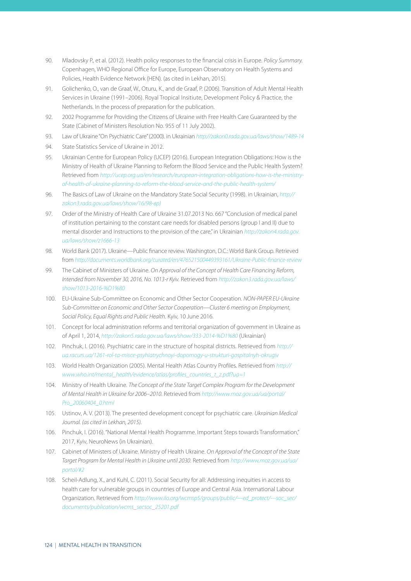- 90. Mladovsky P., et al. (2012). Health policy responses to the financial crisis in Europe. *Policy Summary.*  Copenhagen, WHO Regional Office for Europe, European Observatory on Health Systems and Policies, Health Evidence Network (HEN). (as cited in Lekhan, 2015).
- 91. Golichenko, O., van de Graaf, W., Oturu, K., and de Graaf, P. (2006). Transition of Adult Mental Health Services in Ukraine (1991–2006). Royal Tropical Insitiute, Development Policy & Practice, the Netherlands. In the process of preparation for the publication.
- 92. 2002 Programme for Providing the Citizens of Ukraine with Free Health Care Guaranteed by the State (Cabinet of Ministers Resolution No. 955 of 11 July 2002).
- 93. Law of Ukraine "On Psychiatric Care" (2000). in Ukrainian *<http://zakon0.rada.gov.ua/laws/show/1489-14>*
- 94. State Statistics Service of Ukraine in 2012.
- 95. Ukrainian Centre for European Policy (UCEP) (2016). European Integration Obligations: How is the Ministry of Health of Ukraine Planning to Reform the Blood Service and the Public Health System? Retrieved from *[http://ucep.org.ua/en/research/european-integration-obligations-how-is-the-ministry](http://ucep.org.ua/en/research/european-integration-obligations-how-is-the-ministry-of-health-of-ukraine-planning-to-reform-the-blood-service-and-the-public-health-system/)[of-health-of-ukraine-planning-to-reform-the-blood-service-and-the-public-health-system/](http://ucep.org.ua/en/research/european-integration-obligations-how-is-the-ministry-of-health-of-ukraine-planning-to-reform-the-blood-service-and-the-public-health-system/)*
- 96. The Basics of Law of Ukraine on the Mandatory State Social Security (1998). in Ukrainian, *[http://](http://zakon3.rada.gov.ua/laws/show/16/98-вр)) [zakon3.rada.gov.ua/laws/show/16/98-вр\)](http://zakon3.rada.gov.ua/laws/show/16/98-вр))*
- 97. Order of the Ministry of Health Care of Ukraine 31.07.2013 No. 667 "Conclusion of medical panel of institution pertaining to the constant care needs for disabled persons (group I and II) due to mental disorder and Instructions to the provision of the care," in Ukrainian *[http://zakon4.rada.gov.](http://zakon4.rada.gov.ua/laws/show/z1666-13) [ua/laws/show/z1666-13](http://zakon4.rada.gov.ua/laws/show/z1666-13)*
- 98. World Bank (2017). Ukraine—Public finance review. Washington, D.C.: World Bank Group. Retrieved from *<http://documents.worldbank.org/curated/en/476521500449393161/Ukraine-Public-finance-review>*
- 99. The Cabinet of Ministers of Ukraine. *On Approval of the Concept of Health Care Financing Reform, Intended from November 30, 2016, No. 1013-r Kyiv.* Retrieved from *[http://zakon3.rada.gov.ua/laws/](http://zakon3.rada.gov.ua/laws/show/1013-2016-%D1%80) [show/1013-2016-%D1%80](http://zakon3.rada.gov.ua/laws/show/1013-2016-%D1%80)*
- 100. EU-Ukraine Sub-Committee on Economic and Other Sector Cooperation. *NON-PAPER EU-Ukraine Sub-Committee on Economic and Other Sector Cooperation—Cluster 6 meeting on Employment, Social Policy, Equal Rights and Public Health.* Kyiv, 10 June 2016.
- 101. Concept for local administration reforms and territorial organization of government in Ukraine as of April 1, 2014, *<http://zakon5.rada.gov.ua/laws/show/333-2014-%D1%80>* (Ukrainian)
- 102. Pinchuk, I. (2016). Psychiatric care in the structure of hospital districts. Retrieved from *[http://](http://ua.racurs.ua/1261-rol-ta-misce-psyhiatrychnoyi-dopomogy-u-strukturi-gospitalnyh-okrugiv) [ua.racurs.ua/1261-rol-ta-misce-psyhiatrychnoyi-dopomogy-u-strukturi-gospitalnyh-okrugiv](http://ua.racurs.ua/1261-rol-ta-misce-psyhiatrychnoyi-dopomogy-u-strukturi-gospitalnyh-okrugiv)*
- 103. World Health Organization (2005). Mental Health Atlas Country Profiles. Retrieved from *[http://](http://www.who.int/mental_health/evidence/atlas/profiles_countries_t_z.pdf?ua=1) [www.who.int/mental\\_health/evidence/atlas/profiles\\_countries\\_t\\_z.pdf?ua=1](http://www.who.int/mental_health/evidence/atlas/profiles_countries_t_z.pdf?ua=1)*
- 104. Ministry of Health Ukraine. *The Concept of the State Target Complex Program for the Development of Mental Health in Ukraine for 2006–2010.* Retrieved from *[http://www.moz.gov.ua/ua/portal/](http://www.moz.gov.ua/ua/portal/Pro_20060404_0.html) [Pro\\_20060404\\_0.html](http://www.moz.gov.ua/ua/portal/Pro_20060404_0.html)*
- 105. Ustinov, A. V. (2013). The presented development concept for psychiatric care. *Ukrainian Medical Journal. (as cited in Lekhan, 2015).*
- 106. Pinchuk, I. (2016). "National Mental Health Programme. Important Steps towards Transformation," 2017, Kyiv, NeuroNews (in Ukrainian).
- 107. Cabinet of Ministers of Ukraine. Ministry of Health Ukraine. *On Approval of the Concept of the State Target Program for Mental Health in Ukraine until 2030.* Retrieved from *[http://www.moz.gov.ua/ua/](http://www.moz.gov.ua/ua/portal/#2) [portal/#2](http://www.moz.gov.ua/ua/portal/#2)*
- 108. Scheil-Adlung, X., and Kuhl, C. (2011). Social Security for all: Addressing inequities in access to health care for vulnerable groups in countries of Europe and Central Asia. International Labour Organization. Retrieved from *[http://www.ilo.org/wcmsp5/groups/public/---ed\\_protect/---soc\\_sec/](http://www.ilo.org/wcmsp5/groups/public/---ed_protect/---soc_sec/documents/publication/wcms_secsoc_25201.pdf) [documents/publication/wcms\\_secsoc\\_25201.pdf](http://www.ilo.org/wcmsp5/groups/public/---ed_protect/---soc_sec/documents/publication/wcms_secsoc_25201.pdf)*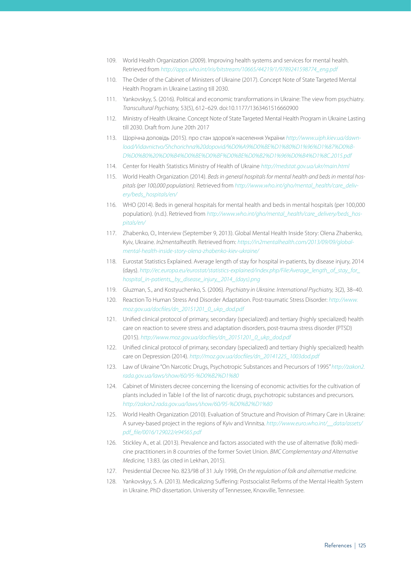- 109. World Health Organization (2009). Improving health systems and services for mental health. Retrieved from *[http://apps.who.int/iris/bitstream/10665/44219/1/9789241598774\\_eng.pdf](http://apps.who.int/iris/bitstream/10665/44219/1/9789241598774_eng.pdf)*
- 110. The Order of the Cabinet of Ministers of Ukraine (2017). Concept Note of State Targeted Mental Health Program in Ukraine Lasting till 2030.
- 111. Yankovskyy, S. (2016). Political and economic transformations in Ukraine: The view from psychiatry. *Transcultural Psychiatry,* 53(5), 612–629. doi:10.1177/1363461516660900
- 112. Ministry of Health Ukraine. Concept Note of State Targeted Mental Health Program in Ukraine Lasting till 2030. Draft from June 20th 2017
- 113. Щорічна доповідь (2015). про стан здоров'я населення України *[http://www.uiph.kiev.ua/dawn](http://www.uiph.kiev.ua/dawnload/Vidavnictvo/Shchorichna%20dopovid/%D0%A9%D0%BE%D1%80%D1%96%D1%87%D0%BD%D0%B0%20%D0%B4%D0%BE%D0%BF%D0%BE%D0%B2%D1%96%D0%B4%D1%8C.2015.pdf)[load/Vidavnictvo/Shchorichna%20dopovid/%D0%A9%D0%BE%D1%80%D1%96%D1%87%D0%B-](http://www.uiph.kiev.ua/dawnload/Vidavnictvo/Shchorichna%20dopovid/%D0%A9%D0%BE%D1%80%D1%96%D1%87%D0%BD%D0%B0%20%D0%B4%D0%BE%D0%BF%D0%BE%D0%B2%D1%96%D0%B4%D1%8C.2015.pdf)[D%D0%B0%20%D0%B4%D0%BE%D0%BF%D0%BE%D0%B2%D1%96%D0%B4%D1%8C.2015.pdf](http://www.uiph.kiev.ua/dawnload/Vidavnictvo/Shchorichna%20dopovid/%D0%A9%D0%BE%D1%80%D1%96%D1%87%D0%BD%D0%B0%20%D0%B4%D0%BE%D0%BF%D0%BE%D0%B2%D1%96%D0%B4%D1%8C.2015.pdf)*
- 114. Center for Health Statistics Ministry of Health of Ukraine *http:/[/medstat.gov.ua/ukr/main.html](http://medstat.gov.ua/ukr/main.html)*
- 115. World Health Organization (2014). *Beds in general hospitals for mental health and beds in mental hospitals (per 100,000 population).* Retrieved from *[http://www.who.int/gho/mental\\_health/care\\_deliv](http://www.who.int/gho/mental_health/care_delivery/beds_hospitals/en/)[ery/beds\\_hospitals/en/](http://www.who.int/gho/mental_health/care_delivery/beds_hospitals/en/)*
- 116. WHO (2014). Beds in general hospitals for mental health and beds in mental hospitals (per 100,000 population). (n.d.). Retrieved from *[http://www.who.int/gho/mental\\_health/care\\_delivery/beds\\_hos](http://www.who.int/gho/mental_health/care_delivery/beds_hospitals/en/)[pitals/en/](http://www.who.int/gho/mental_health/care_delivery/beds_hospitals/en/)*
- 117. Zhabenko, O., Interview (September 9, 2013). Global Mental Health Inside Story: Olena Zhabenko, Kyiv, Ukraine. *In2mentalheatlh.* Retrieved from: *[https://in2mentalhealth.com/2013/09/09/global](https://in2mentalhealth.com/2013/09/09/global-mental-health-inside-story-olena-zhabenko-kiev-ukraine/)[mental-health-inside-story-olena-zhabenko-kiev-ukraine/](https://in2mentalhealth.com/2013/09/09/global-mental-health-inside-story-olena-zhabenko-kiev-ukraine/)*
- 118. Eurostat Statistics Explained. Average length of stay for hospital in-patients, by disease injury, 2014 (days). *[http://ec.europa.eu/eurostat/statistics-explained/index.php/File:Average\\_length\\_of\\_stay\\_for\\_](http://ec.europa.eu/eurostat/statistics-explained/index.php/File:Average_length_of_stay_for_hospital_in-patients,_by_disease_injury,_2014_(days).png) [hospital\\_in-patients,\\_by\\_disease\\_injury,\\_2014\\_\(days\).png](http://ec.europa.eu/eurostat/statistics-explained/index.php/File:Average_length_of_stay_for_hospital_in-patients,_by_disease_injury,_2014_(days).png)*
- 119. Gluzman, S., and Kostyuchenko, S. (2006). *Psychiatry in Ukraine. International Psychiatry,* 3(2), 38–40.
- 120. Reaction To Human Stress And Disorder Adaptation. Post-traumatic Stress Disorder: *[http://www.](http://www.moz.gov.ua/docfiles/dn_20151201_0_ukp_dod.pdf) [moz.gov.ua/docfiles/dn\\_20151201\\_0\\_ukp\\_dod.pdf](http://www.moz.gov.ua/docfiles/dn_20151201_0_ukp_dod.pdf)*
- 121. Unified clinical protocol of primary, secondary (specialized) and tertiary (highly specialized) health care on reaction to severe stress and adaptation disorders, post-trauma stress disorder (PTSD) (2015). *[http://www.moz.gov.ua/docfiles/dn\\_20151201\\_0\\_ukp\\_dod.pdf](http://www.moz.gov.ua/docfiles/dn_20151201_0_ukp_dod.pdf)*
- 122. Unified clinical protocol of primary, secondary (specialized) and tertiary (highly specialized) health care on Depression (2014). *[http://moz.gov.ua/docfiles/dn\\_20141225\\_1003dod.pdf](http://moz.gov.ua/docfiles/dn_20141225_1003dod.pdf)*
- 123. Law of Ukraine "On Narcotic Drugs, Psychotropic Substances and Precursors of 1995" *[http://zakon2.](http://zakon2.rada.gov.ua/laws/show/60/95-%D0%B2%D1%80) [rada.gov.ua/laws/show/60/95-%D0%B2%D1%80](http://zakon2.rada.gov.ua/laws/show/60/95-%D0%B2%D1%80)*
- 124. Cabinet of Ministers decree concerning the licensing of economic activities for the cultivation of plants included in Table I of the list of narcotic drugs, psychotropic substances and precursors. *<http://zakon2.rada.gov.ua/laws/show/60/95-%D0%B2%D1%80>*
- 125. World Health Organization (2010). Evaluation of Structure and Provision of Primary Care in Ukraine: A survey-based project in the regions of Kyiv and Vinnitsa. *[http://www.euro.who.int/\\_\\_data/assets/](http://www.euro.who.int/__data/assets/pdf_file/0016/129022/e94565.pdf) [pdf\\_file/0016/129022/e94565.pdf](http://www.euro.who.int/__data/assets/pdf_file/0016/129022/e94565.pdf)*
- 126. Stickley A., et al. (2013). Prevalence and factors associated with the use of alternative (folk) medicine practitioners in 8 countries of the former Soviet Union. *BMC Complementary and Alternative Medicine,* 13:83. (as cited in Lekhan, 2015).
- 127. Presidential Decree No. 823/98 of 31 July 1998, *On the regulation of folk and alternative medicine.*
- 128. Yankovskyy, S. A. (2013). Medicalizing Suffering: Postsocialist Reforms of the Mental Health System in Ukraine. PhD dissertation. University of Tennessee, Knoxville, Tennessee.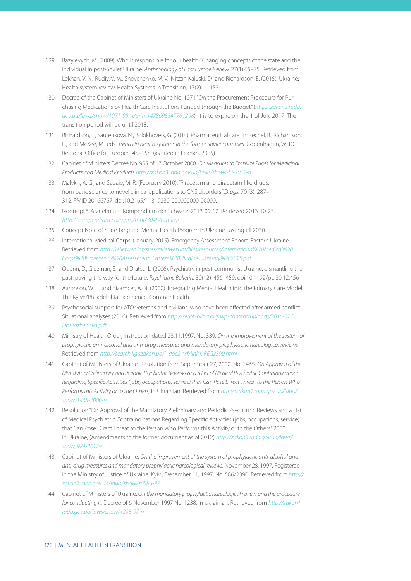- 129. Bazylevych, M. (2009). Who is responsible for our health? Changing concepts of the state and the individual in post-Soviet Ukraine. *Anthropology of East Europe Review,* 27(1):65–75. Retrieved from Lekhan, V. N., Rudiy, V. M., Shevchenko, M. V., Nitzan Kaluski, D., and Richardson, E. (2015). Ukraine: Health system review. Health Systems in Transition, 17(2): 1–153.
- 130. Decree of the Cabinet of Ministers of Ukraine No. 1071 "On the Procurement Procedure for Purchasing Medications by Health Care Institutions Funded through the Budget" (*[http://zakon2.rada.](http://zakon2.rada.gov.ua/laws/show/1071-96-п/print1478698547761298) [gov.ua/laws/show/1071-96-п/print1478698547761298](http://zakon2.rada.gov.ua/laws/show/1071-96-п/print1478698547761298)*), it is to expire on the 1 of July 2017. The transition period will be until 2018.
- 131. Richardson, E., Sautenkova, N., Bolokhovets, G. (2014). Pharmaceutical care. In: Rechel, B., Richardson, E., and McKee, M., eds. *Trends in health systems in the former Soviet countries.* Copenhagen, WHO Regional Office for Europe: 145–158. (as cited in Lekhan, 2015).
- 132. Cabinet of Ministers Decree No. 955 of 17 October 2008. *On Measures to Stabilize Prices for Medicinal Products and Medical Products <http://zakon3.rada.gov.ua/laws/show/43-2017-п>*
- 133. Malykh, A. G., and Sadaie, M. R. (February 2010). "Piracetam and piracetam-like drugs: from basic science to novel clinical applications to CNS disorders."*Drugs.* 70 (3): 287– 312. [PMID](https://en.wikipedia.org/wiki/PubMed_Identifier) [20166767.](https://www.ncbi.nlm.nih.gov/pubmed/20166767) [doi](https://en.wikipedia.org/wiki/Digital_object_identifier):[10.2165/11319230-000000000-00000.](https://doi.org/10.2165%2F11319230-000000000-00000)
- 134. [Nootropil®.](http://compendium.ch/mpro/mnr/3048/html/de) Arzneimittel-Kompendium der Schweiz. 2013-09-12. Retrieved 2013-10-27. *<http://compendium.ch/mpro/mnr/3048/html/de>*
- 135. Concept Note of State Targeted Mental Health Program in Ukraine Lasting till 2030.
- 136. International Medical Corps. (January 2015). Emergency Assessment Report. Eastern Ukraine. Retrieved from *[http://reliefweb.int/sites/reliefweb.int/files/resources/International%20Medical%20](http://reliefweb.int/sites/reliefweb.int/files/resources/International%20Medical%20Corps%20Emergency%20Assessment_Eastern%20Ukraine_January%202015.pdf) [Corps%20Emergency%20Assessment\\_Eastern%20Ukraine\\_January%202015.pdf](http://reliefweb.int/sites/reliefweb.int/files/resources/International%20Medical%20Corps%20Emergency%20Assessment_Eastern%20Ukraine_January%202015.pdf)*
- 137. Ougrin, D., Gluzman, S., and Dratcu, L. (2006). Psychiatry in post-communist Ukraine: dismantling the past, paving the way for the future. *Psychiatric Bulletin,* 30(12), 456–459. doi:10.1192/pb.30.12.456
- 138. Aaronson, W. E., and Bizamcer, A. N. (2000). Integrating Mental Health into the Primary Care Model: The Kyive/Philadelphia Experience. CommonHealth.
- 139. Psychosocial support for ATO veterans and civilians, who have been affected after armed conflict. Situational analyses (2016). Retrieved from *[http://sercevoiina.org/wp-content/uploads/2016/02/](http://sercevoiina.org/wp-content/uploads/2016/02/Doslidzhennya.pdf) [Doslidzhennya.pdf](http://sercevoiina.org/wp-content/uploads/2016/02/Doslidzhennya.pdf)*
- 140. Ministry of Health Order, Instruction dated 28.11.1997. No. 339. *On the improvement of the system of prophylactic anti-alcohol and anti-drug measures and mandatory prophylactic narcological reviews.* Retrieved from *[http://search.ligazakon.ua/l\\_doc2.nsf/link1/REG2390.html](http://search.ligazakon.ua/l_doc2.nsf/link1/REG2390.html)*
- 141. Cabinet of Ministers of Ukraine. Resolution from September 27, 2000. No. 1465. *On Approval of the Mandatory Preliminary and Periodic Psychiatric Reviews and a List of Medical Psychiatric Contraindications Regarding Specific Activities (jobs, occupations, service) that Can Pose Direct Threat to the Person Who Performs this Activity or to the Others,* in Ukrainian. Retrieved from *[http://zakon1.rada.gov.ua/laws/](http://zakon1.rada.gov.ua/laws/show/1465-2000-%D0%BF) [show/1465-2000-п](http://zakon1.rada.gov.ua/laws/show/1465-2000-%D0%BF)*
- 142. Resolution "On Approval of the Mandatory Preliminary and Periodic Psychiatric Reviews and a List of Medical Psychiatric Contraindications Regarding Specific Activities (jobs, occupations, service) that Can Pose Direct Threat to the Person Who Performs this Activity or to the Others," 2000, in Ukraine, (Amendments to the former document as of 2012) *[http://zakon3.rada.gov.ua/laws/](http://zakon3.rada.gov.ua/laws/show/924-2012-%D0%BF) [show/924-2012-п](http://zakon3.rada.gov.ua/laws/show/924-2012-%D0%BF)*
- 143. Cabinet of Ministers of Ukraine. *On the improvement of the system of prophylactic anti-alcohol and anti-drug measures and mandatory prophylactic narcological reviews.* November 28, 1997. Registered in the Ministry of Justice of Ukraine, Kyiv , December 11, 1997, No. 586/2390. Retrieved from *[http://](http://zakon1.rada.gov.ua/laws/show/z0586-97) [zakon1.rada.gov.ua/laws/show/z0586-97](http://zakon1.rada.gov.ua/laws/show/z0586-97)*
- 144. Cabinet of Ministers of Ukraine. *On the mandatory prophylactic narcological review and the procedure for conducting it.* Decree of 6 November 1997 No. 1238, in Ukrainian, Retrieved from *[http://zakon1.](http://zakon1.rada.gov.ua/laws/show/1238-97-%D0%BF) [rada.gov.ua/laws/show/1238-97-п](http://zakon1.rada.gov.ua/laws/show/1238-97-%D0%BF)*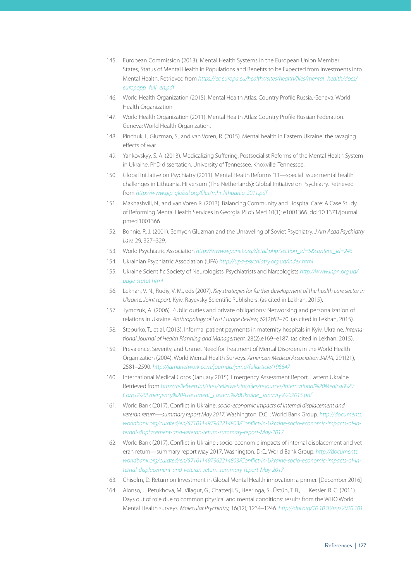- 145. European Commission (2013). Mental Health Systems in the European Union Member States, Status of Mental Health in Populations and Benefits to be Expected from Investments into Mental Health. Retrieved from *[https://ec.europa.eu/health//sites/health/files/mental\\_health/docs/](https://ec.europa.eu/health//sites/health/files/mental_health/docs/europopp_full_en.pdf) [europopp\\_full\\_en.pdf](https://ec.europa.eu/health//sites/health/files/mental_health/docs/europopp_full_en.pdf)*
- 146. World Health Organization (2015). Mental Health Atlas: Country Profile Russia. Geneva: World Health Organization.
- 147. World Health Organization (2011). Mental Health Atlas: Country Profile Russian Federation. Geneva: World Health Organization.
- 148. Pinchuk, I., Gluzman, S., and van Voren, R. (2015). Mental health in Eastern Ukraine: the ravaging effects of war.
- 149. Yankovskyy, S. A. (2013). Medicalizing Suffering: Postsocialist Reforms of the Mental Health System in Ukraine. PhD dissertation. University of Tennessee, Knoxville, Tennessee.
- 150. Global Initiative on Psychiatry (2011). Mental Health Reforms '11—special issue: mental health challenges in Lithuania. Hilversum (The Netherlands): Global Initiative on Psychiatry. Retrieved from *<http://www.gip-global.org/files/mhr-lithuania-2011.pdf>*
- 151. Makhashvili, N., and van Voren R. (2013). Balancing Community and Hospital Care: A Case Study of Reforming Mental Health Services in Georgia. PLoS Med 10(1): e1001366. doi:10.1371/journal. pmed.1001366
- 152. Bonnie, R. J. (2001). Semyon Gluzman and the Unraveling of Soviet Psychiatry. *J Am Acad Psychiatry Law,* 29, 327–329.
- 153. World Psychiatric Association *[http://www.wpanet.org/detail.php?section\\_id=5&content\\_id=245](http://www.wpanet.org/detail.php?section_id=5&content_id=245)*
- 154. Ukrainian Psychiatric Association (UPA) *<http://upa-psychiatry.org.ua/index.html>*
- 155. Ukraine Scientific Society of Neurologists, Psychiatrists and Narcologists *[http://www.inpn.org.ua/](http://www.inpn.org.ua/page-statut.html) [page-statut.html](http://www.inpn.org.ua/page-statut.html)*
- 156. Lekhan, V. N., Rudiy, V. M., eds (2007). *Key strategies for further development of the health care sector in Ukraine: Joint report.* Kyiv, Rayevsky Scientific Publishers. (as cited in Lekhan, 2015).
- 157. Tymczuk, A. (2006). Public duties and private obligations: Networking and personalization of relations in Ukraine. *Anthropology of East Europe Review,* 62(2):62–70. (as cited in Lekhan, 2015).
- 158. Stepurko, T., et al. (2013). Informal patient payments in maternity hospitals in Kyiv, Ukraine. *International Journal of Health Planning and Management,* 28(2):e169–e187. (as cited in Lekhan, 2015).
- 159. Prevalence, Severity, and Unmet Need for Treatment of Mental Disorders in the World Health Organization (2004). World Mental Health Surveys. *American Medical Association JAMA,* 291(21), 2581–2590. *<http://jamanetwork.com/journals/jama/fullarticle/198847>*
- 160. International Medical Corps (January 2015). Emergency Assessment Report. Eastern Ukraine. Retrieved from *[http://reliefweb.int/sites/reliefweb.int/files/resources/International%20Medical%20](http://reliefweb.int/sites/reliefweb.int/files/resources/International%20Medical%20Corps%20Emergency%20Assessment_Eastern%20Ukraine_January%202015.pdf) [Corps%20Emergency%20Assessment\\_Eastern%20Ukraine\\_January%202015.pdf](http://reliefweb.int/sites/reliefweb.int/files/resources/International%20Medical%20Corps%20Emergency%20Assessment_Eastern%20Ukraine_January%202015.pdf)*
- 161. World Bank (2017). Conflict in Ukraine: *socio-economic impacts of internal displacement and veteran return—summary report May 2017.* Washington, D.C. : World Bank Group. *[http://documents.](http://documents.worldbank.org/curated/en/571011497962214803/Conflict-in-Ukraine-socio-economic-impacts-of-internal-displacement-and-veteran-return-summary-report-May-2017) [worldbank.org/curated/en/571011497962214803/Conflict-in-Ukraine-socio-economic-impacts-of-in](http://documents.worldbank.org/curated/en/571011497962214803/Conflict-in-Ukraine-socio-economic-impacts-of-internal-displacement-and-veteran-return-summary-report-May-2017)[ternal-displacement-and-veteran-return-summary-report-May-2017](http://documents.worldbank.org/curated/en/571011497962214803/Conflict-in-Ukraine-socio-economic-impacts-of-internal-displacement-and-veteran-return-summary-report-May-2017)*
- 162. World Bank (2017). Conflict in Ukraine : socio-economic impacts of internal displacement and veteran return—summary report May 2017. Washington, D.C.: World Bank Group. *[http://documents.](http://documents.worldbank.org/curated/en/571011497962214803/Conflict-in-Ukraine-socio-economic-impacts-of-internal-displacement-and-veteran-return-summary-report-May-2017) [worldbank.org/curated/en/571011497962214803/Conflict-in-Ukraine-socio-economic-impacts-of-in](http://documents.worldbank.org/curated/en/571011497962214803/Conflict-in-Ukraine-socio-economic-impacts-of-internal-displacement-and-veteran-return-summary-report-May-2017)[ternal-displacement-and-veteran-return-summary-report-May-2017](http://documents.worldbank.org/curated/en/571011497962214803/Conflict-in-Ukraine-socio-economic-impacts-of-internal-displacement-and-veteran-return-summary-report-May-2017)*
- 163. Chisolm, D. Return on Investment in Global Mental Health innovation: a primer. [December 2016]
- 164. Alonso, J., Petukhova, M., Vilagut, G., Chatterji, S., Heeringa, S., Üstün, T. B., . . . Kessler, R. C. (2011). Days out of role due to common physical and mental conditions: results from the WHO World Mental Health surveys. *Molecular Psychiatry,* 16(12), 1234–1246. *<http://doi.org/10.1038/mp.2010.101>*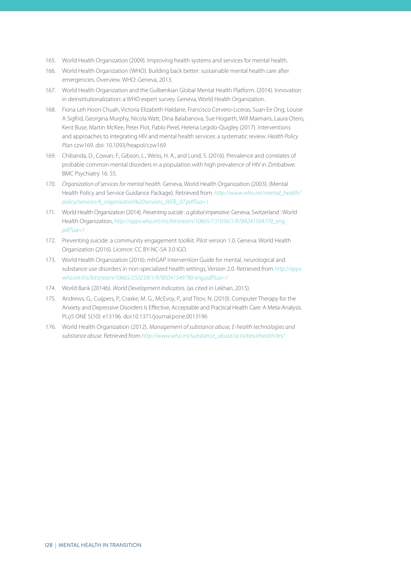- 165. World Health Organization (2009). Improving health systems and services for mental health.
- 166. World Health Organization (WHO). Building back better: sustainable mental health care after emergencies. Overview. WHO: Geneva, 2013.
- 167. World Health Organization and the Gulbenkian Global Mental Health Platform. (2014). Innovation in deinstitutionalization: a WHO expert survey. Geneva, World Health Organization.
- 168. Fiona Leh Hoon Chuah, Victoria Elizabeth Haldane, Francisco Cervero-Liceras, Suan Ee Ong, Louise A Sigfrid, Georgina Murphy, Nicola Watt, Dina Balabanova, Sue Hogarth, Will Maimaris, Laura Otero, Kent Buse, Martin McKee, Peter Piot, Pablo Perel, Helena Legido-Quigley (2017). Interventions and approaches to integrating HIV and mental health services: a systematic review. *Health Policy Plan* czw169. doi: 10.1093/heapol/czw169
- 169. Chibanda, D., Cowan, F., Gibson, L., Weiss, H. A., and Lund, S. (2016). Prevalence and correlates of probable common mental disorders in a population with high prevalence of HIV in Zimbabwe. BMC Psychiatry 16: 55.
- 170. *Organization of services for mental health.* Geneva, World Health Organization (2003). (Mental Health Policy and Service Guidance Package). Retrieved from: *[http://www.who.int/mental\\_health/](http://www.who.int/mental_health/policy/services/4_organisation%20services_WEB_07.pdf?ua=1) [policy/services/4\\_organisation%20services\\_WEB\\_07.pdf?ua=1](http://www.who.int/mental_health/policy/services/4_organisation%20services_WEB_07.pdf?ua=1)*
- 171. World Health Organization (2014). *Preventing suicide : a global imperative.* Geneva, Switzerland : World Health Organization, *[http://apps.who.int/iris/bitstream/10665/131056/1/9789241564779\\_eng.](http://apps.who.int/iris/bitstream/10665/131056/1/9789241564779_eng.pdf?ua=1) [pdf?ua=1](http://apps.who.int/iris/bitstream/10665/131056/1/9789241564779_eng.pdf?ua=1)*
- 172. Preventing suicide: a community engagement toolkit. Pilot version 1.0. Geneva: World Health Organization (2016). Licence: CC BY-NC-SA 3.0 IGO.
- 173. World Health Organization (2016). mhGAP Intervention Guide for mental, neurological and substance use disorders in non-specialized health settings, Version 2.0. Retrieved from *[http://apps.](http://apps.who.int/iris/bitstream/10665/250239/1/9789241549790-eng.pdf?ua=1) [who.int/iris/bitstream/10665/250239/1/9789241549790-eng.pdf?ua=1](http://apps.who.int/iris/bitstream/10665/250239/1/9789241549790-eng.pdf?ua=1)*
- 174. World Bank (2014b). *World Development Indicators.* (as cited in Lekhan, 2015).
- 175. Andrews, G., Cuijpers, P., Craske, M. G., McEvoy, P., and Titov, N. (2010). Computer Therapy for the Anxiety and Depressive Disorders Is Effective, Acceptable and Practical Health Care: A Meta-Analysis. PLoS ONE 5(10): e13196. doi:10.1371/journal.pone.0013196
- 176. World Health Organization (2012). *Management of substance abuse, E-health technologies and substance abuse.* Retrieved from *[http://www.who.int/substance\\_abuse/activities/ehealth/en/](http://www.who.int/substance_abuse/activities/ehealth/en/)*